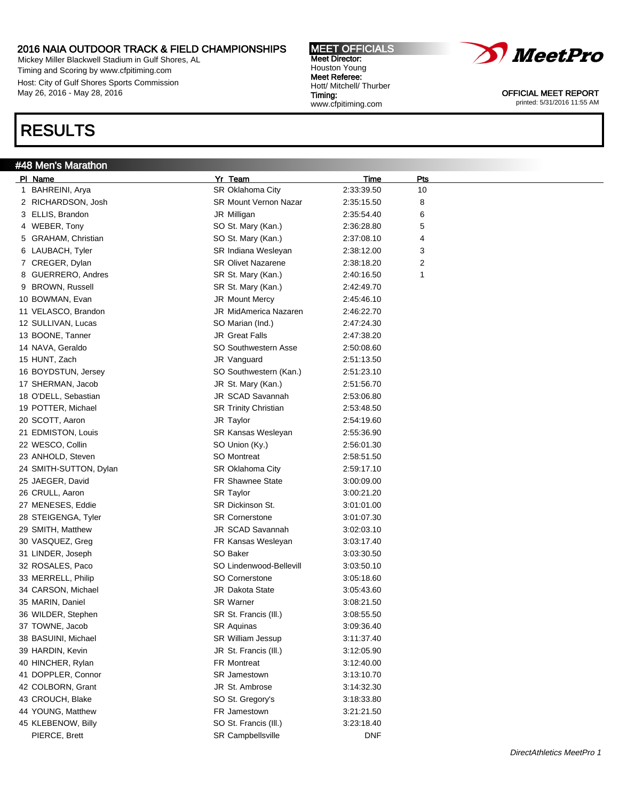Mickey Miller Blackwell Stadium in Gulf Shores, AL Timing and Scoring by www.cfpitiming.com Host: City of Gulf Shores Sports Commission May 26, 2016 - May 28, 2016

### RESULTS

#### #48 Men's Marathon

Pl Name Yr Team Time Pts 1 BAHREINI, Arya **Xambara SR Oklahoma City** 2:33:39.50 10 2 RICHARDSON, Josh SR Mount Vernon Nazar 2:35:15.50 8 3 ELLIS, Brandon JR Milligan 2:35:54.40 6 4 WEBER, Tony **SO St. Mary (Kan.)** 2:36:28.80 5 5 GRAHAM, Christian **SO St. Mary (Kan.)** 2:37:08.10 4 6 LAUBACH, Tyler **SR Indiana Wesleyan** 2:38:12.00 3 7 CREGER, Dylan SR Olivet Nazarene 2:38:18.20 2 8 GUERRERO, Andres SR St. Mary (Kan.) 2:40:16.50 1 9 BROWN, Russell SR St. Mary (Kan.) 2:42:49.70 10 BOWMAN, Evan **JR Mount Mercy** 2:45:46.10 11 VELASCO, Brandon JR MidAmerica Nazaren 2:46:22.70 12 SULLIVAN, Lucas SO Marian (Ind.) 2:47:24.30 13 BOONE, Tanner **12:47:38.20** JR Great Falls 2:47:38.20 14 NAVA, Geraldo SO Southwestern Asse 2:50:08.60 15 HUNT, Zach JR Vanguard 2:51:13.50 16 BOYDSTUN, Jersey SO Southwestern (Kan.) 2:51:23.10 17 SHERMAN, Jacob JR St. Mary (Kan.) 2:51:56.70 18 O'DELL, Sebastian JR SCAD Savannah 2:53:06.80 19 POTTER, Michael **SR Trinity Christian** 2:53:48.50 20 SCOTT, Aaron JR Taylor 2:54:19.60 21 EDMISTON, Louis SR Kansas Wesleyan 2:55:36.90 22 WESCO, Collin 30 SO Union (Ky.) 2:56:01.30 23 ANHOLD, Steven SO Montreat 2:58:51.50 24 SMITH-SUTTON, Dylan SR Oklahoma City 2:59:17.10 25 JAEGER, David FR Shawnee State 3:00:09.00 26 CRULL, Aaron SR Taylor 3:00:21.20 27 MENESES, Eddie SR Dickinson St. 3:01:01.00 28 STEIGENGA, Tyler SR Cornerstone 3:01:07.30 29 SMITH, Matthew JR SCAD Savannah 3:02:03.10 30 VASQUEZ, Greg **FR Kansas Wesleyan** 3:03:17.40 31 LINDER, Joseph SO Baker 3:03:30.50 32 ROSALES, Paco SO Lindenwood-Bellevill 3:03:50.10 33 MERRELL, Philip **SO Cornerstone** 3:05:18.60 34 CARSON, Michael JR Dakota State 3:05:43.60 35 MARIN, Daniel SR Warner 3:08:21.50 36 WILDER, Stephen SR St. Francis (III.) 3:08:55.50 37 TOWNE, Jacob SR Aquinas 3:09:36.40 38 BASUINI, Michael SR William Jessup 3:11:37.40 39 HARDIN, Kevin JR St. Francis (Ill.) 3:12:05.90 40 HINCHER, Rylan **FR Montreat** 3:12:40.00 41 DOPPLER, Connor **SR Jamestown** SR Jamestown 3:13:10.70 42 COLBORN, Grant JR St. Ambrose 3:14:32.30 43 CROUCH, Blake SO St. Gregory's 3:18:33.80 44 YOUNG, Matthew FR Jamestown 3:21:21.50 45 KLEBENOW, Billy SO St. Francis (Ill.) 3:23:18.40 PIERCE, Brett **SR Campbellsville** DNF





OFFICIAL MEET REPORT printed: 5/31/2016 11:55 AM

MEET OFFICIALS Meet Director: Houston Young Meet Referee: Hott/ Mitchell/ Thurber Timing: www.cfpitiming.com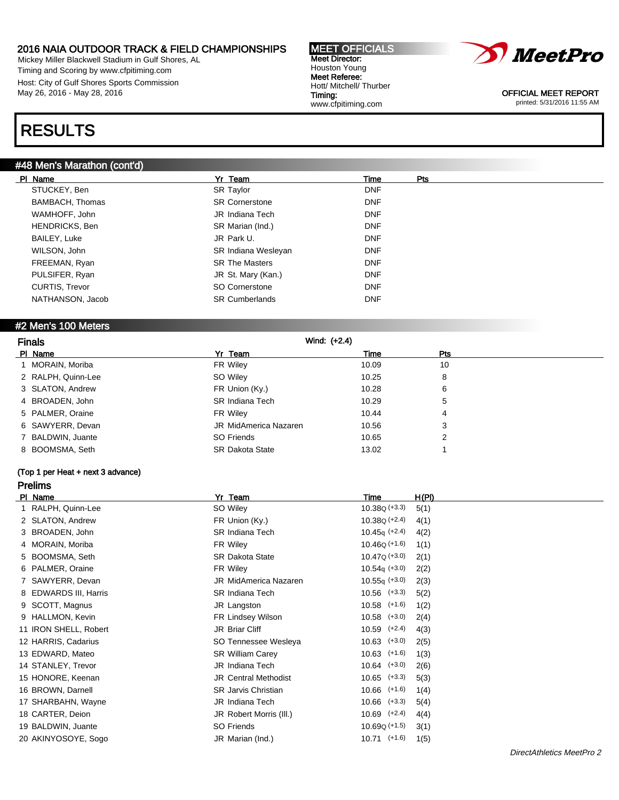Mickey Miller Blackwell Stadium in Gulf Shores, AL Timing and Scoring by www.cfpitiming.com Host: City of Gulf Shores Sports Commission May 26, 2016 - May 28, 2016

### RESULTS

### #48 Men's Marathon (cont'd)

| PI Name          | Yr Team               | Time       | Pts |
|------------------|-----------------------|------------|-----|
| STUCKEY, Ben     | <b>SR Taylor</b>      | <b>DNF</b> |     |
| BAMBACH, Thomas  | <b>SR Cornerstone</b> | <b>DNF</b> |     |
| WAMHOFF, John    | JR Indiana Tech       | <b>DNF</b> |     |
| HENDRICKS, Ben   | SR Marian (Ind.)      | <b>DNF</b> |     |
| BAILEY, Luke     | JR Park U.            | <b>DNF</b> |     |
| WILSON, John     | SR Indiana Wesleyan   | <b>DNF</b> |     |
| FREEMAN, Ryan    | <b>SR The Masters</b> | <b>DNF</b> |     |
| PULSIFER, Ryan   | JR St. Mary (Kan.)    | <b>DNF</b> |     |
| CURTIS, Trevor   | SO Cornerstone        | <b>DNF</b> |     |
| NATHANSON, Jacob | <b>SR Cumberlands</b> | <b>DNF</b> |     |

MEET OFFICIALS Meet Director: Houston Young Meet Referee: Hott/ Mitchell/ Thurber

www.cfpitiming.com

Timing:

### #2 Men's 100 Meters

| <b>Finals</b>      | Wind: (+2.4)           |       |     |
|--------------------|------------------------|-------|-----|
| PI Name            | Yr Team                | Time  | Pts |
| 1 MORAIN, Moriba   | FR Wiley               | 10.09 | 10  |
| 2 RALPH, Quinn-Lee | SO Wiley               | 10.25 | 8   |
| 3 SLATON, Andrew   | FR Union (Ky.)         | 10.28 | 6   |
| 4 BROADEN, John    | <b>SR Indiana Tech</b> | 10.29 | 5   |
| 5 PALMER, Oraine   | FR Wiley               | 10.44 | 4   |
| 6 SAWYERR, Devan   | JR MidAmerica Nazaren  | 10.56 | 3   |
| 7 BALDWIN, Juante  | SO Friends             | 10.65 | 2   |
| 8 BOOMSMA, Seth    | <b>SR Dakota State</b> | 13.02 |     |

### (Top 1 per Heat + next 3 advance) Prelims

| PI Name               | Yr Team                     | Time             | H(PI) |
|-----------------------|-----------------------------|------------------|-------|
| 1 RALPH, Quinn-Lee    | SO Wiley                    | $10.38Q (+3.3)$  | 5(1)  |
| 2 SLATON, Andrew      | FR Union (Ky.)              | $10.38Q (+2.4)$  | 4(1)  |
| 3 BROADEN, John       | <b>SR Indiana Tech</b>      | $10.45q (+2.4)$  | 4(2)  |
| 4 MORAIN, Moriba      | FR Wiley                    | $10.46Q (+1.6)$  | 1(1)  |
| 5 BOOMSMA, Seth       | <b>SR Dakota State</b>      | $10.47Q (+3.0)$  | 2(1)  |
| 6 PALMER, Oraine      | FR Wiley                    | $10.54q (+3.0)$  | 2(2)  |
| 7 SAWYERR, Devan      | JR MidAmerica Nazaren       | $10.55q (+3.0)$  | 2(3)  |
| 8 EDWARDS III, Harris | <b>SR Indiana Tech</b>      | $10.56$ $(+3.3)$ | 5(2)  |
| 9 SCOTT, Magnus       | JR Langston                 | $10.58$ (+1.6)   | 1(2)  |
| 9 HALLMON, Kevin      | FR Lindsey Wilson           | $10.58$ $(+3.0)$ | 2(4)  |
| 11 IRON SHELL, Robert | JR Briar Cliff              | $10.59$ $(+2.4)$ | 4(3)  |
| 12 HARRIS, Cadarius   | SO Tennessee Wesleya        | $10.63$ $(+3.0)$ | 2(5)  |
| 13 EDWARD, Mateo      | <b>SR William Carey</b>     | $10.63$ $(+1.6)$ | 1(3)  |
| 14 STANLEY, Trevor    | JR Indiana Tech             | $10.64$ $(+3.0)$ | 2(6)  |
| 15 HONORE, Keenan     | <b>JR Central Methodist</b> | $10.65$ $(+3.3)$ | 5(3)  |
| 16 BROWN, Darnell     | <b>SR Jarvis Christian</b>  | $10.66$ $(+1.6)$ | 1(4)  |
| 17 SHARBAHN, Wayne    | JR Indiana Tech             | $10.66$ $(+3.3)$ | 5(4)  |
| 18 CARTER, Deion      | JR Robert Morris (III.)     | $10.69$ $(+2.4)$ | 4(4)  |
| 19 BALDWIN, Juante    | SO Friends                  | $10.69Q (+1.5)$  | 3(1)  |
| 20 AKINYOSOYE, Sogo   | JR Marian (Ind.)            | $10.71$ (+1.6)   | 1(5)  |

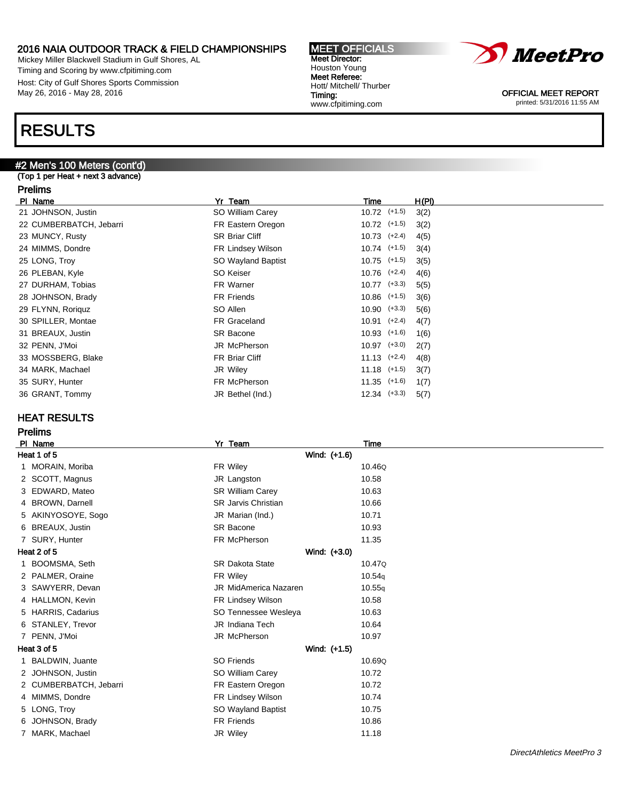Mickey Miller Blackwell Stadium in Gulf Shores, AL Timing and Scoring by www.cfpitiming.com Host: City of Gulf Shores Sports Commission May 26, 2016 - May 28, 2016

### RESULTS

### #2 Men's 100 Meters (cont'd)

#### (Top 1 per Heat + next 3 advance)

#### Prelims

| PI Name                 | Yr Team               | Time             | H(PI) |  |
|-------------------------|-----------------------|------------------|-------|--|
| 21 JOHNSON, Justin      | SO William Carey      | $10.72$ $(+1.5)$ | 3(2)  |  |
| 22 CUMBERBATCH, Jebarri | FR Eastern Oregon     | $10.72$ (+1.5)   | 3(2)  |  |
| 23 MUNCY, Rusty         | <b>SR Briar Cliff</b> | $10.73$ $(+2.4)$ | 4(5)  |  |
| 24 MIMMS, Dondre        | FR Lindsey Wilson     | $10.74$ $(+1.5)$ | 3(4)  |  |
| 25 LONG, Troy           | SO Wayland Baptist    | $10.75$ (+1.5)   | 3(5)  |  |
| 26 PLEBAN, Kyle         | SO Keiser             | $10.76$ $(+2.4)$ | 4(6)  |  |
| 27 DURHAM, Tobias       | FR Warner             | $10.77$ $(+3.3)$ | 5(5)  |  |
| 28 JOHNSON, Brady       | <b>FR Friends</b>     | $10.86$ $(+1.5)$ | 3(6)  |  |
| 29 FLYNN, Roriguz       | SO Allen              | $10.90$ $(+3.3)$ | 5(6)  |  |
| 30 SPILLER, Montae      | FR Graceland          | $10.91$ $(+2.4)$ | 4(7)  |  |
| 31 BREAUX, Justin       | SR Bacone             | $10.93$ $(+1.6)$ | 1(6)  |  |
| 32 PENN, J'Moi          | JR McPherson          | $10.97$ $(+3.0)$ | 2(7)  |  |
| 33 MOSSBERG, Blake      | <b>FR Briar Cliff</b> | $11.13$ $(+2.4)$ | 4(8)  |  |
| 34 MARK, Machael        | JR Wiley              | $11.18$ (+1.5)   | 3(7)  |  |
| 35 SURY, Hunter         | FR McPherson          | $11.35$ (+1.6)   | 1(7)  |  |
| 36 GRANT, Tommy         | JR Bethel (Ind.)      | $12.34$ $(+3.3)$ | 5(7)  |  |
|                         |                       |                  |       |  |

Timing:

www.cfpitiming.com

### HEAT RESULTS

Prelims

Pl Name Yr Team Time Heat 1 of 5 Wind: (+1.6) 1 MORAIN, Moriba 10.46Q **FR Wiley 10.46Q** 2 SCOTT, Magnus 2 SCOTT, Magnus 2 SCOTT, Magnus 2 SCOTT, Magnus 2 SCOTT, Magnus 2 SCOTT, Magnus 2 SCOTT, 2015 3 EDWARD, Mateo SR William Carey 10.63 4 BROWN, Darnell SR Jarvis Christian 10.66 5 AKINYOSOYE, Sogo **JR Marian (Ind.)** 10.71 6 BREAUX, Justin No. 2008 SR Bacone 10.93 7 SURY, Hunter **FR McPherson** FR McPherson 11.35 Heat 2 of 5 Wind: (+3.0) 1 BOOMSMA, Seth SR Dakota State 10.47Q 2 PALMER, Oraine 10.54q 3 SAWYERR, Devan JR MidAmerica Nazaren 10.55q 4 HALLMON, Kevin FR Lindsey Wilson 10.58 5 HARRIS, Cadarius SO Tennessee Wesleya 10.63 6 STANLEY, Trevor JR Indiana Tech 10.64 7 PENN, J'Moi JR McPherson 10.97 Heat 3 of 5 Wind: (+1.5) 1 BALDWIN, Juante SO Friends 10.69Q 2 JOHNSON, Justin **SO William Carey 10.72** 2 CUMBERBATCH, Jebarri FR Eastern Oregon 10.72 4 MIMMS, Dondre **FR Lindsey Wilson** 10.74 5 LONG, Troy SO Wayland Baptist 10.75 6 JOHNSON, Brady **FR Friends** FR Friends 10.86 7 MARK, Machael **11.18** JR Wiley **11.18** 

MEET OFFICIALS Meet Director: Houston Young Meet Referee: Hott/ Mitchell/ Thurber

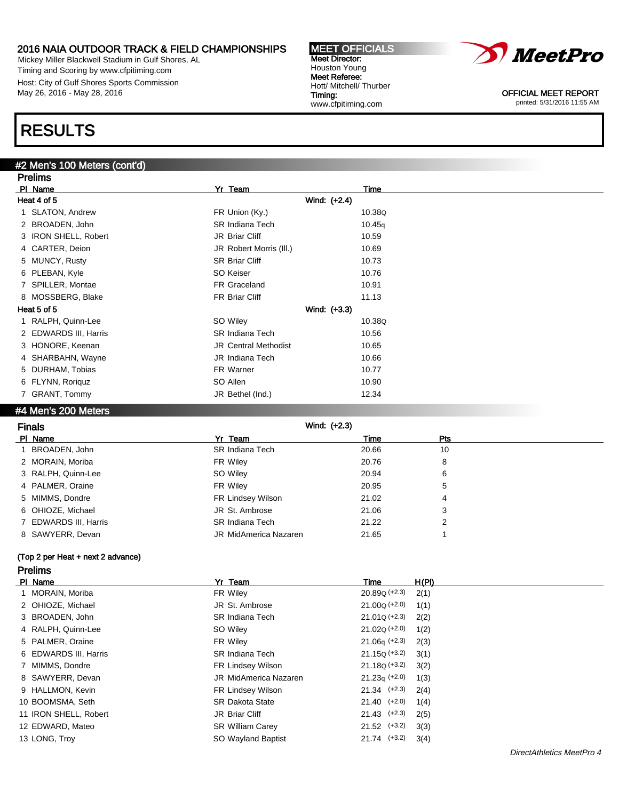Mickey Miller Blackwell Stadium in Gulf Shores, AL Timing and Scoring by www.cfpitiming.com Host: City of Gulf Shores Sports Commission May 26, 2016 - May 28, 2016

### RESULTS

### #2 Men's 100 Meters (cont'd)

| <b>Prelims</b>        |                             |        |
|-----------------------|-----------------------------|--------|
| PI Name               | Yr Team                     | Time   |
| Heat 4 of 5           | Wind: (+2.4)                |        |
| 1 SLATON, Andrew      | FR Union (Ky.)              | 10.38Q |
| 2 BROADEN, John       | <b>SR Indiana Tech</b>      | 10.45q |
| 3 IRON SHELL, Robert  | JR Briar Cliff              | 10.59  |
| 4 CARTER, Deion       | JR Robert Morris (III.)     | 10.69  |
| 5 MUNCY, Rusty        | <b>SR Briar Cliff</b>       | 10.73  |
| 6 PLEBAN, Kyle        | SO Keiser                   | 10.76  |
| 7 SPILLER, Montae     | <b>FR Graceland</b>         | 10.91  |
| 8 MOSSBERG, Blake     | FR Briar Cliff              | 11.13  |
| Heat 5 of 5           | Wind: (+3.3)                |        |
| 1 RALPH, Quinn-Lee    | SO Wiley                    | 10.38Q |
| 2 EDWARDS III, Harris | <b>SR Indiana Tech</b>      | 10.56  |
| 3 HONORE, Keenan      | <b>JR Central Methodist</b> | 10.65  |
| 4 SHARBAHN, Wayne     | JR Indiana Tech             | 10.66  |
| 5 DURHAM, Tobias      | FR Warner                   | 10.77  |
| 6 FLYNN, Roriguz      | SO Allen                    | 10.90  |
| 7 GRANT, Tommy        | JR Bethel (Ind.)            | 12.34  |

### #4 Men's 200 Meters

| <b>Finals</b>         | Wind: $(+2.3)$               |       |     |
|-----------------------|------------------------------|-------|-----|
| PI Name               | Yr Team                      | Time  | Pts |
| BROADEN, John         | <b>SR Indiana Tech</b>       | 20.66 | 10  |
| 2 MORAIN, Moriba      | FR Wiley                     | 20.76 | 8   |
| 3 RALPH, Quinn-Lee    | SO Wiley                     | 20.94 | 6   |
| 4 PALMER, Oraine      | FR Wiley                     | 20.95 | 5   |
| 5 MIMMS, Dondre       | FR Lindsey Wilson            | 21.02 | 4   |
| 6 OHIOZE, Michael     | JR St. Ambrose               | 21.06 | 3   |
| 7 EDWARDS III, Harris | <b>SR Indiana Tech</b>       | 21.22 | 2   |
| 8 SAWYERR, Devan      | <b>JR MidAmerica Nazaren</b> | 21.65 |     |

### (Top 2 per Heat + next 2 advance) Prelims

| PI Name               | Yr Team                  | Time             | H(PI) |
|-----------------------|--------------------------|------------------|-------|
| 1 MORAIN, Moriba      | FR Wiley                 | $20.89Q (+2.3)$  | 2(1)  |
| 2 OHIOZE, Michael     | JR St. Ambrose           | $21.00Q (+2.0)$  | 1(1)  |
| 3 BROADEN, John       | <b>SR Indiana Tech</b>   | $21.01Q (+2.3)$  | 2(2)  |
| 4 RALPH, Quinn-Lee    | SO Wiley                 | $21.02Q (+2.0)$  | 1(2)  |
| 5 PALMER, Oraine      | FR Wiley                 | $21.06q$ (+2.3)  | 2(3)  |
| 6 EDWARDS III, Harris | <b>SR Indiana Tech</b>   | $21.15Q (+3.2)$  | 3(1)  |
| 7 MIMMS, Dondre       | FR Lindsey Wilson        | $21.18Q (+3.2)$  | 3(2)  |
| 8 SAWYERR, Devan      | JR MidAmerica Nazaren    | $21.23q (+2.0)$  | 1(3)  |
| 9 HALLMON, Kevin      | <b>FR Lindsey Wilson</b> | $21.34$ $(+2.3)$ | 2(4)  |
| 10 BOOMSMA, Seth      | <b>SR Dakota State</b>   | $21.40$ $(+2.0)$ | 1(4)  |
| 11 IRON SHELL, Robert | JR Briar Cliff           | $21.43$ $(+2.3)$ | 2(5)  |
| 12 EDWARD, Mateo      | <b>SR William Carey</b>  | $21.52$ $(+3.2)$ | 3(3)  |
| 13 LONG, Troy         | SO Wayland Baptist       | $21.74$ $(+3.2)$ | 3(4)  |

MEET OFFICIALS Meet Director: Houston Young Meet Referee: Hott/ Mitchell/ Thurber Timing: www.cfpitiming.com

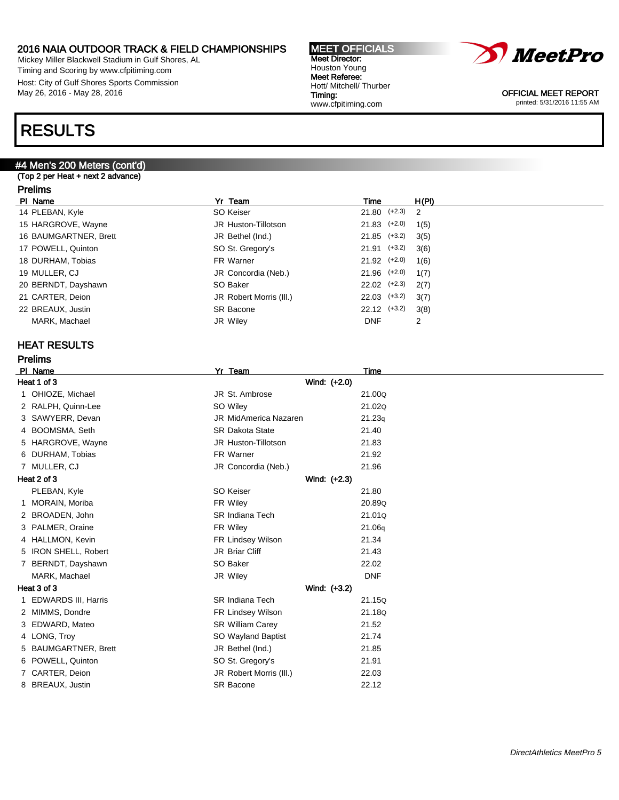Mickey Miller Blackwell Stadium in Gulf Shores, AL Timing and Scoring by www.cfpitiming.com Host: City of Gulf Shores Sports Commission May 26, 2016 - May 28, 2016

### RESULTS

### #4 Men's 200 Meters (cont'd)

(Top 2 per Heat + next 2 advance)

### Prelims

| PI Name               | Yr Team                 | Time             | H(PI) |
|-----------------------|-------------------------|------------------|-------|
| 14 PLEBAN, Kyle       | SO Keiser               | $21.80$ (+2.3) 2 |       |
| 15 HARGROVE, Wayne    | JR Huston-Tillotson     | $21.83$ $(+2.0)$ | 1(5)  |
| 16 BAUMGARTNER, Brett | JR Bethel (Ind.)        | $21.85$ (+3.2)   | 3(5)  |
| 17 POWELL, Quinton    | SO St. Gregory's        | $21.91$ (+3.2)   | 3(6)  |
| 18 DURHAM, Tobias     | FR Warner               | $21.92$ $(+2.0)$ | 1(6)  |
| 19 MULLER, CJ         | JR Concordia (Neb.)     | $21.96$ (+2.0)   | 1(7)  |
| 20 BERNDT, Dayshawn   | SO Baker                | $22.02$ $(+2.3)$ | 2(7)  |
| 21 CARTER, Deion      | JR Robert Morris (III.) | $22.03$ $(+3.2)$ | 3(7)  |
| 22 BREAUX, Justin     | <b>SR Bacone</b>        | $22.12$ $(+3.2)$ | 3(8)  |
| MARK, Machael         | JR Wiley                | <b>DNF</b>       | 2     |

### HEAT RESULTS

Prelims

| PI_Name               | Yr Team                      | Time       |
|-----------------------|------------------------------|------------|
| Heat 1 of 3           | Wind: (+2.0)                 |            |
| 1 OHIOZE, Michael     | JR St. Ambrose               | 21.00Q     |
| 2 RALPH, Quinn-Lee    | SO Wiley                     | 21.02Q     |
| 3 SAWYERR, Devan      | <b>JR MidAmerica Nazaren</b> | 21.23q     |
| 4 BOOMSMA, Seth       | <b>SR Dakota State</b>       | 21.40      |
| 5 HARGROVE, Wayne     | JR Huston-Tillotson          | 21.83      |
| 6 DURHAM, Tobias      | FR Warner                    | 21.92      |
| 7 MULLER, CJ          | JR Concordia (Neb.)          | 21.96      |
| Heat 2 of 3           | Wind: (+2.3)                 |            |
| PLEBAN, Kyle          | SO Keiser                    | 21.80      |
| 1 MORAIN, Moriba      | FR Wiley                     | 20.89Q     |
| 2 BROADEN, John       | <b>SR Indiana Tech</b>       | 21.01Q     |
| 3 PALMER, Oraine      | FR Wiley                     | 21.06q     |
| 4 HALLMON, Kevin      | FR Lindsey Wilson            | 21.34      |
| 5 IRON SHELL, Robert  | JR Briar Cliff               | 21.43      |
| 7 BERNDT, Dayshawn    | SO Baker                     | 22.02      |
| MARK, Machael         | JR Wiley                     | <b>DNF</b> |
| Heat 3 of 3           | Wind: (+3.2)                 |            |
| 1 EDWARDS III, Harris | <b>SR Indiana Tech</b>       | 21.15Q     |
| 2 MIMMS, Dondre       | FR Lindsey Wilson            | 21.18Q     |
| 3 EDWARD, Mateo       | SR William Carey             | 21.52      |
| 4 LONG, Troy          | SO Wayland Baptist           | 21.74      |
| 5 BAUMGARTNER, Brett  | JR Bethel (Ind.)             | 21.85      |
| 6 POWELL, Quinton     | SO St. Gregory's             | 21.91      |
| 7 CARTER, Deion       | JR Robert Morris (III.)      | 22.03      |
| 8 BREAUX, Justin      | <b>SR Bacone</b>             | 22.12      |
|                       |                              |            |



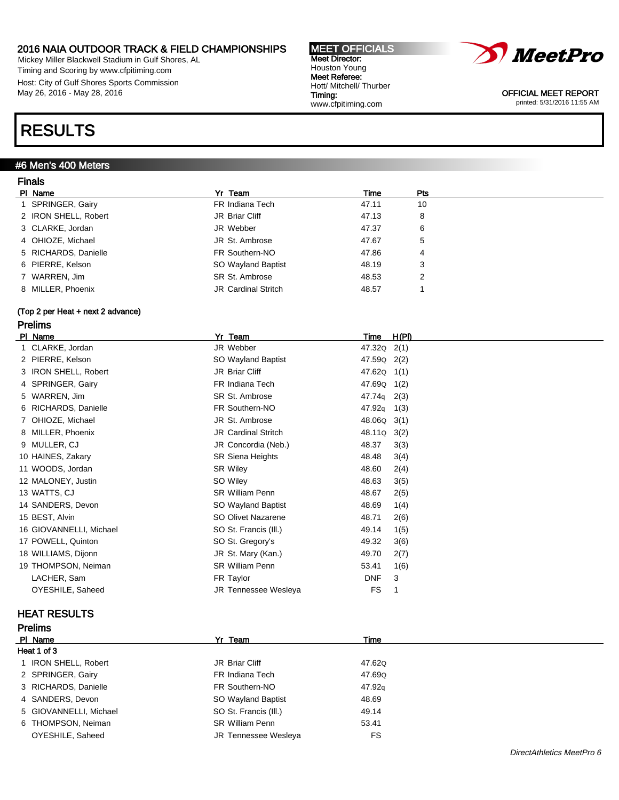Mickey Miller Blackwell Stadium in Gulf Shores, AL Timing and Scoring by www.cfpitiming.com Host: City of Gulf Shores Sports Commission May 26, 2016 - May 28, 2016

### RESULTS

### #6 Men's 400 Meters

### Finals

| .                    |                            |       |     |
|----------------------|----------------------------|-------|-----|
| PI Name              | Yr Team                    | Time  | Pts |
| SPRINGER, Gairy      | FR Indiana Tech            | 47.11 | 10  |
| 2 IRON SHELL, Robert | JR Briar Cliff             | 47.13 | 8   |
| 3 CLARKE, Jordan     | JR Webber                  | 47.37 | 6   |
| 4 OHIOZE, Michael    | JR St. Ambrose             | 47.67 | 5   |
| 5 RICHARDS, Danielle | FR Southern-NO             | 47.86 | 4   |
| 6 PIERRE, Kelson     | SO Wayland Baptist         | 48.19 | 3   |
| 7 WARREN, Jim        | SR St. Ambrose             | 48.53 | 2   |
| 8 MILLER, Phoenix    | <b>JR Cardinal Stritch</b> | 48.57 |     |
|                      |                            |       |     |

MEET OFFICIALS Meet Director: Houston Young Meet Referee: Hott/ Mitchell/ Thurber

www.cfpitiming.com

Timing:

### (Top 2 per Heat + next 2 advance)

### Prelims

| PI Name                 | Yr Team                     | H(PI)<br>Time              |
|-------------------------|-----------------------------|----------------------------|
| 1 CLARKE, Jordan        | JR Webber                   | 47.32Q<br>2(1)             |
| 2 PIERRE, Kelson        | SO Wayland Baptist          | 47.59Q<br>2(2)             |
| 3 IRON SHELL, Robert    | JR Briar Cliff              | 47.62Q 1(1)                |
| 4 SPRINGER, Gairy       | FR Indiana Tech             | 47.69Q<br>1(2)             |
| 5 WARREN, Jim           | SR St. Ambrose              | $47.74q$ 2(3)              |
| 6 RICHARDS, Danielle    | FR Southern-NO              | 47.92 <sub>q</sub><br>1(3) |
| 7 OHIOZE, Michael       | JR St. Ambrose              | 48.06Q<br>3(1)             |
| 8 MILLER, Phoenix       | <b>JR Cardinal Stritch</b>  | 48.11Q<br>3(2)             |
| 9 MULLER, CJ            | JR Concordia (Neb.)         | 48.37<br>3(3)              |
| 10 HAINES, Zakary       | <b>SR Siena Heights</b>     | 48.48<br>3(4)              |
| 11 WOODS, Jordan        | <b>SR Wiley</b>             | 48.60<br>2(4)              |
| 12 MALONEY, Justin      | SO Wiley                    | 48.63<br>3(5)              |
| 13 WATTS, CJ            | <b>SR William Penn</b>      | 48.67<br>2(5)              |
| 14 SANDERS, Devon       | SO Wayland Baptist          | 48.69<br>1(4)              |
| 15 BEST, Alvin          | SO Olivet Nazarene          | 48.71<br>2(6)              |
| 16 GIOVANNELLI, Michael | SO St. Francis (III.)       | 49.14<br>1(5)              |
| 17 POWELL, Quinton      | SO St. Gregory's            | 49.32<br>3(6)              |
| 18 WILLIAMS, Dijonn     | JR St. Mary (Kan.)          | 49.70<br>2(7)              |
| 19 THOMPSON, Neiman     | <b>SR William Penn</b>      | 1(6)<br>53.41              |
| LACHER, Sam             | FR Taylor                   | 3<br><b>DNF</b>            |
| OYESHILE, Saheed        | <b>JR Tennessee Wesleva</b> | <b>FS</b>                  |

### HEAT RESULTS

Prelims

| Time                           |
|--------------------------------|
|                                |
| 47.62Q                         |
| 47.69Q                         |
| 47.92 <sub>g</sub>             |
| SO Wayland Baptist<br>48.69    |
| SO St. Francis (III.)<br>49.14 |
| 53.41                          |
| FS<br>JR Tennessee Wesleya     |
|                                |

# *MeetPro*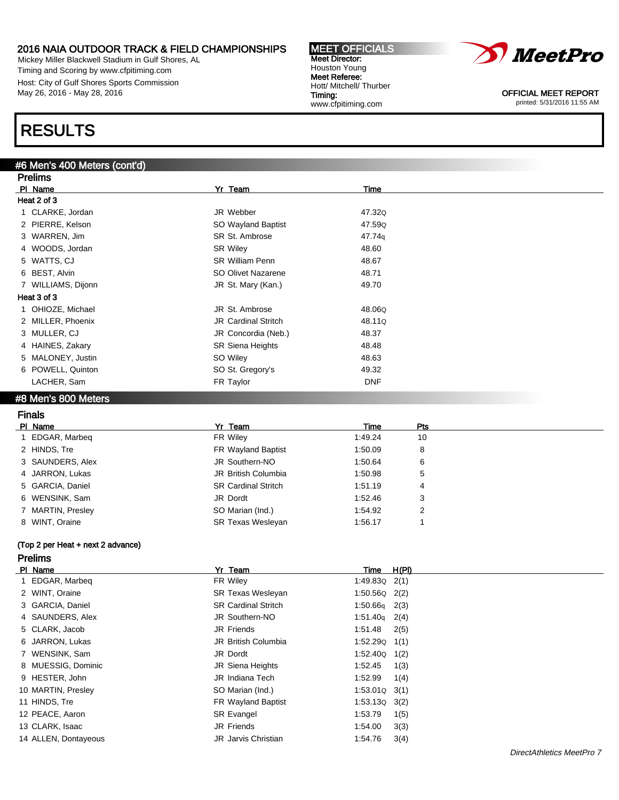Mickey Miller Blackwell Stadium in Gulf Shores, AL Timing and Scoring by www.cfpitiming.com Host: City of Gulf Shores Sports Commission May 26, 2016 - May 28, 2016

### RESULTS

Prelims

### #6 Men's 400 Meters (cont'd)

| <b>FIGILIS</b>                                                                                                                                                                                                                                                                                                                     |                            |            |  |  |  |  |
|------------------------------------------------------------------------------------------------------------------------------------------------------------------------------------------------------------------------------------------------------------------------------------------------------------------------------------|----------------------------|------------|--|--|--|--|
| PI Name                                                                                                                                                                                                                                                                                                                            | Yr Team                    | Time       |  |  |  |  |
| Heat 2 of 3                                                                                                                                                                                                                                                                                                                        |                            |            |  |  |  |  |
| 1 CLARKE, Jordan                                                                                                                                                                                                                                                                                                                   | JR Webber                  | 47.32Q     |  |  |  |  |
| 2 PIERRE, Kelson                                                                                                                                                                                                                                                                                                                   | SO Wayland Baptist         | 47.59Q     |  |  |  |  |
| 3 WARREN, Jim                                                                                                                                                                                                                                                                                                                      | SR St. Ambrose             | 47.74g     |  |  |  |  |
| 4 WOODS, Jordan                                                                                                                                                                                                                                                                                                                    | <b>SR Wiley</b>            | 48.60      |  |  |  |  |
| 5 WATTS, CJ                                                                                                                                                                                                                                                                                                                        | <b>SR William Penn</b>     | 48.67      |  |  |  |  |
| 6 BEST, Alvin                                                                                                                                                                                                                                                                                                                      | SO Olivet Nazarene         | 48.71      |  |  |  |  |
| 7 WILLIAMS, Dijonn                                                                                                                                                                                                                                                                                                                 | JR St. Mary (Kan.)         | 49.70      |  |  |  |  |
| Heat 3 of 3                                                                                                                                                                                                                                                                                                                        |                            |            |  |  |  |  |
| 1 OHIOZE, Michael                                                                                                                                                                                                                                                                                                                  | JR St. Ambrose             | 48.06Q     |  |  |  |  |
| 2 MILLER, Phoenix                                                                                                                                                                                                                                                                                                                  | <b>JR Cardinal Stritch</b> | 48.11Q     |  |  |  |  |
| 3 MULLER, CJ                                                                                                                                                                                                                                                                                                                       | JR Concordia (Neb.)        | 48.37      |  |  |  |  |
| 4 HAINES, Zakary                                                                                                                                                                                                                                                                                                                   | <b>SR Siena Heights</b>    | 48.48      |  |  |  |  |
| 5 MALONEY, Justin                                                                                                                                                                                                                                                                                                                  | SO Wiley                   | 48.63      |  |  |  |  |
| 6 POWELL, Quinton                                                                                                                                                                                                                                                                                                                  | SO St. Gregory's           | 49.32      |  |  |  |  |
| LACHER, Sam                                                                                                                                                                                                                                                                                                                        | FR Taylor                  | <b>DNF</b> |  |  |  |  |
| $\mathbf{A}$ $\mathbf{A}$ $\mathbf{A}$ $\mathbf{A}$ $\mathbf{A}$ $\mathbf{A}$ $\mathbf{A}$ $\mathbf{A}$ $\mathbf{A}$ $\mathbf{A}$ $\mathbf{A}$ $\mathbf{A}$ $\mathbf{A}$ $\mathbf{A}$ $\mathbf{A}$ $\mathbf{A}$ $\mathbf{A}$ $\mathbf{A}$ $\mathbf{A}$ $\mathbf{A}$ $\mathbf{A}$ $\mathbf{A}$ $\mathbf{A}$ $\mathbf{A}$ $\mathbf{$ |                            |            |  |  |  |  |

MEET OFFICIALS Meet Director: Houston Young Meet Referee: Hott/ Mitchell/ Thurber

www.cfpitiming.com

Timing:

#### #8 Men's 800 Meters

| PI Name<br>Yr Team<br><b>Pts</b><br>Time<br>FR Wiley<br>1 EDGAR, Marbeg<br>1:49.24<br>10<br>2 HINDS, Tre<br>FR Wayland Baptist<br>1:50.09<br>8<br>3 SAUNDERS, Alex<br>JR Southern-NO<br>1:50.64<br>6<br><b>JR British Columbia</b><br>4 JARRON, Lukas<br>1:50.98<br>5<br>5 GARCIA, Daniel<br><b>SR Cardinal Stritch</b><br>1:51.19<br>4<br>6 WENSINK, Sam<br>1:52.46<br>3<br>JR Dordt<br>SO Marian (Ind.)<br>7 MARTIN, Presley<br>1:54.92<br>2<br>8 WINT, Oraine<br><b>SR Texas Wesleyan</b><br>1:56.17 | <b>Finals</b> |  |  |
|---------------------------------------------------------------------------------------------------------------------------------------------------------------------------------------------------------------------------------------------------------------------------------------------------------------------------------------------------------------------------------------------------------------------------------------------------------------------------------------------------------|---------------|--|--|
|                                                                                                                                                                                                                                                                                                                                                                                                                                                                                                         |               |  |  |
|                                                                                                                                                                                                                                                                                                                                                                                                                                                                                                         |               |  |  |
|                                                                                                                                                                                                                                                                                                                                                                                                                                                                                                         |               |  |  |
|                                                                                                                                                                                                                                                                                                                                                                                                                                                                                                         |               |  |  |
|                                                                                                                                                                                                                                                                                                                                                                                                                                                                                                         |               |  |  |
|                                                                                                                                                                                                                                                                                                                                                                                                                                                                                                         |               |  |  |
|                                                                                                                                                                                                                                                                                                                                                                                                                                                                                                         |               |  |  |
|                                                                                                                                                                                                                                                                                                                                                                                                                                                                                                         |               |  |  |
|                                                                                                                                                                                                                                                                                                                                                                                                                                                                                                         |               |  |  |

### (Top 2 per Heat + next 2 advance)

### Prelims

| PI Name              | Yr Team                    | Time              | H(PI) |
|----------------------|----------------------------|-------------------|-------|
| 1 EDGAR, Marbeg      | FR Wiley                   | $1:49.83Q$ 2(1)   |       |
| 2 WINT, Oraine       | <b>SR Texas Wesleyan</b>   | $1:50.56Q$ 2(2)   |       |
| 3 GARCIA, Daniel     | <b>SR Cardinal Stritch</b> | $1:50.66q$ 2(3)   |       |
| 4 SAUNDERS, Alex     | JR Southern-NO             | $1:51.40q$ 2(4)   |       |
| 5 CLARK, Jacob       | JR Friends                 | 1:51.48           | 2(5)  |
| 6 JARRON, Lukas      | <b>JR British Columbia</b> | $1:52.29Q$ $1(1)$ |       |
| 7 WENSINK, Sam       | JR Dordt                   | $1:52.40Q$ $1(2)$ |       |
| 8 MUESSIG, Dominic   | JR Siena Heights           | 1:52.45           | 1(3)  |
| 9 HESTER, John       | JR Indiana Tech            | 1:52.99           | 1(4)  |
| 10 MARTIN, Presley   | SO Marian (Ind.)           | $1:53.01Q$ $3(1)$ |       |
| 11 HINDS, Tre        | <b>FR Wayland Baptist</b>  | $1:53.13Q$ $3(2)$ |       |
| 12 PEACE, Aaron      | <b>SR Evangel</b>          | 1:53.79           | 1(5)  |
| 13 CLARK, Isaac      | JR Friends                 | 1:54.00           | 3(3)  |
| 14 ALLEN, Dontayeous | <b>JR</b> Jarvis Christian | 1:54.76           | 3(4)  |

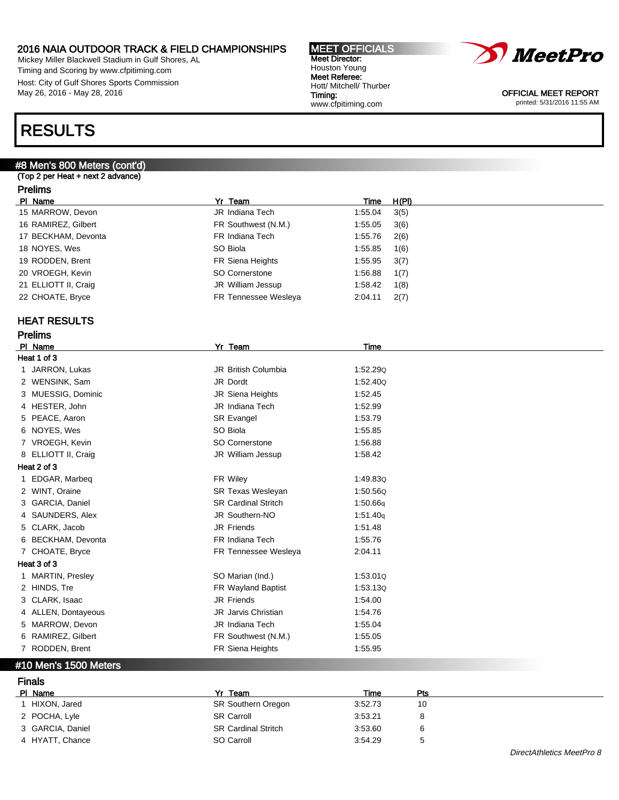Mickey Miller Blackwell Stadium in Gulf Shores, AL Timing and Scoring by www.cfpitiming.com Host: City of Gulf Shores Sports Commission May 26, 2016 - May 28, 2016

### RESULTS

### #8 Men's 800 Meters (cont'd)

(Top 2 per Heat + next 2 advance)

### Prelims

| PI Name              | Yr Team              | Time    | H(PI) |
|----------------------|----------------------|---------|-------|
| 15 MARROW, Devon     | JR Indiana Tech      | 1:55.04 | 3(5)  |
| 16 RAMIREZ, Gilbert  | FR Southwest (N.M.)  | 1:55.05 | 3(6)  |
| 17 BECKHAM, Devonta  | FR Indiana Tech      | 1:55.76 | 2(6)  |
| 18 NOYES, Wes        | SO Biola             | 1:55.85 | 1(6)  |
| 19 RODDEN, Brent     | FR Siena Heights     | 1:55.95 | 3(7)  |
| 20 VROEGH, Kevin     | SO Cornerstone       | 1:56.88 | 1(7)  |
| 21 ELLIOTT II, Craig | JR William Jessup    | 1:58.42 | 1(8)  |
| 22 CHOATE, Bryce     | FR Tennessee Wesleya | 2:04.11 | 2(7)  |
|                      |                      |         |       |

### HEAT RESULTS

| <b>Prelims</b>      |                            |             |  |  |  |  |  |
|---------------------|----------------------------|-------------|--|--|--|--|--|
| PI Name             | Yr Team                    | <b>Time</b> |  |  |  |  |  |
| Heat 1 of 3         |                            |             |  |  |  |  |  |
| 1 JARRON, Lukas     | <b>JR British Columbia</b> | 1:52.290    |  |  |  |  |  |
| 2 WENSINK, Sam      | JR Dordt                   | 1:52.40Q    |  |  |  |  |  |
| 3 MUESSIG, Dominic  | JR Siena Heights           | 1:52.45     |  |  |  |  |  |
| 4 HESTER, John      | JR Indiana Tech            | 1:52.99     |  |  |  |  |  |
| 5 PEACE, Aaron      | SR Evangel                 | 1:53.79     |  |  |  |  |  |
| 6 NOYES, Wes        | SO Biola                   | 1:55.85     |  |  |  |  |  |
| 7 VROEGH, Kevin     | SO Cornerstone             | 1:56.88     |  |  |  |  |  |
| 8 ELLIOTT II, Craig | JR William Jessup          | 1.58.42     |  |  |  |  |  |
| Heat 2 of 3         |                            |             |  |  |  |  |  |
| 1 EDGAR, Marbeg     | FR Wiley                   | 1:49.830    |  |  |  |  |  |
| 2 WINT, Oraine      | <b>SR Texas Wesleyan</b>   | 1:50.56Q    |  |  |  |  |  |
| 3 GARCIA, Daniel    | <b>SR Cardinal Stritch</b> | 1:50.66q    |  |  |  |  |  |
| 4 SAUNDERS, Alex    | JR Southern-NO             | 1:51.40q    |  |  |  |  |  |
| 5 CLARK, Jacob      | <b>JR Friends</b>          | 1:51.48     |  |  |  |  |  |
| 6 BECKHAM, Devonta  | FR Indiana Tech            | 1:55.76     |  |  |  |  |  |
| 7 CHOATE, Bryce     | FR Tennessee Wesleya       | 2:04.11     |  |  |  |  |  |
| Heat 3 of 3         |                            |             |  |  |  |  |  |
| 1 MARTIN, Presley   | SO Marian (Ind.)           | 1:53.010    |  |  |  |  |  |
| 2 HINDS, Tre        | FR Wayland Baptist         | 1:53.13Q    |  |  |  |  |  |
| 3 CLARK, Isaac      | <b>JR Friends</b>          | 1:54.00     |  |  |  |  |  |
| 4 ALLEN, Dontayeous | <b>JR</b> Jarvis Christian | 1:54.76     |  |  |  |  |  |
| 5 MARROW, Devon     | JR Indiana Tech            | 1:55.04     |  |  |  |  |  |
| 6 RAMIREZ, Gilbert  | FR Southwest (N.M.)        | 1:55.05     |  |  |  |  |  |
| 7 RODDEN, Brent     | FR Siena Heights           | 1:55.95     |  |  |  |  |  |

### #10 Men's 1500 Meters

Finals

| - - - - - - -    |         |                                                                                            |                                          |
|------------------|---------|--------------------------------------------------------------------------------------------|------------------------------------------|
| PI Name          | Yr Team | Time                                                                                       | Pts                                      |
| HIXON, Jared     |         |                                                                                            | 10                                       |
| 2 POCHA, Lyle    |         |                                                                                            | 8                                        |
| 3 GARCIA, Daniel |         |                                                                                            | 6                                        |
| 4 HYATT, Chance  |         |                                                                                            | <sub>5</sub>                             |
|                  |         | <b>SR Southern Oregon</b><br><b>SR Carroll</b><br><b>SR Cardinal Stritch</b><br>SO Carroll | 3:52.73<br>3:53.21<br>3:53.60<br>3:54.29 |



MEET OFFICIALS Meet Director: Houston Young Meet Referee: Hott/ Mitchell/ Thurber Timing: www.cfpitiming.com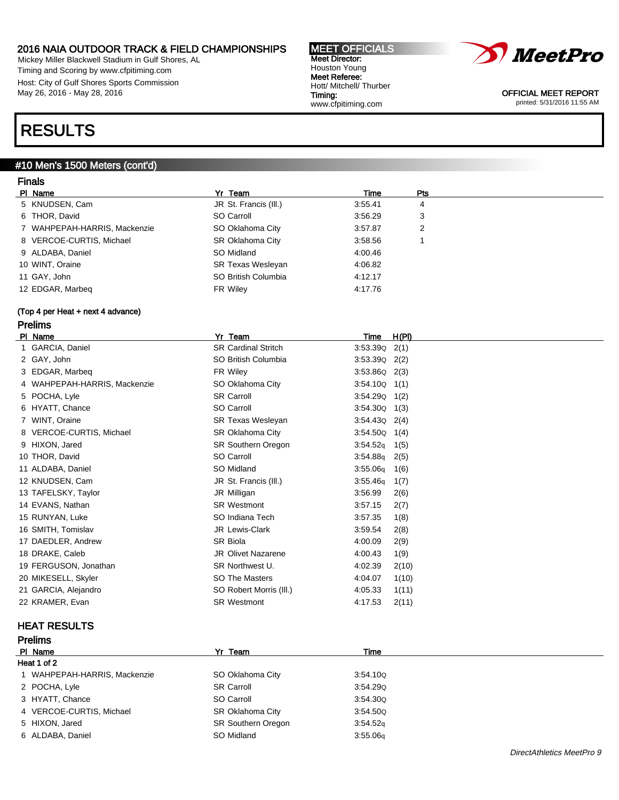Mickey Miller Blackwell Stadium in Gulf Shores, AL Timing and Scoring by www.cfpitiming.com Host: City of Gulf Shores Sports Commission May 26, 2016 - May 28, 2016

### RESULTS

### #10 Men's 1500 Meters (cont'd)

| <b>Finals</b>                     |                            |                  |                |
|-----------------------------------|----------------------------|------------------|----------------|
| PI Name                           | Yr Team                    | Time             | Pts            |
| 5 KNUDSEN, Cam                    | JR St. Francis (III.)      | 3:55.41          | 4              |
| 6 THOR, David                     | SO Carroll                 | 3:56.29          | 3              |
| 7 WAHPEPAH-HARRIS, Mackenzie      | SO Oklahoma City           | 3:57.87          | $\overline{2}$ |
| 8 VERCOE-CURTIS, Michael          | SR Oklahoma City           | 3:58.56          | 1              |
| 9 ALDABA, Daniel                  | SO Midland                 | 4:00.46          |                |
| 10 WINT, Oraine                   | SR Texas Wesleyan          | 4:06.82          |                |
| 11 GAY, John                      | SO British Columbia        | 4:12.17          |                |
| 12 EDGAR, Marbeg                  | FR Wiley                   | 4:17.76          |                |
| (Top 4 per Heat + next 4 advance) |                            |                  |                |
| <b>Prelims</b>                    |                            |                  |                |
| PI Name                           | Yr Team                    | H(PI)<br>Time    |                |
| 1 GARCIA, Daniel                  | <b>SR Cardinal Stritch</b> | $3:53.39Q$ 2(1)  |                |
| 2 GAY, John                       | SO British Columbia        | $3:53.39Q$ 2(2)  |                |
| 3 EDGAR, Marbeg                   | FR Wiley                   | $3:53.86Q$ 2(3)  |                |
| 4 WAHPEPAH-HARRIS, Mackenzie      | SO Oklahoma City           | $3:54.10Q$ 1(1)  |                |
| 5 POCHA, Lyle                     | <b>SR Carroll</b>          | $3:54.29Q$ 1(2)  |                |
| 6 HYATT, Chance                   | SO Carroll                 | $3:54.30Q$ 1(3)  |                |
| 7 WINT, Oraine                    | SR Texas Wesleyan          | $3:54.43Q$ 2(4)  |                |
| 8 VERCOE-CURTIS, Michael          | SR Oklahoma City           | 3.54.50Q<br>1(4) |                |
| 9 HIXON, Jared                    | SR Southern Oregon         | 3:54.52q<br>1(5) |                |
| 10 THOR, David                    | SO Carroll                 | 3:54.88q<br>2(5) |                |
| 11 ALDABA, Daniel                 | SO Midland                 | 3:55.06q<br>1(6) |                |
| 12 KNUDSEN, Cam                   | JR St. Francis (III.)      | 3:55.46q<br>1(7) |                |
| 13 TAFELSKY, Taylor               | JR Milligan                | 3:56.99<br>2(6)  |                |
| 14 EVANS, Nathan                  | <b>SR Westmont</b>         | 3:57.15<br>2(7)  |                |
| 15 RUNYAN, Luke                   | SO Indiana Tech            | 1(8)<br>3:57.35  |                |
| 16 SMITH, Tomislav                | <b>JR Lewis-Clark</b>      | 3:59.54<br>2(8)  |                |
| 17 DAEDLER, Andrew                | SR Biola                   | 4:00.09<br>2(9)  |                |
| 18 DRAKE, Caleb                   | <b>JR Olivet Nazarene</b>  | 4:00.43<br>1(9)  |                |
| 19 FERGUSON, Jonathan             | SR Northwest U.            | 4:02.39<br>2(10) |                |
| 20 MIKESELL, Skyler               | <b>SO The Masters</b>      | 4:04.07<br>1(10) |                |
| 21 GARCIA, Alejandro              | SO Robert Morris (III.)    | 4:05.33<br>1(11) |                |
| 22 KRAMER, Evan                   | <b>SR Westmont</b>         | 4:17.53<br>2(11) |                |

### HEAT RESULTS

| <b>Prelims</b>               |                           |             |  |  |
|------------------------------|---------------------------|-------------|--|--|
| PI Name                      | Yr Team                   | <b>Time</b> |  |  |
| Heat 1 of 2                  |                           |             |  |  |
| 1 WAHPEPAH-HARRIS, Mackenzie | SO Oklahoma City          | 3:54.10Q    |  |  |
| 2 POCHA, Lyle                | <b>SR Carroll</b>         | 3:54.29Q    |  |  |
| 3 HYATT, Chance              | SO Carroll                | 3:54.30Q    |  |  |
| 4 VERCOE-CURTIS, Michael     | SR Oklahoma City          | 3:54.50Q    |  |  |
| 5 HIXON, Jared               | <b>SR Southern Oregon</b> | 3:54.52q    |  |  |
| 6 ALDABA, Daniel             | SO Midland                | 3.55.06q    |  |  |



OFFICIAL MEET REPORT printed: 5/31/2016 11:55 AM

DirectAthletics MeetPro 9

#### MEET OFFICIALS Meet Director: Houston Young Meet Referee: Hott/ Mitchell/ Thurber Timing: www.cfpitiming.com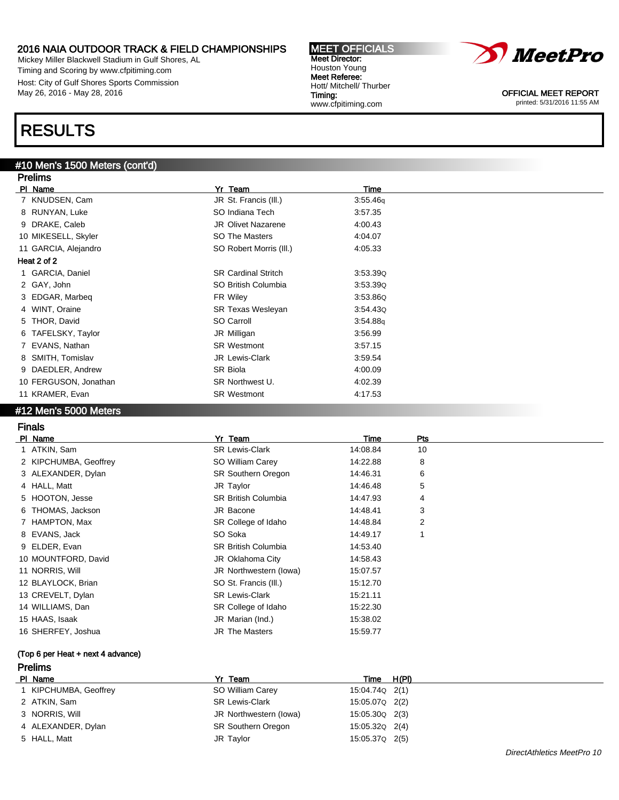Mickey Miller Blackwell Stadium in Gulf Shores, AL Timing and Scoring by www.cfpitiming.com Host: City of Gulf Shores Sports Commission May 26, 2016 - May 28, 2016

### RESULTS

### #10 Men's 1500 Meters (cont'd)

| <b>Prelims</b>        |                            |          |  |  |  |
|-----------------------|----------------------------|----------|--|--|--|
| PI Name               | Yr Team                    | Time     |  |  |  |
| 7 KNUDSEN, Cam        | JR St. Francis (III.)      | 3:55.46q |  |  |  |
| 8 RUNYAN, Luke        | SO Indiana Tech            | 3:57.35  |  |  |  |
| 9 DRAKE, Caleb        | <b>JR Olivet Nazarene</b>  | 4:00.43  |  |  |  |
| 10 MIKESELL, Skyler   | SO The Masters             | 4:04.07  |  |  |  |
| 11 GARCIA, Alejandro  | SO Robert Morris (III.)    | 4:05.33  |  |  |  |
| Heat 2 of 2           |                            |          |  |  |  |
| 1 GARCIA, Daniel      | <b>SR Cardinal Stritch</b> | 3.53.39Q |  |  |  |
| 2 GAY, John           | SO British Columbia        | 3.53.39Q |  |  |  |
| 3 EDGAR, Marbeq       | FR Wiley                   | 3.53.86Q |  |  |  |
| 4 WINT, Oraine        | <b>SR Texas Wesleyan</b>   | 3:54.43Q |  |  |  |
| 5 THOR, David         | SO Carroll                 | 3:54.88q |  |  |  |
| 6 TAFELSKY, Taylor    | JR Milligan                | 3:56.99  |  |  |  |
| EVANS, Nathan<br>7    | <b>SR Westmont</b>         | 3:57.15  |  |  |  |
| 8 SMITH, Tomislav     | JR Lewis-Clark             | 3:59.54  |  |  |  |
| 9 DAEDLER, Andrew     | SR Biola                   | 4:00.09  |  |  |  |
| 10 FERGUSON, Jonathan | SR Northwest U.            | 4:02.39  |  |  |  |
| 11 KRAMER, Evan       | <b>SR Westmont</b>         | 4:17.53  |  |  |  |

MEET OFFICIALS Meet Director: Houston Young Meet Referee: Hott/ Mitchell/ Thurber

www.cfpitiming.com

Timing:

### #12 Men's 5000 Meters

### Finals

| Yr Team                    | Time     | Pts |
|----------------------------|----------|-----|
| <b>SR Lewis-Clark</b>      | 14:08.84 | 10  |
| SO William Carey           | 14:22.88 | 8   |
| <b>SR Southern Oregon</b>  | 14:46.31 | 6   |
| JR Taylor                  | 14:46.48 | 5   |
| <b>SR British Columbia</b> | 14:47.93 | 4   |
| JR Bacone                  | 14:48.41 | 3   |
| SR College of Idaho        | 14:48.84 | 2   |
| SO Soka                    | 14:49.17 |     |
| <b>SR British Columbia</b> | 14:53.40 |     |
| JR Oklahoma City           | 14:58.43 |     |
| JR Northwestern (lowa)     | 15:07.57 |     |
| SO St. Francis (III.)      | 15:12.70 |     |
| <b>SR Lewis-Clark</b>      | 15:21.11 |     |
| SR College of Idaho        | 15:22.30 |     |
| JR Marian (Ind.)           | 15:38.02 |     |
| JR The Masters             | 15:59.77 |     |
|                            |          |     |

### (Top 6 per Heat + next 4 advance)

### **Prelims**<br>PL Name

| PI Name               | Yr Team                   | Time           | H(PI) |
|-----------------------|---------------------------|----------------|-------|
| 1 KIPCHUMBA, Geoffrey | SO William Carey          | 15:04.74Q 2(1) |       |
| 2 ATKIN, Sam          | <b>SR Lewis-Clark</b>     | 15:05.07Q 2(2) |       |
| 3 NORRIS, Will        | JR Northwestern (lowa)    | 15:05.30Q 2(3) |       |
| 4 ALEXANDER, Dylan    | <b>SR Southern Oregon</b> | 15:05.32Q 2(4) |       |
| 5 HALL, Matt          | JR Taylor                 | 15:05.37Q 2(5) |       |

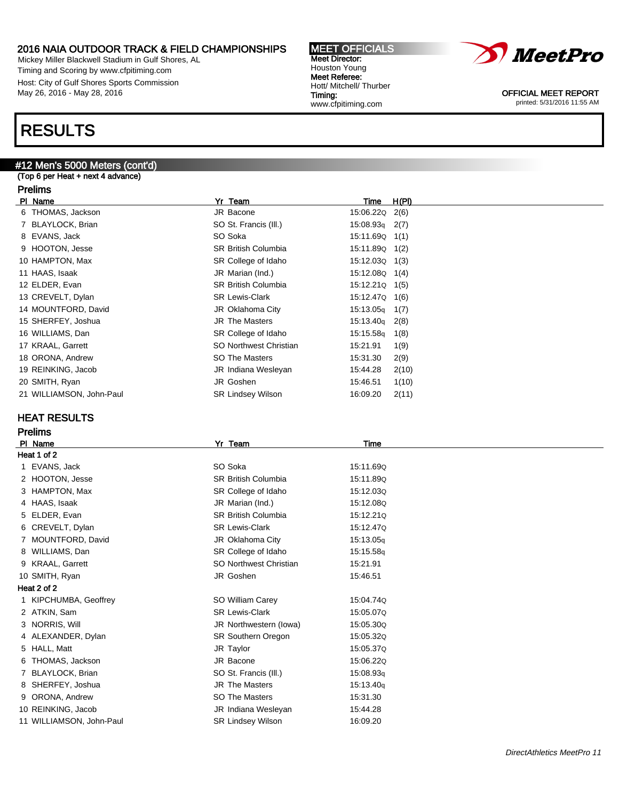Mickey Miller Blackwell Stadium in Gulf Shores, AL Timing and Scoring by www.cfpitiming.com Host: City of Gulf Shores Sports Commission May 26, 2016 - May 28, 2016

### RESULTS

### #12 Men's 5000 Meters (cont'd)

### (Top 6 per Heat + next 4 advance)

#### Prelims

| PI Name                  | Yr Team                    | <b>Time</b>        | H(PI) |
|--------------------------|----------------------------|--------------------|-------|
| 6 THOMAS, Jackson        | JR Bacone                  | 15:06.22Q 2(6)     |       |
| 7 BLAYLOCK, Brian        | SO St. Francis (III.)      | $15:08.93q$ 2(7)   |       |
| 8 EVANS, Jack            | SO Soka                    | 15:11.69Q 1(1)     |       |
| 9 HOOTON, Jesse          | <b>SR British Columbia</b> | 15:11.89Q 1(2)     |       |
| 10 HAMPTON, Max          | SR College of Idaho        | $15:12.03Q$ $1(3)$ |       |
| 11 HAAS, Isaak           | JR Marian (Ind.)           | 15:12.08Q 1(4)     |       |
| 12 ELDER, Evan           | <b>SR British Columbia</b> | $15:12.21Q$ $1(5)$ |       |
| 13 CREVELT, Dylan        | <b>SR Lewis-Clark</b>      | 15:12.47Q 1(6)     |       |
| 14 MOUNTFORD, David      | JR Oklahoma City           | $15:13.05q$ 1(7)   |       |
| 15 SHERFEY, Joshua       | <b>JR The Masters</b>      | $15:13.40q$ 2(8)   |       |
| 16 WILLIAMS, Dan         | SR College of Idaho        | 15:15.58g          | 1(8)  |
| 17 KRAAL, Garrett        | SO Northwest Christian     | 15:21.91           | 1(9)  |
| 18 ORONA, Andrew         | SO The Masters             | 15:31.30           | 2(9)  |
| 19 REINKING, Jacob       | JR Indiana Wesleyan        | 15:44.28           | 2(10) |
| 20 SMITH, Ryan           | JR Goshen                  | 15:46.51           | 1(10) |
| 21 WILLIAMSON, John-Paul | <b>SR Lindsey Wilson</b>   | 16:09.20           | 2(11) |

### HEAT RESULTS

| <b>Prelims</b>           |                            |           |  |  |
|--------------------------|----------------------------|-----------|--|--|
| PI Name                  | Yr Team                    | Time      |  |  |
| Heat 1 of 2              |                            |           |  |  |
| 1 EVANS, Jack            | SO Soka                    | 15:11.69Q |  |  |
| 2 HOOTON, Jesse          | <b>SR British Columbia</b> | 15:11.89Q |  |  |
| 3 HAMPTON, Max           | SR College of Idaho        | 15:12.03Q |  |  |
| 4 HAAS, Isaak            | JR Marian (Ind.)           | 15:12.08Q |  |  |
| 5 ELDER, Evan            | <b>SR British Columbia</b> | 15:12.210 |  |  |
| 6 CREVELT, Dylan         | <b>SR Lewis-Clark</b>      | 15:12.47Q |  |  |
| 7 MOUNTFORD, David       | JR Oklahoma City           | 15:13.05g |  |  |
| 8 WILLIAMS, Dan          | SR College of Idaho        | 15:15.58g |  |  |
| 9 KRAAL, Garrett         | SO Northwest Christian     | 15:21.91  |  |  |
| 10 SMITH, Ryan           | JR Goshen                  | 15:46.51  |  |  |
| Heat 2 of 2              |                            |           |  |  |
| 1 KIPCHUMBA, Geoffrey    | SO William Carey           | 15:04.74Q |  |  |
| 2 ATKIN, Sam             | <b>SR Lewis-Clark</b>      | 15:05.07Q |  |  |
| 3 NORRIS, Will           | JR Northwestern (lowa)     | 15:05.30Q |  |  |
| 4 ALEXANDER, Dylan       | <b>SR Southern Oregon</b>  | 15:05.320 |  |  |
| 5 HALL, Matt             | JR Taylor                  | 15:05.37Q |  |  |
| 6 THOMAS, Jackson        | JR Bacone                  | 15:06.22Q |  |  |
| 7 BLAYLOCK, Brian        | SO St. Francis (III.)      | 15:08.93g |  |  |
| 8 SHERFEY, Joshua        | <b>JR The Masters</b>      | 15:13.40g |  |  |
| 9 ORONA, Andrew          | SO The Masters             | 15:31.30  |  |  |
| 10 REINKING, Jacob       | JR Indiana Wesleyan        | 15:44.28  |  |  |
| 11 WILLIAMSON, John-Paul | <b>SR Lindsey Wilson</b>   | 16:09.20  |  |  |

MEET OFFICIALS Meet Director: Houston Young Meet Referee: Hott/ Mitchell/ Thurber Timing: www.cfpitiming.com

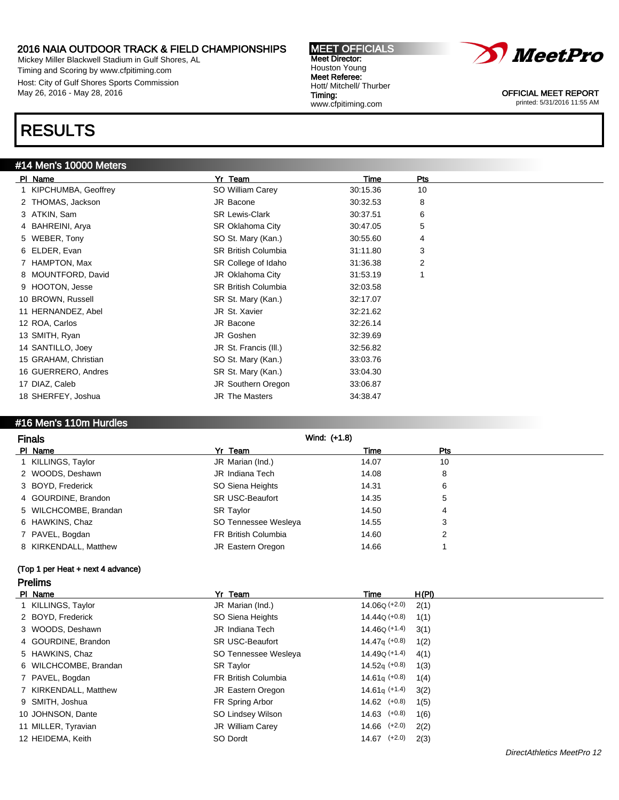Mickey Miller Blackwell Stadium in Gulf Shores, AL Timing and Scoring by www.cfpitiming.com Host: City of Gulf Shores Sports Commission May 26, 2016 - May 28, 2016

### RESULTS

#### #14 Men's 10000 Meters

| PI Name               | Yr Team                    | Time     | Pts |
|-----------------------|----------------------------|----------|-----|
| 1 KIPCHUMBA, Geoffrey | SO William Carey           | 30:15.36 | 10  |
| 2 THOMAS, Jackson     | JR Bacone                  | 30:32.53 | 8   |
| 3 ATKIN, Sam          | <b>SR Lewis-Clark</b>      | 30:37.51 | 6   |
| 4 BAHREINI, Arya      | <b>SR Oklahoma City</b>    | 30:47.05 | 5   |
| 5 WEBER, Tony         | SO St. Mary (Kan.)         | 30:55.60 | 4   |
| 6 ELDER, Evan         | <b>SR British Columbia</b> | 31:11.80 | 3   |
| 7 HAMPTON, Max        | SR College of Idaho        | 31:36.38 | 2   |
| 8 MOUNTFORD, David    | JR Oklahoma City           | 31:53.19 | 1   |
| 9 HOOTON, Jesse       | <b>SR British Columbia</b> | 32:03.58 |     |
| 10 BROWN, Russell     | SR St. Mary (Kan.)         | 32:17.07 |     |
| 11 HERNANDEZ, Abel    | JR St. Xavier              | 32:21.62 |     |
| 12 ROA, Carlos        | JR Bacone                  | 32:26.14 |     |
| 13 SMITH, Ryan        | JR Goshen                  | 32:39.69 |     |
| 14 SANTILLO, Joey     | JR St. Francis (III.)      | 32:56.82 |     |
| 15 GRAHAM, Christian  | SO St. Mary (Kan.)         | 33:03.76 |     |
| 16 GUERRERO, Andres   | SR St. Mary (Kan.)         | 33:04.30 |     |
| 17 DIAZ, Caleb        | JR Southern Oregon         | 33:06.87 |     |
| 18 SHERFEY, Joshua    | <b>JR The Masters</b>      | 34:38.47 |     |

MEET OFFICIALS Meet Director: Houston Young Meet Referee: Hott/ Mitchell/ Thurber

www.cfpitiming.com

Timing:

### #16 Men's 110m Hurdles

| <b>Finals</b>         | Wind: (+1.8)               |       |     |  |
|-----------------------|----------------------------|-------|-----|--|
| PI Name               | Yr Team                    | Time  | Pts |  |
| 1 KILLINGS, Taylor    | JR Marian (Ind.)           | 14.07 | 10  |  |
| 2 WOODS, Deshawn      | JR Indiana Tech            | 14.08 | 8   |  |
| 3 BOYD, Frederick     | SO Siena Heights           | 14.31 | 6   |  |
| 4 GOURDINE, Brandon   | <b>SR USC-Beaufort</b>     | 14.35 | 5   |  |
| 5 WILCHCOMBE, Brandan | <b>SR Taylor</b>           | 14.50 | 4   |  |
| 6 HAWKINS, Chaz       | SO Tennessee Wesleya       | 14.55 | 3   |  |
| 7 PAVEL, Bogdan       | <b>FR British Columbia</b> | 14.60 | 2   |  |
| 8 KIRKENDALL, Matthew | JR Eastern Oregon          | 14.66 |     |  |

### (Top 1 per Heat + next 4 advance) Prelims

| PI Name               | Yr Team                    | Time                      | H(PI) |
|-----------------------|----------------------------|---------------------------|-------|
| 1 KILLINGS, Taylor    | JR Marian (Ind.)           | 14.06Q (+2.0)             | 2(1)  |
| 2 BOYD, Frederick     | SO Siena Heights           | $14.44Q (+0.8)$           | 1(1)  |
| 3 WOODS, Deshawn      | JR Indiana Tech            | 14.46Q (+1.4)             | 3(1)  |
| 4 GOURDINE, Brandon   | <b>SR USC-Beaufort</b>     | $14.47q$ (+0.8)           | 1(2)  |
| 5 HAWKINS, Chaz       | SO Tennessee Wesleya       | 14.49 <sub>Q</sub> (+1.4) | 4(1)  |
| 6 WILCHCOMBE, Brandan | <b>SR Taylor</b>           | 14.52 $_{\rm q}$ (+0.8)   | 1(3)  |
| 7 PAVEL, Bogdan       | <b>FR British Columbia</b> | $14.61q$ (+0.8)           | 1(4)  |
| 7 KIRKENDALL, Matthew | JR Eastern Oregon          | $14.61q$ (+1.4)           | 3(2)  |
| 9 SMITH, Joshua       | FR Spring Arbor            | $14.62$ $(+0.8)$          | 1(5)  |
| 10 JOHNSON, Dante     | SO Lindsey Wilson          | $14.63$ $(+0.8)$          | 1(6)  |
| 11 MILLER, Tyravian   | JR William Carey           | $14.66$ $(+2.0)$          | 2(2)  |
| 12 HEIDEMA, Keith     | SO Dordt                   | $14.67$ $(+2.0)$          | 2(3)  |

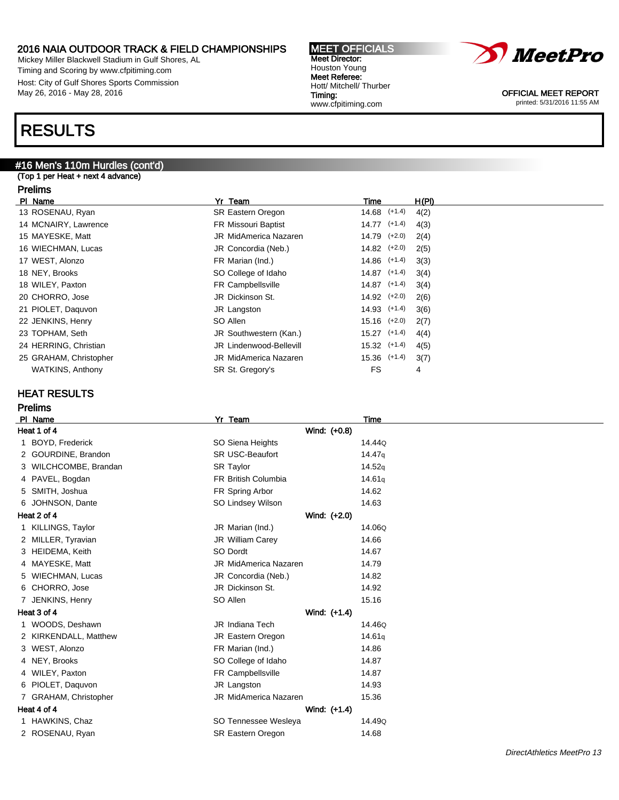Mickey Miller Blackwell Stadium in Gulf Shores, AL Timing and Scoring by www.cfpitiming.com Host: City of Gulf Shores Sports Commission May 26, 2016 - May 28, 2016

### RESULTS

### #16 Men's 110m Hurdles (cont'd)

(Top 1 per Heat + next 4 advance)

#### Prelims

| PI Name                 | Yr Team                      | Time             | H(PI) |
|-------------------------|------------------------------|------------------|-------|
| 13 ROSENAU, Ryan        | SR Eastern Oregon            | $14.68$ $(+1.4)$ | 4(2)  |
| 14 MCNAIRY, Lawrence    | FR Missouri Baptist          | $14.77$ $(+1.4)$ | 4(3)  |
| 15 MAYESKE, Matt        | <b>JR MidAmerica Nazaren</b> | $14.79$ $(+2.0)$ | 2(4)  |
| 16 WIECHMAN, Lucas      | JR Concordia (Neb.)          | $14.82$ $(+2.0)$ | 2(5)  |
| 17 WEST, Alonzo         | FR Marian (Ind.)             | $14.86$ $(+1.4)$ | 3(3)  |
| 18 NEY, Brooks          | SO College of Idaho          | $14.87$ $(+1.4)$ | 3(4)  |
| 18 WILEY, Paxton        | FR Campbellsville            | $14.87$ $(+1.4)$ | 3(4)  |
| 20 CHORRO, Jose         | JR Dickinson St.             | $14.92$ $(+2.0)$ | 2(6)  |
| 21 PIOLET, Daguvon      | JR Langston                  | $14.93$ $(+1.4)$ | 3(6)  |
| 22 JENKINS, Henry       | SO Allen                     | $15.16$ $(+2.0)$ | 2(7)  |
| 23 TOPHAM, Seth         | JR Southwestern (Kan.)       | $15.27$ $(+1.4)$ | 4(4)  |
| 24 HERRING, Christian   | JR Lindenwood-Bellevill      | $15.32$ $(+1.4)$ | 4(5)  |
| 25 GRAHAM, Christopher  | JR MidAmerica Nazaren        | $15.36$ $(+1.4)$ | 3(7)  |
| <b>WATKINS, Anthony</b> | SR St. Gregory's             | FS               | 4     |
|                         |                              |                  |       |

MEET OFFICIALS Meet Director: Houston Young Meet Referee: Hott/ Mitchell/ Thurber

www.cfpitiming.com

Timing:

### HEAT RESULTS

### Prelims

| <b>PI</b> | Name                  | Yr Team                      | Time               |
|-----------|-----------------------|------------------------------|--------------------|
|           | Heat 1 of 4           | Wind: (+0.8)                 |                    |
|           | 1 BOYD, Frederick     | SO Siena Heights             | 14.44Q             |
|           | 2 GOURDINE, Brandon   | SR USC-Beaufort              | 14.47 <sub>g</sub> |
|           | 3 WILCHCOMBE, Brandan | <b>SR Taylor</b>             | 14.52q             |
|           | 4 PAVEL, Bogdan       | FR British Columbia          | 14.61g             |
|           | 5 SMITH, Joshua       | FR Spring Arbor              | 14.62              |
|           | 6 JOHNSON, Dante      | SO Lindsey Wilson            | 14.63              |
|           | Heat 2 of 4           | Wind: (+2.0)                 |                    |
|           | 1 KILLINGS, Taylor    | JR Marian (Ind.)             | 14.06Q             |
|           | 2 MILLER, Tyravian    | JR William Carey             | 14.66              |
|           | 3 HEIDEMA, Keith      | SO Dordt                     | 14.67              |
|           | 4 MAYESKE, Matt       | <b>JR MidAmerica Nazaren</b> | 14.79              |
| 5.        | WIECHMAN, Lucas       | JR Concordia (Neb.)          | 14.82              |
|           | 6 CHORRO, Jose        | JR Dickinson St.             | 14.92              |
|           | 7 JENKINS, Henry      | SO Allen                     | 15.16              |
|           | Heat 3 of 4           | Wind: (+1.4)                 |                    |
|           | 1 WOODS, Deshawn      | <b>JR</b> Indiana Tech       | 14.46Q             |
|           | 2 KIRKENDALL, Matthew | JR Eastern Oregon            | 14.61g             |
|           | 3 WEST, Alonzo        | FR Marian (Ind.)             | 14.86              |
|           | 4 NEY, Brooks         | SO College of Idaho          | 14.87              |
|           | 4 WILEY, Paxton       | FR Campbellsville            | 14.87              |
|           | 6 PIOLET, Daguvon     | JR Langston                  | 14.93              |
|           | 7 GRAHAM, Christopher | <b>JR MidAmerica Nazaren</b> | 15.36              |
|           | Heat 4 of 4           | Wind: (+1.4)                 |                    |
|           | 1 HAWKINS, Chaz       | SO Tennessee Wesleya         | 14.49Q             |
|           | 2 ROSENAU, Ryan       | <b>SR Eastern Oregon</b>     | 14.68              |
|           |                       |                              |                    |

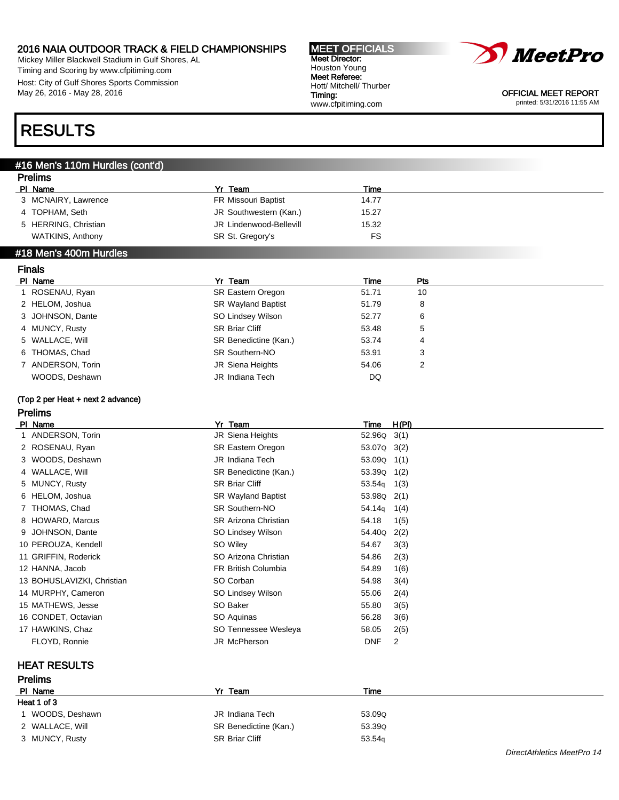Mickey Miller Blackwell Stadium in Gulf Shores, AL Timing and Scoring by www.cfpitiming.com Host: City of Gulf Shores Sports Commission May 26, 2016 - May 28, 2016

#### MEET OFFICIALS Meet Director: Houston Young Meet Referee: Hott/ Mitchell/ Thurber Timing: www.cfpitiming.com



OFFICIAL MEET REPORT printed: 5/31/2016 11:55 AM

### RESULTS

### #16 Men's 110m Hurdles (cont'd)

| гіешір                  |                         |       |  |
|-------------------------|-------------------------|-------|--|
| PI Name                 | Yr Team                 | Time  |  |
| 3 MCNAIRY, Lawrence     | FR Missouri Baptist     | 14.77 |  |
| 4 TOPHAM, Seth          | JR Southwestern (Kan.)  | 15.27 |  |
| 5 HERRING, Christian    | JR Lindenwood-Bellevill | 15.32 |  |
| <b>WATKINS, Anthony</b> | SR St. Gregory's        | FS    |  |
| #18 Men's 400m Hurdles  |                         |       |  |
| <b>The Alas</b>         |                         |       |  |

### Finals

Prelims

| PI Name           | Yr Team                   | Time  | <b>Pts</b> |
|-------------------|---------------------------|-------|------------|
| ROSENAU, Ryan     | <b>SR Eastern Oregon</b>  | 51.71 | 10         |
| 2 HELOM, Joshua   | <b>SR Wayland Baptist</b> | 51.79 | 8          |
| 3 JOHNSON, Dante  | SO Lindsey Wilson         | 52.77 | 6          |
| 4 MUNCY, Rusty    | <b>SR Briar Cliff</b>     | 53.48 | 5          |
| 5 WALLACE, Will   | SR Benedictine (Kan.)     | 53.74 | 4          |
| 6 THOMAS, Chad    | <b>SR Southern-NO</b>     | 53.91 | 3          |
| 7 ANDERSON, Torin | JR Siena Heights          | 54.06 | 2          |
| WOODS, Deshawn    | JR Indiana Tech           | DQ    |            |

### (Top 2 per Heat + next 2 advance)

### Prelims

|   | PI Name                    | Yr Team                     | Time               | H(PI) |
|---|----------------------------|-----------------------------|--------------------|-------|
|   | 1 ANDERSON, Torin          | JR Siena Heights            | 52.96Q             | 3(1)  |
|   | 2 ROSENAU, Ryan            | SR Eastern Oregon           | 53.07Q 3(2)        |       |
|   | 3 WOODS, Deshawn           | JR Indiana Tech             | 53.09Q             | 1(1)  |
|   | 4 WALLACE, Will            | SR Benedictine (Kan.)       | 53.39Q             | 1(2)  |
|   | 5 MUNCY, Rusty             | SR Briar Cliff              | 53.54 <sub>g</sub> | 1(3)  |
|   | 6 HELOM, Joshua            | <b>SR Wayland Baptist</b>   | 53.98Q             | 2(1)  |
|   | 7 THOMAS, Chad             | SR Southern-NO              | 54.14 <sub>q</sub> | 1(4)  |
|   | 8 HOWARD, Marcus           | <b>SR Arizona Christian</b> | 54.18              | 1(5)  |
| 9 | JOHNSON, Dante             | SO Lindsey Wilson           | 54.40Q             | 2(2)  |
|   | 10 PEROUZA, Kendell        | SO Wiley                    | 54.67              | 3(3)  |
|   | 11 GRIFFIN, Roderick       | SO Arizona Christian        | 54.86              | 2(3)  |
|   | 12 HANNA, Jacob            | FR British Columbia         | 54.89              | 1(6)  |
|   | 13 BOHUSLAVIZKI, Christian | SO Corban                   | 54.98              | 3(4)  |
|   | 14 MURPHY, Cameron         | SO Lindsey Wilson           | 55.06              | 2(4)  |
|   | 15 MATHEWS, Jesse          | SO Baker                    | 55.80              | 3(5)  |
|   | 16 CONDET, Octavian        | SO Aquinas                  | 56.28              | 3(6)  |
|   | 17 HAWKINS, Chaz           | SO Tennessee Wesleya        | 58.05              | 2(5)  |
|   | FLOYD, Ronnie              | JR McPherson                | <b>DNF</b>         | 2     |
|   |                            |                             |                    |       |

### HEAT RESULTS

| <b>Prelims</b>  |                       |        |                            |
|-----------------|-----------------------|--------|----------------------------|
| PI Name         | Yr Team               | Time   |                            |
| Heat 1 of 3     |                       |        |                            |
| WOODS, Deshawn  | JR Indiana Tech       | 53.09Q |                            |
| 2 WALLACE, Will | SR Benedictine (Kan.) | 53.39Q |                            |
| 3 MUNCY, Rusty  | <b>SR Briar Cliff</b> | 53.54q |                            |
|                 |                       |        | DirectAthletics MeetPro 14 |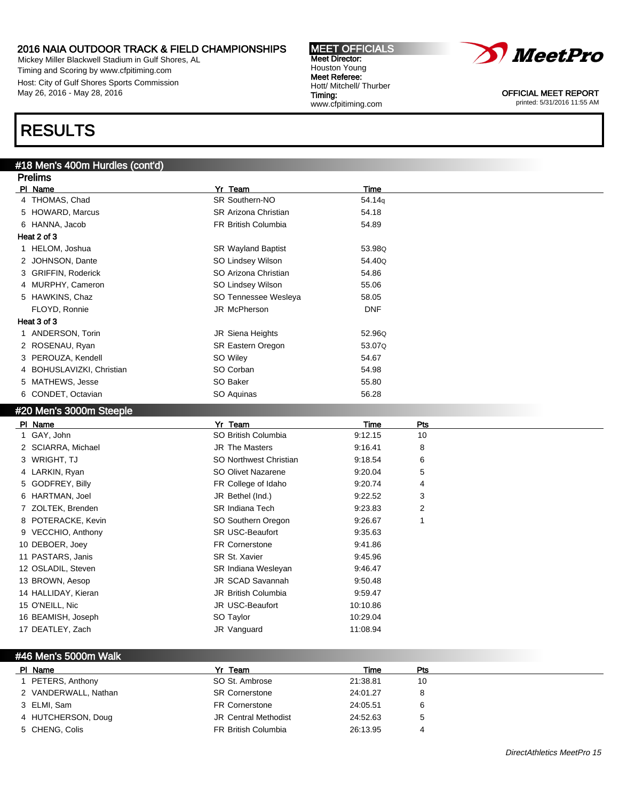Mickey Miller Blackwell Stadium in Gulf Shores, AL Timing and Scoring by www.cfpitiming.com Host: City of Gulf Shores Sports Commission May 26, 2016 - May 28, 2016

### RESULTS

Prelims

### #18 Men's 400m Hurdles (cont'd)

| г гоштэ                   |                             |            |
|---------------------------|-----------------------------|------------|
| PI Name                   | Yr Team                     | Time       |
| 4 THOMAS, Chad            | SR Southern-NO              | 54.14g     |
| 5 HOWARD, Marcus          | <b>SR Arizona Christian</b> | 54.18      |
| 6 HANNA, Jacob            | FR British Columbia         | 54.89      |
| Heat 2 of 3               |                             |            |
| 1 HELOM, Joshua           | <b>SR Wayland Baptist</b>   | 53.98Q     |
| 2 JOHNSON, Dante          | SO Lindsey Wilson           | 54.40Q     |
| 3 GRIFFIN, Roderick       | SO Arizona Christian        | 54.86      |
| 4 MURPHY, Cameron         | SO Lindsey Wilson           | 55.06      |
| 5 HAWKINS, Chaz           | SO Tennessee Wesleya        | 58.05      |
| FLOYD, Ronnie             | JR McPherson                | <b>DNF</b> |
| Heat 3 of 3               |                             |            |
| 1 ANDERSON, Torin         | JR Siena Heights            | 52.96Q     |
| 2 ROSENAU, Ryan           | <b>SR Eastern Oregon</b>    | 53.07Q     |
| 3 PEROUZA, Kendell        | SO Wiley                    | 54.67      |
| 4 BOHUSLAVIZKI, Christian | SO Corban                   | 54.98      |
| 5 MATHEWS, Jesse          | SO Baker                    | 55.80      |
| 6 CONDET, Octavian        | SO Aquinas                  | 56.28      |
|                           |                             |            |

MEET OFFICIALS Meet Director: Houston Young Meet Referee: Hott/ Mitchell/ Thurber

www.cfpitiming.com

Timing:

#### #20 Men's 3000m Steeple

| PI Name             | Yr Team                    | <b>Time</b> | Pts |
|---------------------|----------------------------|-------------|-----|
| 1 GAY, John         | SO British Columbia        | 9:12.15     | 10  |
| 2 SCIARRA, Michael  | <b>JR The Masters</b>      | 9:16.41     | 8   |
| 3 WRIGHT, TJ        | SO Northwest Christian     | 9:18.54     | 6   |
| 4 LARKIN, Ryan      | SO Olivet Nazarene         | 9:20.04     | 5   |
| 5 GODFREY, Billy    | FR College of Idaho        | 9:20.74     | 4   |
| 6 HARTMAN, Joel     | JR Bethel (Ind.)           | 9:22.52     | 3   |
| 7 ZOLTEK, Brenden   | <b>SR Indiana Tech</b>     | 9:23.83     | 2   |
| 8 POTERACKE, Kevin  | SO Southern Oregon         | 9:26.67     |     |
| 9 VECCHIO, Anthony  | <b>SR USC-Beaufort</b>     | 9:35.63     |     |
| 10 DEBOER, Joey     | <b>FR Cornerstone</b>      | 9:41.86     |     |
| 11 PASTARS, Janis   | SR St. Xavier              | 9:45.96     |     |
| 12 OSLADIL, Steven  | <b>SR Indiana Wesleyan</b> | 9:46.47     |     |
| 13 BROWN, Aesop     | JR SCAD Savannah           | 9:50.48     |     |
| 14 HALLIDAY, Kieran | JR British Columbia        | 9:59.47     |     |
| 15 O'NEILL, Nic     | JR USC-Beaufort            | 10:10.86    |     |
| 16 BEAMISH, Joseph  | SO Taylor                  | 10:29.04    |     |
| 17 DEATLEY, Zach    | JR Vanguard                | 11:08.94    |     |

### #46 Men's 5000m Walk

| PI Name              | Yr Team                     | Time     | Pts |  |
|----------------------|-----------------------------|----------|-----|--|
| PETERS, Anthony      | SO St. Ambrose              | 21:38.81 | 10  |  |
| 2 VANDERWALL, Nathan | <b>SR Cornerstone</b>       | 24:01.27 |     |  |
| 3 ELMI, Sam          | <b>FR Cornerstone</b>       | 24:05.51 |     |  |
| 4 HUTCHERSON, Doug   | <b>JR Central Methodist</b> | 24:52.63 |     |  |
| 5 CHENG, Colis       | <b>FR British Columbia</b>  | 26:13.95 |     |  |

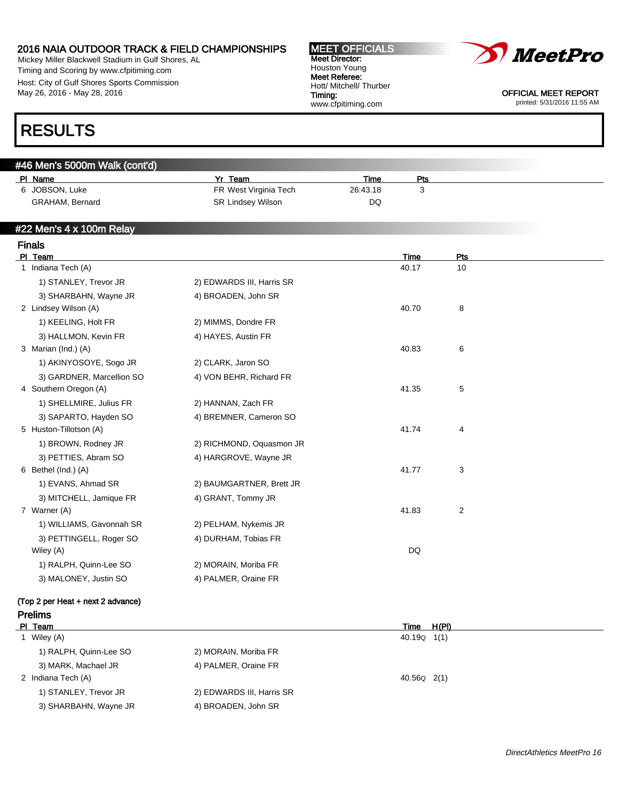Mickey Miller Blackwell Stadium in Gulf Shores, AL Timing and Scoring by www.cfpitiming.com Host: City of Gulf Shores Sports Commission May 26, 2016 - May 28, 2016

#### MEET OFFICIALS Meet Director: Houston Young Meet Referee: Hott/ Mitchell/ Thurber Timing: www.cfpitiming.com



OFFICIAL MEET REPORT printed: 5/31/2016 11:55 AM

### RESULTS

Prelims

| #46 Men's 5000m Walk (cont'd) |  |  |
|-------------------------------|--|--|
|                               |  |  |

| PI Name                | Team                  | Time     | Pts |
|------------------------|-----------------------|----------|-----|
| 6 JOBSON, Luke         | FR West Virginia Tech | 26:43.18 |     |
| <b>GRAHAM, Bernard</b> | SR Lindsey Wilson     | DQ       |     |

### #22 Men's 4 x 100m Relay

| <b>Finals</b>                     |                           |       |                |  |
|-----------------------------------|---------------------------|-------|----------------|--|
| PI Team                           |                           | Time  | Pts            |  |
| 1 Indiana Tech (A)                |                           | 40.17 | 10             |  |
| 1) STANLEY, Trevor JR             | 2) EDWARDS III, Harris SR |       |                |  |
| 3) SHARBAHN, Wayne JR             | 4) BROADEN, John SR       |       |                |  |
| 2 Lindsey Wilson (A)              |                           | 40.70 | 8              |  |
| 1) KEELING, Holt FR               | 2) MIMMS, Dondre FR       |       |                |  |
| 3) HALLMON, Kevin FR              | 4) HAYES, Austin FR       |       |                |  |
| 3 Marian (Ind.) (A)               |                           | 40.83 | 6              |  |
| 1) AKINYOSOYE, Sogo JR            | 2) CLARK, Jaron SO        |       |                |  |
| 3) GARDNER, Marcellion SO         | 4) VON BEHR, Richard FR   |       |                |  |
| 4 Southern Oregon (A)             |                           | 41.35 | $\mathbf 5$    |  |
| 1) SHELLMIRE, Julius FR           | 2) HANNAN, Zach FR        |       |                |  |
| 3) SAPARTO, Hayden SO             | 4) BREMNER, Cameron SO    |       |                |  |
| 5 Huston-Tillotson (A)            |                           | 41.74 | 4              |  |
| 1) BROWN, Rodney JR               | 2) RICHMOND, Oquasmon JR  |       |                |  |
| 3) PETTIES, Abram SO              | 4) HARGROVE, Wayne JR     |       |                |  |
| 6 Bethel (Ind.) (A)               |                           | 41.77 | 3              |  |
| 1) EVANS, Ahmad SR                | 2) BAUMGARTNER, Brett JR  |       |                |  |
| 3) MITCHELL, Jamique FR           | 4) GRANT, Tommy JR        |       |                |  |
| 7 Warner (A)                      |                           | 41.83 | $\overline{c}$ |  |
| 1) WILLIAMS, Gavonnah SR          | 2) PELHAM, Nykemis JR     |       |                |  |
| 3) PETTINGELL, Roger SO           | 4) DURHAM, Tobias FR      |       |                |  |
| Wiley (A)                         |                           | DQ    |                |  |
| 1) RALPH, Quinn-Lee SO            | 2) MORAIN, Moriba FR      |       |                |  |
| 3) MALONEY, Justin SO             | 4) PALMER, Oraine FR      |       |                |  |
| (Top 2 per Heat + next 2 advance) |                           |       |                |  |

| PI Team                |                           | H(PI)<br>Time           |  |
|------------------------|---------------------------|-------------------------|--|
| 1 Wiley (A)            |                           | 40.19 <sub>Q</sub> 1(1) |  |
| 1) RALPH, Quinn-Lee SO | 2) MORAIN, Moriba FR      |                         |  |
| 3) MARK, Machael JR    | 4) PALMER, Oraine FR      |                         |  |
| 2 Indiana Tech (A)     |                           | 40.56Q 2(1)             |  |
| 1) STANLEY, Trevor JR  | 2) EDWARDS III, Harris SR |                         |  |
| 3) SHARBAHN, Wayne JR  | 4) BROADEN, John SR       |                         |  |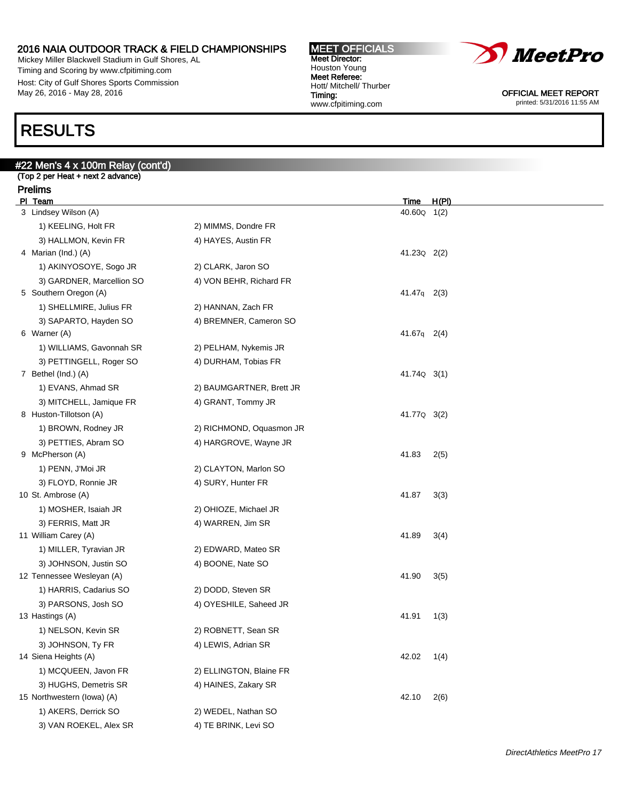Mickey Miller Blackwell Stadium in Gulf Shores, AL Timing and Scoring by www.cfpitiming.com Host: City of Gulf Shores Sports Commission May 26, 2016 - May 28, 2016

### RESULTS

### #22 Men's 4 x 100m Relay (cont'd)

(Top 2 per Heat + next 2 advance) Prelims

| PI Team                    |                          | <u>Time</u>             | H(PI) |
|----------------------------|--------------------------|-------------------------|-------|
| 3 Lindsey Wilson (A)       |                          | 40.60 <sub>Q</sub> 1(2) |       |
| 1) KEELING, Holt FR        | 2) MIMMS, Dondre FR      |                         |       |
| 3) HALLMON, Kevin FR       | 4) HAYES, Austin FR      |                         |       |
| 4 Marian (Ind.) (A)        |                          | 41.230 2(2)             |       |
| 1) AKINYOSOYE, Sogo JR     | 2) CLARK, Jaron SO       |                         |       |
| 3) GARDNER, Marcellion SO  | 4) VON BEHR, Richard FR  |                         |       |
| 5 Southern Oregon (A)      |                          | $41.47q$ 2(3)           |       |
| 1) SHELLMIRE, Julius FR    | 2) HANNAN, Zach FR       |                         |       |
| 3) SAPARTO, Hayden SO      | 4) BREMNER, Cameron SO   |                         |       |
| 6 Warner (A)               |                          | 41.67q 2(4)             |       |
| 1) WILLIAMS, Gavonnah SR   | 2) PELHAM, Nykemis JR    |                         |       |
| 3) PETTINGELL, Roger SO    | 4) DURHAM, Tobias FR     |                         |       |
| 7 Bethel (Ind.) (A)        |                          | 41.74Q 3(1)             |       |
| 1) EVANS, Ahmad SR         | 2) BAUMGARTNER, Brett JR |                         |       |
| 3) MITCHELL, Jamique FR    | 4) GRANT, Tommy JR       |                         |       |
| 8 Huston-Tillotson (A)     |                          | 41.77Q 3(2)             |       |
| 1) BROWN, Rodney JR        | 2) RICHMOND, Oquasmon JR |                         |       |
| 3) PETTIES, Abram SO       | 4) HARGROVE, Wayne JR    |                         |       |
| 9 McPherson (A)            |                          | 41.83                   | 2(5)  |
| 1) PENN, J'Moi JR          | 2) CLAYTON, Marlon SO    |                         |       |
| 3) FLOYD, Ronnie JR        | 4) SURY, Hunter FR       |                         |       |
| 10 St. Ambrose (A)         |                          | 41.87                   | 3(3)  |
| 1) MOSHER, Isaiah JR       | 2) OHIOZE, Michael JR    |                         |       |
| 3) FERRIS, Matt JR         | 4) WARREN, Jim SR        |                         |       |
| 11 William Carey (A)       |                          | 41.89                   | 3(4)  |
| 1) MILLER, Tyravian JR     | 2) EDWARD, Mateo SR      |                         |       |
| 3) JOHNSON, Justin SO      | 4) BOONE, Nate SO        |                         |       |
| 12 Tennessee Wesleyan (A)  |                          | 41.90                   | 3(5)  |
| 1) HARRIS, Cadarius SO     | 2) DODD, Steven SR       |                         |       |
| 3) PARSONS, Josh SO        | 4) OYESHILE, Saheed JR   |                         |       |
| 13 Hastings (A)            |                          | 41.91                   | 1(3)  |
| 1) NELSON, Kevin SR        | 2) ROBNETT, Sean SR      |                         |       |
| 3) JOHNSON, Ty FR          | 4) LEWIS, Adrian SR      |                         |       |
| 14 Siena Heights (A)       |                          | 42.02                   | 1(4)  |
| 1) MCQUEEN, Javon FR       | 2) ELLINGTON, Blaine FR  |                         |       |
| 3) HUGHS, Demetris SR      | 4) HAINES, Zakary SR     |                         |       |
| 15 Northwestern (lowa) (A) |                          | 42.10                   | 2(6)  |
| 1) AKERS, Derrick SO       | 2) WEDEL, Nathan SO      |                         |       |
| 3) VAN ROEKEL, Alex SR     | 4) TE BRINK, Levi SO     |                         |       |



OFFICIAL MEET REPORT printed: 5/31/2016 11:55 AM

MEET OFFICIALS Meet Director: Houston Young Meet Referee: Hott/ Mitchell/ Thurber Timing: www.cfpitiming.com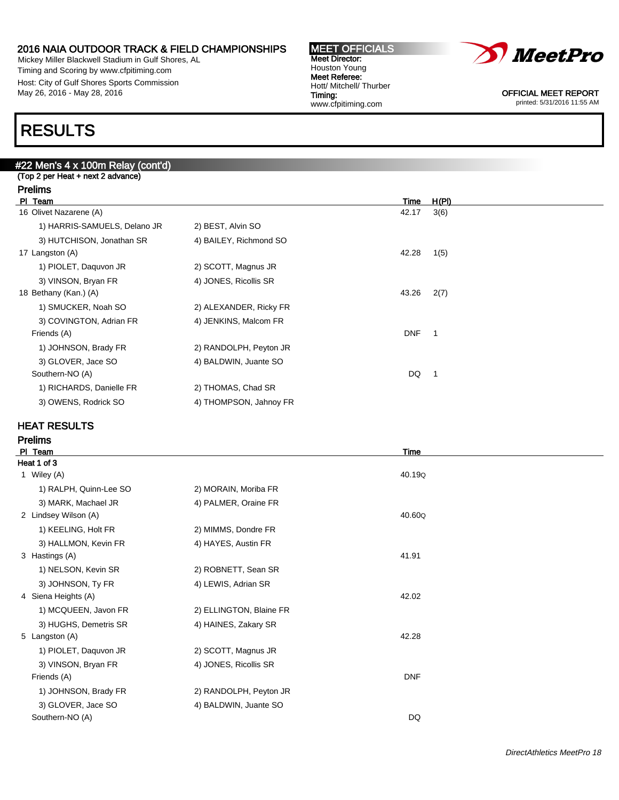Mickey Miller Blackwell Stadium in Gulf Shores, AL Timing and Scoring by www.cfpitiming.com Host: City of Gulf Shores Sports Commission May 26, 2016 - May 28, 2016

#### MEET OFFICIALS Meet Director: Houston Young Meet Referee: Hott/ Mitchell/ Thurber Timing: www.cfpitiming.com



OFFICIAL MEET REPORT printed: 5/31/2016 11:55 AM

### RESULTS

### #22 Men's 4 x 100m Relay (cont'd)

| (Top 2 per Heat + next 2 advance) |  |  |
|-----------------------------------|--|--|
| <b>Prelims</b>                    |  |  |
| PI Team                           |  |  |
| 16 Olivet Nazarene (A)            |  |  |
| 1) HARRIS-SAMUELS, Dela           |  |  |
| 3) HUTCHISON, Jonathan S          |  |  |
| $- - - - - - - -$                 |  |  |

| PI Team                      |                        | Time       | H(PI) |
|------------------------------|------------------------|------------|-------|
| 16 Olivet Nazarene (A)       |                        | 42.17      | 3(6)  |
| 1) HARRIS-SAMUELS, Delano JR | 2) BEST, Alvin SO      |            |       |
| 3) HUTCHISON, Jonathan SR    | 4) BAILEY, Richmond SO |            |       |
| 17 Langston (A)              |                        | 42.28      | 1(5)  |
| 1) PIOLET, Daguvon JR        | 2) SCOTT, Magnus JR    |            |       |
| 3) VINSON, Bryan FR          | 4) JONES, Ricollis SR  |            |       |
| 18 Bethany (Kan.) (A)        |                        | 43.26      | 2(7)  |
| 1) SMUCKER, Noah SO          | 2) ALEXANDER, Ricky FR |            |       |
| 3) COVINGTON, Adrian FR      | 4) JENKINS, Malcom FR  |            |       |
| Friends (A)                  |                        | <b>DNF</b> |       |
| 1) JOHNSON, Brady FR         | 2) RANDOLPH, Peyton JR |            |       |
| 3) GLOVER, Jace SO           | 4) BALDWIN, Juante SO  |            |       |
| Southern-NO (A)              |                        | DQ         |       |
| 1) RICHARDS, Danielle FR     | 2) THOMAS, Chad SR     |            |       |
| 3) OWENS, Rodrick SO         | 4) THOMPSON, Jahnoy FR |            |       |
|                              |                        |            |       |

### HEAT RESULTS

| PL<br>Team             |                         | Time       |  |
|------------------------|-------------------------|------------|--|
| Heat 1 of 3            |                         |            |  |
| 1 Wiley (A)            |                         | 40.19Q     |  |
| 1) RALPH, Quinn-Lee SO | 2) MORAIN, Moriba FR    |            |  |
| 3) MARK, Machael JR    | 4) PALMER, Oraine FR    |            |  |
| 2 Lindsey Wilson (A)   |                         | 40.60Q     |  |
| 1) KEELING, Holt FR    | 2) MIMMS, Dondre FR     |            |  |
| 3) HALLMON, Kevin FR   | 4) HAYES, Austin FR     |            |  |
| 3 Hastings (A)         |                         | 41.91      |  |
| 1) NELSON, Kevin SR    | 2) ROBNETT, Sean SR     |            |  |
| 3) JOHNSON, Ty FR      | 4) LEWIS, Adrian SR     |            |  |
| 4 Siena Heights (A)    |                         | 42.02      |  |
| 1) MCQUEEN, Javon FR   | 2) ELLINGTON, Blaine FR |            |  |
| 3) HUGHS, Demetris SR  | 4) HAINES, Zakary SR    |            |  |
| 5 Langston (A)         |                         | 42.28      |  |
| 1) PIOLET, Daquvon JR  | 2) SCOTT, Magnus JR     |            |  |
| 3) VINSON, Bryan FR    | 4) JONES, Ricollis SR   |            |  |
| Friends (A)            |                         | <b>DNF</b> |  |
| 1) JOHNSON, Brady FR   | 2) RANDOLPH, Peyton JR  |            |  |
| 3) GLOVER, Jace SO     | 4) BALDWIN, Juante SO   |            |  |
| Southern-NO (A)        |                         | DQ         |  |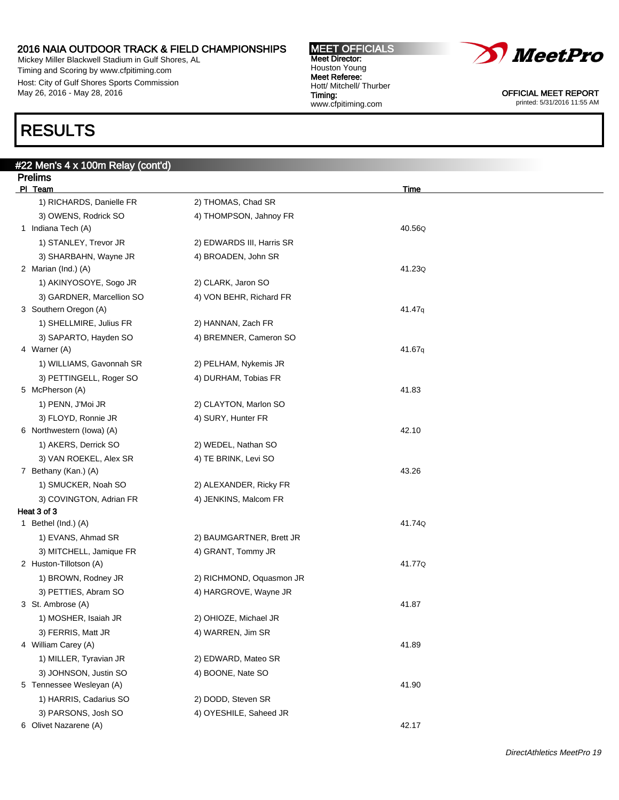Mickey Miller Blackwell Stadium in Gulf Shores, AL Timing and Scoring by www.cfpitiming.com Host: City of Gulf Shores Sports Commission May 26, 2016 - May 28, 2016

#22 Men's 4 x 100m Relay (cont'd)

### RESULTS

| <b>Prelims</b>            |                           |        |  |
|---------------------------|---------------------------|--------|--|
| PI Team                   |                           | Time   |  |
| 1) RICHARDS, Danielle FR  | 2) THOMAS, Chad SR        |        |  |
| 3) OWENS, Rodrick SO      | 4) THOMPSON, Jahnoy FR    |        |  |
| 1 Indiana Tech (A)        |                           | 40.56Q |  |
| 1) STANLEY, Trevor JR     | 2) EDWARDS III, Harris SR |        |  |
| 3) SHARBAHN, Wayne JR     | 4) BROADEN, John SR       |        |  |
| 2 Marian (Ind.) (A)       |                           | 41.23Q |  |
| 1) AKINYOSOYE, Sogo JR    | 2) CLARK, Jaron SO        |        |  |
| 3) GARDNER, Marcellion SO | 4) VON BEHR, Richard FR   |        |  |
| 3 Southern Oregon (A)     |                           | 41.47q |  |
| 1) SHELLMIRE, Julius FR   | 2) HANNAN, Zach FR        |        |  |
| 3) SAPARTO, Hayden SO     | 4) BREMNER, Cameron SO    |        |  |
| 4 Warner (A)              |                           | 41.67q |  |
| 1) WILLIAMS, Gavonnah SR  | 2) PELHAM, Nykemis JR     |        |  |
| 3) PETTINGELL, Roger SO   | 4) DURHAM, Tobias FR      |        |  |
| 5 McPherson (A)           |                           | 41.83  |  |
| 1) PENN, J'Moi JR         | 2) CLAYTON, Marlon SO     |        |  |
| 3) FLOYD, Ronnie JR       | 4) SURY, Hunter FR        |        |  |
| 6 Northwestern (lowa) (A) |                           | 42.10  |  |
| 1) AKERS, Derrick SO      | 2) WEDEL, Nathan SO       |        |  |
| 3) VAN ROEKEL, Alex SR    | 4) TE BRINK, Levi SO      |        |  |
| 7 Bethany (Kan.) (A)      |                           | 43.26  |  |
| 1) SMUCKER, Noah SO       | 2) ALEXANDER, Ricky FR    |        |  |
| 3) COVINGTON, Adrian FR   | 4) JENKINS, Malcom FR     |        |  |
| Heat 3 of 3               |                           |        |  |
| 1 Bethel (Ind.) (A)       |                           | 41.74Q |  |
| 1) EVANS, Ahmad SR        | 2) BAUMGARTNER, Brett JR  |        |  |
| 3) MITCHELL, Jamique FR   | 4) GRANT, Tommy JR        |        |  |
| 2 Huston-Tillotson (A)    |                           | 41.77Q |  |
| 1) BROWN, Rodney JR       | 2) RICHMOND, Oquasmon JR  |        |  |
| 3) PETTIES, Abram SO      | 4) HARGROVE, Wayne JR     |        |  |
| 3 St. Ambrose (A)         |                           | 41.87  |  |
| 1) MOSHER, Isaiah JR      | 2) OHIOZE, Michael JR     |        |  |
| 3) FERRIS, Matt JR        | 4) WARREN, Jim SR         |        |  |
| 4 William Carey (A)       |                           | 41.89  |  |
| 1) MILLER, Tyravian JR    | 2) EDWARD, Mateo SR       |        |  |
| 3) JOHNSON, Justin SO     | 4) BOONE, Nate SO         |        |  |
| 5 Tennessee Wesleyan (A)  |                           | 41.90  |  |
| 1) HARRIS, Cadarius SO    | 2) DODD, Steven SR        |        |  |
| 3) PARSONS, Josh SO       | 4) OYESHILE, Saheed JR    |        |  |
| 6 Olivet Nazarene (A)     |                           | 42.17  |  |

www.cfpitiming.com

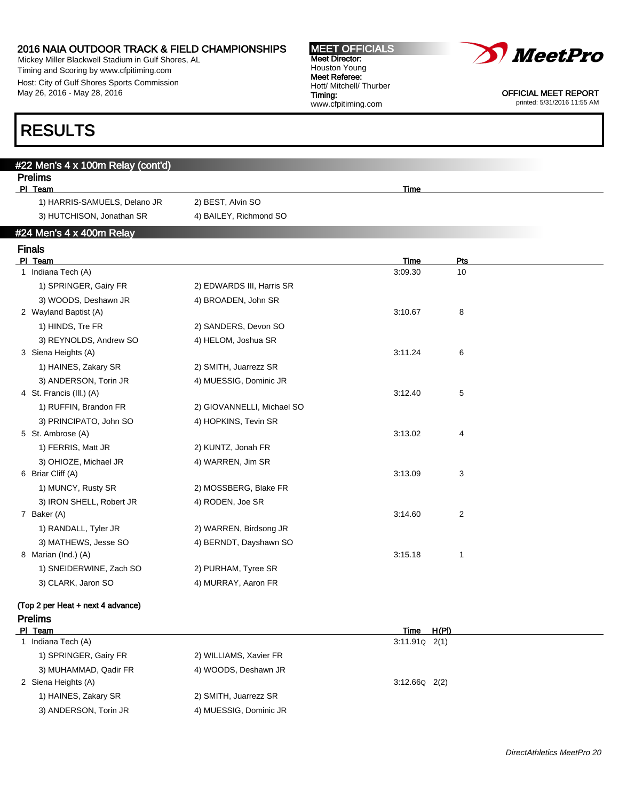Mickey Miller Blackwell Stadium in Gulf Shores, AL Timing and Scoring by www.cfpitiming.com Host: City of Gulf Shores Sports Commission May 26, 2016 - May 28, 2016

| <b>MEET OFFICIALS</b>   |
|-------------------------|
| <b>Meet Director:</b>   |
| Houston Young           |
| Meet Referee:           |
| Hott/ Mitchell/ Thurber |
| Timing:                 |
| www.cfpitiming.com      |



OFFICIAL MEET REPORT printed: 5/31/2016 11:55 AM

### RESULTS

| $#22$ Men's 4 x 100m Relay (cont'd) |                        |      |  |  |  |  |  |  |  |
|-------------------------------------|------------------------|------|--|--|--|--|--|--|--|
| <b>Prelims</b>                      |                        |      |  |  |  |  |  |  |  |
| PI Team                             |                        | Time |  |  |  |  |  |  |  |
| 1) HARRIS-SAMUELS, Delano JR        | 2) BEST, Alvin SO      |      |  |  |  |  |  |  |  |
| 3) HUTCHISON, Jonathan SR           | 4) BAILEY, Richmond SO |      |  |  |  |  |  |  |  |
| $#24$ Men's 4 x 400m Relay          |                        |      |  |  |  |  |  |  |  |

### Finals

| PI Team                           |                            | <b>Time</b> | Pts                     |  |
|-----------------------------------|----------------------------|-------------|-------------------------|--|
| Indiana Tech (A)<br>1.            |                            | 3:09.30     | 10                      |  |
| 1) SPRINGER, Gairy FR             | 2) EDWARDS III, Harris SR  |             |                         |  |
| 3) WOODS, Deshawn JR              | 4) BROADEN, John SR        |             |                         |  |
| 2 Wayland Baptist (A)             |                            | 3:10.67     | 8                       |  |
| 1) HINDS, Tre FR                  | 2) SANDERS, Devon SO       |             |                         |  |
| 3) REYNOLDS, Andrew SO            | 4) HELOM, Joshua SR        |             |                         |  |
| 3 Siena Heights (A)               |                            | 3:11.24     | 6                       |  |
| 1) HAINES, Zakary SR              | 2) SMITH, Juarrezz SR      |             |                         |  |
| 3) ANDERSON, Torin JR             | 4) MUESSIG, Dominic JR     |             |                         |  |
| 4 St. Francis (III.) (A)          |                            | 3:12.40     | 5                       |  |
| 1) RUFFIN, Brandon FR             | 2) GIOVANNELLI, Michael SO |             |                         |  |
| 3) PRINCIPATO, John SO            | 4) HOPKINS, Tevin SR       |             |                         |  |
| 5 St. Ambrose (A)                 |                            | 3:13.02     | 4                       |  |
| 1) FERRIS, Matt JR                | 2) KUNTZ, Jonah FR         |             |                         |  |
| 3) OHIOZE, Michael JR             | 4) WARREN, Jim SR          |             |                         |  |
| 6 Briar Cliff (A)                 |                            | 3:13.09     | 3                       |  |
| 1) MUNCY, Rusty SR                | 2) MOSSBERG, Blake FR      |             |                         |  |
| 3) IRON SHELL, Robert JR          | 4) RODEN, Joe SR           |             |                         |  |
| 7 Baker (A)                       |                            | 3:14.60     | $\overline{\mathbf{c}}$ |  |
| 1) RANDALL, Tyler JR              | 2) WARREN, Birdsong JR     |             |                         |  |
| 3) MATHEWS, Jesse SO              | 4) BERNDT, Dayshawn SO     |             |                         |  |
| 8 Marian (Ind.) (A)               |                            | 3:15.18     | 1                       |  |
| 1) SNEIDERWINE, Zach SO           | 2) PURHAM, Tyree SR        |             |                         |  |
| 3) CLARK, Jaron SO                | 4) MURRAY, Aaron FR        |             |                         |  |
| (Top 2 per Heat + next 4 advance) |                            |             |                         |  |
| <b>Prelims</b>                    |                            |             |                         |  |

PI Team Time H(PI) 1 Indiana Tech (A) 3:11.91Q 2(1) 1) SPRINGER, Gairy FR 2) WILLIAMS, Xavier FR 3) MUHAMMAD, Qadir FR 4) WOODS, Deshawn JR 2 Siena Heights (A) 3:12.66Q 2(2) 1) HAINES, Zakary SR 2) SMITH, Juarrezz SR 3) ANDERSON, Torin JR 4) MUESSIG, Dominic JR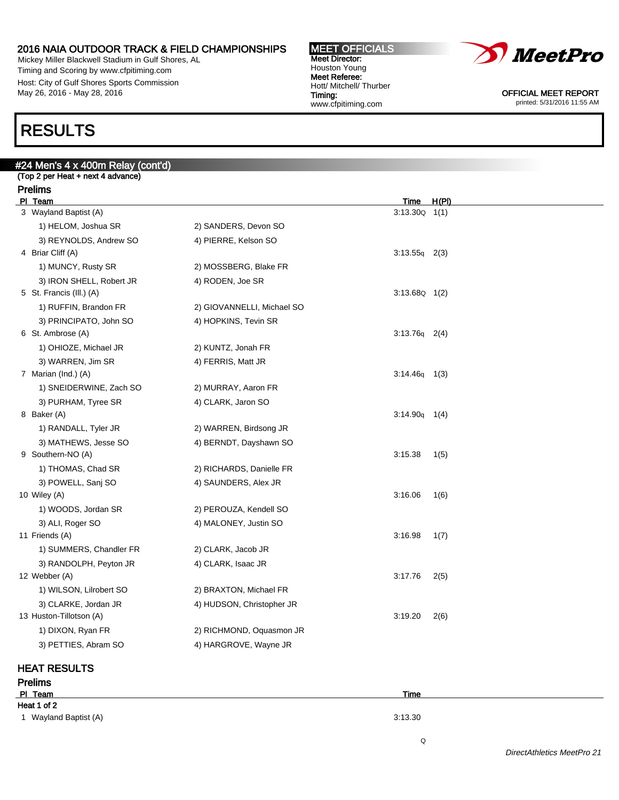Mickey Miller Blackwell Stadium in Gulf Shores, AL Timing and Scoring by www.cfpitiming.com Host: City of Gulf Shores Sports Commission May 26, 2016 - May 28, 2016

#### MEET OFFICIALS Meet Director: Houston Young Meet Referee: Hott/ Mitchell/ Thurber Timing: www.cfpitiming.com



OFFICIAL MEET REPORT printed: 5/31/2016 11:55 AM

### RESULTS

### #24 Men's 4 x 400m Relay (cont'd) (Top 2 per Heat + next 4 advance) Prelims PI Team Time H(PI) 3 Wayland Baptist (A) 3:13.30Q 1(1) 1) HELOM, Joshua SR 2) SANDERS, Devon SO 3) REYNOLDS, Andrew SO 4) PIERRE, Kelson SO 4 Briar Cliff (A) 3:13.55q 2(3) 1) MUNCY, Rusty SR 2) MOSSBERG, Blake FR 3) IRON SHELL, Robert JR 4) RODEN, Joe SR 5 St. Francis (Ill.) (A) 3:13.68Q 1(2) 1) RUFFIN, Brandon FR 2) GIOVANNELLI, Michael SO 3) PRINCIPATO, John SO 4) HOPKINS, Tevin SR 6 St. Ambrose (A) 3:13.76q 2(4) 1) OHIOZE, Michael JR 2) KUNTZ, Jonah FR 3) WARREN, Jim SR 4) FERRIS, Matt JR 7 Marian (Ind.) (A) 3:14.46q 1(3) 1) SNEIDERWINE, Zach SO 2) MURRAY, Aaron FR 3) PURHAM, Tyree SR 4) CLARK, Jaron SO 8 Baker (A) 3:14.90q 1(4) 1) RANDALL, Tyler JR 2) WARREN, Birdsong JR 3) MATHEWS, Jesse SO 4) BERNDT, Dayshawn SO 9 Southern-NO (A) 3:15.38 1(5) 1) THOMAS, Chad SR 2) RICHARDS, Danielle FR 3) POWELL, Sanj SO 4) SAUNDERS, Alex JR 10 Wiley (A) 3:16.06 1 (6) 1) WOODS, Jordan SR 2) PEROUZA, Kendell SO 3) ALI, Roger SO 4) MALONEY, Justin SO 11 Friends (A) 3:16.98 1(7) 1) SUMMERS, Chandler FR 2) CLARK, Jacob JR 3) RANDOLPH, Peyton JR 4) CLARK, Isaac JR 12 Webber (A) 3:17.76 2(5) 1) WILSON, Lilrobert SO 2) BRAXTON, Michael FR 3) CLARKE, Jordan JR 4) HUDSON, Christopher JR 13 Huston-Tillotson (A) 3:19.20 2(6) 1) DIXON, Ryan FR 2) RICHMOND, Oquasmon JR 3) PETTIES, Abram SO 4) HARGROVE, Wayne JR

### HEAT RESULTS

Prelims Pl Team Time Heat 1 of 2 1 Wayland Baptist (A) 3:13.30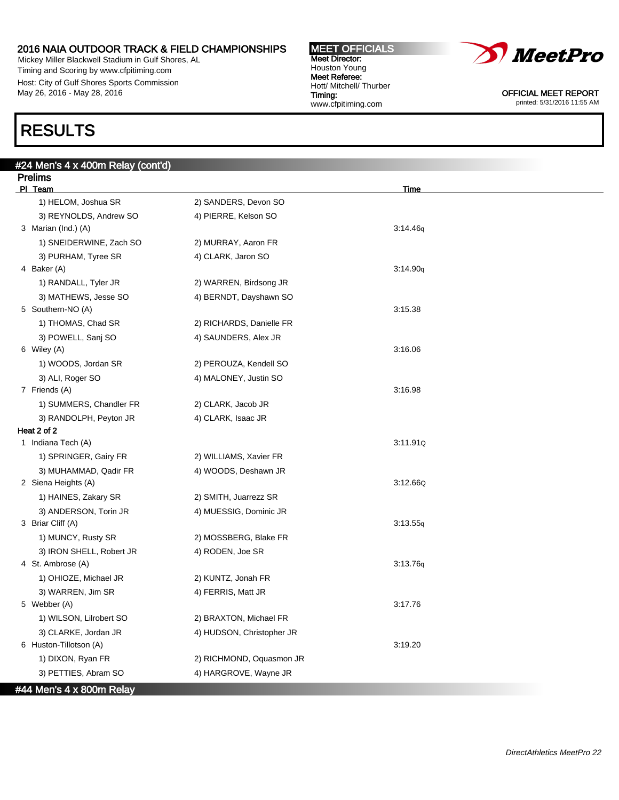Mickey Miller Blackwell Stadium in Gulf Shores, AL Timing and Scoring by www.cfpitiming.com Host: City of Gulf Shores Sports Commission May 26, 2016 - May 28, 2016

### RESULTS

| #24 Men's 4 x 400m Relay (cont'd)     |                           |          |
|---------------------------------------|---------------------------|----------|
| <b>Prelims</b>                        |                           |          |
| PI Team                               |                           | Time     |
| 1) HELOM, Joshua SR                   | 2) SANDERS, Devon SO      |          |
| 3) REYNOLDS, Andrew SO                | 4) PIERRE, Kelson SO      | 3:14.46q |
| 3 Marian (Ind.) (A)                   |                           |          |
| 1) SNEIDERWINE, Zach SO               | 2) MURRAY, Aaron FR       |          |
| 3) PURHAM, Tyree SR                   | 4) CLARK, Jaron SO        |          |
| 4 Baker (A)                           |                           | 3:14.90q |
| 1) RANDALL, Tyler JR                  | 2) WARREN, Birdsong JR    |          |
| 3) MATHEWS, Jesse SO                  | 4) BERNDT, Dayshawn SO    |          |
| 5 Southern-NO (A)                     |                           | 3:15.38  |
| 1) THOMAS, Chad SR                    | 2) RICHARDS, Danielle FR  |          |
| 3) POWELL, Sanj SO                    | 4) SAUNDERS, Alex JR      | 3:16.06  |
| 6 Wiley (A)                           |                           |          |
| 1) WOODS, Jordan SR                   | 2) PEROUZA, Kendell SO    |          |
| 3) ALI, Roger SO<br>7 Friends (A)     | 4) MALONEY, Justin SO     | 3:16.98  |
|                                       |                           |          |
| 1) SUMMERS, Chandler FR               | 2) CLARK, Jacob JR        |          |
| 3) RANDOLPH, Peyton JR<br>Heat 2 of 2 | 4) CLARK, Isaac JR        |          |
| 1 Indiana Tech (A)                    |                           | 3:11.91Q |
| 1) SPRINGER, Gairy FR                 | 2) WILLIAMS, Xavier FR    |          |
| 3) MUHAMMAD, Qadir FR                 | 4) WOODS, Deshawn JR      |          |
| 2 Siena Heights (A)                   |                           | 3:12.66Q |
| 1) HAINES, Zakary SR                  | 2) SMITH, Juarrezz SR     |          |
| 3) ANDERSON, Torin JR                 | 4) MUESSIG, Dominic JR    |          |
| 3 Briar Cliff (A)                     |                           | 3:13.55q |
| 1) MUNCY, Rusty SR                    | 2) MOSSBERG, Blake FR     |          |
| 3) IRON SHELL, Robert JR              | 4) RODEN, Joe SR          |          |
| 4 St. Ambrose (A)                     |                           | 3:13.76q |
| 1) OHIOZE, Michael JR                 | 2) KUNTZ, Jonah FR        |          |
| 3) WARREN, Jim SR                     | 4) FERRIS, Matt JR        |          |
| 5 Webber (A)                          |                           | 3:17.76  |
| 1) WILSON, Lilrobert SO               | 2) BRAXTON, Michael FR    |          |
| 3) CLARKE, Jordan JR                  | 4) HUDSON, Christopher JR |          |
| 6 Huston-Tillotson (A)                |                           | 3:19.20  |
| 1) DIXON, Ryan FR                     | 2) RICHMOND, Oquasmon JR  |          |
| 3) PETTIES, Abram SO                  | 4) HARGROVE, Wayne JR     |          |
| #44 Men's 4 x 800m Relay              |                           |          |

MEET OFFICIALS Meet Director: Houston Young Meet Referee:

Timing:

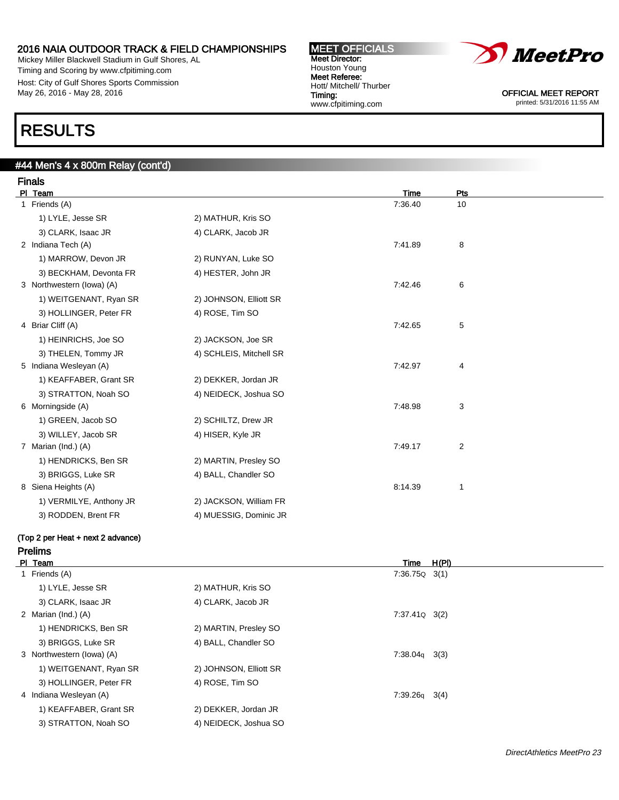Mickey Miller Blackwell Stadium in Gulf Shores, AL Timing and Scoring by www.cfpitiming.com Host: City of Gulf Shores Sports Commission May 26, 2016 - May 28, 2016

### RESULTS

### #44 Men's 4 x 800m Relay (cont'd)

| <b>Finals</b>                     |                         |             |     |  |
|-----------------------------------|-------------------------|-------------|-----|--|
| PI Team                           |                         | <b>Time</b> | Pts |  |
| 1 Friends (A)                     |                         | 7:36.40     | 10  |  |
| 1) LYLE, Jesse SR                 | 2) MATHUR, Kris SO      |             |     |  |
| 3) CLARK, Isaac JR                | 4) CLARK, Jacob JR      |             |     |  |
| 2 Indiana Tech (A)                |                         | 7:41.89     | 8   |  |
| 1) MARROW, Devon JR               | 2) RUNYAN, Luke SO      |             |     |  |
| 3) BECKHAM, Devonta FR            | 4) HESTER, John JR      |             |     |  |
| 3 Northwestern (lowa) (A)         |                         | 7:42.46     | 6   |  |
| 1) WEITGENANT, Ryan SR            | 2) JOHNSON, Elliott SR  |             |     |  |
| 3) HOLLINGER, Peter FR            | 4) ROSE, Tim SO         |             |     |  |
| 4 Briar Cliff (A)                 |                         | 7:42.65     | 5   |  |
| 1) HEINRICHS, Joe SO              | 2) JACKSON, Joe SR      |             |     |  |
| 3) THELEN, Tommy JR               | 4) SCHLEIS, Mitchell SR |             |     |  |
| 5 Indiana Wesleyan (A)            |                         | 7:42.97     | 4   |  |
| 1) KEAFFABER, Grant SR            | 2) DEKKER, Jordan JR    |             |     |  |
| 3) STRATTON, Noah SO              | 4) NEIDECK, Joshua SO   |             |     |  |
| 6 Morningside (A)                 |                         | 7:48.98     | 3   |  |
| 1) GREEN, Jacob SO                | 2) SCHILTZ, Drew JR     |             |     |  |
| 3) WILLEY, Jacob SR               | 4) HISER, Kyle JR       |             |     |  |
| 7 Marian (Ind.) (A)               |                         | 7:49.17     | 2   |  |
| 1) HENDRICKS, Ben SR              | 2) MARTIN, Presley SO   |             |     |  |
| 3) BRIGGS, Luke SR                | 4) BALL, Chandler SO    |             |     |  |
| 8 Siena Heights (A)               |                         | 8:14.39     | 1   |  |
| 1) VERMILYE, Anthony JR           | 2) JACKSON, William FR  |             |     |  |
| 3) RODDEN, Brent FR               | 4) MUESSIG, Dominic JR  |             |     |  |
| (Top 2 per Heat + next 2 advance) |                         |             |     |  |

### Prelims

| PI Team                   |                        | Time              | H(PI) |
|---------------------------|------------------------|-------------------|-------|
| 1 Friends (A)             |                        | $7:36.75Q$ 3(1)   |       |
| 1) LYLE, Jesse SR         | 2) MATHUR, Kris SO     |                   |       |
| 3) CLARK, Isaac JR        | 4) CLARK, Jacob JR     |                   |       |
| 2 Marian (Ind.) (A)       |                        | $7:37.41Q$ $3(2)$ |       |
| 1) HENDRICKS, Ben SR      | 2) MARTIN, Presley SO  |                   |       |
| 3) BRIGGS, Luke SR        | 4) BALL, Chandler SO   |                   |       |
| 3 Northwestern (lowa) (A) |                        | $7:38.04q$ 3(3)   |       |
| 1) WEITGENANT, Ryan SR    | 2) JOHNSON, Elliott SR |                   |       |
| 3) HOLLINGER, Peter FR    | 4) ROSE, Tim SO        |                   |       |
| 4 Indiana Wesleyan (A)    |                        | $7:39.26q$ 3(4)   |       |
| 1) KEAFFABER, Grant SR    | 2) DEKKER, Jordan JR   |                   |       |
| 3) STRATTON, Noah SO      | 4) NEIDECK, Joshua SO  |                   |       |

MEET OFFICIALS Meet Director: Houston Young Meet Referee: Hott/ Mitchell/ Thurber Timing: www.cfpitiming.com

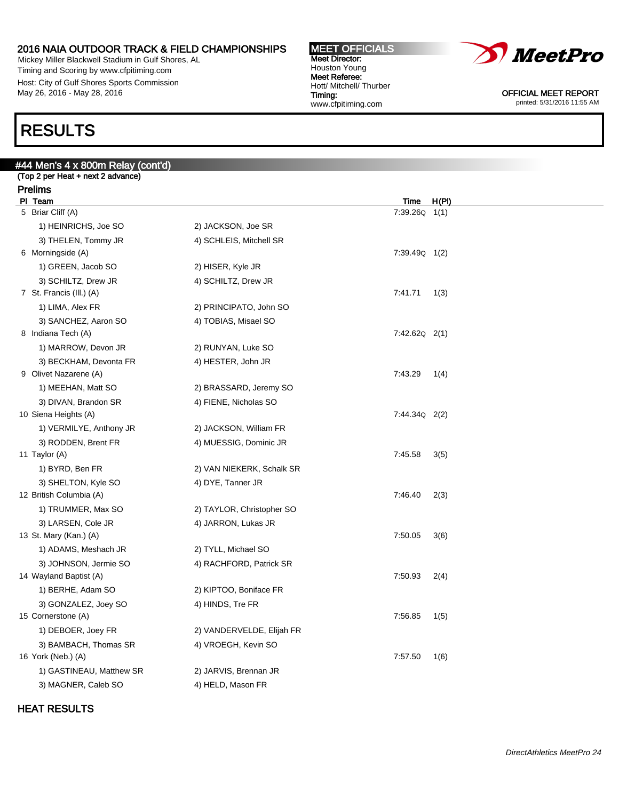Mickey Miller Blackwell Stadium in Gulf Shores, AL Timing and Scoring by www.cfpitiming.com Host: City of Gulf Shores Sports Commission May 26, 2016 - May 28, 2016

#44 Men's 4 x 800m Relay (cont'd) (Top 2 per Heat + next 2 advance)

### RESULTS

#### MEET OFFICIALS Meet Director: Houston Young Meet Referee: Hott/ Mitchell/ Thurber Timing: www.cfpitiming.com



OFFICIAL MEET REPORT printed: 5/31/2016 11:55 AM

| <b>Prelims</b><br>PI Team                    |                           |                              | H(PI) |
|----------------------------------------------|---------------------------|------------------------------|-------|
| 5 Briar Cliff (A)                            |                           | <u>Time</u><br>7:39.26Q 1(1) |       |
| 1) HEINRICHS, Joe SO                         | 2) JACKSON, Joe SR        |                              |       |
| 3) THELEN, Tommy JR                          | 4) SCHLEIS, Mitchell SR   |                              |       |
| 6 Morningside (A)                            |                           | $7:39.49Q$ 1(2)              |       |
| 1) GREEN, Jacob SO                           | 2) HISER, Kyle JR         |                              |       |
| 3) SCHILTZ, Drew JR                          | 4) SCHILTZ, Drew JR       |                              |       |
| 7 St. Francis (III.) (A)                     |                           | 7:41.71                      | 1(3)  |
| 1) LIMA, Alex FR                             | 2) PRINCIPATO, John SO    |                              |       |
| 3) SANCHEZ, Aaron SO                         | 4) TOBIAS, Misael SO      |                              |       |
| 8 Indiana Tech (A)                           |                           | $7:42.62Q$ $2(1)$            |       |
| 1) MARROW, Devon JR                          | 2) RUNYAN, Luke SO        |                              |       |
| 3) BECKHAM, Devonta FR                       | 4) HESTER, John JR        |                              |       |
| 9 Olivet Nazarene (A)                        |                           | 7:43.29                      | 1(4)  |
| 1) MEEHAN, Matt SO                           | 2) BRASSARD, Jeremy SO    |                              |       |
| 3) DIVAN, Brandon SR                         | 4) FIENE, Nicholas SO     |                              |       |
| 10 Siena Heights (A)                         |                           | $7:44.34Q$ 2(2)              |       |
| 1) VERMILYE, Anthony JR                      | 2) JACKSON, William FR    |                              |       |
| 3) RODDEN, Brent FR                          | 4) MUESSIG, Dominic JR    |                              |       |
| 11 Taylor (A)                                |                           | 7:45.58                      | 3(5)  |
| 1) BYRD, Ben FR                              | 2) VAN NIEKERK, Schalk SR |                              |       |
| 3) SHELTON, Kyle SO                          | 4) DYE, Tanner JR         |                              |       |
| 12 British Columbia (A)                      |                           | 7:46.40                      | 2(3)  |
| 1) TRUMMER, Max SO                           | 2) TAYLOR, Christopher SO |                              |       |
| 3) LARSEN, Cole JR<br>13 St. Mary (Kan.) (A) | 4) JARRON, Lukas JR       | 7:50.05                      | 3(6)  |
| 1) ADAMS, Meshach JR                         | 2) TYLL, Michael SO       |                              |       |
| 3) JOHNSON, Jermie SO                        | 4) RACHFORD, Patrick SR   |                              |       |
| 14 Wayland Baptist (A)                       |                           | 7:50.93                      | 2(4)  |
| 1) BERHE, Adam SO                            | 2) KIPTOO, Boniface FR    |                              |       |
| 3) GONZALEZ, Joey SO                         | 4) HINDS, Tre FR          |                              |       |
| 15 Cornerstone (A)                           |                           | 7:56.85                      | 1(5)  |
| 1) DEBOER, Joey FR                           | 2) VANDERVELDE, Elijah FR |                              |       |
| 3) BAMBACH, Thomas SR                        | 4) VROEGH, Kevin SO       |                              |       |
| 16 York (Neb.) (A)                           |                           | 7:57.50                      | 1(6)  |
| 1) GASTINEAU, Matthew SR                     | 2) JARVIS, Brennan JR     |                              |       |
| 3) MAGNER, Caleb SO                          | 4) HELD, Mason FR         |                              |       |

### HEAT RESULTS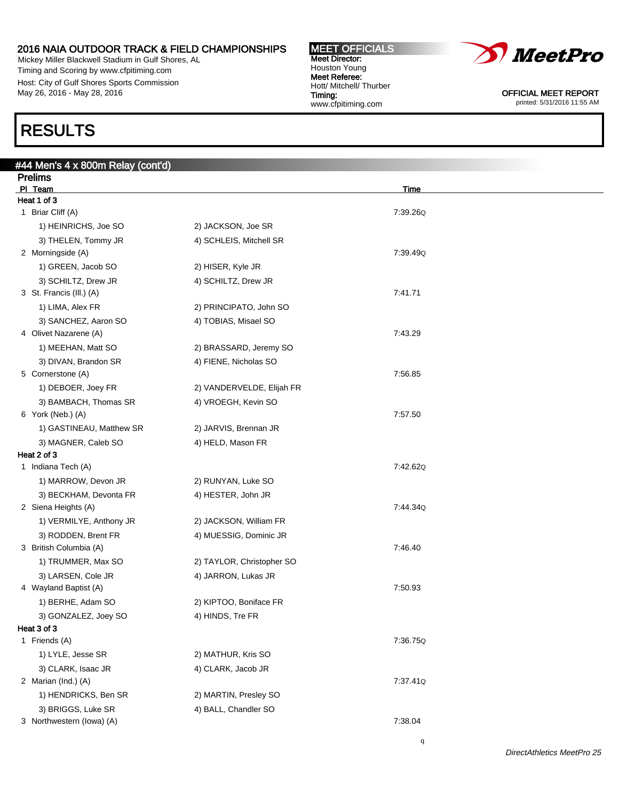Mickey Miller Blackwell Stadium in Gulf Shores, AL Timing and Scoring by www.cfpitiming.com Host: City of Gulf Shores Sports Commission May 26, 2016 - May 28, 2016

### RESULTS

| #44 Men's 4 x 800m Relay (cont'd) |                           |             |
|-----------------------------------|---------------------------|-------------|
| <b>Prelims</b>                    |                           |             |
| PI Team                           |                           | <u>Time</u> |
| Heat 1 of 3                       |                           |             |
| 1 Briar Cliff (A)                 |                           | 7:39.26Q    |
| 1) HEINRICHS, Joe SO              | 2) JACKSON, Joe SR        |             |
| 3) THELEN, Tommy JR               | 4) SCHLEIS, Mitchell SR   |             |
| 2 Morningside (A)                 |                           | 7:39.49Q    |
| 1) GREEN, Jacob SO                | 2) HISER, Kyle JR         |             |
| 3) SCHILTZ, Drew JR               | 4) SCHILTZ, Drew JR       |             |
| 3 St. Francis (III.) (A)          |                           | 7:41.71     |
| 1) LIMA, Alex FR                  | 2) PRINCIPATO, John SO    |             |
| 3) SANCHEZ, Aaron SO              | 4) TOBIAS, Misael SO      |             |
| 4 Olivet Nazarene (A)             |                           | 7:43.29     |
| 1) MEEHAN, Matt SO                | 2) BRASSARD, Jeremy SO    |             |
| 3) DIVAN, Brandon SR              | 4) FIENE, Nicholas SO     |             |
| 5 Cornerstone (A)                 |                           | 7:56.85     |
| 1) DEBOER, Joey FR                | 2) VANDERVELDE, Elijah FR |             |
| 3) BAMBACH, Thomas SR             | 4) VROEGH, Kevin SO       |             |
| 6 York (Neb.) (A)                 |                           | 7:57.50     |
| 1) GASTINEAU, Matthew SR          | 2) JARVIS, Brennan JR     |             |
| 3) MAGNER, Caleb SO               | 4) HELD, Mason FR         |             |
| Heat 2 of 3                       |                           |             |
| 1 Indiana Tech (A)                |                           | 7:42.62Q    |
| 1) MARROW, Devon JR               | 2) RUNYAN, Luke SO        |             |
| 3) BECKHAM, Devonta FR            | 4) HESTER, John JR        |             |
| 2 Siena Heights (A)               |                           | 7:44.34Q    |
| 1) VERMILYE, Anthony JR           | 2) JACKSON, William FR    |             |
| 3) RODDEN, Brent FR               | 4) MUESSIG, Dominic JR    |             |
| 3 British Columbia (A)            |                           | 7:46.40     |
| 1) TRUMMER, Max SO                | 2) TAYLOR, Christopher SO |             |
| 3) LARSEN, Cole JR                | 4) JARRON, Lukas JR       |             |
| 4 Wayland Baptist (A)             |                           | 7:50.93     |
| 1) BERHE, Adam SO                 | 2) KIPTOO, Boniface FR    |             |
| 3) GONZALEZ, Joey SO              | 4) HINDS, Tre FR          |             |
| Heat 3 of 3                       |                           |             |
| 1 Friends (A)                     |                           | 7:36.75Q    |
| 1) LYLE, Jesse SR                 | 2) MATHUR, Kris SO        |             |
| 3) CLARK, Isaac JR                | 4) CLARK, Jacob JR        |             |
| 2 Marian (Ind.) (A)               |                           | 7:37.41Q    |
| 1) HENDRICKS, Ben SR              | 2) MARTIN, Presley SO     |             |
| 3) BRIGGS, Luke SR                | 4) BALL, Chandler SO      |             |
| 3 Northwestern (lowa) (A)         |                           | 7:38.04     |

MEET OFFICIALS Meet Director: Houston Young Meet Referee: Hott/ Mitchell/ Thurber

www.cfpitiming.com

Timing:

q

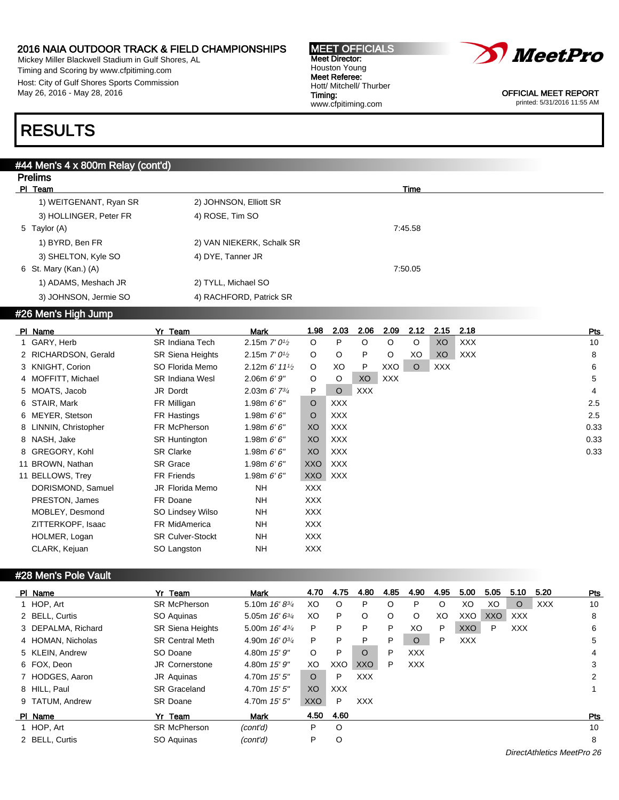Mickey Miller Blackwell Stadium in Gulf Shores, AL Timing and Scoring by www.cfpitiming.com Host: City of Gulf Shores Sports Commission May 26, 2016 - May 28, 2016

#### MEET OFFICIALS Meet Director: Houston Young Meet Referee: Hott/ Mitchell/ Thurber Timing: www.cfpitiming.com



OFFICIAL MEET REPORT printed: 5/31/2016 11:55 AM

### RESULTS

Prelims

### #44 Men's 4 x 800m Relay (cont'd)

| <b>FIGIIIIS</b>        |                           |         |  |
|------------------------|---------------------------|---------|--|
| PI Team                |                           | Time    |  |
| 1) WEITGENANT, Ryan SR | 2) JOHNSON, Elliott SR    |         |  |
| 3) HOLLINGER, Peter FR | 4) ROSE, Tim SO           |         |  |
| 5 Taylor (A)           |                           | 7:45.58 |  |
| 1) BYRD, Ben FR        | 2) VAN NIEKERK, Schalk SR |         |  |
| 3) SHELTON, Kyle SO    | 4) DYE, Tanner JR         |         |  |
| 6 St. Mary (Kan.) (A)  |                           | 7:50.05 |  |
| 1) ADAMS, Meshach JR   | 2) TYLL, Michael SO       |         |  |
| 3) JOHNSON, Jermie SO  | 4) RACHFORD, Patrick SR   |         |  |
|                        |                           |         |  |

### #26 Men's High Jump

| PI Name               | Team<br>Yr              | Mark                                      | 1.98       | 2.03       | 2.06       | 2.09       | 2.12    | 2.15       | 2.18       | Pts  |
|-----------------------|-------------------------|-------------------------------------------|------------|------------|------------|------------|---------|------------|------------|------|
| 1 GARY, Herb          | <b>SR Indiana Tech</b>  | 2.15m $7'0\frac{1}{2}$                    | $\circ$    | P          | O          | $\circ$    | $\circ$ | XO         | <b>XXX</b> | 10   |
| 2 RICHARDSON, Gerald  | <b>SR Siena Heights</b> | 2.15m $7'0\frac{1}{2}$                    | $\circ$    | O          | P          | $\circ$    | XO      | XO         | <b>XXX</b> | 8    |
| 3 KNIGHT, Corion      | SO Florida Memo         | 2.12m $6'$ 11 <sup>1</sup> / <sub>2</sub> | $\circ$    | XO         | P          | XXO        | $\circ$ | <b>XXX</b> |            | 6    |
| 4 MOFFITT, Michael    | <b>SR Indiana Wesl</b>  | 2.06m 6'9''                               | $\circ$    | O          | XO         | <b>XXX</b> |         |            |            | 5    |
| 5 MOATS, Jacob        | JR Dordt                | 2.03m $6'$ 7 $\frac{3}{4}$                | P          | $\circ$    | <b>XXX</b> |            |         |            |            | 4    |
| 6 STAIR, Mark         | FR Milligan             | 1.98m $6'6''$                             | $\circ$    | XXX        |            |            |         |            |            | 2.5  |
| 6 MEYER, Stetson      | FR Hastings             | 1.98m $6'6''$                             | O          | <b>XXX</b> |            |            |         |            |            | 2.5  |
| 8 LINNIN, Christopher | FR McPherson            | 1.98m $6'6''$                             | XO         | <b>XXX</b> |            |            |         |            |            | 0.33 |
| 8 NASH, Jake          | <b>SR Huntington</b>    | 1.98m $6'6''$                             | XO         | XXX        |            |            |         |            |            | 0.33 |
| 8 GREGORY, Kohl       | <b>SR Clarke</b>        | 1.98m $6'6''$                             | XO         | XXX        |            |            |         |            |            | 0.33 |
| 11 BROWN, Nathan      | <b>SR Grace</b>         | 1.98m $6'6''$                             | XXO        | <b>XXX</b> |            |            |         |            |            |      |
| 11 BELLOWS, Trey      | <b>FR Friends</b>       | 1.98m $6'6''$                             | <b>XXO</b> | <b>XXX</b> |            |            |         |            |            |      |
| DORISMOND, Samuel     | JR Florida Memo         | <b>NH</b>                                 | <b>XXX</b> |            |            |            |         |            |            |      |
| PRESTON, James        | FR Doane                | <b>NH</b>                                 | <b>XXX</b> |            |            |            |         |            |            |      |
| MOBLEY, Desmond       | SO Lindsey Wilso        | NH                                        | <b>XXX</b> |            |            |            |         |            |            |      |
| ZITTERKOPF, Isaac     | FR MidAmerica           | NH                                        | XXX        |            |            |            |         |            |            |      |
| HOLMER, Logan         | <b>SR Culver-Stockt</b> | NH                                        | <b>XXX</b> |            |            |            |         |            |            |      |
| CLARK, Kejuan         | SO Langston             | <b>NH</b>                                 | <b>XXX</b> |            |            |            |         |            |            |      |
|                       |                         |                                           |            |            |            |            |         |            |            |      |

### #28 Men's Pole Vault

| PI Name            | Yr Team                 | Mark                | 4.70       | 4.75       | 4.80       | 4.85    | 4.90       | 4.95    | 5.00       | 5.05       | 5.10       | 5.20       | Pts        |
|--------------------|-------------------------|---------------------|------------|------------|------------|---------|------------|---------|------------|------------|------------|------------|------------|
| 1 HOP, Art         | <b>SR McPherson</b>     | 5.10m $16'8^{3/4}$  | XO         | O          | P          | O       | P          | $\circ$ | XO         | XO         | $\circ$    | <b>XXX</b> | 10         |
| 2 BELL, Curtis     | SO Aquinas              | 5.05m $16'6^{3/4}$  | XO         | P          | O          | $\circ$ | O          | XO      | XXO        | <b>XXO</b> | XXX        |            | 8          |
| 3 DEPALMA, Richard | <b>SR Siena Heights</b> | 5.00m $16' 4^{3/4}$ | P          | P          | P          | P       | XO         | P       | <b>XXO</b> | P          | <b>XXX</b> |            | 6          |
| 4 HOMAN, Nicholas  | <b>SR Central Meth</b>  | 4.90m $16'0^{3/4}$  | P          | P          | P          | P       | $\circ$    | P       | <b>XXX</b> |            |            |            | 5          |
| 5 KLEIN, Andrew    | SO Doane                | 4.80m 15' 9"        | $\circ$    | P          | $\circ$    | P       | <b>XXX</b> |         |            |            |            |            | 4          |
| 6 FOX. Deon        | <b>JR Cornerstone</b>   | 4.80m 15' 9"        | XO         | XXO        | <b>XXO</b> | P       | <b>XXX</b> |         |            |            |            |            | 3          |
| 7 HODGES, Aaron    | JR Aquinas              | 4.70m $15'5''$      | $\circ$    | P          | <b>XXX</b> |         |            |         |            |            |            |            | 2          |
| 8 HILL, Paul       | <b>SR Graceland</b>     | 4.70m $15'5''$      | XO.        | <b>XXX</b> |            |         |            |         |            |            |            |            |            |
| 9 TATUM, Andrew    | <b>SR Doane</b>         | 4.70m 15' 5"        | <b>XXO</b> | P          | <b>XXX</b> |         |            |         |            |            |            |            |            |
| PI Name            | Yr Team                 | Mark                | 4.50       | 4.60       |            |         |            |         |            |            |            |            | <b>Pts</b> |
| 1 HOP, Art         | <b>SR McPherson</b>     | (cont'd)            | P          | O          |            |         |            |         |            |            |            |            | 10         |
| 2 BELL, Curtis     | SO Aquinas              | (cont'd)            | P          | O          |            |         |            |         |            |            |            |            | 8          |
|                    |                         |                     |            |            |            |         |            |         |            |            |            |            |            |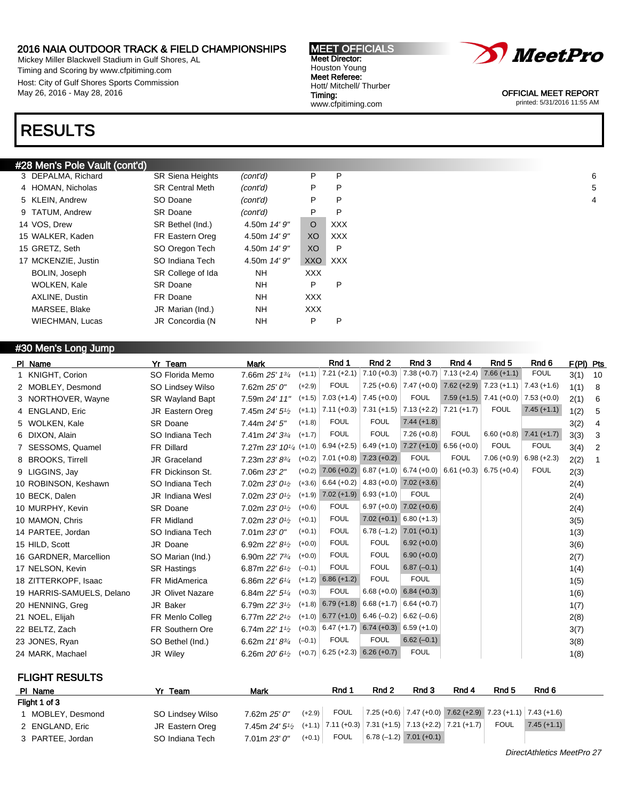Mickey Miller Blackwell Stadium in Gulf Shores, AL Timing and Scoring by www.cfpitiming.com Host: City of Gulf Shores Sports Commission May 26, 2016 - May 28, 2016

### RESULTS

### #28 Men's Pole Vault (cont'd)

| 3 DEPALMA, Richard     | <b>SR Siena Heights</b> | (cont'd)     | P              | P          |
|------------------------|-------------------------|--------------|----------------|------------|
| 4 HOMAN, Nicholas      | <b>SR Central Meth</b>  | (cont'd)     | P              | P          |
| 5 KLEIN, Andrew        | SO Doane                | (cont'd)     | P              | P          |
| 9 TATUM, Andrew        | SR Doane                | (cont'd)     | P              | P          |
| 14 VOS, Drew           | SR Bethel (Ind.)        | 4.50m 14' 9" | $\circ$        | XXX        |
| 15 WALKER, Kaden       | FR Eastern Oreg         | 4.50m 14' 9" | X <sub>O</sub> | <b>XXX</b> |
| 15 GRETZ, Seth         | SO Oregon Tech          | 4.50m 14' 9" | XO             | P          |
| 17 MCKENZIE, Justin    | SO Indiana Tech         | 4.50m 14' 9" | <b>XXO</b>     | <b>XXX</b> |
| BOLIN, Joseph          | SR College of Ida       | NH.          | <b>XXX</b>     |            |
| WOLKEN, Kale           | <b>SR Doane</b>         | NH.          | P              | P          |
| AXLINE, Dustin         | FR Doane                | NH           | XXX            |            |
| MARSEE, Blake          | JR Marian (Ind.)        | NH.          | <b>XXX</b>     |            |
| <b>WIECHMAN, Lucas</b> | JR Concordia (N         | <b>NH</b>    | P              | P          |

### #30 Men's Long Jump

| PI Name                   | Yr Team                 | <b>Mark</b>                             |          | Rnd 1                                 | Rnd 2         | Rnd 3                                             | Rnd 4                     | Rnd 5                                 | Rnd 6         | F(PI) Pts |              |
|---------------------------|-------------------------|-----------------------------------------|----------|---------------------------------------|---------------|---------------------------------------------------|---------------------------|---------------------------------------|---------------|-----------|--------------|
| 1 KNIGHT, Corion          | SO Florida Memo         | 7.66m 25' 13/4                          | $(+1.1)$ | $7.21 (+2.1)$ 7.10 (+0.3)             |               | $7.38(+0.7)$                                      | $7.13 (+2.4)$             | $7.66(+1.1)$                          | <b>FOUL</b>   | 3(1)      | 10           |
| 2 MOBLEY, Desmond         | SO Lindsey Wilso        | 7.62m 25' 0"                            | $(+2.9)$ | <b>FOUL</b>                           | $7.25 (+0.6)$ | $7.47 (+0.0)$                                     |                           | $7.62 (+2.9)$ 7.23 (+1.1) 7.43 (+1.6) |               | 1(1)      | 8            |
| 3 NORTHOVER, Wayne        | <b>SR Wayland Bapt</b>  | 7.59m 24' 11"                           | $(+1.5)$ | $ 7.03 (+1.4)   7.45 (+0.0)$          |               | <b>FOUL</b>                                       |                           | $7.59 (+1.5)$ $7.41 (+0.0)$           | $7.53 (+0.0)$ | 2(1)      | 6            |
| 4 ENGLAND, Eric           | <b>JR Eastern Oreg</b>  | 7.45m 24' 5 <sup>1</sup> / <sub>2</sub> | $(+1.1)$ | $7.11 (+0.3)$ 7.31 (+1.5)             |               | $7.13 (+2.2)$ 7.21 (+1.7)                         |                           | <b>FOUL</b>                           | $7.45 (+1.1)$ | 1(2)      | 5            |
| 5 WOLKEN, Kale            | <b>SR Doane</b>         | 7.44m 24' 5"                            | $(+1.8)$ | <b>FOUL</b>                           | <b>FOUL</b>   | $7.44 (+1.8)$                                     |                           |                                       |               | 3(2)      | 4            |
| 6 DIXON, Alain            | SO Indiana Tech         | 7.41m 24' 33/4                          | $(+1.7)$ | <b>FOUL</b>                           | <b>FOUL</b>   | $7.26 (+0.8)$                                     | <b>FOUL</b>               | $6.60 (+0.8)$ 7.41 (+1.7)             |               | 3(3)      | 3            |
| 7 SESSOMS, Quamel         | <b>FR Dillard</b>       | 7.27m 23' 101/4 (+1.0)                  |          |                                       |               | $6.94 (+2.5)$ 6.49 (+1.0) 7.27 (+1.0) 6.56 (+0.0) |                           | <b>FOUL</b>                           | <b>FOUL</b>   | 3(4)      | 2            |
| 8 BROOKS, Tirrell         | JR Graceland            | 7.23m 23' 83/4                          | $(+0.2)$ | $7.01 (+0.8)$ $7.23 (+0.2)$           |               | <b>FOUL</b>                                       | <b>FOUL</b>               | $7.06 (+0.9)$ 6.98 (+2.3)             |               | 2(2)      | $\mathbf{1}$ |
| 9 LIGGINS, Jay            | FR Dickinson St.        | 7.06m 23' 2"                            | $(+0.2)$ | $7.06 (+0.2) 6.87 (+1.0)$             |               |                                                   | $6.74 (+0.0)$ 6.61 (+0.3) | $6.75(+0.4)$                          | <b>FOUL</b>   | 2(3)      |              |
| 10 ROBINSON, Keshawn      | SO Indiana Tech         | 7.02m 23' 0 <sup>1</sup> / <sub>2</sub> | $(+3.6)$ | $6.64 (+0.2)$ 4.83 (+0.0) 7.02 (+3.6) |               |                                                   |                           |                                       |               | 2(4)      |              |
| 10 BECK, Dalen            | <b>JR</b> Indiana Wesl  | 7.02m 23' 0 <sup>1</sup> /2             | $(+1.9)$ | $7.02 (+1.9) 6.93 (+1.0)$             |               | <b>FOUL</b>                                       |                           |                                       |               | 2(4)      |              |
| 10 MURPHY, Kevin          | <b>SR Doane</b>         | 7.02m 23' 0 <sup>1/2</sup>              | $(+0.6)$ | <b>FOUL</b>                           |               | $6.97 (+0.0)$ 7.02 $(+0.6)$                       |                           |                                       |               | 2(4)      |              |
| 10 MAMON, Chris           | <b>FR Midland</b>       | 7.02m 23' 0 <sup>1/2</sup>              | $(+0.1)$ | <b>FOUL</b>                           | $7.02 (+0.1)$ | $6.80 (+1.3)$                                     |                           |                                       |               | 3(5)      |              |
| 14 PARTEE, Jordan         | SO Indiana Tech         | 7.01m 23'0''                            | $(+0.1)$ | <b>FOUL</b>                           | $6.78(-1.2)$  | $7.01 (+0.1)$                                     |                           |                                       |               | 1(3)      |              |
| 15 HILD, Scott            | JR Doane                | 6.92m 22' 8 <sup>1/2</sup>              | $(+0.0)$ | <b>FOUL</b>                           | <b>FOUL</b>   | $6.92 (+0.0)$                                     |                           |                                       |               | 3(6)      |              |
| 16 GARDNER, Marcellion    | SO Marian (Ind.)        | 6.90m 22' 73/4                          | $(+0.0)$ | <b>FOUL</b>                           | <b>FOUL</b>   | $6.90 (+0.0)$                                     |                           |                                       |               | 2(7)      |              |
| 17 NELSON, Kevin          | <b>SR Hastings</b>      | 6.87m 22' 6 <sup>1</sup> / <sub>2</sub> | $(-0.1)$ | <b>FOUL</b>                           | <b>FOUL</b>   | $6.87(-0.1)$                                      |                           |                                       |               | 1(4)      |              |
| 18 ZITTERKOPF, Isaac      | <b>FR MidAmerica</b>    | 6.86m 22' 61/4                          | $(+1.2)$ | $6.86 (+1.2)$                         | <b>FOUL</b>   | <b>FOUL</b>                                       |                           |                                       |               | 1(5)      |              |
| 19 HARRIS-SAMUELS, Delano | <b>JR Olivet Nazare</b> | 6.84m 22' 51/4                          | $(+0.3)$ | <b>FOUL</b>                           |               | $6.68 (+0.0) 6.84 (+0.3)$                         |                           |                                       |               | 1(6)      |              |
| 20 HENNING, Greg          | JR Baker                | 6.79m 22' 3 <sup>1</sup> / <sub>2</sub> |          | $(+1.8)$ 6.79 $(+1.8)$ 6.68 $(+1.7)$  |               | $6.64 (+0.7)$                                     |                           |                                       |               | 1(7)      |              |
| 21 NOEL, Elijah           | FR Menlo Colleg         | 6.77m 22' 21/2                          |          | $(+1.0)$ 6.77 $(+1.0)$ 6.46 $(-0.2)$  |               | $6.62(-0.6)$                                      |                           |                                       |               | 2(8)      |              |
| 22 BELTZ, Zach            | <b>FR Southern Ore</b>  | 6.74m 22' 11/2                          | $(+0.3)$ | $6.47 (+1.7) 6.74 (+0.3) 6.59 (+1.0)$ |               |                                                   |                           |                                       |               | 3(7)      |              |
| 23 JONES, Ryan            | SO Bethel (Ind.)        | 6.62m 21'83/4                           | $(-0.1)$ | <b>FOUL</b>                           | <b>FOUL</b>   | $6.62(-0.1)$                                      |                           |                                       |               | 3(8)      |              |
| 24 MARK, Machael          | JR Wiley                | 6.26m $20'61/2$                         |          | $(+0.7)$ 6.25 $(+2.3)$ 6.26 $(+0.7)$  |               | <b>FOUL</b>                                       |                           |                                       |               | 1(8)      |              |

MEET OFFICIALS Meet Director: Houston Young Meet Referee: Hott/ Mitchell/ Thurber

www.cfpitiming.com

Timing:

FLIGHT RESULTS

| PI Name           | Yr Team          | Mark                                                                      |          | Rnd 1 | Rnd 2                    | Rnd 3 | Rnd 4                                                            | Rnd 5 | Rnd 6         |
|-------------------|------------------|---------------------------------------------------------------------------|----------|-------|--------------------------|-------|------------------------------------------------------------------|-------|---------------|
| Flight 1 of 3     |                  |                                                                           |          |       |                          |       |                                                                  |       |               |
| 1 MOBLEY, Desmond | SO Lindsey Wilso | 7.62m <i>25' 0"</i>                                                       | $(+2.9)$ |       |                          |       | FOUL 7.25 (+0.6) 7.47 (+0.0) 7.62 (+2.9) 7.23 (+1.1) 7.43 (+1.6) |       |               |
| 2 ENGLAND, Eric   | JR Eastern Oreg  | 7.45m $24'5^{1/2}$ (+1.1) 7.11 (+0.3) 7.31 (+1.5) 7.13 (+2.2) 7.21 (+1.7) |          |       |                          |       |                                                                  | FOUL  | $7.45 (+1.1)$ |
| 3 PARTEE, Jordan  | SO Indiana Tech  | 7.01m <i>23' 0"</i>                                                       | $(+0.1)$ | FOUL  | $6.78(-1.2)$ 7.01 (+0.1) |       |                                                                  |       |               |



OFFICIAL MEET REPORT

printed: 5/31/2016 11:55 AM

DirectAthletics MeetPro 27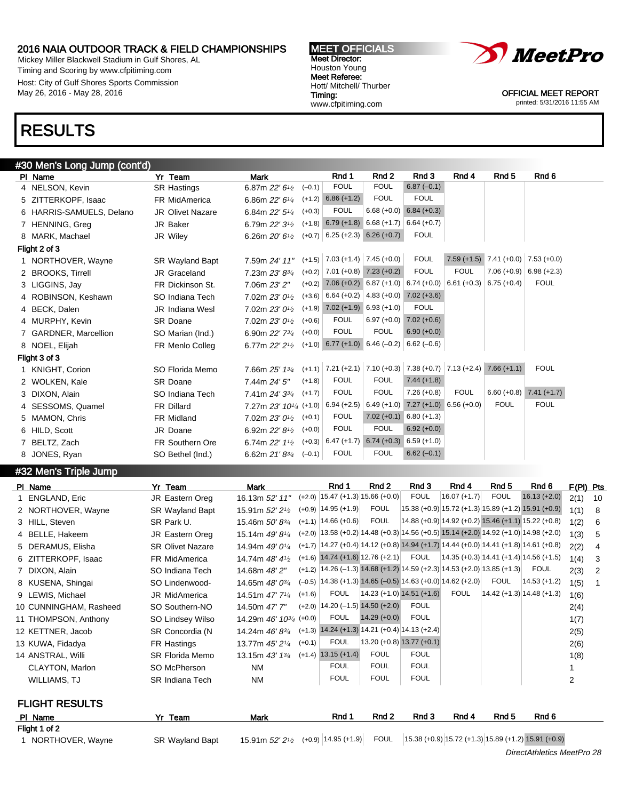Mickey Miller Blackwell Stadium in Gulf Shores, AL Timing and Scoring by www.cfpitiming.com Host: City of Gulf Shores Sports Commission May 26, 2016 - May 28, 2016





OFFICIAL MEET REPORT printed: 5/31/2016 11:55 AM

### RESULTS

### #30 Men's Long Jump (cont'd)

| PI Name                  | Yr Team                 | <b>Mark</b>                             |          | Rnd 1                                | Rnd 2                     | Rnd 3                                                                          | Rnd 4                     | Rnd <sub>5</sub>                          | Rnd 6                     |
|--------------------------|-------------------------|-----------------------------------------|----------|--------------------------------------|---------------------------|--------------------------------------------------------------------------------|---------------------------|-------------------------------------------|---------------------------|
| 4 NELSON, Kevin          | <b>SR Hastings</b>      | 6.87m 22' 61/2                          | $(-0.1)$ | <b>FOUL</b>                          | <b>FOUL</b>               | $6.87(-0.1)$                                                                   |                           |                                           |                           |
| 5 ZITTERKOPF, Isaac      | FR MidAmerica           | 6.86m 22' 61/4                          | $(+1.2)$ | $6.86 (+1.2)$                        | <b>FOUL</b>               | <b>FOUL</b>                                                                    |                           |                                           |                           |
| 6 HARRIS-SAMUELS, Delano | <b>JR Olivet Nazare</b> | 6.84m 22' 51/4                          | $(+0.3)$ | <b>FOUL</b>                          | $6.68 (+0.0)$             | $6.84 (+0.3)$                                                                  |                           |                                           |                           |
| 7 HENNING, Greg          | JR Baker                | 6.79m 22' 3 <sup>1</sup> / <sub>2</sub> |          | $(+1.8)$ 6.79 $(+1.8)$ 6.68 $(+1.7)$ |                           | $6.64 (+0.7)$                                                                  |                           |                                           |                           |
| 8 MARK, Machael          | JR Wiley                | 6.26m $20'6_{1/2}$                      |          | $(+0.7)$ 6.25 (+2.3) 6.26 (+0.7)     |                           | <b>FOUL</b>                                                                    |                           |                                           |                           |
| Flight 2 of 3            |                         |                                         |          |                                      |                           |                                                                                |                           |                                           |                           |
| 1 NORTHOVER, Wayne       | <b>SR Wayland Bapt</b>  | 7.59m 24' 11"                           |          | $(+1.5)$ 7.03 $(+1.4)$ 7.45 $(+0.0)$ |                           | <b>FOUL</b>                                                                    |                           | $7.59 (+1.5)$ $7.41 (+0.0)$ $7.53 (+0.0)$ |                           |
| 2 BROOKS, Tirrell        | JR Graceland            | 7.23m 23' 83/4                          | $(+0.2)$ | $7.01 (+0.8)$ $7.23 (+0.2)$          |                           | <b>FOUL</b>                                                                    | <b>FOUL</b>               | $7.06 (+0.9)$                             | $6.98 (+2.3)$             |
| 3 LIGGINS, Jay           | FR Dickinson St.        | 7.06m 23' 2"                            | $(+0.2)$ |                                      | $7.06 (+0.2) 6.87 (+1.0)$ | $  6.74 (+0.0)  $                                                              | $6.61 (+0.3)$ 6.75 (+0.4) |                                           | <b>FOUL</b>               |
| 4 ROBINSON, Keshawn      | SO Indiana Tech         | 7.02m 23' 0 <sup>1/2</sup>              | $(+3.6)$ | $6.64 (+0.2)$ 4.83 (+0.0)            |                           | $7.02 (+3.6)$                                                                  |                           |                                           |                           |
| 4 BECK, Dalen            | <b>JR</b> Indiana Wesl  | 7.02m 23' 0 <sup>1/2</sup>              | $(+1.9)$ | $7.02 (+1.9) 6.93 (+1.0)$            |                           | <b>FOUL</b>                                                                    |                           |                                           |                           |
| 4 MURPHY, Kevin          | <b>SR Doane</b>         | 7.02m 23' 0 <sup>1/2</sup>              | $(+0.6)$ | <b>FOUL</b>                          | $6.97 (+0.0)$             | $7.02 (+0.6)$                                                                  |                           |                                           |                           |
| 7 GARDNER, Marcellion    | SO Marian (Ind.)        | 6.90m 22' 73/4                          | $(+0.0)$ | <b>FOUL</b>                          | <b>FOUL</b>               | $6.90 (+0.0)$                                                                  |                           |                                           |                           |
| 8 NOEL, Elijah           | FR Menlo Colleg         | 6.77m 22' 2 <sup>1/2</sup>              |          | $(+1.0)$ 6.77 $(+1.0)$ 6.46 $(-0.2)$ |                           | $6.62(-0.6)$                                                                   |                           |                                           |                           |
| Flight 3 of 3            |                         |                                         |          |                                      |                           |                                                                                |                           |                                           |                           |
| 1 KNIGHT, Corion         | SO Florida Memo         | 7.66m 25' 13/4                          |          |                                      |                           | $(+1.1)$ 7.21 $(+2.1)$ 7.10 $(+0.3)$ 7.38 $(+0.7)$ 7.13 $(+2.4)$ 7.66 $(+1.1)$ |                           |                                           | <b>FOUL</b>               |
| 2 WOLKEN, Kale           | <b>SR Doane</b>         | 7.44m 24' 5"                            | $(+1.8)$ | <b>FOUL</b>                          | <b>FOUL</b>               | $7.44 (+1.8)$                                                                  |                           |                                           |                           |
| 3 DIXON, Alain           | SO Indiana Tech         | 7.41m 24' 33/4                          | $(+1.7)$ | <b>FOUL</b>                          | <b>FOUL</b>               | $7.26(+0.8)$                                                                   | <b>FOUL</b>               |                                           | $6.60 (+0.8)$ 7.41 (+1.7) |
| 4 SESSOMS, Quamel        | FR Dillard              | 7.27m 23' 10 <sup>1/4</sup> (+1.0)      |          | $6.94 (+2.5)$                        | $6.49 (+1.0)$             | $7.27 (+1.0) 6.56 (+0.0)$                                                      |                           | <b>FOUL</b>                               | <b>FOUL</b>               |
| 5 MAMON, Chris           | <b>FR Midland</b>       | 7.02m $23'0^{1/2}$                      | $(+0.1)$ | <b>FOUL</b>                          | $7.02 (+0.1)$             | $6.80 (+1.3)$                                                                  |                           |                                           |                           |
| 6 HILD, Scott            | JR Doane                | 6.92m 22' 8 <sup>1/2</sup>              | $(+0.0)$ | <b>FOUL</b>                          | <b>FOUL</b>               | $6.92 (+0.0)$                                                                  |                           |                                           |                           |
| 7 BELTZ, Zach            | <b>FR Southern Ore</b>  | 6.74m 22' 11/2                          | $(+0.3)$ | $6.47 (+1.7)$                        | $6.74 (+0.3)$             | $6.59(+1.0)$                                                                   |                           |                                           |                           |
| 8 JONES, Ryan            | SO Bethel (Ind.)        | 6.62m 21'83/4                           | $(-0.1)$ | <b>FOUL</b>                          | <b>FOUL</b>               | $6.62(-0.1)$                                                                   |                           |                                           |                           |

### #32 Men's Triple Jump

| PI Name                | Yr Team                 | Mark                                     |          | Rnd 1                                                                                              | Rnd 2                       | Rnd 3       | Rnd 4          | Rnd 5                                                   | Rnd 6          | $F(PI)$ Pts |    |
|------------------------|-------------------------|------------------------------------------|----------|----------------------------------------------------------------------------------------------------|-----------------------------|-------------|----------------|---------------------------------------------------------|----------------|-------------|----|
| 1 ENGLAND, Eric        | JR Eastern Oreg         | 16.13m 52' 11"                           |          | $(+2.0)$   15.47 (+1.3)  15.66 (+0.0)                                                              |                             | <b>FOUL</b> | $16.07 (+1.7)$ | <b>FOUL</b>                                             | $16.13 (+2.0)$ | 2(1)        | 10 |
| 2 NORTHOVER, Wayne     | <b>SR Wayland Bapt</b>  | 15.91m $52'2'2$                          |          | $(+0.9)$   14.95 $(+1.9)$                                                                          | <b>FOUL</b>                 |             |                | $(15.38 (+0.9) 15.72 (+1.3) 15.89 (+1.2) 15.91 (+0.9))$ |                | 1(1)        | 8  |
| 3 HILL, Steven         | SR Park U.              | 15.46m 50'83/4                           |          | $(+1.1)$   14.66 $(+0.6)$                                                                          | <b>FOUL</b>                 |             |                | 14.88 (+0.9) 14.92 (+0.2) 15.46 (+1.1) 15.22 (+0.8)     |                | 1(2)        | -6 |
| 4 BELLE, Hakeem        | JR Eastern Oreg         | 15.14m 49' 8 <sup>1/4</sup>              |          | $(+2.0)$   13.58 (+0.2)   14.48 (+0.3)   14.56 (+0.5) 15.14 (+2.0) 14.92 (+1.0)   14.98 (+2.0)     |                             |             |                |                                                         |                | 1(3)        | -5 |
| 5 DERAMUS, Elisha      | <b>SR Olivet Nazare</b> | 14.94m 49' 0 <sup>1/4</sup>              |          | $(+1.7)$   14.27 (+0.4)   14.12 (+0.8)   14.94 (+1.7)   14.44 (+0.0)   14.41 (+1.8)   14.61 (+0.8) |                             |             |                |                                                         |                | 2(2)        | 4  |
| 6 ZITTERKOPF, Isaac    | FR MidAmerica           | 14.74m $48'4\frac{1}{2}$                 |          | $(+1.6)$ 14.74 $(+1.6)$ 12.76 $(+2.1)$                                                             |                             | FOUL        |                | $ 14.35(+0.3) 14.41(+1.4) 14.56(+1.5)$                  |                | 1(4)        | 3  |
| 7 DIXON, Alain         | SO Indiana Tech         | 14.68m 48' 2"                            |          | $(+1.2)$ 14.26 (-1.3) 14.68 (+1.2) 14.59 (+2.3) 14.53 (+2.0) 13.85 (+1.3)                          |                             |             |                |                                                         | FOUL           | 2(3)        | 2  |
| 8 KUSENA, Shingai      | SO Lindenwood-          | 14.65m $48'0^{3}/4$                      |          | $(-0.5)$ 14.38 (+1.3) 14.65 (-0.5) 14.63 (+0.0) 14.62 (+2.0)                                       |                             |             |                | <b>FOUL</b>                                             | $14.53 (+1.2)$ | 1(5)        | -1 |
| 9 LEWIS, Michael       | <b>JR MidAmerica</b>    | 14.51m 47' 7 <sup>1</sup> / <sub>4</sub> | $(+1.6)$ | <b>FOUL</b>                                                                                        | $14.23 (+1.0) 14.51 (+1.6)$ |             | <b>FOUL</b>    | $ 14.42 (+1.3) 14.48 (+1.3) $                           |                | 1(6)        |    |
| 10 CUNNINGHAM, Rasheed | SO Southern-NO          | 14.50m 47' 7"                            |          | $(+2.0)$   14.20 (-1.5) 14.50 (+2.0)                                                               |                             | <b>FOUL</b> |                |                                                         |                | 2(4)        |    |
| 11 THOMPSON, Anthony   | SO Lindsey Wilso        | 14.29m $46'$ $10^{3/4}$ $(+0.0)$         |          | <b>FOUL</b>                                                                                        | $14.29 (+0.0)$              | <b>FOUL</b> |                |                                                         |                | 1(7)        |    |
| 12 KETTNER, Jacob      | SR Concordia (N         | 14.24m $46' 8^{3/4}$                     |          | $(+1.3)$ 14.24 $(+1.3)$ 14.21 $(+0.4)$ 14.13 $(+2.4)$                                              |                             |             |                |                                                         |                | 2(5)        |    |
| 13 KUWA, Fidadya       | FR Hastings             | 13.77m 45' 21/4                          | $(+0.1)$ | <b>FOUL</b>                                                                                        | $13.20 (+0.8) 13.77 (+0.1)$ |             |                |                                                         |                | 2(6)        |    |
| 14 ANSTRAL, Willi      | SR Florida Memo         | 13.15m $43'$ $1\frac{3}{4}$              |          | $(+1.4)$ 13.15 $(+1.4)$                                                                            | <b>FOUL</b>                 | <b>FOUL</b> |                |                                                         |                | 1(8)        |    |
| CLAYTON, Marlon        | SO McPherson            | <b>NM</b>                                |          | <b>FOUL</b>                                                                                        | <b>FOUL</b>                 | <b>FOUL</b> |                |                                                         |                |             |    |
| WILLIAMS, TJ           | <b>SR Indiana Tech</b>  | <b>NM</b>                                |          | <b>FOUL</b>                                                                                        | <b>FOUL</b>                 | <b>FOUL</b> |                |                                                         |                | 2           |    |

### FLIGHT RESULTS

| PI Name          | Team                   | <b>Mark</b>                                        | Rnd 1 | Rnd 2 | Rnd 3 | Rnd 4 | Rnd 5 | Rnd 6                                                  |
|------------------|------------------------|----------------------------------------------------|-------|-------|-------|-------|-------|--------------------------------------------------------|
| Flight 1 of 2    |                        |                                                    |       |       |       |       |       |                                                        |
| NORTHOVER, Wayne | <b>SR Wavland Bapt</b> | 15.91m $52'$ $2^{1/2}$ (+0.9) $ 14.95$ (+1.9) FOUL |       |       |       |       |       | $(15.38 (+0.9) 15.72 (+1.3) 15.89 (+1.2) 15.91 (+0.9)$ |
|                  |                        |                                                    |       |       |       |       |       | DirectAthletics MeetPro 28                             |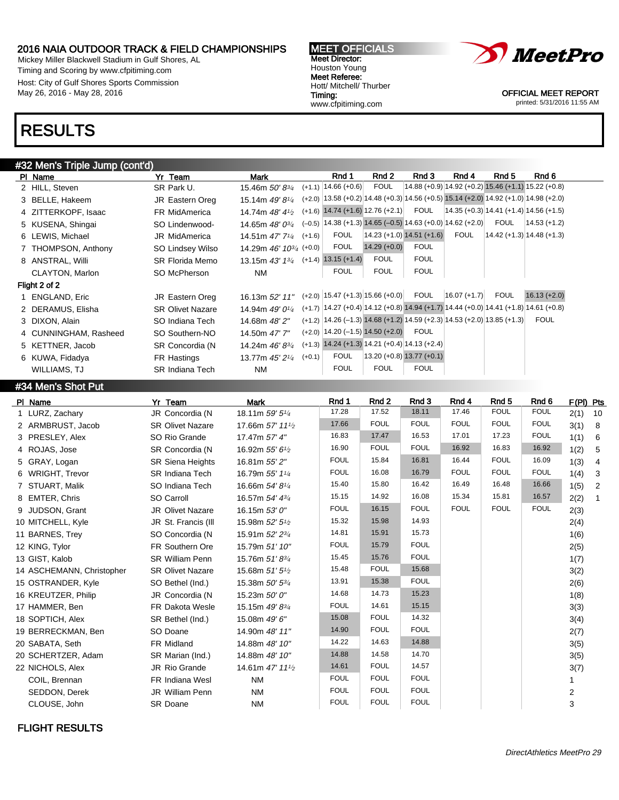Mickey Miller Blackwell Stadium in Gulf Shores, AL Timing and Scoring by www.cfpitiming.com Host: City of Gulf Shores Sports Commission May 26, 2016 - May 28, 2016





OFFICIAL MEET REPORT printed: 5/31/2016 11:55 AM

### RESULTS

#### #32 Men's Triple Jump (cont'd)

| PI Name               | Yr Team                 | Mark                                  |          | Rnd 1                                                                                              | Rnd 2          | Rnd 3                                               | Rnd 4          | Rnd 5       | Rnd 6                                      |
|-----------------------|-------------------------|---------------------------------------|----------|----------------------------------------------------------------------------------------------------|----------------|-----------------------------------------------------|----------------|-------------|--------------------------------------------|
| 2 HILL, Steven        | SR Park U.              | 15.46m 50'83/4                        |          | $(+1.1)$   14.66 $(+0.6)$                                                                          | <b>FOUL</b>    | 14.88 (+0.9) 14.92 (+0.2) 15.46 (+1.1) 15.22 (+0.8) |                |             |                                            |
| 3 BELLE, Hakeem       | JR Eastern Oreg         | 15.14m 49' 81/4                       |          | $(+2.0)$ 13.58 (+0.2) 14.48 (+0.3) 14.56 (+0.5) 15.14 (+2.0) 14.92 (+1.0) 14.98 (+2.0)             |                |                                                     |                |             |                                            |
| 4 ZITTERKOPF, Isaac   | FR MidAmerica           | 14.74m 48' 41/2                       | $(+1.6)$ | $14.74 (+1.6) 12.76 (+2.1)$                                                                        |                | <b>FOUL</b>                                         |                |             | $(14.35 (+0.3) 14.41 (+1.4) 14.56 (+1.5))$ |
| 5 KUSENA, Shingai     | SO Lindenwood-          | 14.65m $48'0^{3}/_4$                  | $(-0.5)$ | $14.38 (+1.3) 14.65 (-0.5) 14.63 (+0.0) 14.62 (+2.0)$                                              |                |                                                     |                | <b>FOUL</b> | 14.53 (+1.2)                               |
| 6 LEWIS, Michael      | <b>JR MidAmerica</b>    | 14.51m $47'$ $7^{1/4}$ $(+1.6)$       |          | <b>FOUL</b>                                                                                        |                | $14.23 (+1.0) 14.51 (+1.6)$                         | <b>FOUL</b>    |             | $ 14.42 (+1.3) 14.48 (+1.3) $              |
| 7 THOMPSON, Anthony   | SO Lindsey Wilso        | 14.29m $46'$ 10 <sup>3/4</sup> (+0.0) |          | <b>FOUL</b>                                                                                        | $14.29 (+0.0)$ | <b>FOUL</b>                                         |                |             |                                            |
| 8 ANSTRAL, Willi      | SR Florida Memo         | 13.15m $43'$ $13'$ $(+1.4)$           |          | $13.15 (+1.4)$                                                                                     | <b>FOUL</b>    | <b>FOUL</b>                                         |                |             |                                            |
| CLAYTON, Marlon       | SO McPherson            | NM                                    |          | <b>FOUL</b>                                                                                        | <b>FOUL</b>    | <b>FOUL</b>                                         |                |             |                                            |
| Flight 2 of 2         |                         |                                       |          |                                                                                                    |                |                                                     |                |             |                                            |
| 1 ENGLAND, Eric       | JR Eastern Oreg         | 16.13m 52' 11"                        |          | $(+2.0)$   15.47 (+1.3)   15.66 (+0.0)                                                             |                | <b>FOUL</b>                                         | $16.07 (+1.7)$ | <b>FOUL</b> | $16.13 (+2.0)$                             |
| 2 DERAMUS, Elisha     | <b>SR Olivet Nazare</b> | 14.94m $49'0\frac{1}{4}$              |          | $(+1.7)$ 14.27 $(+0.4)$ 14.12 $(+0.8)$ 14.94 $(+1.7)$ 14.44 $(+0.0)$ 14.41 $(+1.8)$ 14.61 $(+0.8)$ |                |                                                     |                |             |                                            |
| 3 DIXON, Alain        | SO Indiana Tech         | 14.68m 48' 2"                         |          | $(+1.2)$ 14.26 (-1.3) 14.68 (+1.2) 14.59 (+2.3) 14.53 (+2.0) 13.85 (+1.3)                          |                |                                                     |                |             | <b>FOUL</b>                                |
| 4 CUNNINGHAM, Rasheed | SO Southern-NO          | 14.50m 47' 7"                         |          | $(+2.0)$   14.20 (-1.5) 14.50 (+2.0)                                                               |                | <b>FOUL</b>                                         |                |             |                                            |
| 5 KETTNER, Jacob      | SR Concordia (N         | 14.24m $46'8^{3/4}$                   | $(+1.3)$ | $14.24$ (+1.3) 14.21 (+0.4) 14.13 (+2.4)                                                           |                |                                                     |                |             |                                            |
| 6 KUWA, Fidadya       | FR Hastings             | 13.77m 45' 21/4                       | $(+0.1)$ | <b>FOUL</b>                                                                                        |                | $13.20 (+0.8) 13.77 (+0.1)$                         |                |             |                                            |
| WILLIAMS, TJ          | <b>SR Indiana Tech</b>  | <b>NM</b>                             |          | <b>FOUL</b>                                                                                        | <b>FOUL</b>    | <b>FOUL</b>                                         |                |             |                                            |

#### #34 Men's Shot Put

| PI Name          |                           | Yr Team                 | <b>Mark</b>                               | Rnd 1       | Rnd 2       | Rnd 3       | Rnd 4       | Rnd <sub>5</sub> | Rnd 6       | F(PI) Pts      |                |
|------------------|---------------------------|-------------------------|-------------------------------------------|-------------|-------------|-------------|-------------|------------------|-------------|----------------|----------------|
|                  | 1 LURZ, Zachary           | JR Concordia (N         | 18.11m 59' 5 <sup>1/4</sup>               | 17.28       | 17.52       | 18.11       | 17.46       | <b>FOUL</b>      | <b>FOUL</b> | 2(1)           | 10             |
|                  | 2 ARMBRUST, Jacob         | <b>SR Olivet Nazare</b> | 17.66m 57' 11 <sup>1</sup> / <sub>2</sub> | 17.66       | <b>FOUL</b> | <b>FOUL</b> | <b>FOUL</b> | <b>FOUL</b>      | <b>FOUL</b> | 3(1)           | 8              |
|                  | 3 PRESLEY, Alex           | SO Rio Grande           | 17.47m 57' 4"                             | 16.83       | 17.47       | 16.53       | 17.01       | 17.23            | <b>FOUL</b> | 1(1)           | 6              |
| 4 ROJAS, Jose    |                           | SR Concordia (N         | 16.92m 55' 6 <sup>1</sup> /2              | 16.90       | <b>FOUL</b> | <b>FOUL</b> | 16.92       | 16.83            | 16.92       | 1(2)           | 5              |
| 5 GRAY, Logan    |                           | <b>SR Siena Heights</b> | 16.81m 55' 2"                             | <b>FOUL</b> | 15.84       | 16.81       | 16.44       | <b>FOUL</b>      | 16.09       | 1(3)           | $\overline{4}$ |
|                  | 6 WRIGHT, Trevor          | <b>SR Indiana Tech</b>  | 16.79m 55' 11/4                           | <b>FOUL</b> | 16.08       | 16.79       | <b>FOUL</b> | <b>FOUL</b>      | <b>FOUL</b> | 1(4)           | 3              |
|                  | 7 STUART, Malik           | SO Indiana Tech         | 16.66m 54' 8 <sup>1</sup> / <sub>4</sub>  | 15.40       | 15.80       | 16.42       | 16.49       | 16.48            | 16.66       | 1(5)           | $\overline{2}$ |
| 8 EMTER, Chris   |                           | SO Carroll              | 16.57m 54' 43/4                           | 15.15       | 14.92       | 16.08       | 15.34       | 15.81            | 16.57       | 2(2)           | $\overline{1}$ |
|                  | 9 JUDSON, Grant           | <b>JR Olivet Nazare</b> | 16.15m 53' 0"                             | <b>FOUL</b> | 16.15       | <b>FOUL</b> | <b>FOUL</b> | <b>FOUL</b>      | <b>FOUL</b> | 2(3)           |                |
|                  | 10 MITCHELL, Kyle         | JR St. Francis (III     | 15.98m 52' 5 <sup>1</sup> / <sub>2</sub>  | 15.32       | 15.98       | 14.93       |             |                  |             | 2(4)           |                |
| 11 BARNES, Trey  |                           | SO Concordia (N         | 15.91m 52' 23/4                           | 14.81       | 15.91       | 15.73       |             |                  |             | 1(6)           |                |
| 12 KING, Tylor   |                           | FR Southern Ore         | 15.79m 51' 10"                            | <b>FOUL</b> | 15.79       | <b>FOUL</b> |             |                  |             | 2(5)           |                |
| 13 GIST, Kalob   |                           | <b>SR William Penn</b>  | 15.76m 51'834                             | 15.45       | 15.76       | <b>FOUL</b> |             |                  |             | 1(7)           |                |
|                  | 14 ASCHEMANN, Christopher | <b>SR Olivet Nazare</b> | 15.68m 51' 5 <sup>1</sup> / <sub>2</sub>  | 15.48       | <b>FOUL</b> | 15.68       |             |                  |             | 3(2)           |                |
|                  | 15 OSTRANDER, Kyle        | SO Bethel (Ind.)        | 15.38m 50' 53/4                           | 13.91       | 15.38       | <b>FOUL</b> |             |                  |             | 2(6)           |                |
|                  | 16 KREUTZER, Philip       | JR Concordia (N         | 15.23m 50' 0"                             | 14.68       | 14.73       | 15.23       |             |                  |             | 1(8)           |                |
| 17 HAMMER, Ben   |                           | <b>FR Dakota Wesle</b>  | 15.15m 49' 83/4                           | <b>FOUL</b> | 14.61       | 15.15       |             |                  |             | 3(3)           |                |
| 18 SOPTICH, Alex |                           | SR Bethel (Ind.)        | 15.08m 49' 6"                             | 15.08       | <b>FOUL</b> | 14.32       |             |                  |             | 3(4)           |                |
|                  | 19 BERRECKMAN, Ben        | SO Doane                | 14.90m 48' 11"                            | 14.90       | <b>FOUL</b> | <b>FOUL</b> |             |                  |             | 2(7)           |                |
| 20 SABATA, Seth  |                           | FR Midland              | 14.88m 48' 10"                            | 14.22       | 14.63       | 14.88       |             |                  |             | 3(5)           |                |
|                  | 20 SCHERTZER, Adam        | SR Marian (Ind.)        | 14.88m 48' 10"                            | 14.88       | 14.58       | 14.70       |             |                  |             | 3(5)           |                |
| 22 NICHOLS, Alex |                           | <b>JR Rio Grande</b>    | 14.61m 47' 11 <sup>1</sup> / <sub>2</sub> | 14.61       | <b>FOUL</b> | 14.57       |             |                  |             | 3(7)           |                |
|                  | COIL, Brennan             | FR Indiana Wesl         | <b>NM</b>                                 | <b>FOUL</b> | <b>FOUL</b> | <b>FOUL</b> |             |                  |             |                |                |
|                  | SEDDON, Derek             | JR William Penn         | <b>NM</b>                                 | <b>FOUL</b> | <b>FOUL</b> | <b>FOUL</b> |             |                  |             | $\overline{c}$ |                |
|                  | CLOUSE, John              | <b>SR Doane</b>         | <b>NM</b>                                 | <b>FOUL</b> | <b>FOUL</b> | <b>FOUL</b> |             |                  |             | 3              |                |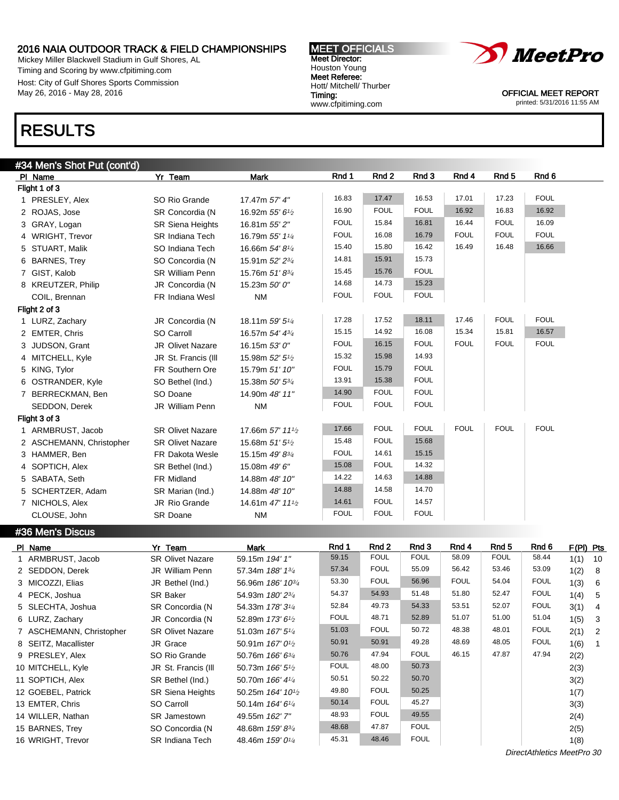Mickey Miller Blackwell Stadium in Gulf Shores, AL Timing and Scoring by www.cfpitiming.com Host: City of Gulf Shores Sports Commission May 26, 2016 - May 28, 2016

### RESULTS

| #34 Men's Shot Put (cont'd) |                         |                                           |             |             |             |             |                  |             |
|-----------------------------|-------------------------|-------------------------------------------|-------------|-------------|-------------|-------------|------------------|-------------|
| PI Name                     | Yr Team                 | <b>Mark</b>                               | Rnd 1       | Rnd 2       | Rnd 3       | Rnd 4       | Rnd <sub>5</sub> | Rnd 6       |
| Flight 1 of 3               |                         |                                           |             |             |             |             |                  |             |
| 1 PRESLEY, Alex             | SO Rio Grande           | 17.47m 57' 4"                             | 16.83       | 17.47       | 16.53       | 17.01       | 17.23            | <b>FOUL</b> |
| 2 ROJAS, Jose               | SR Concordia (N         | 16.92m 55' 61/2                           | 16.90       | <b>FOUL</b> | <b>FOUL</b> | 16.92       | 16.83            | 16.92       |
| 3 GRAY, Logan               | <b>SR Siena Heights</b> | 16.81m 55' 2"                             | <b>FOUL</b> | 15.84       | 16.81       | 16.44       | <b>FOUL</b>      | 16.09       |
| 4 WRIGHT, Trevor            | <b>SR Indiana Tech</b>  | 16.79m 55' 11/4                           | <b>FOUL</b> | 16.08       | 16.79       | <b>FOUL</b> | <b>FOUL</b>      | <b>FOUL</b> |
| 5 STUART, Malik             | SO Indiana Tech         | 16.66m 54' 81/4                           | 15.40       | 15.80       | 16.42       | 16.49       | 16.48            | 16.66       |
| 6 BARNES, Trey              | SO Concordia (N         | 15.91m 52' 23/4                           | 14.81       | 15.91       | 15.73       |             |                  |             |
| 7 GIST, Kalob               | <b>SR William Penn</b>  | 15.76m 51'83/4                            | 15.45       | 15.76       | <b>FOUL</b> |             |                  |             |
| 8 KREUTZER, Philip          | JR Concordia (N         | 15.23m 50' 0"                             | 14.68       | 14.73       | 15.23       |             |                  |             |
| COIL, Brennan               | FR Indiana Wesl         | <b>NM</b>                                 | <b>FOUL</b> | <b>FOUL</b> | <b>FOUL</b> |             |                  |             |
| Flight 2 of 3               |                         |                                           |             |             |             |             |                  |             |
| 1 LURZ, Zachary             | JR Concordia (N         | 18.11m 59' 51/4                           | 17.28       | 17.52       | 18.11       | 17.46       | <b>FOUL</b>      | <b>FOUL</b> |
| 2 EMTER, Chris              | SO Carroll              | 16.57m 54' 43/4                           | 15.15       | 14.92       | 16.08       | 15.34       | 15.81            | 16.57       |
| 3 JUDSON, Grant             | <b>JR Olivet Nazare</b> | 16.15m 53' 0"                             | <b>FOUL</b> | 16.15       | <b>FOUL</b> | <b>FOUL</b> | <b>FOUL</b>      | <b>FOUL</b> |
| 4 MITCHELL, Kyle            | JR St. Francis (III     | 15.98m 52' 51/2                           | 15.32       | 15.98       | 14.93       |             |                  |             |
| 5 KING, Tylor               | FR Southern Ore         | 15.79m 51' 10"                            | <b>FOUL</b> | 15.79       | <b>FOUL</b> |             |                  |             |
| 6 OSTRANDER, Kyle           | SO Bethel (Ind.)        | 15.38m 50' 53/4                           | 13.91       | 15.38       | <b>FOUL</b> |             |                  |             |
| 7 BERRECKMAN, Ben           | SO Doane                | 14.90m 48' 11"                            | 14.90       | <b>FOUL</b> | <b>FOUL</b> |             |                  |             |
| SEDDON, Derek               | JR William Penn         | <b>NM</b>                                 | <b>FOUL</b> | <b>FOUL</b> | <b>FOUL</b> |             |                  |             |
| Flight 3 of 3               |                         |                                           |             |             |             |             |                  |             |
| 1 ARMBRUST, Jacob           | <b>SR Olivet Nazare</b> | 17.66m 57' 11 <sup>1</sup> / <sub>2</sub> | 17.66       | <b>FOUL</b> | <b>FOUL</b> | <b>FOUL</b> | <b>FOUL</b>      | <b>FOUL</b> |
| 2 ASCHEMANN, Christopher    | <b>SR Olivet Nazare</b> | 15.68m 51' 51/2                           | 15.48       | <b>FOUL</b> | 15.68       |             |                  |             |
| 3 HAMMER, Ben               | <b>FR Dakota Wesle</b>  | 15.15m 49' 83/4                           | <b>FOUL</b> | 14.61       | 15.15       |             |                  |             |
| 4 SOPTICH, Alex             | SR Bethel (Ind.)        | 15.08m 49' 6"                             | 15.08       | <b>FOUL</b> | 14.32       |             |                  |             |
| 5 SABATA, Seth              | FR Midland              | 14.88m 48' 10"                            | 14.22       | 14.63       | 14.88       |             |                  |             |
| 5 SCHERTZER, Adam           | SR Marian (Ind.)        | 14.88m 48' 10"                            | 14.88       | 14.58       | 14.70       |             |                  |             |
| 7 NICHOLS, Alex             | JR Rio Grande           | 14.61m 47' 111/2                          | 14.61       | <b>FOUL</b> | 14.57       |             |                  |             |
| CLOUSE, John                | SR Doane                | <b>NM</b>                                 | <b>FOUL</b> | <b>FOUL</b> | <b>FOUL</b> |             |                  |             |

#36 Men's Discus

| PI Name                  | Yr Team                 | Mark                                      | Rnd 1       | Rnd 2       | Rnd 3       | Rnd 4       | Rnd 5       | Rnd 6                      | $F(PI)$ Pts |                |
|--------------------------|-------------------------|-------------------------------------------|-------------|-------------|-------------|-------------|-------------|----------------------------|-------------|----------------|
| 1 ARMBRUST, Jacob        | <b>SR Olivet Nazare</b> | 59.15m 194' 1"                            | 59.15       | <b>FOUL</b> | <b>FOUL</b> | 58.09       | <b>FOUL</b> | 58.44                      | 1(1)        | 10             |
| 2 SEDDON, Derek          | <b>JR William Penn</b>  | 57.34m 188' 1 <sup>3/4</sup>              | 57.34       | <b>FOUL</b> | 55.09       | 56.42       | 53.46       | 53.09                      | 1(2)        | - 8            |
| 3 MICOZZI, Elias         | JR Bethel (Ind.)        | 56.96m 186' 10 <sup>3/4</sup>             | 53.30       | <b>FOUL</b> | 56.96       | <b>FOUL</b> | 54.04       | <b>FOUL</b>                | 1(3)        | - 6            |
| 4 PECK, Joshua           | <b>SR Baker</b>         | 54.93m 180' 23/4                          | 54.37       | 54.93       | 51.48       | 51.80       | 52.47       | <b>FOUL</b>                | 1(4)        | - 5            |
| 5 SLECHTA, Joshua        | SR Concordia (N         | 54.33m 178' 3 <sup>1/4</sup>              | 52.84       | 49.73       | 54.33       | 53.51       | 52.07       | <b>FOUL</b>                | 3(1)        | $\overline{4}$ |
| 6 LURZ, Zachary          | JR Concordia (N         | 52.89m 173' 6 <sup>1</sup> / <sub>2</sub> | <b>FOUL</b> | 48.71       | 52.89       | 51.07       | 51.00       | 51.04                      | 1(5)        | $\mathbf{3}$   |
| 7 ASCHEMANN, Christopher | <b>SR Olivet Nazare</b> | 51.03m $167'5''$                          | 51.03       | <b>FOUL</b> | 50.72       | 48.38       | 48.01       | <b>FOUL</b>                | 2(1)        | $\overline{2}$ |
| 8 SEITZ, Macallister     | JR Grace                | 50.91m $167'0\frac{1}{2}$                 | 50.91       | 50.91       | 49.28       | 48.69       | 48.05       | <b>FOUL</b>                | 1(6)        |                |
| 9 PRESLEY, Alex          | SO Rio Grande           | 50.76m $166'6^{3/4}$                      | 50.76       | 47.94       | <b>FOUL</b> | 46.15       | 47.87       | 47.94                      | 2(2)        |                |
| 10 MITCHELL, Kyle        | JR St. Francis (III     | 50.73m $166'5\frac{1}{2}$                 | <b>FOUL</b> | 48.00       | 50.73       |             |             |                            | 2(3)        |                |
| 11 SOPTICH, Alex         | SR Bethel (Ind.)        | 50.70m 166' 41/4                          | 50.51       | 50.22       | 50.70       |             |             |                            | 3(2)        |                |
| 12 GOEBEL, Patrick       | <b>SR Siena Heights</b> | 50.25m $164'$ $10\frac{1}{2}$             | 49.80       | <b>FOUL</b> | 50.25       |             |             |                            | 1(7)        |                |
| 13 EMTER, Chris          | SO Carroll              | 50.14m 164' 6 <sup>1/4</sup>              | 50.14       | <b>FOUL</b> | 45.27       |             |             |                            | 3(3)        |                |
| 14 WILLER, Nathan        | <b>SR</b> Jamestown     | 49.55m 162' 7"                            | 48.93       | <b>FOUL</b> | 49.55       |             |             |                            | 2(4)        |                |
| 15 BARNES, Trey          | SO Concordia (N         | 48.68m 159' 83/4                          | 48.68       | 47.87       | <b>FOUL</b> |             |             |                            | 2(5)        |                |
| 16 WRIGHT, Trevor        | <b>SR Indiana Tech</b>  | 48.46m $159'0^{1/4}$                      | 45.31       | 48.46       | <b>FOUL</b> |             |             |                            | 1(8)        |                |
|                          |                         |                                           |             |             |             |             |             | DirectAthletics MeetPro 30 |             |                |

MEET OFFICIALS Meet Director: Houston Young Meet Referee: Hott/ Mitchell/ Thurber Timing: www.cfpitiming.com

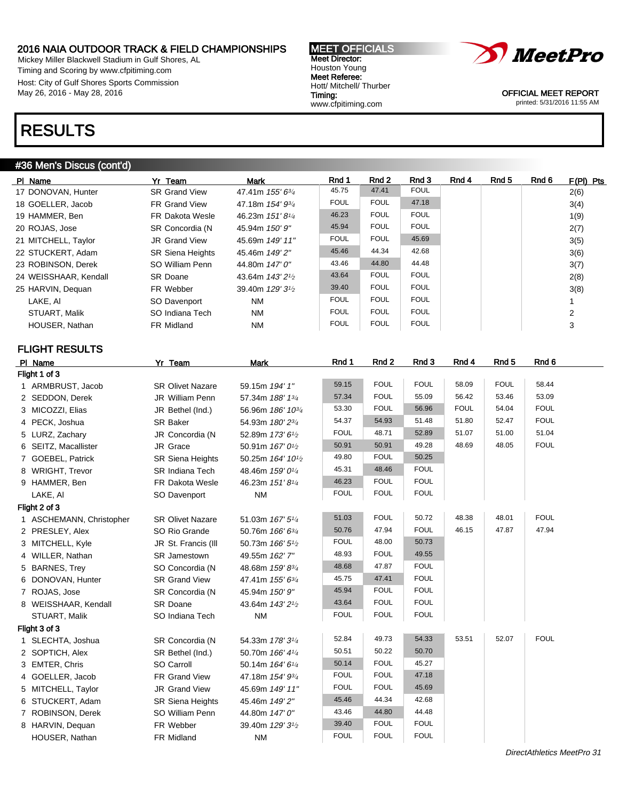Mickey Miller Blackwell Stadium in Gulf Shores, AL Timing and Scoring by www.cfpitiming.com Host: City of Gulf Shores Sports Commission May 26, 2016 - May 28, 2016

### RESULTS

### #36 Men's Discus (cont'd)

| PI Name               | Yr Team                 | Mark                                      | Rnd 1       | Rnd 2       | Rnd 3       | Rnd 4 | Rnd 5 | Rnd 6 | $F(PI)$ Pts    |
|-----------------------|-------------------------|-------------------------------------------|-------------|-------------|-------------|-------|-------|-------|----------------|
| 17 DONOVAN, Hunter    | <b>SR Grand View</b>    | 47.41m $155'6^{3}/4$                      | 45.75       | 47.41       | <b>FOUL</b> |       |       |       | 2(6)           |
| 18 GOELLER, Jacob     | FR Grand View           | 47.18m 154' 9 <sup>3/4</sup>              | <b>FOUL</b> | <b>FOUL</b> | 47.18       |       |       |       | 3(4)           |
| 19 HAMMER, Ben        | <b>FR Dakota Wesle</b>  | 46.23m 151'8 <sup>1/4</sup>               | 46.23       | <b>FOUL</b> | <b>FOUL</b> |       |       |       | 1(9)           |
| 20 ROJAS, Jose        | SR Concordia (N         | 45.94m 150' 9"                            | 45.94       | <b>FOUL</b> | <b>FOUL</b> |       |       |       | 2(7)           |
| 21 MITCHELL, Taylor   | <b>JR</b> Grand View    | 45.69m 149' 11"                           | <b>FOUL</b> | <b>FOUL</b> | 45.69       |       |       |       | 3(5)           |
| 22 STUCKERT, Adam     | <b>SR Siena Heights</b> | 45.46m 149'2"                             | 45.46       | 44.34       | 42.68       |       |       |       | 3(6)           |
| 23 ROBINSON. Derek    | SO William Penn         | 44.80m 147'0"                             | 43.46       | 44.80       | 44.48       |       |       |       | 3(7)           |
| 24 WEISSHAAR, Kendall | <b>SR Doane</b>         | 43.64m 143' 2 <sup>1</sup> / <sub>2</sub> | 43.64       | <b>FOUL</b> | <b>FOUL</b> |       |       |       | 2(8)           |
| 25 HARVIN, Dequan     | FR Webber               | 39.40m 129' 3 <sup>1</sup> / <sub>2</sub> | 39.40       | <b>FOUL</b> | <b>FOUL</b> |       |       |       | 3(8)           |
| LAKE, AI              | SO Davenport            | <b>NM</b>                                 | <b>FOUL</b> | <b>FOUL</b> | <b>FOUL</b> |       |       |       |                |
| STUART, Malik         | SO Indiana Tech         | NM                                        | <b>FOUL</b> | <b>FOUL</b> | <b>FOUL</b> |       |       |       | $\overline{2}$ |
| HOUSER, Nathan        | FR Midland              | <b>NM</b>                                 | <b>FOUL</b> | <b>FOUL</b> | <b>FOUL</b> |       |       |       | 3              |

### FLIGHT RESULTS

| PI Name                  | Yr Team                 | <b>Mark</b>                                | Rnd 1       | Rnd 2       | Rnd 3       | Rnd 4       | Rnd <sub>5</sub> | Rnd 6       |
|--------------------------|-------------------------|--------------------------------------------|-------------|-------------|-------------|-------------|------------------|-------------|
| Flight 1 of 3            |                         |                                            |             |             |             |             |                  |             |
| 1 ARMBRUST, Jacob        | <b>SR Olivet Nazare</b> | 59.15m 194' 1"                             | 59.15       | <b>FOUL</b> | <b>FOUL</b> | 58.09       | <b>FOUL</b>      | 58.44       |
| 2 SEDDON, Derek          | JR William Penn         | 57.34m 188' 13/4                           | 57.34       | <b>FOUL</b> | 55.09       | 56.42       | 53.46            | 53.09       |
| 3 MICOZZI, Elias         | JR Bethel (Ind.)        | 56.96m 186' 103/4                          | 53.30       | <b>FOUL</b> | 56.96       | <b>FOUL</b> | 54.04            | <b>FOUL</b> |
| 4 PECK, Joshua           | SR Baker                | 54.93m 180' 23/4                           | 54.37       | 54.93       | 51.48       | 51.80       | 52.47            | <b>FOUL</b> |
| 5 LURZ, Zachary          | JR Concordia (N         | 52.89m 173' 61/2                           | <b>FOUL</b> | 48.71       | 52.89       | 51.07       | 51.00            | 51.04       |
| 6 SEITZ, Macallister     | JR Grace                | 50.91m 167' 0 <sup>1</sup> /2              | 50.91       | 50.91       | 49.28       | 48.69       | 48.05            | <b>FOUL</b> |
| 7 GOEBEL, Patrick        | <b>SR Siena Heights</b> | 50.25m 164' 10 <sup>1</sup> / <sub>2</sub> | 49.80       | <b>FOUL</b> | 50.25       |             |                  |             |
| 8 WRIGHT, Trevor         | SR Indiana Tech         | 48.46m 159' 01/4                           | 45.31       | 48.46       | <b>FOUL</b> |             |                  |             |
| 9 HAMMER, Ben            | FR Dakota Wesle         | 46.23m 151'81/4                            | 46.23       | <b>FOUL</b> | <b>FOUL</b> |             |                  |             |
| LAKE, AI                 | SO Davenport            | <b>NM</b>                                  | <b>FOUL</b> | <b>FOUL</b> | <b>FOUL</b> |             |                  |             |
| Flight 2 of 3            |                         |                                            |             |             |             |             |                  |             |
| 1 ASCHEMANN, Christopher | <b>SR Olivet Nazare</b> | 51.03m 167' 51/4                           | 51.03       | <b>FOUL</b> | 50.72       | 48.38       | 48.01            | <b>FOUL</b> |
| 2 PRESLEY, Alex          | SO Rio Grande           | 50.76m 166' 63/4                           | 50.76       | 47.94       | <b>FOUL</b> | 46.15       | 47.87            | 47.94       |
| 3 MITCHELL, Kyle         | JR St. Francis (III     | 50.73m 166' 5 <sup>1</sup> /2              | <b>FOUL</b> | 48.00       | 50.73       |             |                  |             |
| 4 WILLER, Nathan         | SR Jamestown            | 49.55m 162' 7"                             | 48.93       | <b>FOUL</b> | 49.55       |             |                  |             |
| 5 BARNES, Trey           | SO Concordia (N         | 48.68m 159' 83/4                           | 48.68       | 47.87       | <b>FOUL</b> |             |                  |             |
| 6 DONOVAN, Hunter        | <b>SR Grand View</b>    | 47.41m 155' 63/4                           | 45.75       | 47.41       | <b>FOUL</b> |             |                  |             |
| 7 ROJAS, Jose            | SR Concordia (N         | 45.94m 150' 9"                             | 45.94       | <b>FOUL</b> | <b>FOUL</b> |             |                  |             |
| 8 WEISSHAAR, Kendall     | SR Doane                | 43.64m 143' 2 <sup>1</sup> / <sub>2</sub>  | 43.64       | <b>FOUL</b> | <b>FOUL</b> |             |                  |             |
| STUART, Malik            | SO Indiana Tech         | <b>NM</b>                                  | <b>FOUL</b> | <b>FOUL</b> | <b>FOUL</b> |             |                  |             |
| Flight 3 of 3            |                         |                                            |             |             |             |             |                  |             |
| 1 SLECHTA, Joshua        | SR Concordia (N         | 54.33m 178' 31/4                           | 52.84       | 49.73       | 54.33       | 53.51       | 52.07            | <b>FOUL</b> |
| 2 SOPTICH, Alex          | SR Bethel (Ind.)        | 50.70m 166' 41/4                           | 50.51       | 50.22       | 50.70       |             |                  |             |
| 3 EMTER, Chris           | SO Carroll              | 50.14m 164' 61/4                           | 50.14       | <b>FOUL</b> | 45.27       |             |                  |             |
| 4 GOELLER, Jacob         | FR Grand View           | 47.18m 154' 93/4                           | <b>FOUL</b> | <b>FOUL</b> | 47.18       |             |                  |             |
| 5 MITCHELL, Taylor       | <b>JR Grand View</b>    | 45.69m 149' 11"                            | <b>FOUL</b> | <b>FOUL</b> | 45.69       |             |                  |             |
| 6 STUCKERT, Adam         | <b>SR Siena Heights</b> | 45.46m 149' 2"                             | 45.46       | 44.34       | 42.68       |             |                  |             |
| 7 ROBINSON, Derek        | SO William Penn         | 44.80m 147' 0"                             | 43.46       | 44.80       | 44.48       |             |                  |             |
| 8 HARVIN, Dequan         | FR Webber               | 39.40m 129' 3 <sup>1</sup> /2              | 39.40       | <b>FOUL</b> | <b>FOUL</b> |             |                  |             |
| HOUSER, Nathan           | FR Midland              | <b>NM</b>                                  | <b>FOUL</b> | <b>FOUL</b> | <b>FOUL</b> |             |                  |             |
|                          |                         |                                            |             |             |             |             |                  |             |



OFFICIAL MEET REPORT printed: 5/31/2016 11:55 AM

MEET OFFICIALS Meet Director: Houston Young Meet Referee: Hott/ Mitchell/ Thurber Timing: www.cfpitiming.com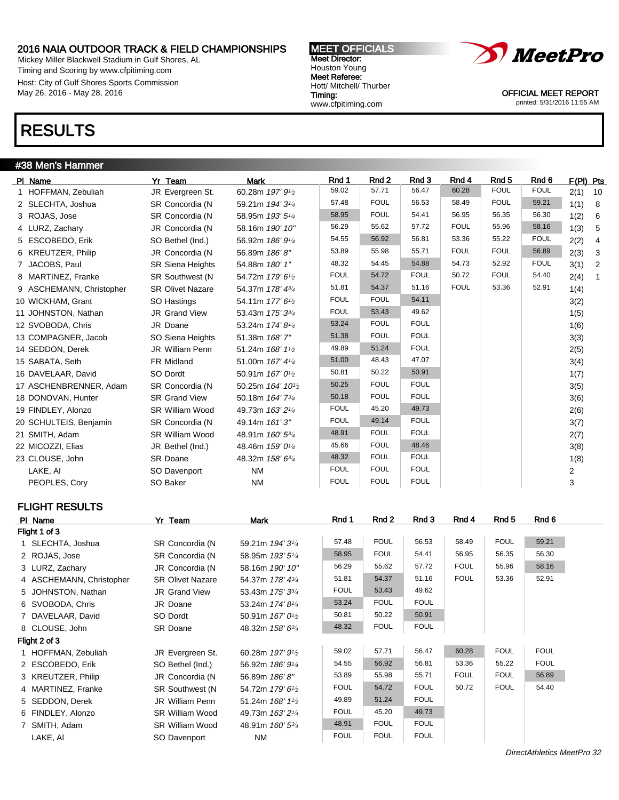Mickey Miller Blackwell Stadium in Gulf Shores, AL Timing and Scoring by www.cfpitiming.com Host: City of Gulf Shores Sports Commission May 26, 2016 - May 28, 2016

## RESULTS

### #38 Men's Hammer

| PI Name                  | Yr Team                 | <b>Mark</b>                                | Rnd 1       | Rnd <sub>2</sub> | Rnd 3       | Rnd 4       | Rnd <sub>5</sub> | Rnd 6       | F(PI) Pts |                |
|--------------------------|-------------------------|--------------------------------------------|-------------|------------------|-------------|-------------|------------------|-------------|-----------|----------------|
| 1 HOFFMAN, Zebuliah      | JR Evergreen St.        | 60.28m 197' 9 <sup>1</sup> /2              | 59.02       | 57.71            | 56.47       | 60.28       | <b>FOUL</b>      | <b>FOUL</b> | 2(1)      | 10             |
| 2 SLECHTA, Joshua        | SR Concordia (N         | 59.21m 194' 31/4                           | 57.48       | <b>FOUL</b>      | 56.53       | 58.49       | <b>FOUL</b>      | 59.21       | 1(1)      | - 8            |
| 3 ROJAS, Jose            | SR Concordia (N         | 58.95m 193' 51/4                           | 58.95       | <b>FOUL</b>      | 54.41       | 56.95       | 56.35            | 56.30       | 1(2)      | 6              |
| 4 LURZ, Zachary          | JR Concordia (N         | 58.16m 190' 10"                            | 56.29       | 55.62            | 57.72       | <b>FOUL</b> | 55.96            | 58.16       | 1(3)      | 5              |
| 5 ESCOBEDO, Erik         | SO Bethel (Ind.)        | 56.92m 186' 91/4                           | 54.55       | 56.92            | 56.81       | 53.36       | 55.22            | <b>FOUL</b> | 2(2)      | 4              |
| 6 KREUTZER, Philip       | JR Concordia (N         | 56.89m 186'8"                              | 53.89       | 55.98            | 55.71       | <b>FOUL</b> | <b>FOUL</b>      | 56.89       | 2(3)      | $\mathbf{3}$   |
| 7 JACOBS, Paul           | <b>SR Siena Heights</b> | 54.88m 180' 1"                             | 48.32       | 54.45            | 54.88       | 54.73       | 52.92            | <b>FOUL</b> | 3(1)      | $\overline{2}$ |
| 8 MARTINEZ, Franke       | SR Southwest (N         | 54.72m 179' 6 <sup>1</sup> /2              | <b>FOUL</b> | 54.72            | <b>FOUL</b> | 50.72       | <b>FOUL</b>      | 54.40       | 2(4)      | $\mathbf{1}$   |
| 9 ASCHEMANN, Christopher | <b>SR Olivet Nazare</b> | 54.37m 178' 43/4                           | 51.81       | 54.37            | 51.16       | <b>FOUL</b> | 53.36            | 52.91       | 1(4)      |                |
| 10 WICKHAM, Grant        | SO Hastings             | 54.11m 177' 6 <sup>1</sup> /2              | <b>FOUL</b> | <b>FOUL</b>      | 54.11       |             |                  |             | 3(2)      |                |
| 11 JOHNSTON, Nathan      | JR Grand View           | 53.43m 175' 33/4                           | <b>FOUL</b> | 53.43            | 49.62       |             |                  |             | 1(5)      |                |
| 12 SVOBODA, Chris        | JR Doane                | 53.24m 174' 81/4                           | 53.24       | <b>FOUL</b>      | <b>FOUL</b> |             |                  |             | 1(6)      |                |
| 13 COMPAGNER, Jacob      | SO Siena Heights        | 51.38m 168' 7"                             | 51.38       | <b>FOUL</b>      | <b>FOUL</b> |             |                  |             | 3(3)      |                |
| 14 SEDDON, Derek         | JR William Penn         | 51.24m 168' 11/2                           | 49.89       | 51.24            | <b>FOUL</b> |             |                  |             | 2(5)      |                |
| 15 SABATA, Seth          | FR Midland              | 51.00m 167' 41/4                           | 51.00       | 48.43            | 47.07       |             |                  |             | 3(4)      |                |
| 16 DAVELAAR, David       | SO Dordt                | 50.91m 167' 0 <sup>1</sup> / <sub>2</sub>  | 50.81       | 50.22            | 50.91       |             |                  |             | 1(7)      |                |
| 17 ASCHENBRENNER, Adam   | SR Concordia (N         | 50.25m 164' 10 <sup>1</sup> / <sub>2</sub> | 50.25       | <b>FOUL</b>      | <b>FOUL</b> |             |                  |             | 3(5)      |                |
| 18 DONOVAN, Hunter       | <b>SR Grand View</b>    | 50.18m 164' 73/4                           | 50.18       | <b>FOUL</b>      | <b>FOUL</b> |             |                  |             | 3(6)      |                |
| 19 FINDLEY, Alonzo       | <b>SR William Wood</b>  | 49.73m 163' 21/4                           | <b>FOUL</b> | 45.20            | 49.73       |             |                  |             | 2(6)      |                |
| 20 SCHULTEIS, Benjamin   | SR Concordia (N         | 49.14m 161'3"                              | <b>FOUL</b> | 49.14            | <b>FOUL</b> |             |                  |             | 3(7)      |                |
| 21 SMITH, Adam           | <b>SR William Wood</b>  | 48.91m 160' 53/4                           | 48.91       | <b>FOUL</b>      | <b>FOUL</b> |             |                  |             | 2(7)      |                |
| 22 MICOZZI, Elias        | JR Bethel (Ind.)        | 48.46m 159' 01/4                           | 45.66       | <b>FOUL</b>      | 48.46       |             |                  |             | 3(8)      |                |
| 23 CLOUSE, John          | <b>SR Doane</b>         | 48.32m 158' 63/4                           | 48.32       | <b>FOUL</b>      | <b>FOUL</b> |             |                  |             | 1(8)      |                |
| LAKE, AI                 | SO Davenport            | <b>NM</b>                                  | <b>FOUL</b> | <b>FOUL</b>      | <b>FOUL</b> |             |                  |             | 2         |                |
| PEOPLES, Cory            | SO Baker                | <b>NM</b>                                  | <b>FOUL</b> | <b>FOUL</b>      | <b>FOUL</b> |             |                  |             | 3         |                |

### FLIGHT RESULTS

| PI Name                  | Yr Team                 | Mark                                      | Rnd 1       | Rnd 2       | Rnd 3       | Rnd 4       | Rnd 5       | Rnd 6       |
|--------------------------|-------------------------|-------------------------------------------|-------------|-------------|-------------|-------------|-------------|-------------|
| Flight 1 of 3            |                         |                                           |             |             |             |             |             |             |
| 1 SLECHTA, Joshua        | SR Concordia (N         | 59.21m 194' 3 <sup>1/4</sup>              | 57.48       | <b>FOUL</b> | 56.53       | 58.49       | <b>FOUL</b> | 59.21       |
| 2 ROJAS, Jose            | SR Concordia (N         | 58.95m 193' 5 <sup>1/4</sup>              | 58.95       | <b>FOUL</b> | 54.41       | 56.95       | 56.35       | 56.30       |
| 3 LURZ, Zachary          | JR Concordia (N         | 58.16m 190' 10"                           | 56.29       | 55.62       | 57.72       | <b>FOUL</b> | 55.96       | 58.16       |
| 4 ASCHEMANN, Christopher | <b>SR Olivet Nazare</b> | 54.37m 178' 43/4                          | 51.81       | 54.37       | 51.16       | <b>FOUL</b> | 53.36       | 52.91       |
| 5 JOHNSTON, Nathan       | <b>JR Grand View</b>    | 53.43m 175' 3 <sup>3/4</sup>              | <b>FOUL</b> | 53.43       | 49.62       |             |             |             |
| 6 SVOBODA, Chris         | JR Doane                | 53.24m 174'8 <sup>1/4</sup>               | 53.24       | <b>FOUL</b> | <b>FOUL</b> |             |             |             |
| 7 DAVELAAR, David        | SO Dordt                | 50.91m $167'0\frac{1}{2}$                 | 50.81       | 50.22       | 50.91       |             |             |             |
| 8 CLOUSE, John           | SR Doane                | 48.32m 158' 63/4                          | 48.32       | <b>FOUL</b> | <b>FOUL</b> |             |             |             |
| Flight 2 of 3            |                         |                                           |             |             |             |             |             |             |
| 1 HOFFMAN, Zebuliah      | JR Evergreen St.        | 60.28m 197' 9 <sup>1</sup> / <sub>2</sub> | 59.02       | 57.71       | 56.47       | 60.28       | <b>FOUL</b> | <b>FOUL</b> |
| 2 ESCOBEDO, Erik         | SO Bethel (Ind.)        | 56.92m 186' 9 <sup>1/4</sup>              | 54.55       | 56.92       | 56.81       | 53.36       | 55.22       | <b>FOUL</b> |
| 3 KREUTZER, Philip       | JR Concordia (N         | 56.89m 186'8"                             | 53.89       | 55.98       | 55.71       | <b>FOUL</b> | <b>FOUL</b> | 56.89       |
| 4 MARTINEZ, Franke       | <b>SR Southwest (N)</b> | 54.72m 179' 6 <sup>1</sup> / <sub>2</sub> | <b>FOUL</b> | 54.72       | <b>FOUL</b> | 50.72       | <b>FOUL</b> | 54.40       |
| 5 SEDDON, Derek          | JR William Penn         | 51.24m $168'1\%$                          | 49.89       | 51.24       | <b>FOUL</b> |             |             |             |
| 6 FINDLEY, Alonzo        | <b>SR William Wood</b>  | 49.73m 163' 2 <sup>1/4</sup>              | <b>FOUL</b> | 45.20       | 49.73       |             |             |             |
| 7 SMITH, Adam            | SR William Wood         | 48.91m 160' 5 <sup>3/4</sup>              | 48.91       | <b>FOUL</b> | <b>FOUL</b> |             |             |             |
| LAKE, AI                 | SO Davenport            | ΝM                                        | <b>FOUL</b> | <b>FOUL</b> | <b>FOUL</b> |             |             |             |

MEET OFFICIALS Meet Director: Houston Young Meet Referee: Hott/ Mitchell/ Thurber Timing: www.cfpitiming.com

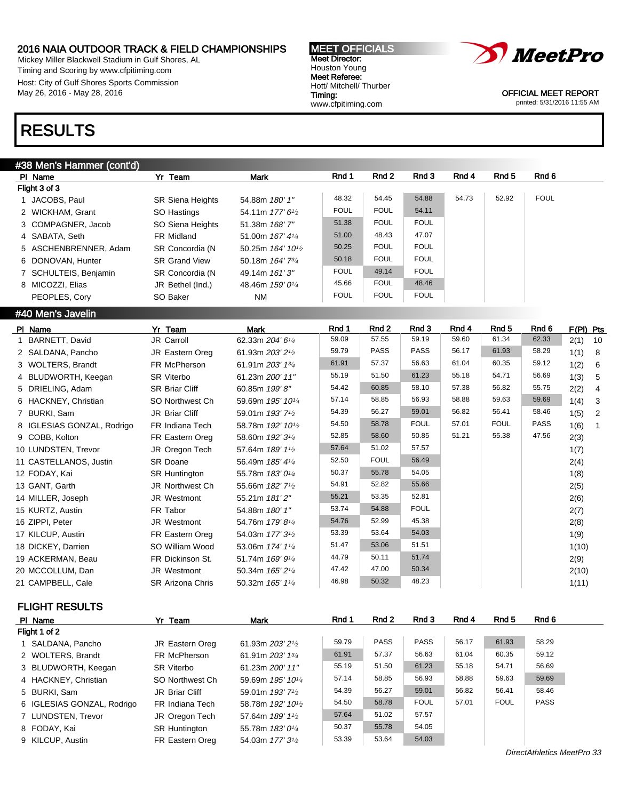10 LUNDSTEN, Trevor JR Oregon Tech 57.64m 189' 1<sup>1</sup>/2

11 CASTELLANOS, Justin SR Doane 56.49m 185' 4<sup>1/4</sup>

12 FODAY, Kai SR Huntington 55.78m 183' 0<sup>1/4</sup>

13 GANT, Garth JR Northwest Ch 55.66m 182' 7<sup>1</sup>/2

14 MILLER, Joseph JR Westmont 55.21m  $181'2''$ 

15 KURTZ, Austin FR Tabor 54.88m 180' 1"

16 ZIPPI, Peter **JR Westmont** 54.76m 179' 8<sup>1/4</sup>

17 KILCUP, Austin FR Eastern Oreg 54.03m 177' 3<sup>1</sup>/<sub>2</sub>

18 DICKEY, Darrien SO William Wood 53.06m 174' 1<sup>1/4</sup>

19 ACKERMAN, Beau FR Dickinson St. 51.74m 169' 91/<sup>4</sup>

20 MCCOLLUM, Dan JR Westmont 50.34m 165' 21/<sup>4</sup>

21 CAMPBELL, Cale SR Arizona Chris 50.32m 165' 1<sup>1/4</sup>

Mickey Miller Blackwell Stadium in Gulf Shores, AL Timing and Scoring by www.cfpitiming.com Host: City of Gulf Shores Sports Commission May 26, 2016 - May 28, 2016

### RESULTS

| #38 Men's Hammer (cont'd)  |                         |                                            |             |             |             |       |             |             |             |    |
|----------------------------|-------------------------|--------------------------------------------|-------------|-------------|-------------|-------|-------------|-------------|-------------|----|
| PI Name                    | Yr Team                 | Mark                                       | Rnd 1       | Rnd 2       | Rnd 3       | Rnd 4 | Rnd 5       | Rnd 6       |             |    |
| Flight 3 of 3              |                         |                                            |             |             |             |       |             |             |             |    |
| 1 JACOBS, Paul             | <b>SR Siena Heights</b> | 54.88m 180' 1"                             | 48.32       | 54.45       | 54.88       | 54.73 | 52.92       | <b>FOUL</b> |             |    |
| 2 WICKHAM, Grant           | SO Hastings             | 54.11m 177' 6 <sup>1</sup> / <sub>2</sub>  | <b>FOUL</b> | <b>FOUL</b> | 54.11       |       |             |             |             |    |
| 3 COMPAGNER, Jacob         | SO Siena Heights        | 51.38m 168' 7"                             | 51.38       | <b>FOUL</b> | <b>FOUL</b> |       |             |             |             |    |
| 4 SABATA, Seth             | FR Midland              | 51.00m 167' 41/4                           | 51.00       | 48.43       | 47.07       |       |             |             |             |    |
| 5 ASCHENBRENNER, Adam      | SR Concordia (N         | 50.25m 164' 10 <sup>1</sup> / <sub>2</sub> | 50.25       | <b>FOUL</b> | <b>FOUL</b> |       |             |             |             |    |
| 6 DONOVAN, Hunter          | <b>SR Grand View</b>    | 50.18m 164' 73/4                           | 50.18       | <b>FOUL</b> | <b>FOUL</b> |       |             |             |             |    |
| 7 SCHULTEIS, Benjamin      | SR Concordia (N         | 49.14m 161'3"                              | <b>FOUL</b> | 49.14       | <b>FOUL</b> |       |             |             |             |    |
| 8 MICOZZI, Elias           | JR Bethel (Ind.)        | 48.46m 159' 0 <sup>1/4</sup>               | 45.66       | <b>FOUL</b> | 48.46       |       |             |             |             |    |
| PEOPLES, Cory              | SO Baker                | <b>NM</b>                                  | <b>FOUL</b> | <b>FOUL</b> | <b>FOUL</b> |       |             |             |             |    |
| #40 Men's Javelin          |                         |                                            |             |             |             |       |             |             |             |    |
| PI Name                    | Yr Team                 | <b>Mark</b>                                | Rnd 1       | Rnd 2       | Rnd 3       | Rnd 4 | Rnd 5       | Rnd 6       | $F(PI)$ Pts |    |
| 1 BARNETT, David           | JR Carroll              | 62.33m 204' 61/4                           | 59.09       | 57.55       | 59.19       | 59.60 | 61.34       | 62.33       | 2(1)        | 10 |
| 2 SALDANA, Pancho          | JR Eastern Oreg         | 61.93m 203' 2 <sup>1</sup> / <sub>2</sub>  | 59.79       | <b>PASS</b> | <b>PASS</b> | 56.17 | 61.93       | 58.29       | 1(1)        | 8  |
| 3 WOLTERS, Brandt          | FR McPherson            | 61.91m 203' 1 <sup>3/4</sup>               | 61.91       | 57.37       | 56.63       | 61.04 | 60.35       | 59.12       | 1(2)        | 6  |
| 4 BLUDWORTH, Keegan        | <b>SR Viterbo</b>       | 61.23m 200' 11"                            | 55.19       | 51.50       | 61.23       | 55.18 | 54.71       | 56.69       | 1(3)        | 5  |
| 5 DRIELING, Adam           | <b>SR Briar Cliff</b>   | 60.85m 199'8"                              | 54.42       | 60.85       | 58.10       | 57.38 | 56.82       | 55.75       | 2(2)        | 4  |
| 6 HACKNEY, Christian       | SO Northwest Ch         | 59.69m 195' 10 <sup>1/4</sup>              | 57.14       | 58.85       | 56.93       | 58.88 | 59.63       | 59.69       | 1(4)        | 3  |
| 7 BURKI, Sam               | JR Briar Cliff          | 59.01m 193' 7 <sup>1</sup> / <sub>2</sub>  | 54.39       | 56.27       | 59.01       | 56.82 | 56.41       | 58.46       | 1(5)        | 2  |
| 8 IGLESIAS GONZAL, Rodrigo | FR Indiana Tech         | 58.78m 192' 10 <sup>1</sup> /2             | 54.50       | 58.78       | <b>FOUL</b> | 57.01 | <b>FOUL</b> | <b>PASS</b> | 1(6)        |    |
| 9 COBB, Kolton             | FR Eastern Oreg         | 58.60m 192' 3 <sup>1/4</sup>               | 52.85       | 58.60       | 50.85       | 51.21 | 55.38       | 47.56       | 2(3)        |    |

| <b>MEET OFFICIALS</b>   |
|-------------------------|
| <b>Meet Director:</b>   |
| Houston Young           |
| Meet Referee:           |
| Hott/ Mitchell/ Thurber |
| Timing:                 |
| www.cfpitiming.com      |



OFFICIAL MEET REPORT printed: 5/31/2016 11:55 AM

57.64 51.02 57.57 1(7)

52.50 FOUL 56.49 2(4)

50.37 55.78 54.05 1(8)

54.91 52.82 55.66 2(5)

55.21 53.35 52.81 2(6)

53.74 54.88 FOUL 2(7)

54.76 52.99 45.38 2(8)

53.39 53.64 54.03 1(9)

51.47 53.06 51.51 1(10)

44.79 50.11 51.74 2(9)

47.42 47.00 50.34 2(10)

46.98 50.32 48.23 1(11)

### FLIGHT RESULTS

| PI Name                    | Yr Team              | Mark                                       | Rnd 1 | Rnd <sub>2</sub> | Rnd 3       | Rnd 4 | Rnd <sub>5</sub> | Rnd 6       |  |
|----------------------------|----------------------|--------------------------------------------|-------|------------------|-------------|-------|------------------|-------------|--|
| Flight 1 of 2              |                      |                                            |       |                  |             |       |                  |             |  |
| 1 SALDANA, Pancho          | JR Eastern Oreg      | 61.93m 203' 21/2                           | 59.79 | <b>PASS</b>      | <b>PASS</b> | 56.17 | 61.93            | 58.29       |  |
| 2 WOLTERS, Brandt          | FR McPherson         | 61.91m 203' 1 <sup>3/4</sup>               | 61.91 | 57.37            | 56.63       | 61.04 | 60.35            | 59.12       |  |
| 3 BLUDWORTH, Keegan        | <b>SR Viterbo</b>    | 61.23m 200' 11"                            | 55.19 | 51.50            | 61.23       | 55.18 | 54.71            | 56.69       |  |
| 4 HACKNEY, Christian       | SO Northwest Ch      | 59.69m 195' 10 <sup>1</sup> / <sub>4</sub> | 57.14 | 58.85            | 56.93       | 58.88 | 59.63            | 59.69       |  |
| 5 BURKI, Sam               | JR Briar Cliff       | 59.01m 193' 7 <sup>1</sup> / <sub>2</sub>  | 54.39 | 56.27            | 59.01       | 56.82 | 56.41            | 58.46       |  |
| 6 IGLESIAS GONZAL, Rodrigo | FR Indiana Tech      | 58.78m 192' 10 <sup>1</sup> / <sub>2</sub> | 54.50 | 58.78            | <b>FOUL</b> | 57.01 | <b>FOUL</b>      | <b>PASS</b> |  |
| 7 LUNDSTEN, Trevor         | JR Oregon Tech       | 57.64m 189' 1 <sup>1</sup> / <sub>2</sub>  | 57.64 | 51.02            | 57.57       |       |                  |             |  |
| 8 FODAY, Kai               | <b>SR Huntington</b> | 55.78m 183' 0 <sup>1/4</sup>               | 50.37 | 55.78            | 54.05       |       |                  |             |  |
| 9 KILCUP, Austin           | FR Eastern Oreg      | 54.03m 177' 3 <sup>1</sup> / <sub>2</sub>  | 53.39 | 53.64            | 54.03       |       |                  |             |  |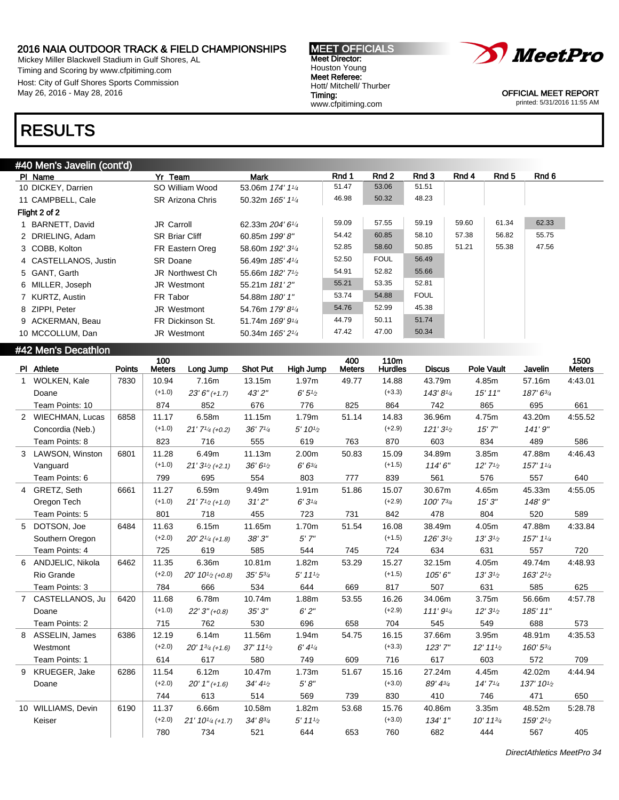Mickey Miller Blackwell Stadium in Gulf Shores, AL Timing and Scoring by www.cfpitiming.com Host: City of Gulf Shores Sports Commission May 26, 2016 - May 28, 2016

#### MEET OFFICIALS Meet Director: Houston Young Meet Referee: Hott/ Mitchell/ Thurber Timing: www.cfpitiming.com



OFFICIAL MEET REPORT printed: 5/31/2016 11:55 AM

### RESULTS

| #40 Men's Javelin (cont'd) |  |
|----------------------------|--|
|                            |  |
|                            |  |

| <del>84</del> 0 MEH S JAVENII (CON U) |                         |                                           |       |             |             |       |       |       |
|---------------------------------------|-------------------------|-------------------------------------------|-------|-------------|-------------|-------|-------|-------|
| PI Name                               | Yr Team                 | Mark                                      | Rnd 1 | Rnd 2       | Rnd 3       | Rnd 4 | Rnd 5 | Rnd 6 |
| 10 DICKEY, Darrien                    | SO William Wood         | 53.06m 174' 11/4                          | 51.47 | 53.06       | 51.51       |       |       |       |
| 11 CAMPBELL, Cale                     | <b>SR Arizona Chris</b> | 50.32m 165' 11/4                          | 46.98 | 50.32       | 48.23       |       |       |       |
| Flight 2 of 2                         |                         |                                           |       |             |             |       |       |       |
| BARNETT, David                        | <b>JR Carroll</b>       | 62.33m 204' 61/4                          | 59.09 | 57.55       | 59.19       | 59.60 | 61.34 | 62.33 |
| 2 DRIELING, Adam                      | <b>SR Briar Cliff</b>   | 60.85m 199'8"                             | 54.42 | 60.85       | 58.10       | 57.38 | 56.82 | 55.75 |
| 3 COBB, Kolton                        | FR Eastern Oreg         | 58.60m 192' 3 <sup>1/4</sup>              | 52.85 | 58.60       | 50.85       | 51.21 | 55.38 | 47.56 |
| 4 CASTELLANOS, Justin                 | <b>SR Doane</b>         | 56.49m 185' 41/4                          | 52.50 | <b>FOUL</b> | 56.49       |       |       |       |
| 5 GANT, Garth                         | <b>JR Northwest Ch</b>  | 55.66m 182' 7 <sup>1</sup> / <sub>2</sub> | 54.91 | 52.82       | 55.66       |       |       |       |
| 6 MILLER, Joseph                      | <b>JR Westmont</b>      | 55.21m 181'2"                             | 55.21 | 53.35       | 52.81       |       |       |       |
| 7 KURTZ, Austin                       | FR Tabor                | 54.88m 180' 1"                            | 53.74 | 54.88       | <b>FOUL</b> |       |       |       |
| 8 ZIPPI, Peter                        | JR Westmont             | 54.76m 179'8 <sup>1/4</sup>               | 54.76 | 52.99       | 45.38       |       |       |       |
| 9 ACKERMAN, Beau                      | FR Dickinson St.        | 51.74m 169' 91/4                          | 44.79 | 50.11       | 51.74       |       |       |       |
| 10 MCCOLLUM, Dan                      | <b>JR Westmont</b>      | 50.34m 165' 2 <sup>1/4</sup>              | 47.42 | 47.00       | 50.34       |       |       |       |

|   | #42 Men's Decathlon |               |                      |                                          |                 |                                     |                      |                        |               |                   |            |                       |
|---|---------------------|---------------|----------------------|------------------------------------------|-----------------|-------------------------------------|----------------------|------------------------|---------------|-------------------|------------|-----------------------|
|   | PI Athlete          | <b>Points</b> | 100<br><b>Meters</b> | Long Jump                                | <b>Shot Put</b> | <b>High Jump</b>                    | 400<br><b>Meters</b> | 110m<br><b>Hurdles</b> | <b>Discus</b> | <b>Pole Vault</b> | Javelin    | 1500<br><b>Meters</b> |
|   | <b>WOLKEN, Kale</b> | 7830          | 10.94                | 7.16m                                    | 13.15m          | 1.97m                               | 49.77                | 14.88                  | 43.79m        | 4.85m             | 57.16m     | 4:43.01               |
|   | Doane               |               | $(+1.0)$             | $23'6''$ (+1.7)                          | 43'2''          | 6'5'                                |                      | $(+3.3)$               | 143'81/4      | 15'11''           | 187' 63/4  |                       |
|   | Team Points: 10     |               | 874                  | 852                                      | 676             | 776                                 | 825                  | 864                    | 742           | 865               | 695        | 661                   |
|   | 2 WIECHMAN, Lucas   | 6858          | 11.17                | 6.58m                                    | 11.15m          | 1.79m                               | 51.14                | 14.83                  | 36.96m        | 4.75m             | 43.20m     | 4:55.52               |
|   | Concordia (Neb.)    |               | $(+1.0)$             | $21'7'$ <sup>4</sup> (+0.2)              | 36'7'4          | 5' 10 <sup>1</sup> /2               |                      | $(+2.9)$               | 121'31/2      | 15'7''            | 141'9''    |                       |
|   | Team Points: 8      |               | 823                  | 716                                      | 555             | 619                                 | 763                  | 870                    | 603           | 834               | 489        | 586                   |
| 3 | LAWSON, Winston     | 6801          | 11.28                | 6.49m                                    | 11.13m          | 2.00m                               | 50.83                | 15.09                  | 34.89m        | 3.85m             | 47.88m     | 4:46.43               |
|   | Vanguard            |               | $(+1.0)$             | $21'3^{1/2}(+2.1)$                       | 36' 61/2        | $6'6^{3/4}$                         |                      | $(+1.5)$               | 114'6''       | 12'7'2            | 157' 11/4  |                       |
|   | Team Points: 6      |               | 799                  | 695                                      | 554             | 803                                 | 777                  | 839                    | 561           | 576               | 557        | 640                   |
|   | 4 GRETZ, Seth       | 6661          | 11.27                | 6.59m                                    | 9.49m           | 1.91m                               | 51.86                | 15.07                  | 30.67m        | 4.65m             | 45.33m     | 4:55.05               |
|   | Oregon Tech         |               | $(+1.0)$             | $21'$ $7'$ <sub>2</sub> $(+1.0)$         | 31'2''          | 6'3''/4                             |                      | $(+2.9)$               | 100' 73/4     | 15'3''            | 148'9"     |                       |
|   | Team Points: 5      |               | 801                  | 718                                      | 455             | 723                                 | 731                  | 842                    | 478           | 804               | 520        | 589                   |
|   | 5 DOTSON, Joe       | 6484          | 11.63                | 6.15m                                    | 11.65m          | 1.70m                               | 51.54                | 16.08                  | 38.49m        | 4.05m             | 47.88m     | 4:33.84               |
|   | Southern Oregon     |               | $(+2.0)$             | $20'2'$ <sup><math>4</math></sup> (+1.8) | 38'3''          | 5'7''                               |                      | $(+1.5)$               | 126'31/2      | 13'31/2           | 157' 11/4  |                       |
|   | Team Points: 4      |               | 725                  | 619                                      | 585             | 544                                 | 745                  | 724                    | 634           | 631               | 557        | 720                   |
|   | 6 ANDJELIC, Nikola  | 6462          | 11.35                | 6.36m                                    | 10.81m          | 1.82m                               | 53.29                | 15.27                  | 32.15m        | 4.05m             | 49.74m     | 4:48.93               |
|   | Rio Grande          |               | $(+2.0)$             | $20' 10^{1/2}$ (+0.8)                    | $35' 5^{3/4}$   | $5'$ 11 <sup>1</sup> / <sub>2</sub> |                      | $(+1.5)$               | 105'6''       | 13'31/2           | 163' 21/2  |                       |
|   | Team Points: 3      |               | 784                  | 666                                      | 534             | 644                                 | 669                  | 817                    | 507           | 631               | 585        | 625                   |
|   | 7 CASTELLANOS, Ju   | 6420          | 11.68                | 6.78m                                    | 10.74m          | 1.88m                               | 53.55                | 16.26                  | 34.06m        | 3.75m             | 56.66m     | 4:57.78               |
|   | Doane               |               | $(+1.0)$             | $22'3''(+0.8)$                           | 35'3''          | 6'2''                               |                      | $(+2.9)$               | 111'9'4       | 12'31/2           | 185' 11"   |                       |
|   | Team Points: 2      |               | 715                  | 762                                      | 530             | 696                                 | 658                  | 704                    | 545           | 549               | 688        | 573                   |
|   | 8 ASSELIN, James    | 6386          | 12.19                | 6.14m                                    | 11.56m          | 1.94m                               | 54.75                | 16.15                  | 37.66m        | 3.95m             | 48.91m     | 4:35.53               |
|   | Westmont            |               | $(+2.0)$             | $20'$ 13/4 (+1.6)                        | 37' 111/2       | 6' 4'4                              |                      | $(+3.3)$               | 123'7"        | 12' 11'           | 160' 53/4  |                       |
|   | Team Points: 1      |               | 614                  | 617                                      | 580             | 749                                 | 609                  | 716                    | 617           | 603               | 572        | 709                   |
|   | 9 KRUEGER, Jake     | 6286          | 11.54                | 6.12m                                    | 10.47m          | 1.73m                               | 51.67                | 15.16                  | 27.24m        | 4.45m             | 42.02m     | 4:44.94               |
|   | Doane               |               | $(+2.0)$             | $20' 1'' (+1.6)$                         | 34' 41/2        | $5'8''$                             |                      | $(+3.0)$               | 89' 43/4      | 14'7'4            | 137' 101/2 |                       |
|   |                     |               | 744                  | 613                                      | 514             | 569                                 | 739                  | 830                    | 410           | 746               | 471        | 650                   |
|   | 10 WILLIAMS, Devin  | 6190          | 11.37                | 6.66m                                    | 10.58m          | 1.82m                               | 53.68                | 15.76                  | 40.86m        | 3.35m             | 48.52m     | 5:28.78               |
|   | Keiser              |               | $(+2.0)$             | $21' 10^{1/4}$ (+1.7)                    | 34' 83/4        | 5' 11'                              |                      | $(+3.0)$               | 134' 1"       | $10' 11^{3/4}$    | 159' 21/2  |                       |
|   |                     |               | 780                  | 734                                      | 521             | 644                                 | 653                  | 760                    | 682           | 444               | 567        | 405                   |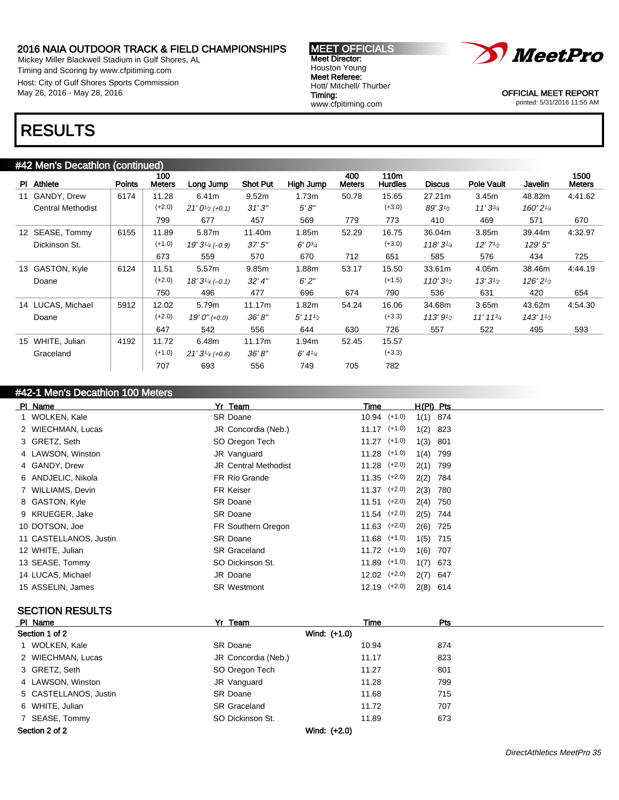Mickey Miller Blackwell Stadium in Gulf Shores, AL Timing and Scoring by www.cfpitiming.com Host: City of Gulf Shores Sports Commission May 26, 2016 - May 28, 2016

#### MEET OFFICIALS Meet Director: Houston Young Meet Referee: Hott/ Mitchell/ Thurber Timing: www.cfpitiming.com



OFFICIAL MEET REPORT printed: 5/31/2016 11:55 AM

### RESULTS

| #42 Men's Decathlon (continued) |                          |               |                      |                    |                 |                                     |                      |                        |                    |                      |           |                       |
|---------------------------------|--------------------------|---------------|----------------------|--------------------|-----------------|-------------------------------------|----------------------|------------------------|--------------------|----------------------|-----------|-----------------------|
|                                 | PI Athlete               | <b>Points</b> | 100<br><b>Meters</b> | Long Jump          | <b>Shot Put</b> | High Jump                           | 400<br><b>Meters</b> | 110m<br><b>Hurdles</b> | <b>Discus</b>      | Pole Vault           | Javelin   | 1500<br><b>Meters</b> |
| 11                              | GANDY, Drew              | 6174          | 11.28                | 6.41m              | 9.52m           | 1.73m                               | 50.78                | 15.65                  | 27.21m             | 3.45m                | 48.82m    | 4:41.62               |
|                                 | <b>Central Methodist</b> |               | $(+2.0)$             | $21'0^{1/2}(+0.1)$ | 31'3''          | 5'8''                               |                      | $(+3.0)$               | $89'31_{2}$        | 11'33/4              | 160' 21/4 |                       |
|                                 |                          |               | 799                  | 677                | 457             | 569                                 | 779                  | 773                    | 410                | 469                  | 571       | 670                   |
|                                 | 12 SEASE, Tommy          | 6155          | 11.89                | 5.87m              | 11.40m          | 1.85m                               | 52.29                | 16.75                  | 36.04m             | 3.85m                | 39.44m    | 4:32.97               |
|                                 | Dickinson St.            |               | $(+1.0)$             | $19'3^{1/4}(-0.9)$ | 37'5''          | $6' 0^{3/4}$                        |                      | $(+3.0)$               | $118'3\frac{1}{4}$ | $12'$ $7\frac{1}{2}$ | 129'5''   |                       |
|                                 |                          |               | 673                  | 559                | 570             | 670                                 | 712                  | 651                    | 585                | 576                  | 434       | 725                   |
|                                 | 13 GASTON, Kyle          | 6124          | 11.51                | 5.57m              | 9.85m           | 1.88m                               | 53.17                | 15.50                  | 33.61m             | 4.05m                | 38.46m    | 4:44.19               |
|                                 | Doane                    |               | $(+2.0)$             | $18'3^{1/4}(-0.1)$ | $32'$ 4"        | 6'2''                               |                      | $(+1.5)$               | $110'3\frac{1}{2}$ | $13'3^{1/2}$         | 126'21/2  |                       |
|                                 |                          |               | 750                  | 496                | 477             | 696                                 | 674                  | 790                    | 536                | 631                  | 420       | 654                   |
|                                 | 14 LUCAS, Michael        | 5912          | 12.02                | 5.79m              | 11.17m          | 1.82m                               | 54.24                | 16.06                  | 34.68m             | 3.65m                | 43.62m    | 4:54.30               |
|                                 | Doane                    |               | $(+2.0)$             | $19'0''$ (+0.0)    | 36'8''          | $5'$ 11 <sup>1</sup> / <sub>2</sub> |                      | $(+3.3)$               | $113'9\frac{1}{2}$ | $11'$ 11 $3/4$       | $143'1\%$ |                       |
|                                 |                          |               | 647                  | 542                | 556             | 644                                 | 630                  | 726                    | 557                | 522                  | 495       | 593                   |
| 15                              | WHITE, Julian            | 4192          | 11.72                | 6.48m              | 11.17m          | 1.94m                               | 52.45                | 15.57                  |                    |                      |           |                       |
|                                 | Graceland                |               | $(+1.0)$             | $21'3_{/4}$ (+0.8) | 36'8''          | 6' 4' <sub>4</sub>                  |                      | $(+3.3)$               |                    |                      |           |                       |
|                                 |                          |               | 707                  | 693                | 556             | 749                                 | 705                  | 782                    |                    |                      |           |                       |

### #42-1 Men's Decathlon 100 Meters

| PI Name                | Yr Team                     | Time             | $H(PI)$ Pts |
|------------------------|-----------------------------|------------------|-------------|
| 1 WOLKEN, Kale         | SR Doane                    | $10.94$ $(+1.0)$ | $1(1)$ 874  |
| 2 WIECHMAN, Lucas      | JR Concordia (Neb.)         | $11.17$ (+1.0)   | $1(2)$ 823  |
| 3 GRETZ, Seth          | SO Oregon Tech              | $11.27$ $(+1.0)$ | $1(3)$ 801  |
| 4 LAWSON, Winston      | JR Vanguard                 | $11.28$ $(+1.0)$ | $1(4)$ 799  |
| 4 GANDY, Drew          | <b>JR Central Methodist</b> | $11.28$ $(+2.0)$ | $2(1)$ 799  |
| 6 ANDJELIC, Nikola     | FR Rio Grande               | $11.35$ $(+2.0)$ | 2(2) 784    |
| 7 WILLIAMS, Devin      | FR Keiser                   | $11.37$ $(+2.0)$ | $2(3)$ 780  |
| 8 GASTON, Kyle         | <b>SR Doane</b>             | $11.51$ $(+2.0)$ | 2(4) 750    |
| 9 KRUEGER, Jake        | <b>SR Doane</b>             | $11.54$ $(+2.0)$ | 2(5) 744    |
| 10 DOTSON, Joe         | FR Southern Oregon          | $11.63$ $(+2.0)$ | 2(6) 725    |
| 11 CASTELLANOS, Justin | <b>SR Doane</b>             | $11.68$ (+1.0)   | $1(5)$ 715  |
| 12 WHITE, Julian       | <b>SR Graceland</b>         | $11.72$ $(+1.0)$ | $1(6)$ 707  |
| 13 SEASE, Tommy        | SO Dickinson St.            | $11.89$ $(+1.0)$ | $1(7)$ 673  |
| 14 LUCAS, Michael      | JR Doane                    | $12.02$ $(+2.0)$ | $2(7)$ 647  |
| 15 ASSELIN, James      | <b>SR Westmont</b>          | $12.19$ $(+2.0)$ | $2(8)$ 614  |

### SECTION RESULTS

| PI Name               | Yr Team             | Time         | <b>Pts</b> |  |
|-----------------------|---------------------|--------------|------------|--|
| Section 1 of 2        |                     | Wind: (+1.0) |            |  |
| 1 WOLKEN, Kale        | <b>SR Doane</b>     | 10.94        | 874        |  |
| 2 WIECHMAN, Lucas     | JR Concordia (Neb.) | 11.17        | 823        |  |
| 3 GRETZ, Seth         | SO Oregon Tech      | 11.27        | 801        |  |
| 4 LAWSON, Winston     | JR Vanguard         | 11.28        | 799        |  |
| 5 CASTELLANOS, Justin | SR Doane            | 11.68        | 715        |  |
| 6 WHITE, Julian       | <b>SR Graceland</b> | 11.72        | 707        |  |
| 7 SEASE, Tommy        | SO Dickinson St.    | 11.89        | 673        |  |
| Section 2 of 2        |                     | Wind: (+2.0) |            |  |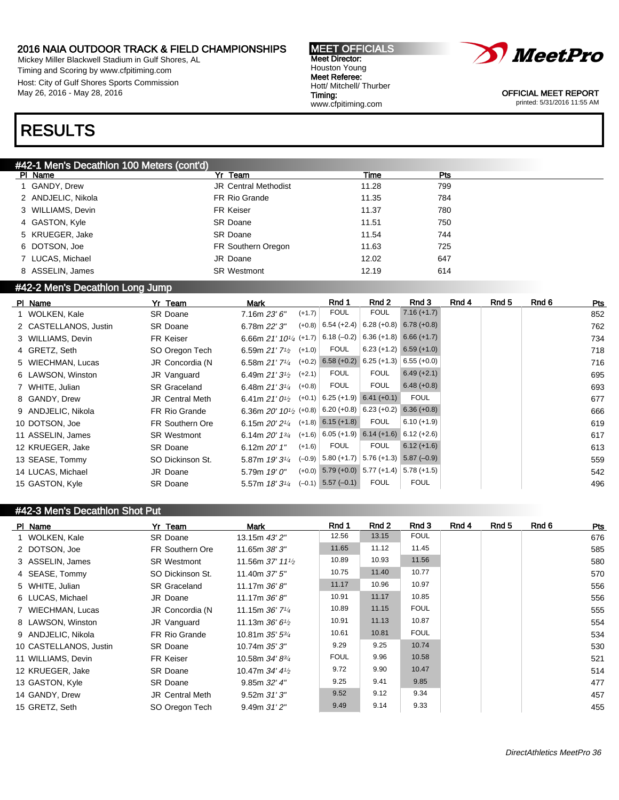Mickey Miller Blackwell Stadium in Gulf Shores, AL Timing and Scoring by www.cfpitiming.com Host: City of Gulf Shores Sports Commission May 26, 2016 - May 28, 2016

#### MEET OFFICIALS Meet Director: Houston Young Meet Referee: Hott/ Mitchell/ Thurber Timing: www.cfpitiming.com



OFFICIAL MEET REPORT printed: 5/31/2016 11:55 AM

### RESULTS

### #42-1 Men's Decathlon 100 Meters (cont'd)

| PI Name            | Yr Team                     | Time  | Pts |
|--------------------|-----------------------------|-------|-----|
| 1 GANDY, Drew      | <b>JR Central Methodist</b> | 11.28 | 799 |
| 2 ANDJELIC, Nikola | FR Rio Grande               | 11.35 | 784 |
| 3 WILLIAMS, Devin  | <b>FR Keiser</b>            | 11.37 | 780 |
| 4 GASTON, Kyle     | SR Doane                    | 11.51 | 750 |
| 5 KRUEGER, Jake    | SR Doane                    | 11.54 | 744 |
| 6 DOTSON, Joe      | FR Southern Oregon          | 11.63 | 725 |
| 7 LUCAS, Michael   | JR Doane                    | 12.02 | 647 |
| 8 ASSELIN, James   | <b>SR Westmont</b>          | 12.19 | 614 |

### #42-2 Men's Decathlon Long Jump

| PI Name               | Yr Team                | Mark                                              |          | Rnd 1                    | Rnd 2                                      | Rnd 3                     | Rnd 4 | Rnd 5 | Rnd 6 | Pts |
|-----------------------|------------------------|---------------------------------------------------|----------|--------------------------|--------------------------------------------|---------------------------|-------|-------|-------|-----|
| 1 WOLKEN, Kale        | <b>SR Doane</b>        | 7.16m 23'6''                                      | $(+1.7)$ | <b>FOUL</b>              | <b>FOUL</b>                                | $7.16 (+1.7)$             |       |       |       | 852 |
| 2 CASTELLANOS, Justin | SR Doane               | 6.78m 22' 3"                                      | $(+0.8)$ | $6.54 (+2.4)$            | $6.28 (+0.8) 6.78 (+0.8)$                  |                           |       |       |       | 762 |
| 3 WILLIAMS, Devin     | FR Keiser              | 6.66m $21'$ 10 <sup>1</sup> / <sub>4</sub> (+1.7) |          |                          | $6.18 (-0.2)$ 6.36 (+1.8) 6.66 (+1.7)      |                           |       |       |       | 734 |
| 4 GRETZ, Seth         | SO Oregon Tech         | 6.59m $21'7'2$                                    | $(+1.0)$ | <b>FOUL</b>              |                                            | $6.23 (+1.2) 6.59 (+1.0)$ |       |       |       | 718 |
| 5 WIECHMAN, Lucas     | JR Concordia (N        | 6.58m $21'7'4$                                    | $(+0.2)$ |                          | $6.58 (+0.2) 6.25 (+1.3)$                  | $6.55(+0.0)$              |       |       |       | 716 |
| 6 LAWSON, Winston     | JR Vanguard            | 6.49m $21'3^{1/2}$                                | $(+2.1)$ | <b>FOUL</b>              | <b>FOUL</b>                                | $6.49 (+2.1)$             |       |       |       | 695 |
| 7 WHITE, Julian       | <b>SR Graceland</b>    | 6.48m $21'3\frac{1}{4}$                           | $(+0.8)$ | <b>FOUL</b>              | <b>FOUL</b>                                | $6.48 (+0.8)$             |       |       |       | 693 |
| 8 GANDY, Drew         | <b>JR Central Meth</b> | 6.41m $21'0\frac{1}{2}$                           | $(+0.1)$ |                          | $6.25 (+1.9) 6.41 (+0.1)$                  | <b>FOUL</b>               |       |       |       | 677 |
| 9 ANDJELIC, Nikola    | FR Rio Grande          | 6.36m $20'$ 10 <sup>1</sup> / <sub>2</sub> (+0.8) |          | $ 6.20(+0.8) 6.23(+0.2)$ |                                            | $6.36 (+0.8)$             |       |       |       | 666 |
| 10 DOTSON, Joe        | FR Southern Ore        | 6.15m $20'2'$ <sup><math>4</math></sup>           | $(+1.8)$ | $6.15 (+1.8)$            | <b>FOUL</b>                                | $6.10 (+1.9)$             |       |       |       | 619 |
| 11 ASSELIN, James     | <b>SR Westmont</b>     | 6.14m $20'$ 1 $\frac{3}{4}$                       | $(+1.6)$ |                          | $6.05 (+1.9) 6.14 (+1.6)$                  | $6.12 (+2.6)$             |       |       |       | 617 |
| 12 KRUEGER, Jake      | <b>SR Doane</b>        | 6.12m $20'1''$                                    | $(+1.6)$ | <b>FOUL</b>              | <b>FOUL</b>                                | $6.12 (+1.6)$             |       |       |       | 613 |
| 13 SEASE, Tommy       | SO Dickinson St.       | 5.87m 19' 31/4                                    |          | $(-0.9)$ 5.80 (+1.7)     |                                            | $5.76 (+1.3) 5.87 (-0.9)$ |       |       |       | 559 |
| 14 LUCAS, Michael     | JR Doane               | 5.79m 19' 0"                                      | $(+0.0)$ |                          | $\mid$ 5.79 (+0.0) 5.77 (+1.4) 5.78 (+1.5) |                           |       |       |       | 542 |
| 15 GASTON, Kyle       | SR Doane               | 5.57m 18' 31/4                                    | $(-0.1)$ | $5.57(-0.1)$             | <b>FOUL</b>                                | <b>FOUL</b>               |       |       |       | 496 |

### #42-3 Men's Decathlon Shot Put

| PI Name                | Yr Team             | Mark                                        | Rnd 1       | Rnd 2 | Rnd 3       | Rnd 4 | Rnd <sub>5</sub> | Rnd 6 | Pts |
|------------------------|---------------------|---------------------------------------------|-------------|-------|-------------|-------|------------------|-------|-----|
| 1 WOLKEN, Kale         | <b>SR Doane</b>     | 13.15m 43' 2"                               | 12.56       | 13.15 | <b>FOUL</b> |       |                  |       | 676 |
| 2 DOTSON, Joe          | FR Southern Ore     | 11.65m 38' 3"                               | 11.65       | 11.12 | 11.45       |       |                  |       | 585 |
| 3 ASSELIN, James       | <b>SR Westmont</b>  | 11.56m $37'$ 11 <sup>1</sup> / <sub>2</sub> | 10.89       | 10.93 | 11.56       |       |                  |       | 580 |
| 4 SEASE, Tommy         | SO Dickinson St.    | 11.40m $37'5''$                             | 10.75       | 11.40 | 10.77       |       |                  |       | 570 |
| 5 WHITE, Julian        | <b>SR Graceland</b> | 11.17m 36'8"                                | 11.17       | 10.96 | 10.97       |       |                  |       | 556 |
| 6 LUCAS, Michael       | JR Doane            | 11.17m $36'8''$                             | 10.91       | 11.17 | 10.85       |       |                  |       | 556 |
| 7 WIECHMAN, Lucas      | JR Concordia (N     | 11.15m $36'$ 7 <sup>1</sup> / <sub>4</sub>  | 10.89       | 11.15 | <b>FOUL</b> |       |                  |       | 555 |
| 8 LAWSON, Winston      | JR Vanguard         | 11.13m $36'6'$                              | 10.91       | 11.13 | 10.87       |       |                  |       | 554 |
| 9 ANDJELIC, Nikola     | FR Rio Grande       | 10.81m $35'$ $5\frac{3}{4}$                 | 10.61       | 10.81 | <b>FOUL</b> |       |                  |       | 534 |
| 10 CASTELLANOS, Justin | <b>SR Doane</b>     | 10.74m 35' 3"                               | 9.29        | 9.25  | 10.74       |       |                  |       | 530 |
| 11 WILLIAMS, Devin     | FR Keiser           | 10.58m 34' 8 <sup>3</sup> / <sub>4</sub>    | <b>FOUL</b> | 9.96  | 10.58       |       |                  |       | 521 |
| 12 KRUEGER, Jake       | <b>SR Doane</b>     | 10.47m $34'$ 4 $\frac{1}{2}$                | 9.72        | 9.90  | 10.47       |       |                  |       | 514 |
| 13 GASTON, Kyle        | <b>SR Doane</b>     | 9.85m 32' 4"                                | 9.25        | 9.41  | 9.85        |       |                  |       | 477 |
| 14 GANDY, Drew         | JR Central Meth     | 9.52m31'3''                                 | 9.52        | 9.12  | 9.34        |       |                  |       | 457 |
| 15 GRETZ, Seth         | SO Oregon Tech      | $9.49m$ $31'2''$                            | 9.49        | 9.14  | 9.33        |       |                  |       | 455 |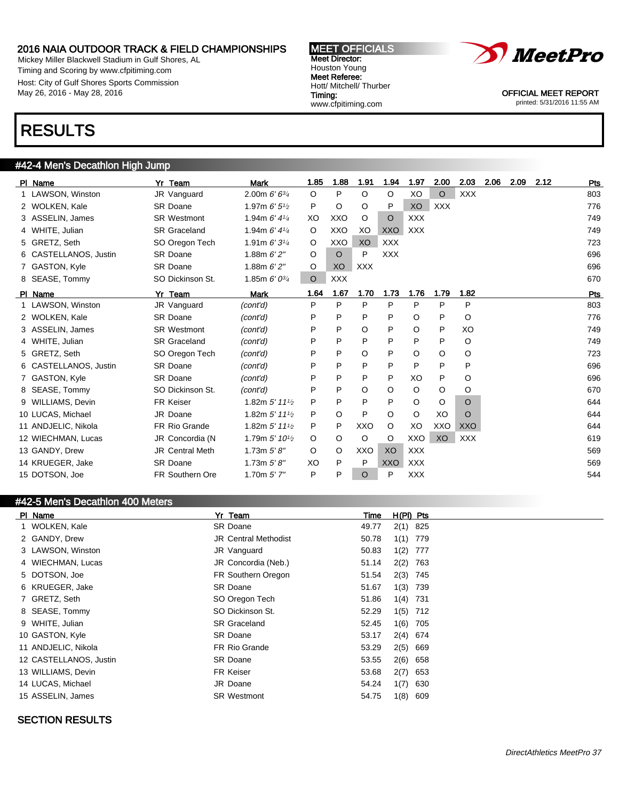Mickey Miller Blackwell Stadium in Gulf Shores, AL Timing and Scoring by www.cfpitiming.com Host: City of Gulf Shores Sports Commission May 26, 2016 - May 28, 2016





OFFICIAL MEET REPORT printed: 5/31/2016 11:55 AM

# RESULTS

### #42-4 Men's Decathlon High Jump

| PI Name               | Yr Team                | <b>Mark</b>                               | 1.85    | 1.88       | 1.91       | 1.94       | 1.97       | 2.00       | 2.03       | 2.06 | 2.09 | 2.12 | Pts |
|-----------------------|------------------------|-------------------------------------------|---------|------------|------------|------------|------------|------------|------------|------|------|------|-----|
| 1 LAWSON, Winston     | JR Vanguard            | 2.00m $6'6^{3/4}$                         | $\circ$ | P          | $\circ$    | O          | XO         | $\circ$    | <b>XXX</b> |      |      |      | 803 |
| 2 WOLKEN, Kale        | <b>SR Doane</b>        | 1.97m $6'5'$                              | P       | O          | O          | P          | XO         | <b>XXX</b> |            |      |      |      | 776 |
| 3 ASSELIN, James      | <b>SR Westmont</b>     | 1.94m $6'$ 4 $\frac{1}{4}$                | XO      | <b>XXO</b> | $\circ$    | $\circ$    | <b>XXX</b> |            |            |      |      |      | 749 |
| 4 WHITE, Julian       | <b>SR Graceland</b>    | 1.94m $6'$ 4 $\frac{1}{4}$                | $\circ$ | <b>XXO</b> | XO         | <b>XXO</b> | <b>XXX</b> |            |            |      |      |      | 749 |
| 5 GRETZ, Seth         | SO Oregon Tech         | 1.91m $6'3\frac{1}{4}$                    | $\circ$ | XXO        | XO         | <b>XXX</b> |            |            |            |      |      |      | 723 |
| 6 CASTELLANOS, Justin | SR Doane               | 1.88m $6'2''$                             | $\circ$ | $\Omega$   | P          | <b>XXX</b> |            |            |            |      |      |      | 696 |
| 7 GASTON, Kyle        | <b>SR Doane</b>        | 1.88m $6'2''$                             | O       | XO         | <b>XXX</b> |            |            |            |            |      |      |      | 696 |
| 8 SEASE, Tommy        | SO Dickinson St.       | 1.85m $6'0^{3/4}$                         | $\circ$ | <b>XXX</b> |            |            |            |            |            |      |      |      | 670 |
| PI Name               | Yr Team                | <b>Mark</b>                               | 1.64    | 1.67       | 1.70       | 1.73       | 1.76       | 1.79       | 1.82       |      |      |      | Pts |
| 1 LAWSON, Winston     | JR Vanguard            | (cont'd)                                  | P       | P          | P          | P          | P          | P          | P          |      |      |      | 803 |
| 2 WOLKEN, Kale        | <b>SR Doane</b>        | (cont'd)                                  | P       | P          | P          | P          | O          | P          | O          |      |      |      | 776 |
| 3 ASSELIN, James      | <b>SR Westmont</b>     | (cont'd)                                  | P       | P          | O          | P          | O          | P          | XO         |      |      |      | 749 |
| 4 WHITE, Julian       | <b>SR Graceland</b>    | (cont'd)                                  | P       | P          | P          | P          | P          | P          | O          |      |      |      | 749 |
| 5 GRETZ, Seth         | SO Oregon Tech         | (cont'd)                                  | P       | P          | O          | P          | O          | O          | O          |      |      |      | 723 |
| 6 CASTELLANOS, Justin | <b>SR Doane</b>        | (cont'd)                                  | P       | P          | P          | P          | P          | P          | P          |      |      |      | 696 |
| 7 GASTON, Kyle        | <b>SR Doane</b>        | (cont'd)                                  | P       | P          | P          | P          | XO         | P          | O          |      |      |      | 696 |
| 8 SEASE, Tommy        | SO Dickinson St.       | (cont'd)                                  | P       | P          | O          | O          | O          | $\circ$    | O          |      |      |      | 670 |
| 9 WILLIAMS, Devin     | <b>FR Keiser</b>       | 1.82m $5'$ 11 <sup>1</sup> / <sub>2</sub> | P       | P          | P          | P          | O          | O          | O          |      |      |      | 644 |
| 10 LUCAS, Michael     | JR Doane               | 1.82m $5'$ 11 <sup>1</sup> / <sub>2</sub> | P       | O          | P          | O          | O          | XO         | $\Omega$   |      |      |      | 644 |
| 11 ANDJELIC, Nikola   | FR Rio Grande          | 1.82m $5'$ 11 <sup>1</sup> / <sub>2</sub> | P       | P          | <b>XXO</b> | O          | XO         | XXO        | <b>XXO</b> |      |      |      | 644 |
| 12 WIECHMAN, Lucas    | JR Concordia (N        | 1.79m 5' 10 <sup>1</sup> / <sub>2</sub>   | $\circ$ | O          | O          | O          | XXO        | XO         | <b>XXX</b> |      |      |      | 619 |
| 13 GANDY, Drew        | <b>JR Central Meth</b> | 1.73 $m 5' 8''$                           | $\circ$ | O          | XXO        | XO         | <b>XXX</b> |            |            |      |      |      | 569 |
| 14 KRUEGER, Jake      | <b>SR Doane</b>        | 1.73 $m 5' 8''$                           | XO      | P          | P          | XXO        | <b>XXX</b> |            |            |      |      |      | 569 |
| 15 DOTSON, Joe        | FR Southern Ore        | 1.70 $m 5' 7''$                           | P       | P          | $\circ$    | P          | <b>XXX</b> |            |            |      |      |      | 544 |

#### #42-5 Men's Decathlon 400 Meters

| PI Name |                        | Yr Team                     | Time  | $H(PI)$ Pts |     |
|---------|------------------------|-----------------------------|-------|-------------|-----|
|         | 1 WOLKEN, Kale         | SR Doane                    | 49.77 | $2(1)$ 825  |     |
|         | 2 GANDY, Drew          | <b>JR Central Methodist</b> | 50.78 | $1(1)$ 779  |     |
|         | 3 LAWSON, Winston      | JR Vanguard                 | 50.83 | 1(2)        | 777 |
|         | 4 WIECHMAN, Lucas      | JR Concordia (Neb.)         | 51.14 | 2(2) 763    |     |
|         | 5 DOTSON, Joe          | FR Southern Oregon          | 51.54 | 2(3) 745    |     |
|         | 6 KRUEGER, Jake        | SR Doane                    | 51.67 | 1(3) 739    |     |
|         | 7 GRETZ, Seth          | SO Oregon Tech              | 51.86 | $1(4)$ 731  |     |
|         | 8 SEASE, Tommy         | SO Dickinson St.            | 52.29 | $1(5)$ 712  |     |
|         | 9 WHITE, Julian        | <b>SR Graceland</b>         | 52.45 | 1(6) 705    |     |
|         | 10 GASTON, Kyle        | <b>SR Doane</b>             | 53.17 | 2(4) 674    |     |
|         | 11 ANDJELIC, Nikola    | FR Rio Grande               | 53.29 | $2(5)$ 669  |     |
|         | 12 CASTELLANOS, Justin | SR Doane                    | 53.55 | $2(6)$ 658  |     |
|         | 13 WILLIAMS, Devin     | FR Keiser                   | 53.68 | $2(7)$ 653  |     |
|         | 14 LUCAS, Michael      | JR Doane                    | 54.24 | 1(7)        | 630 |
|         | 15 ASSELIN, James      | <b>SR Westmont</b>          | 54.75 | 1(8)        | 609 |

### SECTION RESULTS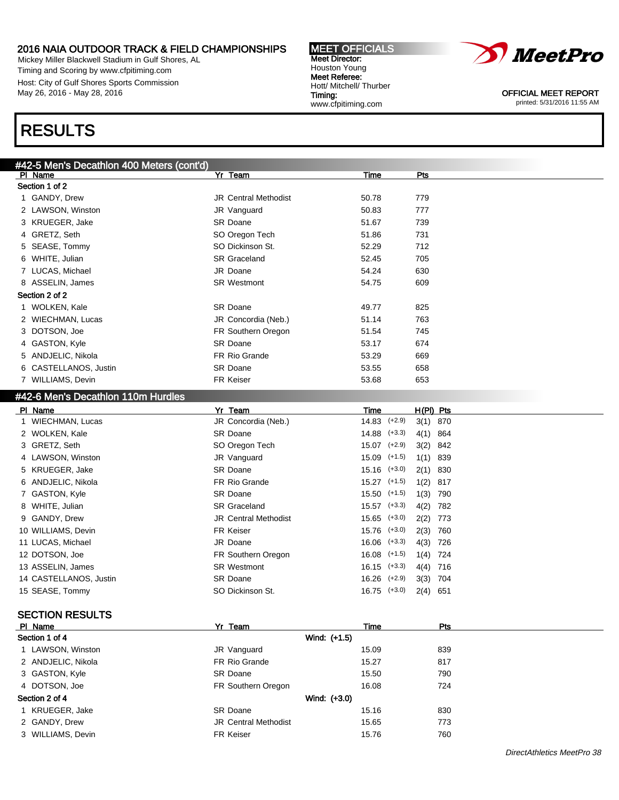Mickey Miller Blackwell Stadium in Gulf Shores, AL Timing and Scoring by www.cfpitiming.com Host: City of Gulf Shores Sports Commission May 26, 2016 - May 28, 2016

# RESULTS

| #42-5 Men's Decathlon 400 Meters (cont'd) |                             |                   |             |
|-------------------------------------------|-----------------------------|-------------------|-------------|
| PI Name                                   | Yr Team                     | Time              | Pts         |
| Section 1 of 2                            |                             |                   |             |
| 1 GANDY, Drew                             | <b>JR Central Methodist</b> | 50.78             | 779         |
| 2 LAWSON, Winston                         | JR Vanguard                 | 50.83             | 777         |
| 3 KRUEGER, Jake                           | <b>SR Doane</b>             | 51.67             | 739         |
| 4 GRETZ, Seth                             | SO Oregon Tech              | 51.86             | 731         |
| 5 SEASE, Tommy                            | SO Dickinson St.            | 52.29             | 712         |
| 6 WHITE, Julian                           | <b>SR Graceland</b>         | 52.45             | 705         |
| 7 LUCAS, Michael                          | JR Doane                    | 54.24             | 630         |
| 8 ASSELIN, James                          | <b>SR Westmont</b>          | 54.75             | 609         |
| Section 2 of 2                            |                             |                   |             |
| 1 WOLKEN, Kale                            | <b>SR Doane</b>             | 49.77             | 825         |
| 2 WIECHMAN, Lucas                         | JR Concordia (Neb.)         | 51.14             | 763         |
| 3 DOTSON, Joe                             | FR Southern Oregon          | 51.54             | 745         |
| 4 GASTON, Kyle                            | <b>SR Doane</b>             | 53.17             | 674         |
| 5 ANDJELIC, Nikola                        | FR Rio Grande               | 53.29             | 669         |
| 6 CASTELLANOS, Justin                     | <b>SR Doane</b>             | 53.55             | 658         |
| 7 WILLIAMS, Devin                         | <b>FR Keiser</b>            | 53.68             | 653         |
| #42-6 Men's Decathlon 110m Hurdles        |                             |                   |             |
| PI Name                                   | Yr Team                     | Time              | $H(PI)$ Pts |
| 1 WIECHMAN, Lucas                         | JR Concordia (Neb.)         | $(+2.9)$<br>14.83 | $3(1)$ 870  |
| 2 WOLKEN, Kale                            | <b>SR Doane</b>             | $(+3.3)$<br>14.88 | 4(1) 864    |
| 3 GRETZ, Seth                             | SO Oregon Tech              | $(+2.9)$<br>15.07 | 3(2) 842    |
| 4 LAWSON, Winston                         | JR Vanguard                 | $(+1.5)$<br>15.09 | $1(1)$ 839  |

| 9 GANDY, Drew          | <b>JR Central Methodist</b> |                  | $15.65$ $(+3.0)$ $2(2)$ 773 |            |  |
|------------------------|-----------------------------|------------------|-----------------------------|------------|--|
| 10 WILLIAMS, Devin     | <b>FR Keiser</b>            |                  | 15.76 (+3.0)                | $2(3)$ 760 |  |
| 11 LUCAS, Michael      | JR Doane                    | $16.06$ $(+3.3)$ |                             | 4(3) 726   |  |
| 12 DOTSON, Joe         | FR Southern Oregon          |                  | $16.08$ $(+1.5)$ $1(4)$ 724 |            |  |
| 13 ASSELIN, James      | <b>SR Westmont</b>          |                  | $16.15$ $(+3.3)$ $4(4)$ 716 |            |  |
| 14 CASTELLANOS, Justin | <b>SR Doane</b>             |                  | 16.26 (+2.9)                | 3(3) 704   |  |
| 15 SEASE, Tommy        | SO Dickinson St.            |                  | $16.75$ $(+3.0)$            | $2(4)$ 651 |  |
|                        |                             |                  |                             |            |  |

5 KRUEGER, Jake SR Doane SR Doane 15.16 (+3.0) 2(1) 830 6 ANDJELIC, Nikola FR Rio Grande 15.27 (+1.5) 1(2) 817 7 GASTON, Kyle SR Doane SR Doane 15.50 (+1.5) 1(3) 790 8 WHITE, Julian 15.57 (+3.3) 4(2) 782

### SECTION RESULTS

| PI Name            | Yr Team                     | <b>Time</b>  | Pts |  |
|--------------------|-----------------------------|--------------|-----|--|
| Section 1 of 4     |                             | Wind: (+1.5) |     |  |
| 1 LAWSON, Winston  | JR Vanguard                 | 15.09        | 839 |  |
| 2 ANDJELIC, Nikola | FR Rio Grande               | 15.27        | 817 |  |
| 3 GASTON, Kyle     | <b>SR Doane</b>             | 15.50        | 790 |  |
| 4 DOTSON, Joe      | FR Southern Oregon          | 16.08        | 724 |  |
| Section 2 of 4     |                             | Wind: (+3.0) |     |  |
| 1 KRUEGER, Jake    | <b>SR Doane</b>             | 15.16        | 830 |  |
| 2 GANDY, Drew      | <b>JR Central Methodist</b> | 15.65        | 773 |  |
| 3 WILLIAMS, Devin  | FR Keiser                   | 15.76        | 760 |  |
|                    |                             |              |     |  |





OFFICIAL MEET REPORT printed: 5/31/2016 11:55 AM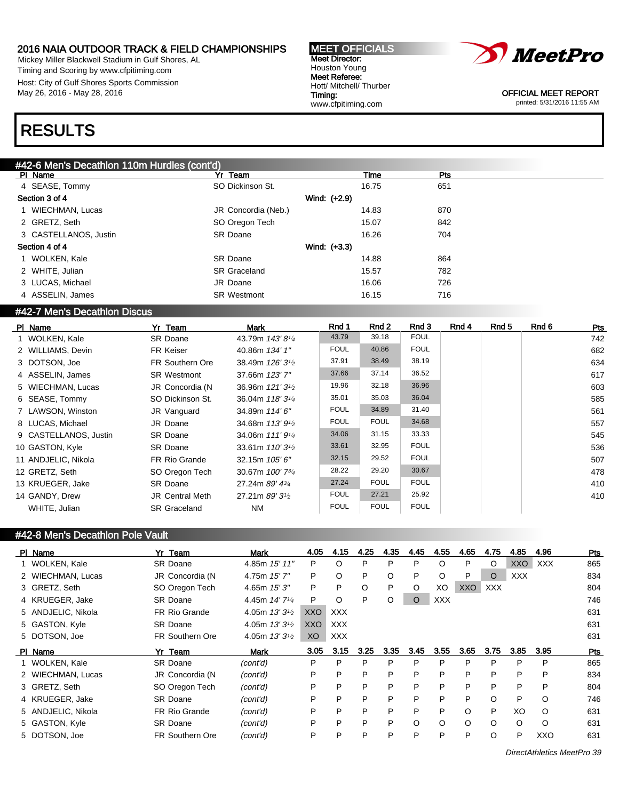Mickey Miller Blackwell Stadium in Gulf Shores, AL Timing and Scoring by www.cfpitiming.com Host: City of Gulf Shores Sports Commission May 26, 2016 - May 28, 2016

#### MEET OFFICIALS Meet Director: Houston Young Meet Referee: Hott/ Mitchell/ Thurber Timing: www.cfpitiming.com



OFFICIAL MEET REPORT printed: 5/31/2016 11:55 AM

# RESULTS

### #42-6 Men's Decathlon 110m Hurdles (cont'd)

| PI Name               | Yr Team             | Time  | Pts |
|-----------------------|---------------------|-------|-----|
| 4 SEASE, Tommy        | SO Dickinson St.    | 16.75 | 651 |
| Section 3 of 4        | Wind: (+2.9)        |       |     |
| 1 WIECHMAN, Lucas     | JR Concordia (Neb.) | 14.83 | 870 |
| 2 GRETZ, Seth         | SO Oregon Tech      | 15.07 | 842 |
| 3 CASTELLANOS, Justin | <b>SR Doane</b>     | 16.26 | 704 |
| Section 4 of 4        | Wind: (+3.3)        |       |     |
| 1 WOLKEN, Kale        | <b>SR Doane</b>     | 14.88 | 864 |
| 2 WHITE, Julian       | <b>SR Graceland</b> | 15.57 | 782 |
| 3 LUCAS, Michael      | JR Doane            | 16.06 | 726 |
| 4 ASSELIN, James      | <b>SR Westmont</b>  | 16.15 | 716 |
|                       |                     |       |     |

### #42-7 Men's Decathlon Discus

| PI Name               | Yr Team                | Mark                                      | Rnd 1       | Rnd 2       | Rnd 3       | Rnd 4 | Rnd 5 | Rnd 6 | Pts |
|-----------------------|------------------------|-------------------------------------------|-------------|-------------|-------------|-------|-------|-------|-----|
| 1 WOLKEN, Kale        | <b>SR Doane</b>        | 43.79m 143'81/4                           | 43.79       | 39.18       | <b>FOUL</b> |       |       |       | 742 |
| 2 WILLIAMS, Devin     | <b>FR Keiser</b>       | 40.86m 134' 1"                            | <b>FOUL</b> | 40.86       | <b>FOUL</b> |       |       |       | 682 |
| 3 DOTSON, Joe         | FR Southern Ore        | 38.49m 126' 3 <sup>1</sup> / <sub>2</sub> | 37.91       | 38.49       | 38.19       |       |       |       | 634 |
| 4 ASSELIN, James      | <b>SR Westmont</b>     | 37.66m 123' 7"                            | 37.66       | 37.14       | 36.52       |       |       |       | 617 |
| 5 WIECHMAN, Lucas     | JR Concordia (N        | 36.96m 121' 31/2                          | 19.96       | 32.18       | 36.96       |       |       |       | 603 |
| 6 SEASE, Tommy        | SO Dickinson St.       | 36.04m 118' 31/4                          | 35.01       | 35.03       | 36.04       |       |       |       | 585 |
| 7 LAWSON, Winston     | JR Vanguard            | 34.89m 114' 6"                            | <b>FOUL</b> | 34.89       | 31.40       |       |       |       | 561 |
| 8 LUCAS, Michael      | JR Doane               | 34.68m 113' 9 <sup>1</sup> / <sub>2</sub> | <b>FOUL</b> | <b>FOUL</b> | 34.68       |       |       |       | 557 |
| 9 CASTELLANOS, Justin | <b>SR Doane</b>        | 34.06m 111' 9 <sup>1/4</sup>              | 34.06       | 31.15       | 33.33       |       |       |       | 545 |
| 10 GASTON, Kyle       | <b>SR Doane</b>        | 33.61m $110'3^{1/2}$                      | 33.61       | 32.95       | <b>FOUL</b> |       |       |       | 536 |
| 11 ANDJELIC, Nikola   | FR Rio Grande          | 32.15m 105' 6"                            | 32.15       | 29.52       | <b>FOUL</b> |       |       |       | 507 |
| 12 GRETZ, Seth        | SO Oregon Tech         | 30.67m 100' 73/4                          | 28.22       | 29.20       | 30.67       |       |       |       | 478 |
| 13 KRUEGER, Jake      | <b>SR Doane</b>        | 27.24m 89' 43/4                           | 27.24       | <b>FOUL</b> | <b>FOUL</b> |       |       |       | 410 |
| 14 GANDY, Drew        | <b>JR Central Meth</b> | 27.21m 89' 3 <sup>1</sup> / <sub>2</sub>  | <b>FOUL</b> | 27.21       | 25.92       |       |       |       | 410 |
| WHITE, Julian         | <b>SR Graceland</b>    | <b>NM</b>                                 | <b>FOUL</b> | <b>FOUL</b> | <b>FOUL</b> |       |       |       |     |

### #42-8 Men's Decathlon Pole Vault

| PI Name            | Team<br>Yr      |                        | Mark                       | 4.05       | 4.15       | 4.25 | 4.35 | 4.45    | 4.55       | 4.65    | 4.75       | 4.85       | 4.96       | <b>Pts</b> |
|--------------------|-----------------|------------------------|----------------------------|------------|------------|------|------|---------|------------|---------|------------|------------|------------|------------|
| 1 WOLKEN, Kale     | <b>SR Doane</b> |                        | 4.85m 15' 11"              | P          | O          | P    | P    | P       | O          | P       | $\circ$    | <b>XXO</b> | <b>XXX</b> | 865        |
| 2 WIECHMAN, Lucas  |                 | JR Concordia (N        | 4.75m 15' 7"               | P          | O          | P    | O    | P       | O          | P       | $\circ$    | <b>XXX</b> |            | 834        |
| 3 GRETZ, Seth      |                 | SO Oregon Tech         | 4.65m $15'3''$             | P          | P          | O    | P    | O       | XO         | XXO     | <b>XXX</b> |            |            | 804        |
| 4 KRUEGER, Jake    | <b>SR Doane</b> |                        | 4.45m 14' 7 <sup>1/4</sup> | P          | O          | P    | O    | $\circ$ | <b>XXX</b> |         |            |            |            | 746        |
| 5 ANDJELIC, Nikola |                 | FR Rio Grande          | 4.05m $13'3'$              | <b>XXO</b> | <b>XXX</b> |      |      |         |            |         |            |            |            | 631        |
| 5 GASTON, Kyle     | <b>SR Doane</b> |                        | 4.05m $13'3'$              | XXO        | <b>XXX</b> |      |      |         |            |         |            |            |            | 631        |
| 5 DOTSON, Joe      |                 | <b>FR Southern Ore</b> | 4.05m $13'3'$              | XO         | <b>XXX</b> |      |      |         |            |         |            |            |            | 631        |
|                    |                 |                        |                            |            |            |      |      |         |            |         |            |            |            |            |
| PI Name            | Yr Team         |                        | Mark                       | 3.05       | 3.15       | 3.25 | 3.35 | 3.45    | 3.55       | 3.65    | 3.75       | 3.85       | 3.95       | Pts        |
| 1 WOLKEN, Kale     | <b>SR Doane</b> |                        | (cont'd)                   | P          | P          | P    | P    | P       | P          | P       | P          | P          | P          | 865        |
| 2 WIECHMAN, Lucas  |                 | JR Concordia (N        | (cont'd)                   | P          | P          | P    | P    | P       | P          | P       | P          | P          | P          | 834        |
| 3 GRETZ, Seth      |                 | SO Oregon Tech         | (cont'd)                   | P          | P          | P    | P    | P       | P          | P       | P          | P          | P          | 804        |
| 4 KRUEGER, Jake    | <b>SR Doane</b> |                        | (cont'd)                   | P          | P          | P    | P    | P       | P          | P       | $\circ$    | P          | $\circ$    | 746        |
| 5 ANDJELIC, Nikola |                 | <b>FR Rio Grande</b>   | (cont'd)                   | P          | P          | P    | P    | P       | P          | $\circ$ | P          | XO         | $\Omega$   | 631        |
| 5 GASTON, Kyle     | <b>SR Doane</b> |                        | (cont'd)                   | P          | P          | P    | P    | $\circ$ | $\circ$    | $\circ$ | $\circ$    | O          | $\circ$    | 631        |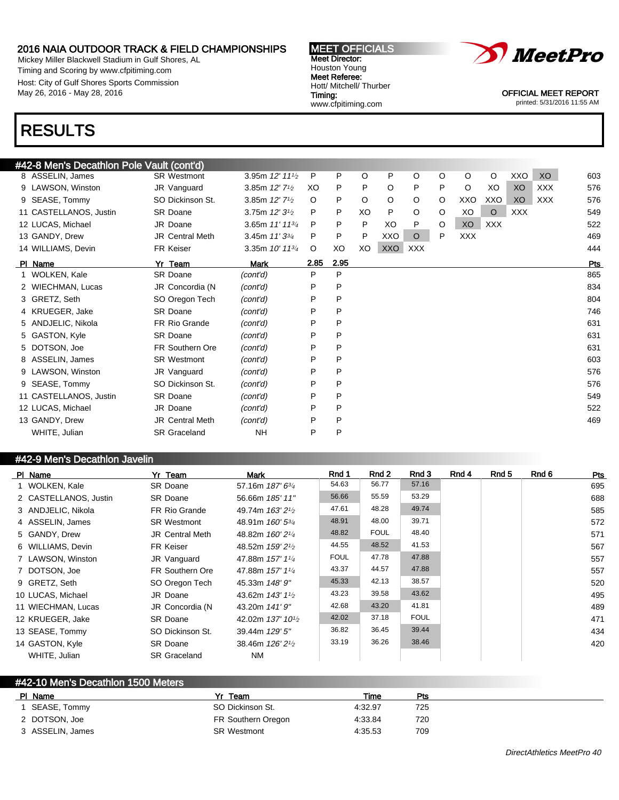Mickey Miller Blackwell Stadium in Gulf Shores, AL Timing and Scoring by www.cfpitiming.com Host: City of Gulf Shores Sports Commission May 26, 2016 - May 28, 2016

#### MEET OFFICIALS Meet Director: Houston Young Meet Referee: Hott/ Mitchell/ Thurber Timing: www.cfpitiming.com



OFFICIAL MEET REPORT

printed: 5/31/2016 11:55 AM

# RESULTS

| #42-8 Men's Decathlon Pole Vault (cont'd) |                        |                                         |         |      |    |         |            |         |            |            |            |            |     |
|-------------------------------------------|------------------------|-----------------------------------------|---------|------|----|---------|------------|---------|------------|------------|------------|------------|-----|
| 8 ASSELIN, James                          | <b>SR Westmont</b>     | 3.95m 12' 111/2                         | P       | P    | O  | P       | O          | O       | $\circ$    | $\circ$    | XXO        | XO         | 603 |
| 9 LAWSON, Winston                         | JR Vanguard            | 3.85m 12' 7 <sup>1</sup> / <sub>2</sub> | XO      | P    | P  | O       | P          | P       | $\circ$    | XO         | XO         | <b>XXX</b> | 576 |
| 9 SEASE, Tommy                            | SO Dickinson St.       | 3.85m 12' 7 <sup>1</sup> / <sub>2</sub> | $\circ$ | P    | O  | $\circ$ | O          | O       | XXO        | XXO        | XO         | XXX        | 576 |
| 11 CASTELLANOS, Justin                    | <b>SR Doane</b>        | 3.75m 12' 3 <sup>1</sup> / <sub>2</sub> | P       | P    | XO | P       | O          | O       | XO         | $\circ$    | <b>XXX</b> |            | 549 |
| 12 LUCAS, Michael                         | JR Doane               | 3.65m 11' 11 <sup>3/4</sup>             | P       | P    | P  | XO      | P          | $\circ$ | XO         | <b>XXX</b> |            |            | 522 |
| 13 GANDY, Drew                            | JR Central Meth        | 3.45m 11' 33/4                          | P       | P    | P  | XXO     | $\circ$    | P       | <b>XXX</b> |            |            |            | 469 |
| 14 WILLIAMS, Devin                        | FR Keiser              | 3.35m $10'$ 11 $\frac{3}{4}$            | $\circ$ | XO   | XO | XXO     | <b>XXX</b> |         |            |            |            |            | 444 |
| PI Name                                   | Yr Team                | Mark                                    | 2.85    | 2.95 |    |         |            |         |            |            |            |            | Pts |
| WOLKEN, Kale                              | <b>SR Doane</b>        | (cont'd)                                | P       | P    |    |         |            |         |            |            |            |            | 865 |
| 2 WIECHMAN, Lucas                         | JR Concordia (N        | (cont'd)                                | P       | P    |    |         |            |         |            |            |            |            | 834 |
| 3 GRETZ, Seth                             | SO Oregon Tech         | (cont'd)                                | P       | P    |    |         |            |         |            |            |            |            | 804 |
| 4 KRUEGER, Jake                           | <b>SR Doane</b>        | (cont'd)                                | P       | P    |    |         |            |         |            |            |            |            | 746 |
| 5 ANDJELIC, Nikola                        | FR Rio Grande          | (cont'd)                                | P       | P    |    |         |            |         |            |            |            |            | 631 |
| 5 GASTON, Kyle                            | <b>SR Doane</b>        | (cont'd)                                | P       | P    |    |         |            |         |            |            |            |            | 631 |
| 5 DOTSON, Joe                             | <b>FR Southern Ore</b> | (cont'd)                                | P       | P    |    |         |            |         |            |            |            |            | 631 |
| 8 ASSELIN, James                          | <b>SR Westmont</b>     | (cont'd)                                | P       | P    |    |         |            |         |            |            |            |            | 603 |
| 9 LAWSON, Winston                         | JR Vanguard            | (cont'd)                                | P       | P    |    |         |            |         |            |            |            |            | 576 |
| 9 SEASE, Tommy                            | SO Dickinson St.       | (cont'd)                                | P       | P    |    |         |            |         |            |            |            |            | 576 |
| 11 CASTELLANOS, Justin                    | <b>SR Doane</b>        | (cont'd)                                | P       | P    |    |         |            |         |            |            |            |            | 549 |
| 12 LUCAS, Michael                         | JR Doane               | (cont'd)                                | P       | P    |    |         |            |         |            |            |            |            | 522 |
| 13 GANDY, Drew                            | <b>JR Central Meth</b> | (cont'd)                                | P       | P    |    |         |            |         |            |            |            |            | 469 |
| WHITE, Julian                             | <b>SR Graceland</b>    | <b>NH</b>                               | P       | P    |    |         |            |         |            |            |            |            |     |

### #42-9 Men's Decathlon Javelin

| PI Name               | Yr Team                | Mark                                       | Rnd 1       | Rnd 2       | Rnd 3       | Rnd 4 | Rnd 5 | Rnd 6 | Pts |
|-----------------------|------------------------|--------------------------------------------|-------------|-------------|-------------|-------|-------|-------|-----|
| 1 WOLKEN, Kale        | SR Doane               | 57.16m 187' 63/4                           | 54.63       | 56.77       | 57.16       |       |       |       | 695 |
| 2 CASTELLANOS, Justin | SR Doane               | 56.66m 185' 11"                            | 56.66       | 55.59       | 53.29       |       |       |       | 688 |
| 3 ANDJELIC, Nikola    | FR Rio Grande          | 49.74m 163' 2 <sup>1</sup> / <sub>2</sub>  | 47.61       | 48.28       | 49.74       |       |       |       | 585 |
| 4 ASSELIN, James      | <b>SR Westmont</b>     | 48.91m 160' 5 <sup>3/4</sup>               | 48.91       | 48.00       | 39.71       |       |       |       | 572 |
| 5 GANDY, Drew         | <b>JR Central Meth</b> | 48.82m 160' 2 <sup>1/4</sup>               | 48.82       | <b>FOUL</b> | 48.40       |       |       |       | 571 |
| 6 WILLIAMS, Devin     | FR Keiser              | 48.52m 159' 2 <sup>1</sup> / <sub>2</sub>  | 44.55       | 48.52       | 41.53       |       |       |       | 567 |
| 7 LAWSON, Winston     | JR Vanguard            | 47.88m 157' 11/4                           | <b>FOUL</b> | 47.78       | 47.88       |       |       |       | 557 |
| 7 DOTSON, Joe         | FR Southern Ore        | 47.88m 157' 11/4                           | 43.37       | 44.57       | 47.88       |       |       |       | 557 |
| 9 GRETZ, Seth         | SO Oregon Tech         | 45.33m 148' 9"                             | 45.33       | 42.13       | 38.57       |       |       |       | 520 |
| 10 LUCAS, Michael     | JR Doane               | 43.62m 143' 1 <sup>1</sup> / <sub>2</sub>  | 43.23       | 39.58       | 43.62       |       |       |       | 495 |
| 11 WIECHMAN, Lucas    | JR Concordia (N        | 43.20m 141' 9"                             | 42.68       | 43.20       | 41.81       |       |       |       | 489 |
| 12 KRUEGER, Jake      | <b>SR Doane</b>        | 42.02m 137' 10 <sup>1</sup> / <sub>2</sub> | 42.02       | 37.18       | <b>FOUL</b> |       |       |       | 471 |
| 13 SEASE, Tommy       | SO Dickinson St.       | 39.44m 129' 5"                             | 36.82       | 36.45       | 39.44       |       |       |       | 434 |
| 14 GASTON, Kyle       | SR Doane               | 38.46m 126' 2 <sup>1</sup> / <sub>2</sub>  | 33.19       | 36.26       | 38.46       |       |       |       | 420 |
| WHITE, Julian         | <b>SR Graceland</b>    | NM                                         |             |             |             |       |       |       |     |

### #42-10 Men's Decathlon 1500 Meters PI Name Particle Property of the President President President President President President President President 1 SEASE, Tommy SO Dickinson St. 4:32.97 725 2 DOTSON, Joe FR Southern Oregon 4:33.84 720 3 ASSELIN, James SR Westmont 4:35.53 709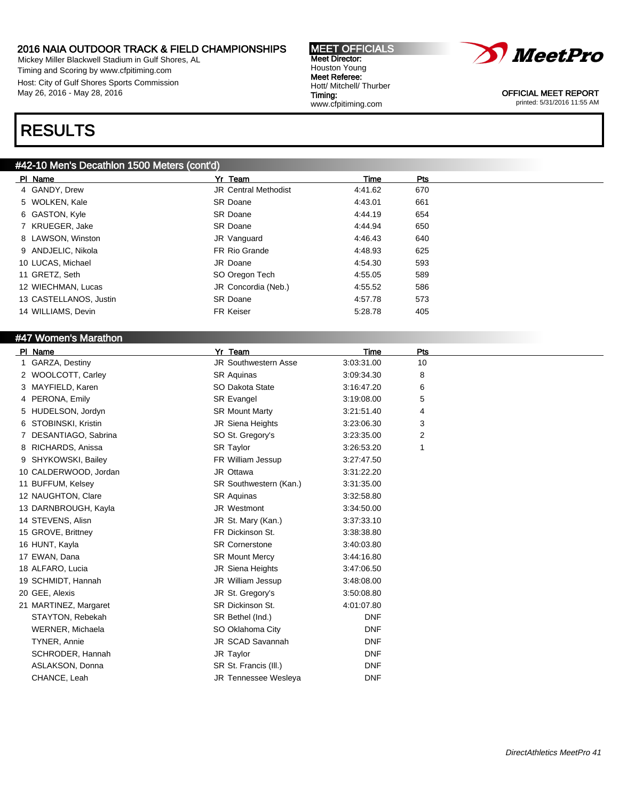Mickey Miller Blackwell Stadium in Gulf Shores, AL Timing and Scoring by www.cfpitiming.com Host: City of Gulf Shores Sports Commission May 26, 2016 - May 28, 2016

# RESULTS

### #42-10 Men's Decathlon 1500 Meters (cont'd)

| PI Name                | Yr Team                     | Time    | Pts |
|------------------------|-----------------------------|---------|-----|
| 4 GANDY, Drew          | <b>JR Central Methodist</b> | 4:41.62 | 670 |
| 5 WOLKEN, Kale         | <b>SR Doane</b>             | 4:43.01 | 661 |
| 6 GASTON, Kyle         | <b>SR Doane</b>             | 4:44.19 | 654 |
| 7 KRUEGER, Jake        | <b>SR Doane</b>             | 4:44.94 | 650 |
| 8 LAWSON, Winston      | JR Vanguard                 | 4:46.43 | 640 |
| 9 ANDJELIC, Nikola     | FR Rio Grande               | 4:48.93 | 625 |
| 10 LUCAS, Michael      | JR Doane                    | 4:54.30 | 593 |
| 11 GRETZ, Seth         | SO Oregon Tech              | 4:55.05 | 589 |
| 12 WIECHMAN, Lucas     | JR Concordia (Neb.)         | 4:55.52 | 586 |
| 13 CASTELLANOS, Justin | <b>SR Doane</b>             | 4:57.78 | 573 |
| 14 WILLIAMS, Devin     | <b>FR Keiser</b>            | 5:28.78 | 405 |

### #47 Women's Marathon

| PI Name                  | Yr Team                     | <b>Time</b> | Pts |  |
|--------------------------|-----------------------------|-------------|-----|--|
| GARZA, Destiny           | <b>JR Southwestern Asse</b> | 3:03:31.00  | 10  |  |
| 2 WOOLCOTT, Carley       | <b>SR Aquinas</b>           | 3:09:34.30  | 8   |  |
| 3 MAYFIELD, Karen        | SO Dakota State             | 3:16:47.20  | 6   |  |
| 4 PERONA, Emily          | SR Evangel                  | 3:19:08.00  | 5   |  |
| 5 HUDELSON, Jordyn       | <b>SR Mount Marty</b>       | 3:21:51.40  | 4   |  |
| STOBINSKI, Kristin<br>6. | JR Siena Heights            | 3:23:06.30  | 3   |  |
| DESANTIAGO, Sabrina      | SO St. Gregory's            | 3:23:35.00  | 2   |  |
| 8 RICHARDS, Anissa       | SR Taylor                   | 3:26:53.20  | 1   |  |
| SHYKOWSKI, Bailey<br>9   | FR William Jessup           | 3:27:47.50  |     |  |
| 10 CALDERWOOD, Jordan    | JR Ottawa                   | 3:31:22.20  |     |  |
| 11 BUFFUM, Kelsey        | SR Southwestern (Kan.)      | 3:31:35.00  |     |  |
| 12 NAUGHTON, Clare       | <b>SR Aquinas</b>           | 3:32:58.80  |     |  |
| 13 DARNBROUGH, Kayla     | <b>JR Westmont</b>          | 3:34:50.00  |     |  |
| 14 STEVENS, Alisn        | JR St. Mary (Kan.)          | 3:37:33.10  |     |  |
| 15 GROVE, Brittney       | FR Dickinson St.            | 3:38:38.80  |     |  |
| 16 HUNT, Kayla           | <b>SR Cornerstone</b>       | 3:40:03.80  |     |  |
| 17 EWAN, Dana            | <b>SR Mount Mercy</b>       | 3:44:16.80  |     |  |
| 18 ALFARO, Lucia         | JR Siena Heights            | 3:47:06.50  |     |  |
| 19 SCHMIDT, Hannah       | JR William Jessup           | 3:48:08.00  |     |  |
| 20 GEE, Alexis           | JR St. Gregory's            | 3:50:08.80  |     |  |
| 21 MARTINEZ, Margaret    | SR Dickinson St.            | 4:01:07.80  |     |  |
| STAYTON, Rebekah         | SR Bethel (Ind.)            | <b>DNF</b>  |     |  |
| WERNER, Michaela         | SO Oklahoma City            | <b>DNF</b>  |     |  |
| TYNER, Annie             | JR SCAD Savannah            | <b>DNF</b>  |     |  |
| SCHRODER, Hannah         | JR Taylor                   | <b>DNF</b>  |     |  |
| ASLAKSON, Donna          | SR St. Francis (III.)       | <b>DNF</b>  |     |  |
| CHANCE, Leah             | JR Tennessee Wesleya        | <b>DNF</b>  |     |  |
|                          |                             |             |     |  |



OFFICIAL MEET REPORT printed: 5/31/2016 11:55 AM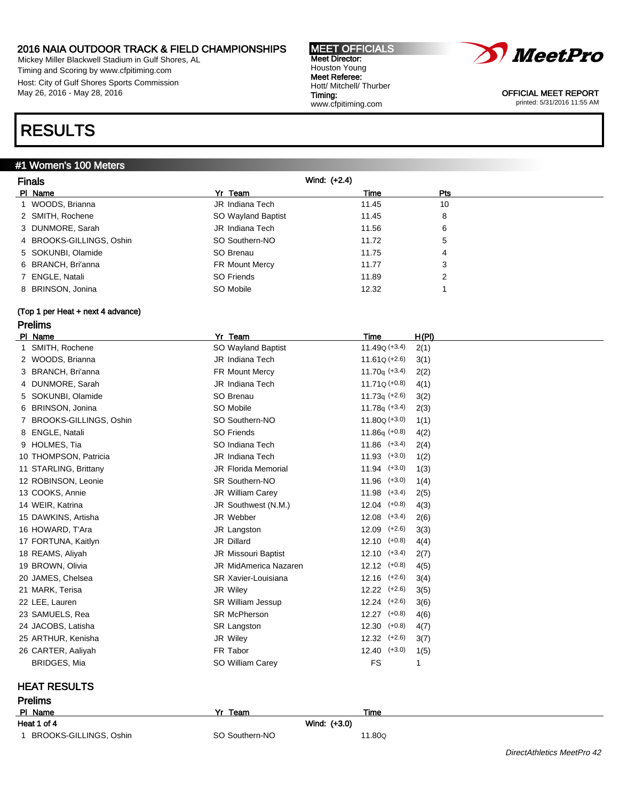Mickey Miller Blackwell Stadium in Gulf Shores, AL Timing and Scoring by www.cfpitiming.com Host: City of Gulf Shores Sports Commission May 26, 2016 - May 28, 2016

# RESULTS

### #1 Women's 100 Meters

| <b>Finals</b>                     | Wind: (+2.4)               |                   |              |
|-----------------------------------|----------------------------|-------------------|--------------|
| PI Name                           | Yr Team                    | Time              | Pts          |
| 1 WOODS, Brianna                  | JR Indiana Tech            | 11.45             | 10           |
| 2 SMITH, Rochene                  | SO Wayland Baptist         | 11.45             | 8            |
| 3 DUNMORE, Sarah                  | JR Indiana Tech            | 11.56             | 6            |
| 4 BROOKS-GILLINGS, Oshin          | SO Southern-NO             | 11.72             | 5            |
| 5 SOKUNBI, Olamide                | SO Brenau                  | 11.75             | 4            |
| 6 BRANCH, Bri'anna                | FR Mount Mercy             | 11.77             | 3            |
| 7 ENGLE, Natali                   | <b>SO Friends</b>          | 11.89             | 2            |
| 8 BRINSON, Jonina                 | SO Mobile                  | 12.32             | 1            |
| (Top 1 per Heat + next 4 advance) |                            |                   |              |
| <b>Prelims</b>                    |                            |                   |              |
| PI Name                           | Yr Team                    | Time              | H(PI)        |
| 1 SMITH, Rochene                  | SO Wayland Baptist         | $11.49Q (+3.4)$   | 2(1)         |
| 2 WOODS, Brianna                  | <b>JR</b> Indiana Tech     | $11.61Q (+2.6)$   | 3(1)         |
| 3 BRANCH, Bri'anna                | FR Mount Mercy             | 11.70 $q (+3.4)$  | 2(2)         |
| 4 DUNMORE, Sarah                  | JR Indiana Tech            | $11.71Q (+0.8)$   | 4(1)         |
| 5 SOKUNBI, Olamide                | SO Brenau                  | $11.73q$ (+2.6)   | 3(2)         |
| 6 BRINSON, Jonina                 | SO Mobile                  | 11.78 $q (+3.4)$  | 2(3)         |
| 7 BROOKS-GILLINGS, Oshin          | SO Southern-NO             | $11.80Q (+3.0)$   | 1(1)         |
| 8 ENGLE, Natali                   | <b>SO Friends</b>          | $11.86q (+0.8)$   | 4(2)         |
| 9 HOLMES, Tia                     | SO Indiana Tech            | $11.86$ $(+3.4)$  | 2(4)         |
| 10 THOMPSON, Patricia             | JR Indiana Tech            | $11.93$ $(+3.0)$  | 1(2)         |
| 11 STARLING, Brittany             | <b>JR Florida Memorial</b> | $11.94$ $(+3.0)$  | 1(3)         |
| 12 ROBINSON, Leonie               | SR Southern-NO             | $11.96$ $(+3.0)$  | 1(4)         |
| 13 COOKS, Annie                   | <b>JR William Carey</b>    | $11.98$ (+3.4)    | 2(5)         |
| 14 WEIR, Katrina                  | JR Southwest (N.M.)        | $12.04$ $(+0.8)$  | 4(3)         |
| 15 DAWKINS, Artisha               | JR Webber                  | $12.08$ $(+3.4)$  | 2(6)         |
| 16 HOWARD, T'Ara                  | JR Langston                | $12.09$ $(+2.6)$  | 3(3)         |
| 17 FORTUNA, Kaitlyn               | JR Dillard                 | $12.10$ $(+0.8)$  | 4(4)         |
| 18 REAMS, Aliyah                  | JR Missouri Baptist        | $12.10$ $(+3.4)$  | 2(7)         |
| 19 BROWN, Olivia                  | JR MidAmerica Nazaren      | $12.12$ $(+0.8)$  | 4(5)         |
| 20 JAMES, Chelsea                 | SR Xavier-Louisiana        | $12.16$ $(+2.6)$  | 3(4)         |
| 21 MARK, Terisa                   | JR Wiley                   | $12.22$ $(+2.6)$  | 3(5)         |
| 22 LEE, Lauren                    | <b>SR William Jessup</b>   | $12.24$ $(+2.6)$  | 3(6)         |
| 23 SAMUELS, Rea                   | <b>SR McPherson</b>        | $12.27$ $(+0.8)$  | 4(6)         |
| 24 JACOBS, Latisha                | SR Langston                | $12.30$ $(+0.8)$  | 4(7)         |
| 25 ARTHUR, Kenisha                | JR Wiley                   | $12.32$ $(+2.6)$  | 3(7)         |
| 26 CARTER, Aaliyah                | FR Tabor                   | 12.40<br>$(+3.0)$ | 1(5)         |
| <b>BRIDGES, Mia</b>               | SO William Carey           | FS                | $\mathbf{1}$ |

MEET OFFICIALS Meet Director: Houston Young Meet Referee: Hott/ Mitchell/ Thurber

www.cfpitiming.com

Timing:

# HEAT RESULTS

| <b>Prelims</b>         |                |        |  |  |
|------------------------|----------------|--------|--|--|
| PI Name                | Yr<br>Team     | Time   |  |  |
| Heat 1 of 4            | Wind: (+3.0)   |        |  |  |
| BROOKS-GILLINGS, Oshin | SO Southern-NO | 11.80Q |  |  |



OFFICIAL MEET REPORT printed: 5/31/2016 11:55 AM

DirectAthletics MeetPro 42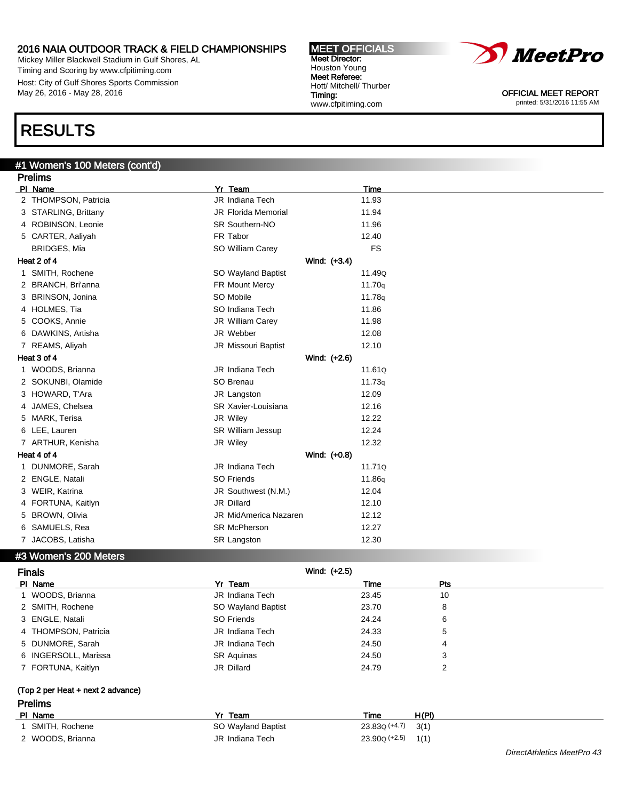Mickey Miller Blackwell Stadium in Gulf Shores, AL Timing and Scoring by www.cfpitiming.com Host: City of Gulf Shores Sports Commission May 26, 2016 - May 28, 2016

# RESULTS

### #1 Women's 100 Meters (cont'd)

| <b>Prelims</b>            |                              |           |  |  |
|---------------------------|------------------------------|-----------|--|--|
| PI Name                   | Yr Team                      | Time      |  |  |
| 2 THOMPSON, Patricia      | JR Indiana Tech              | 11.93     |  |  |
| 3 STARLING, Brittany      | JR Florida Memorial          | 11.94     |  |  |
| 4 ROBINSON, Leonie        | <b>SR Southern-NO</b>        | 11.96     |  |  |
| 5 CARTER, Aaliyah         | FR Tabor                     | 12.40     |  |  |
| <b>BRIDGES, Mia</b>       | SO William Carey             | <b>FS</b> |  |  |
| Heat 2 of 4               | Wind: (+3.4)                 |           |  |  |
| 1 SMITH, Rochene          | SO Wayland Baptist           | 11.49Q    |  |  |
| 2 BRANCH, Bri'anna        | FR Mount Mercy               | 11.70q    |  |  |
| 3 BRINSON, Jonina         | SO Mobile                    | 11.78g    |  |  |
| 4 HOLMES, Tia             | SO Indiana Tech              | 11.86     |  |  |
| 5 COOKS, Annie            | JR William Carey             | 11.98     |  |  |
| 6 DAWKINS, Artisha        | JR Webber                    | 12.08     |  |  |
| 7 REAMS, Aliyah           | JR Missouri Baptist          | 12.10     |  |  |
| Heat 3 of 4               | Wind: (+2.6)                 |           |  |  |
| 1 WOODS, Brianna          | JR Indiana Tech              | 11.61Q    |  |  |
| 2 SOKUNBI, Olamide        | SO Brenau                    | 11.73q    |  |  |
| 3 HOWARD, T'Ara           | JR Langston                  | 12.09     |  |  |
| JAMES, Chelsea<br>4       | SR Xavier-Louisiana          | 12.16     |  |  |
| MARK, Terisa<br>5.        | JR Wiley                     | 12.22     |  |  |
| 6 LEE, Lauren             | <b>SR William Jessup</b>     | 12.24     |  |  |
| 7 ARTHUR, Kenisha         | JR Wiley                     | 12.32     |  |  |
| Heat 4 of 4               | Wind: (+0.8)                 |           |  |  |
| DUNMORE, Sarah<br>1.      | JR Indiana Tech              | 11.71Q    |  |  |
| 2 ENGLE, Natali           | SO Friends                   | 11.86g    |  |  |
| 3 WEIR, Katrina           | JR Southwest (N.M.)          | 12.04     |  |  |
| 4 FORTUNA, Kaitlyn        | JR Dillard                   | 12.10     |  |  |
| <b>BROWN, Olivia</b><br>5 | <b>JR MidAmerica Nazaren</b> | 12.12     |  |  |
| 6 SAMUELS, Rea            | <b>SR McPherson</b>          | 12.27     |  |  |
| 7 JACOBS, Latisha         | <b>SR Langston</b>           | 12.30     |  |  |

### #3 Women's 200 Meters

| <b>Finals</b>                     | Wind: $(+2.5)$     |                 |                |
|-----------------------------------|--------------------|-----------------|----------------|
| PI Name                           | Yr Team            | Time            | Pts            |
| 1 WOODS, Brianna                  | JR Indiana Tech    | 23.45           | 10             |
| 2 SMITH, Rochene                  | SO Wayland Baptist | 23.70           | 8              |
| 3 ENGLE, Natali                   | SO Friends         | 24.24           | 6              |
| 4 THOMPSON, Patricia              | JR Indiana Tech    | 24.33           | 5              |
| 5 DUNMORE, Sarah                  | JR Indiana Tech    | 24.50           | 4              |
| 6 INGERSOLL, Marissa              | <b>SR Aquinas</b>  | 24.50           | 3              |
| 7 FORTUNA, Kaitlyn                | JR Dillard         | 24.79           | $\overline{2}$ |
| (Top 2 per Heat + next 2 advance) |                    |                 |                |
| <b>Prelims</b>                    |                    |                 |                |
| PI Name                           | Yr Team            | Time            | H(PI)          |
| 1 SMITH, Rochene                  | SO Wayland Baptist | $23.83Q (+4.7)$ | 3(1)           |
| 2 WOODS, Brianna                  | JR Indiana Tech    | $23.90Q (+2.5)$ | 1(1)           |



OFFICIAL MEET REPORT printed: 5/31/2016 11:55 AM

MEET OFFICIALS Meet Director: Houston Young Meet Referee: Hott/ Mitchell/ Thurber Timing: www.cfpitiming.com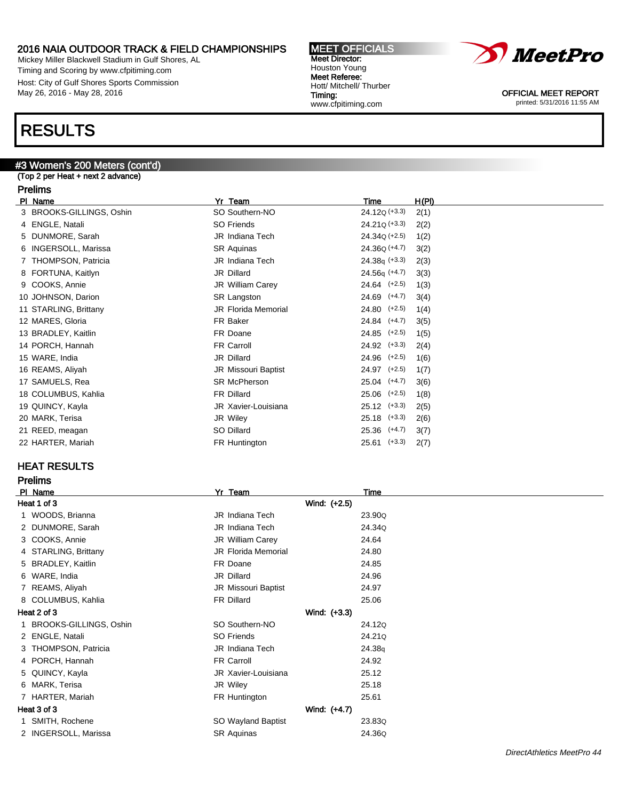Mickey Miller Blackwell Stadium in Gulf Shores, AL Timing and Scoring by www.cfpitiming.com Host: City of Gulf Shores Sports Commission May 26, 2016 - May 28, 2016

# RESULTS

# #3 Women's 200 Meters (cont'd)

### (Top 2 per Heat + next 2 advance)

### Prelims

| PI Name                  | Yr Team                    | H(PI)<br>Time            |  |
|--------------------------|----------------------------|--------------------------|--|
| 3 BROOKS-GILLINGS, Oshin | SO Southern-NO             | $24.12Q (+3.3)$<br>2(1)  |  |
| 4 ENGLE, Natali          | SO Friends                 | $24.21Q (+3.3)$<br>2(2)  |  |
| 5 DUNMORE, Sarah         | JR Indiana Tech            | $24.34Q (+2.5)$<br>1(2)  |  |
| 6 INGERSOLL, Marissa     | <b>SR Aquinas</b>          | $24.36Q (+4.7)$<br>3(2)  |  |
| 7 THOMPSON, Patricia     | JR Indiana Tech            | $24.38q$ (+3.3)<br>2(3)  |  |
| 8 FORTUNA, Kaitlyn       | JR Dillard                 | $24.56q (+4.7)$<br>3(3)  |  |
| 9 COOKS, Annie           | JR William Carey           | $24.64$ $(+2.5)$<br>1(3) |  |
| 10 JOHNSON, Darion       | SR Langston                | 24.69 (+4.7)<br>3(4)     |  |
| 11 STARLING, Brittany    | <b>JR Florida Memorial</b> | $24.80$ (+2.5)<br>1(4)   |  |
| 12 MARES, Gloria         | FR Baker                   | 24.84 (+4.7)<br>3(5)     |  |
| 13 BRADLEY, Kaitlin      | FR Doane                   | $24.85$ (+2.5)<br>1(5)   |  |
| 14 PORCH, Hannah         | FR Carroll                 | $24.92$ $(+3.3)$<br>2(4) |  |
| 15 WARE, India           | JR Dillard                 | $24.96$ $(+2.5)$<br>1(6) |  |
| 16 REAMS, Aliyah         | <b>JR Missouri Baptist</b> | 24.97 (+2.5)<br>1(7)     |  |
| 17 SAMUELS, Rea          | <b>SR McPherson</b>        | $25.04$ $(+4.7)$<br>3(6) |  |
| 18 COLUMBUS, Kahlia      | FR Dillard                 | $25.06$ $(+2.5)$<br>1(8) |  |
| 19 QUINCY, Kayla         | JR Xavier-Louisiana        | $25.12$ $(+3.3)$<br>2(5) |  |
| 20 MARK, Terisa          | JR Wiley                   | $25.18$ $(+3.3)$<br>2(6) |  |
| 21 REED, meagan          | SO Dillard                 | $25.36$ $(+4.7)$<br>3(7) |  |
| 22 HARTER, Mariah        | FR Huntington              | $25.61$ (+3.3)<br>2(7)   |  |
|                          |                            |                          |  |

### HEAT RESULTS

| <b>Prelims</b>         |                            |              |  |
|------------------------|----------------------------|--------------|--|
| PI Name                | Yr Team                    | Time         |  |
| Heat 1 of 3            |                            | Wind: (+2.5) |  |
| 1 WOODS, Brianna       | <b>JR Indiana Tech</b>     | 23.90Q       |  |
| 2 DUNMORE, Sarah       | JR Indiana Tech            | 24.34Q       |  |
| 3 COOKS, Annie         | JR William Carey           | 24.64        |  |
| 4 STARLING, Brittany   | <b>JR Florida Memorial</b> | 24.80        |  |
| 5 BRADLEY, Kaitlin     | FR Doane                   | 24.85        |  |
| 6 WARE, India          | JR Dillard                 | 24.96        |  |
| 7 REAMS, Aliyah        | JR Missouri Baptist        | 24.97        |  |
| 8 COLUMBUS, Kahlia     | FR Dillard                 | 25.06        |  |
| Heat 2 of 3            |                            | Wind: (+3.3) |  |
| BROOKS-GILLINGS, Oshin | SO Southern-NO             | 24.12Q       |  |
| 2 ENGLE, Natali        | SO Friends                 | 24.21Q       |  |
| THOMPSON, Patricia     | JR Indiana Tech            | 24.38g       |  |
| 4 PORCH, Hannah        | FR Carroll                 | 24.92        |  |
| 5 QUINCY, Kayla        | JR Xavier-Louisiana        | 25.12        |  |
| 6 MARK, Terisa         | JR Wiley                   | 25.18        |  |
| 7 HARTER, Mariah       | FR Huntington              | 25.61        |  |
| Heat 3 of 3            |                            | Wind: (+4.7) |  |
| 1 SMITH, Rochene       | SO Wayland Baptist         | 23.83Q       |  |
| 2 INGERSOLL, Marissa   | <b>SR Aquinas</b>          | 24.36Q       |  |



MEET OFFICIALS Meet Director: Houston Young Meet Referee: Hott/ Mitchell/ Thurber Timing: www.cfpitiming.com



OFFICIAL MEET REPORT printed: 5/31/2016 11:55 AM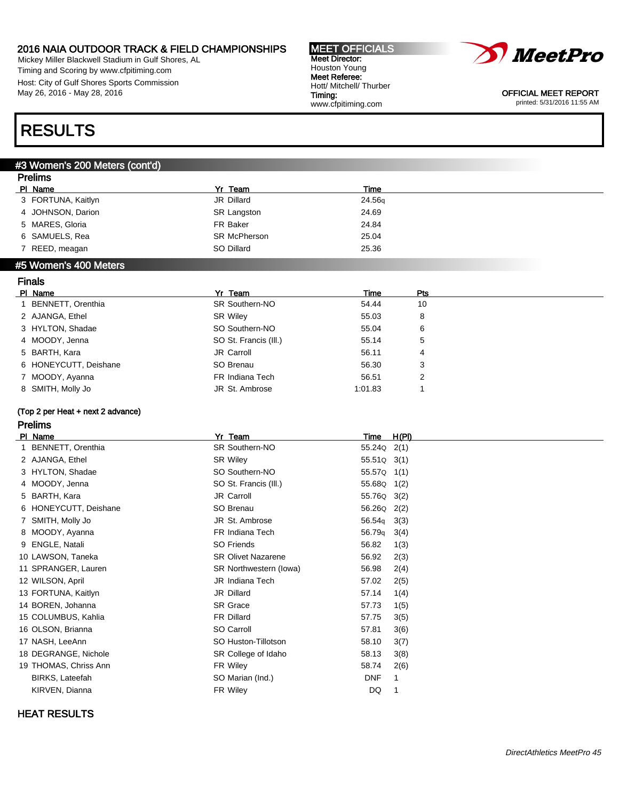Mickey Miller Blackwell Stadium in Gulf Shores, AL Timing and Scoring by www.cfpitiming.com Host: City of Gulf Shores Sports Commission May 26, 2016 - May 28, 2016

#### MEET OFFICIALS Meet Director: Houston Young Meet Referee: Hott/ Mitchell/ Thurber Timing: www.cfpitiming.com



OFFICIAL MEET REPORT printed: 5/31/2016 11:55 AM

# RESULTS

Prelims

Finals

### #3 Women's 200 Meters (cont'd)

| <u>Fiellins</u>    |                     |        |  |  |
|--------------------|---------------------|--------|--|--|
| PI Name            | Yr Team             | Time   |  |  |
| 3 FORTUNA, Kaitlyn | JR Dillard          | 24.56q |  |  |
| 4 JOHNSON, Darion  | <b>SR Langston</b>  | 24.69  |  |  |
| 5 MARES, Gloria    | FR Baker            | 24.84  |  |  |
| 6 SAMUELS, Rea     | <b>SR McPherson</b> | 25.04  |  |  |
| 7 REED, meagan     | SO Dillard          | 25.36  |  |  |
|                    |                     |        |  |  |

#### #5 Women's 400 Meters

| гназ              |                                                                                                                                                    |         |     |  |
|-------------------|----------------------------------------------------------------------------------------------------------------------------------------------------|---------|-----|--|
|                   | Yr Team                                                                                                                                            | Time    | Pts |  |
| BENNETT, Orenthia | <b>SR Southern-NO</b>                                                                                                                              | 54.44   | 10  |  |
|                   | <b>SR Wiley</b>                                                                                                                                    | 55.03   | 8   |  |
|                   | SO Southern-NO                                                                                                                                     | 55.04   | 6   |  |
|                   | SO St. Francis (III.)                                                                                                                              | 55.14   | 5   |  |
|                   | JR Carroll                                                                                                                                         | 56.11   | 4   |  |
|                   | SO Brenau                                                                                                                                          | 56.30   | 3   |  |
|                   | FR Indiana Tech                                                                                                                                    | 56.51   | 2   |  |
|                   | JR St. Ambrose                                                                                                                                     | 1:01.83 |     |  |
|                   | PI Name<br>2 AJANGA, Ethel<br>3 HYLTON, Shadae<br>4 MOODY, Jenna<br>5 BARTH, Kara<br>6 HONEYCUTT, Deishane<br>7 MOODY, Ayanna<br>8 SMITH, Molly Jo |         |     |  |

### (Top 2 per Heat + next 2 advance)

### Prelims

| PI Name               | Yr<br>Team                | H(PI)<br>Time              |
|-----------------------|---------------------------|----------------------------|
| 1 BENNETT, Orenthia   | SR Southern-NO            | 55.24Q 2(1)                |
| 2 AJANGA, Ethel       | <b>SR Wiley</b>           | 55.51Q 3(1)                |
| 3 HYLTON, Shadae      | SO Southern-NO            | 55.57Q 1(1)                |
| 4 MOODY, Jenna        | SO St. Francis (III.)     | 55.68Q 1(2)                |
| 5 BARTH, Kara         | JR Carroll                | 55.76Q 3(2)                |
| 6 HONEYCUTT, Deishane | SO Brenau                 | 56.26Q 2(2)                |
| 7 SMITH, Molly Jo     | JR St. Ambrose            | 56.54 <sub>q</sub><br>3(3) |
| 8 MOODY, Ayanna       | FR Indiana Tech           | 56.79 <sub>q</sub><br>3(4) |
| 9 ENGLE, Natali       | SO Friends                | 56.82<br>1(3)              |
| 10 LAWSON, Taneka     | <b>SR Olivet Nazarene</b> | 56.92<br>2(3)              |
| 11 SPRANGER, Lauren   | SR Northwestern (lowa)    | 56.98<br>2(4)              |
| 12 WILSON, April      | JR Indiana Tech           | 57.02<br>2(5)              |
| 13 FORTUNA, Kaitlyn   | JR Dillard                | 57.14<br>1(4)              |
| 14 BOREN, Johanna     | <b>SR Grace</b>           | 57.73<br>1(5)              |
| 15 COLUMBUS, Kahlia   | FR Dillard                | 57.75<br>3(5)              |
| 16 OLSON, Brianna     | SO Carroll                | 57.81<br>3(6)              |
| 17 NASH, LeeAnn       | SO Huston-Tillotson       | 58.10<br>3(7)              |
| 18 DEGRANGE, Nichole  | SR College of Idaho       | 58.13<br>3(8)              |
| 19 THOMAS, Chriss Ann | FR Wiley                  | 58.74<br>2(6)              |
| BIRKS, Lateefah       | SO Marian (Ind.)          | <b>DNF</b><br>1            |
| KIRVEN, Dianna        | FR Wiley                  | DQ                         |
|                       |                           |                            |

### HEAT RESULTS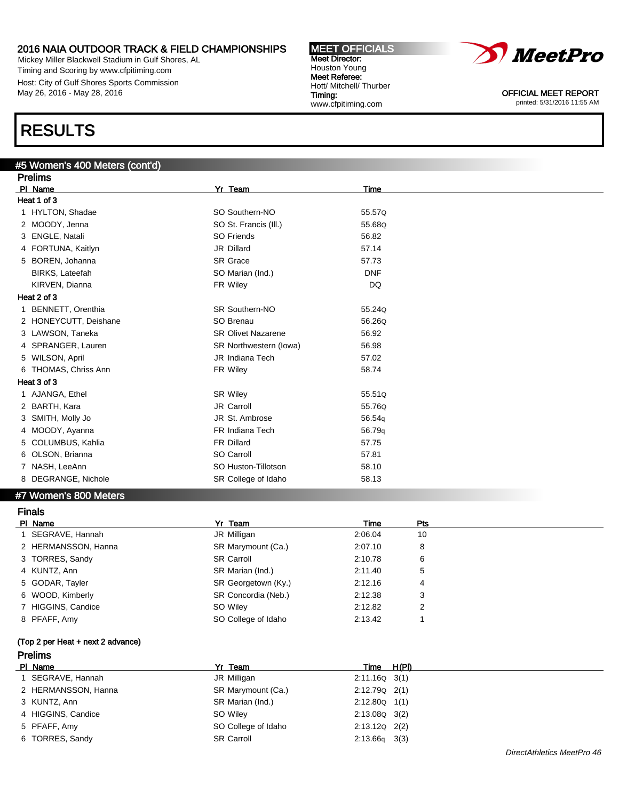Mickey Miller Blackwell Stadium in Gulf Shores, AL Timing and Scoring by www.cfpitiming.com Host: City of Gulf Shores Sports Commission May 26, 2016 - May 28, 2016

# RESULTS

### #5 Women's 400 Meters (cont'd)

| <b>Prelims</b>           |                           |            |  |  |
|--------------------------|---------------------------|------------|--|--|
| PI Name                  | Yr Team                   | Time       |  |  |
| Heat 1 of 3              |                           |            |  |  |
| 1 HYLTON, Shadae         | SO Southern-NO            | 55.57Q     |  |  |
| 2 MOODY, Jenna           | SO St. Francis (III.)     | 55.68Q     |  |  |
| 3 ENGLE, Natali          | SO Friends                | 56.82      |  |  |
| 4 FORTUNA, Kaitlyn       | JR Dillard                | 57.14      |  |  |
| BOREN, Johanna<br>5      | <b>SR</b> Grace           | 57.73      |  |  |
| BIRKS, Lateefah          | SO Marian (Ind.)          | <b>DNF</b> |  |  |
| KIRVEN, Dianna           | FR Wiley                  | DQ         |  |  |
| Heat 2 of 3              |                           |            |  |  |
| <b>BENNETT, Orenthia</b> | <b>SR Southern-NO</b>     | 55.240     |  |  |
| 2 HONEYCUTT, Deishane    | SO Brenau                 | 56.26Q     |  |  |
| 3 LAWSON, Taneka         | <b>SR Olivet Nazarene</b> | 56.92      |  |  |
| SPRANGER, Lauren<br>4    | SR Northwestern (lowa)    | 56.98      |  |  |
| 5 WILSON, April          | JR Indiana Tech           | 57.02      |  |  |
| 6 THOMAS, Chriss Ann     | FR Wiley                  | 58.74      |  |  |
| Heat 3 of 3              |                           |            |  |  |
| AJANGA, Ethel            | <b>SR Wiley</b>           | 55.510     |  |  |
| 2 BARTH, Kara            | JR Carroll                | 55.76Q     |  |  |
| SMITH, Molly Jo<br>3     | JR St. Ambrose            | 56.54g     |  |  |
| 4 MOODY, Ayanna          | FR Indiana Tech           | 56.79q     |  |  |
| 5 COLUMBUS, Kahlia       | <b>FR Dillard</b>         | 57.75      |  |  |
| 6 OLSON, Brianna         | SO Carroll                | 57.81      |  |  |
| 7 NASH, LeeAnn           | SO Huston-Tillotson       | 58.10      |  |  |
| 8 DEGRANGE, Nichole      | SR College of Idaho       | 58.13      |  |  |

#### #7 Women's 800 Meters

| <b>Finals</b>       |                     |         |     |  |
|---------------------|---------------------|---------|-----|--|
| PI Name             | Yr Team             | Time    | Pts |  |
| 1 SEGRAVE, Hannah   | JR Milligan         | 2:06.04 | 10  |  |
| 2 HERMANSSON, Hanna | SR Marymount (Ca.)  | 2:07.10 | 8   |  |
| 3 TORRES, Sandy     | <b>SR Carroll</b>   | 2:10.78 | 6   |  |
| 4 KUNTZ, Ann        | SR Marian (Ind.)    | 2:11.40 | 5   |  |
| 5 GODAR, Tayler     | SR Georgetown (Ky.) | 2:12.16 | 4   |  |
| 6 WOOD, Kimberly    | SR Concordia (Neb.) | 2:12.38 | 3   |  |
| 7 HIGGINS, Candice  | SO Wiley            | 2:12.82 | 2   |  |
| 8 PFAFF, Amy        | SO College of Idaho | 2:13.42 |     |  |

### (Top 2 per Heat + next 2 advance)

### Prelims

| PI Name             | Yr Team             | Time              | H(PI) |
|---------------------|---------------------|-------------------|-------|
| SEGRAVE, Hannah     | JR Milligan         | $2:11.16Q$ 3(1)   |       |
| 2 HERMANSSON, Hanna | SR Marymount (Ca.)  | $2:12.79Q$ $2(1)$ |       |
| 3 KUNTZ, Ann        | SR Marian (Ind.)    | $2:12.80Q$ 1(1)   |       |
| 4 HIGGINS, Candice  | SO Wilev            | $2:13.08Q$ $3(2)$ |       |
| 5 PFAFF, Amy        | SO College of Idaho | $2:13.12Q$ $2(2)$ |       |
| 6 TORRES, Sandy     | <b>SR Carroll</b>   | $2:13.66q$ 3(3)   |       |



OFFICIAL MEET REPORT printed: 5/31/2016 11:55 AM

Houston Young Meet Referee: Hott/ Mitchell/ Thurber Timing: www.cfpitiming.com

MEET OFFICIALS Meet Director: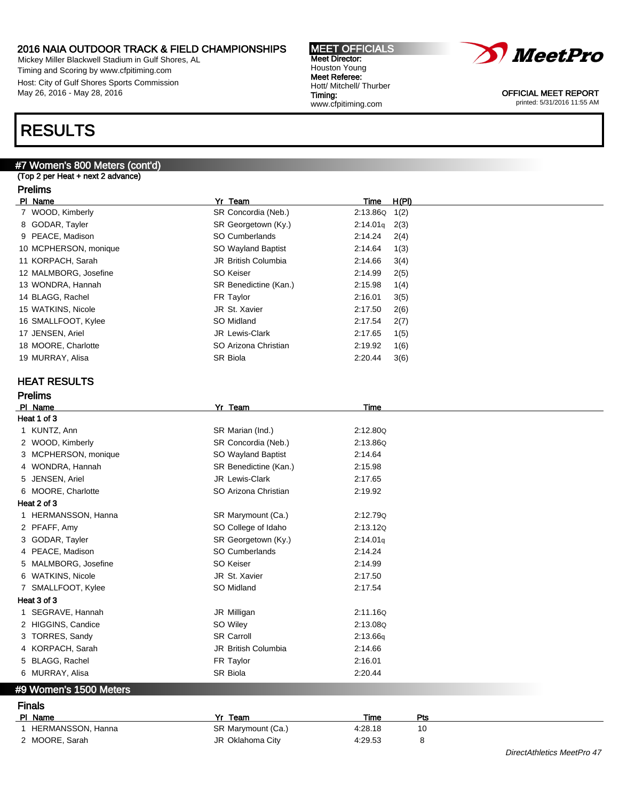Mickey Miller Blackwell Stadium in Gulf Shores, AL Timing and Scoring by www.cfpitiming.com Host: City of Gulf Shores Sports Commission May 26, 2016 - May 28, 2016

# RESULTS

### #7 Women's 800 Meters (cont'd)

(Top 2 per Heat + next 2 advance)

### Prelims

| PI Name               | Yr Team                    | <b>Time</b>          | H(PI) |
|-----------------------|----------------------------|----------------------|-------|
| 7 WOOD, Kimberly      | SR Concordia (Neb.)        | 2:13.86Q             | 1(2)  |
| 8 GODAR, Tayler       | SR Georgetown (Ky.)        | 2:14.01 <sub>q</sub> | 2(3)  |
| 9 PEACE, Madison      | SO Cumberlands             | 2:14.24              | 2(4)  |
| 10 MCPHERSON, monique | SO Wayland Baptist         | 2:14.64              | 1(3)  |
| 11 KORPACH, Sarah     | JR British Columbia        | 2:14.66              | 3(4)  |
| 12 MALMBORG, Josefine | SO Keiser                  | 2:14.99              | 2(5)  |
| 13 WONDRA, Hannah     | SR Benedictine (Kan.)      | 2:15.98              | 1(4)  |
| 14 BLAGG, Rachel      | FR Taylor                  | 2:16.01              | 3(5)  |
| 15 WATKINS, Nicole    | JR St. Xavier              | 2:17.50              | 2(6)  |
| 16 SMALLFOOT, Kylee   | SO Midland                 | 2:17.54              | 2(7)  |
| 17 JENSEN, Ariel      | JR Lewis-Clark             | 2:17.65              | 1(5)  |
| 18 MOORE, Charlotte   | SO Arizona Christian       | 2:19.92              | 1(6)  |
| 19 MURRAY, Alisa      | SR Biola                   | 2:20.44              | 3(6)  |
|                       |                            |                      |       |
| <b>HEAT RESULTS</b>   |                            |                      |       |
| <b>Prelims</b>        |                            |                      |       |
| PI Name               | Yr Team                    | Time                 |       |
| Heat 1 of 3           |                            |                      |       |
| 1 KUNTZ, Ann          | SR Marian (Ind.)           | 2:12.80Q             |       |
| 2 WOOD, Kimberly      | SR Concordia (Neb.)        | 2:13.86Q             |       |
| 3 MCPHERSON, monique  | SO Wayland Baptist         | 2:14.64              |       |
| 4 WONDRA, Hannah      | SR Benedictine (Kan.)      | 2:15.98              |       |
| 5 JENSEN, Ariel       | <b>JR Lewis-Clark</b>      | 2:17.65              |       |
| 6 MOORE, Charlotte    | SO Arizona Christian       | 2:19.92              |       |
| Heat 2 of 3           |                            |                      |       |
| 1 HERMANSSON, Hanna   | SR Marymount (Ca.)         | 2:12.79Q             |       |
| 2 PFAFF, Amy          | SO College of Idaho        | 2:13.12Q             |       |
| 3 GODAR, Tayler       | SR Georgetown (Ky.)        | 2:14.01q             |       |
| 4 PEACE, Madison      | <b>SO Cumberlands</b>      | 2:14.24              |       |
| 5 MALMBORG, Josefine  | <b>SO Keiser</b>           | 2:14.99              |       |
| 6 WATKINS, Nicole     | JR St. Xavier              | 2:17.50              |       |
| 7 SMALLFOOT, Kylee    | SO Midland                 | 2:17.54              |       |
| Heat 3 of 3           |                            |                      |       |
| 1 SEGRAVE, Hannah     | JR Milligan                | 2:11.16Q             |       |
| 2 HIGGINS, Candice    | SO Wiley                   | 2:13.08Q             |       |
| 3 TORRES, Sandy       | <b>SR Carroll</b>          | 2:13.66q             |       |
| 4 KORPACH, Sarah      | <b>JR British Columbia</b> | 2:14.66              |       |

MEET OFFICIALS Meet Director: Houston Young Meet Referee: Hott/ Mitchell/ Thurber

www.cfpitiming.com

Timing:

### #9 Women's 1500 Meters

# Finals

| PI Name           | Yr Team            | Time    | Pts |
|-------------------|--------------------|---------|-----|
| HERMANSSON, Hanna | SR Marymount (Ca.) | 4.28.18 | 10  |
| 2 MOORE, Sarah    | JR Oklahoma City   | 4:29.53 |     |

5 BLAGG, Rachel **FR Taylor** FR Taylor 2:16.01 6 MURRAY, Alisa 2:20.44



OFFICIAL MEET REPORT printed: 5/31/2016 11:55 AM

DirectAthletics MeetPro 47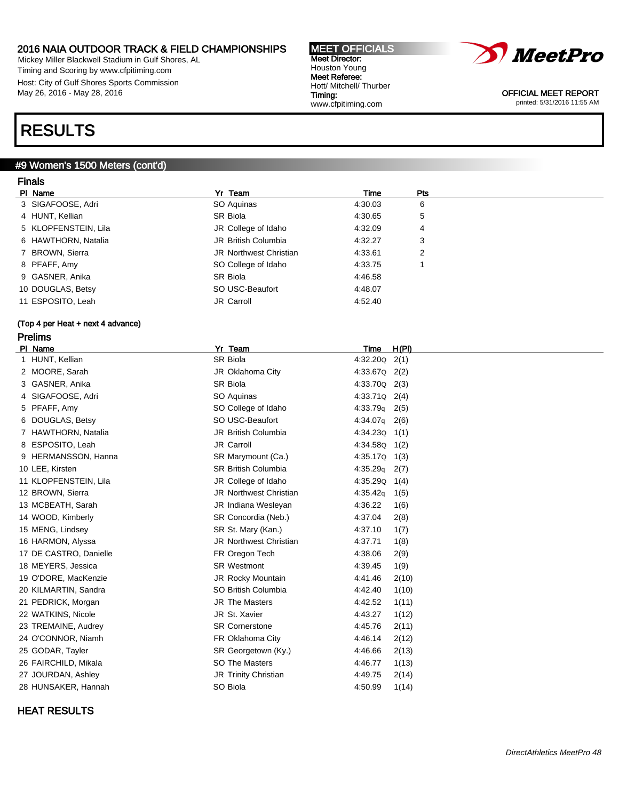Mickey Miller Blackwell Stadium in Gulf Shores, AL Timing and Scoring by www.cfpitiming.com Host: City of Gulf Shores Sports Commission May 26, 2016 - May 28, 2016

# RESULTS

# #9 Women's 1500 Meters (cont'd)

# Finals

| PI Name              | Yr Team                | Time    | <b>Pts</b> |  |
|----------------------|------------------------|---------|------------|--|
| 3 SIGAFOOSE, Adri    | SO Aguinas             | 4:30.03 | 6          |  |
| 4 HUNT, Kellian      | SR Biola               | 4:30.65 | 5          |  |
| 5 KLOPFENSTEIN, Lila | JR College of Idaho    | 4:32.09 | 4          |  |
| 6 HAWTHORN, Natalia  | JR British Columbia    | 4:32.27 | 3          |  |
| 7 BROWN, Sierra      | JR Northwest Christian | 4.33.61 | 2          |  |
| 8 PFAFF, Amy         | SO College of Idaho    | 4:33.75 |            |  |
| 9 GASNER, Anika      | SR Biola               | 4:46.58 |            |  |
| 10 DOUGLAS, Betsy    | SO USC-Beaufort        | 4:48.07 |            |  |
| 11 ESPOSITO, Leah    | JR Carroll             | 4:52.40 |            |  |
|                      |                        |         |            |  |

### (Top 4 per Heat + next 4 advance) Prelims

| PI Name                | Yr Team                       | Time              | H(PI) |
|------------------------|-------------------------------|-------------------|-------|
| 1 HUNT, Kellian        | SR Biola                      | 4:32.20Q          | 2(1)  |
| 2 MOORE, Sarah         | JR Oklahoma City              | 4:33.67Q          | 2(2)  |
| 3 GASNER, Anika        | SR Biola                      | 4:33.70Q          | 2(3)  |
| 4 SIGAFOOSE, Adri      | SO Aquinas                    | 4:33.71Q          | 2(4)  |
| 5 PFAFF, Amy           | SO College of Idaho           | 4:33.79q          | 2(5)  |
| 6 DOUGLAS, Betsy       | SO USC-Beaufort               | 4:34.07g          | 2(6)  |
| 7 HAWTHORN, Natalia    | JR British Columbia           | $4:34.23Q$ $1(1)$ |       |
| 8 ESPOSITO, Leah       | JR Carroll                    | 4:34.58Q          | 1(2)  |
| 9 HERMANSSON, Hanna    | SR Marymount (Ca.)            | 4:35.17Q          | 1(3)  |
| 10 LEE, Kirsten        | <b>SR British Columbia</b>    | 4:35.29q          | 2(7)  |
| 11 KLOPFENSTEIN, Lila  | JR College of Idaho           | 4:35.29Q          | 1(4)  |
| 12 BROWN, Sierra       | <b>JR Northwest Christian</b> | 4:35.42q          | 1(5)  |
| 13 MCBEATH, Sarah      | JR Indiana Wesleyan           | 4:36.22           | 1(6)  |
| 14 WOOD, Kimberly      | SR Concordia (Neb.)           | 4:37.04           | 2(8)  |
| 15 MENG, Lindsey       | SR St. Mary (Kan.)            | 4:37.10           | 1(7)  |
| 16 HARMON, Alyssa      | <b>JR Northwest Christian</b> | 4:37.71           | 1(8)  |
| 17 DE CASTRO, Danielle | FR Oregon Tech                | 4:38.06           | 2(9)  |
| 18 MEYERS, Jessica     | <b>SR Westmont</b>            | 4:39.45           | 1(9)  |
| 19 O'DORE, MacKenzie   | JR Rocky Mountain             | 4:41.46           | 2(10) |
| 20 KILMARTIN, Sandra   | SO British Columbia           | 4:42.40           | 1(10) |
| 21 PEDRICK, Morgan     | JR The Masters                | 4:42.52           | 1(11) |
| 22 WATKINS, Nicole     | JR St. Xavier                 | 4:43.27           | 1(12) |
| 23 TREMAINE, Audrey    | <b>SR Cornerstone</b>         | 4:45.76           | 2(11) |
| 24 O'CONNOR, Niamh     | FR Oklahoma City              | 4:46.14           | 2(12) |
| 25 GODAR, Tayler       | SR Georgetown (Ky.)           | 4:46.66           | 2(13) |
| 26 FAIRCHILD, Mikala   | SO The Masters                | 4:46.77           | 1(13) |
| 27 JOURDAN, Ashley     | JR Trinity Christian          | 4:49.75           | 2(14) |
| 28 HUNSAKER, Hannah    | SO Biola                      | 4:50.99           | 1(14) |
|                        |                               |                   |       |

### HEAT RESULTS



OFFICIAL MEET REPORT printed: 5/31/2016 11:55 AM

MEET OFFICIALS Meet Director: Houston Young Meet Referee: Hott/ Mitchell/ Thurber Timing: www.cfpitiming.com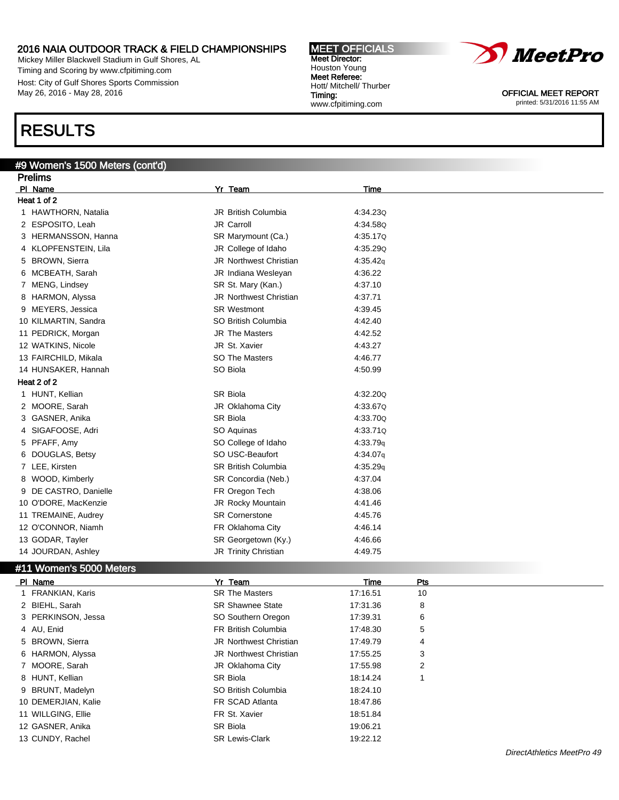Mickey Miller Blackwell Stadium in Gulf Shores, AL Timing and Scoring by www.cfpitiming.com Host: City of Gulf Shores Sports Commission May 26, 2016 - May 28, 2016

# RESULTS

### #9 Women's 1500 Meters (cont'd)

| <b>Prelims</b>           |                               |          |
|--------------------------|-------------------------------|----------|
| PI Name                  | Yr Team                       | Time     |
| Heat 1 of 2              |                               |          |
| 1 HAWTHORN, Natalia      | JR British Columbia           | 4:34.230 |
| 2 ESPOSITO, Leah         | JR Carroll                    | 4:34.58Q |
| 3 HERMANSSON, Hanna      | SR Marymount (Ca.)            | 4:35.17Q |
| 4 KLOPFENSTEIN, Lila     | JR College of Idaho           | 4:35.290 |
| 5 BROWN, Sierra          | <b>JR Northwest Christian</b> | 4:35.42q |
| 6 MCBEATH, Sarah         | JR Indiana Wesleyan           | 4:36.22  |
| MENG, Lindsey<br>7       | SR St. Mary (Kan.)            | 4:37.10  |
| 8 HARMON, Alyssa         | <b>JR Northwest Christian</b> | 4:37.71  |
| MEYERS, Jessica<br>9     | <b>SR Westmont</b>            | 4:39.45  |
| 10 KILMARTIN, Sandra     | SO British Columbia           | 4:42.40  |
| 11 PEDRICK, Morgan       | <b>JR The Masters</b>         | 4:42.52  |
| 12 WATKINS, Nicole       | JR St. Xavier                 | 4:43.27  |
| 13 FAIRCHILD, Mikala     | <b>SO The Masters</b>         | 4:46.77  |
| 14 HUNSAKER, Hannah      | SO Biola                      | 4:50.99  |
| Heat 2 of 2              |                               |          |
| 1 HUNT, Kellian          | <b>SR Biola</b>               | 4:32.200 |
| 2 MOORE, Sarah           | JR Oklahoma City              | 4:33.67Q |
| GASNER, Anika<br>3.      | <b>SR Biola</b>               | 4:33.700 |
| 4 SIGAFOOSE, Adri        | SO Aquinas                    | 4:33.71Q |
| PFAFF, Amy<br>5          | SO College of Idaho           | 4:33.79q |
| DOUGLAS, Betsy<br>6      | SO USC-Beaufort               | 4:34.07q |
| 7 LEE, Kirsten           | <b>SR British Columbia</b>    | 4:35.29q |
| WOOD, Kimberly<br>8      | SR Concordia (Neb.)           | 4:37.04  |
| DE CASTRO, Danielle<br>9 | FR Oregon Tech                | 4:38.06  |
| 10 O'DORE, MacKenzie     | JR Rocky Mountain             | 4:41.46  |
| 11 TREMAINE, Audrey      | <b>SR Cornerstone</b>         | 4:45.76  |
| 12 O'CONNOR, Niamh       | FR Oklahoma City              | 4:46.14  |
| 13 GODAR, Tayler         | SR Georgetown (Ky.)           | 4:46.66  |
| 14 JOURDAN, Ashley       | JR Trinity Christian          | 4:49.75  |

MEET OFFICIALS Meet Director: Houston Young Meet Referee: Hott/ Mitchell/ Thurber

www.cfpitiming.com

Timing:

#### #11 Women's 5000 Meters

| PI Name             | Yr Team                       | <b>Time</b> | Pts |
|---------------------|-------------------------------|-------------|-----|
| 1 FRANKIAN, Karis   | <b>SR The Masters</b>         | 17:16.51    | 10  |
| 2 BIEHL, Sarah      | <b>SR Shawnee State</b>       | 17:31.36    | 8   |
| 3 PERKINSON, Jessa  | SO Southern Oregon            | 17:39.31    | 6   |
| 4 AU, Enid          | FR British Columbia           | 17:48.30    | 5   |
| 5 BROWN, Sierra     | <b>JR Northwest Christian</b> | 17:49.79    | 4   |
| 6 HARMON, Alyssa    | <b>JR Northwest Christian</b> | 17:55.25    | 3   |
| 7 MOORE, Sarah      | JR Oklahoma City              | 17:55.98    | 2   |
| 8 HUNT, Kellian     | SR Biola                      | 18:14.24    |     |
| 9 BRUNT, Madelyn    | SO British Columbia           | 18:24.10    |     |
| 10 DEMERJIAN, Kalie | FR SCAD Atlanta               | 18:47.86    |     |
| 11 WILLGING, Ellie  | FR St. Xavier                 | 18:51.84    |     |
| 12 GASNER, Anika    | SR Biola                      | 19:06.21    |     |
| 13 CUNDY, Rachel    | <b>SR Lewis-Clark</b>         | 19:22.12    |     |



OFFICIAL MEET REPORT printed: 5/31/2016 11:55 AM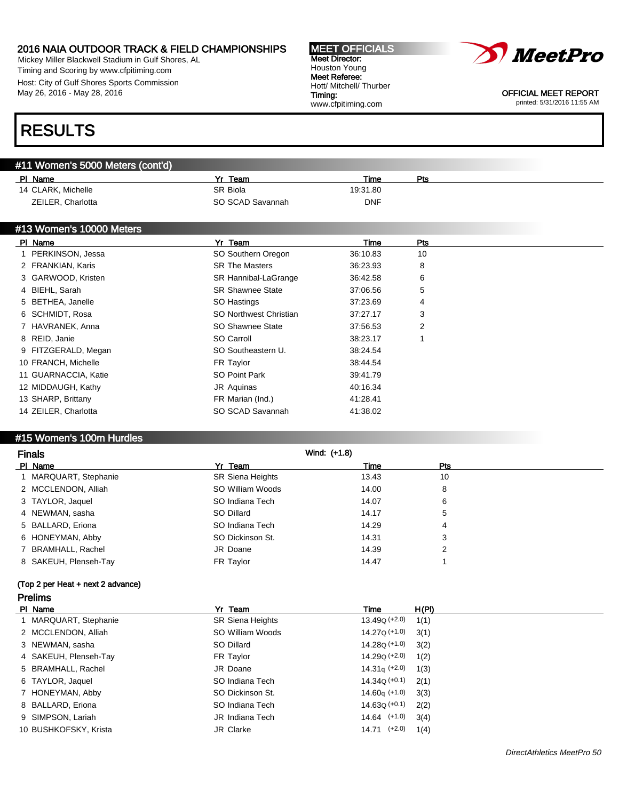Mickey Miller Blackwell Stadium in Gulf Shores, AL Timing and Scoring by www.cfpitiming.com Host: City of Gulf Shores Sports Commission May 26, 2016 - May 28, 2016

#### MEET OFFICIALS Meet Director: Houston Young Meet Referee: Hott/ Mitchell/ Thurber Timing: www.cfpitiming.com



OFFICIAL MEET REPORT printed: 5/31/2016 11:55 AM

# RESULTS

### #11 Women's 5000 Meters (cont'd)

| PI Name            | Yr Team          | <b>Time</b> | Pts |
|--------------------|------------------|-------------|-----|
| 14 CLARK, Michelle | SR Biola         | 19:31.80    |     |
| ZEILER, Charlotta  | SO SCAD Savannah | <b>DNF</b>  |     |

### #13 Women's 10000 Meters

| PI Name              | Yr Team                 | Time     | Pts |  |
|----------------------|-------------------------|----------|-----|--|
| 1 PERKINSON, Jessa   | SO Southern Oregon      | 36:10.83 | 10  |  |
| 2 FRANKIAN, Karis    | <b>SR The Masters</b>   | 36:23.93 | 8   |  |
| 3 GARWOOD, Kristen   | SR Hannibal-LaGrange    | 36:42.58 | 6   |  |
| 4 BIEHL, Sarah       | <b>SR Shawnee State</b> | 37:06.56 | 5   |  |
| 5 BETHEA, Janelle    | SO Hastings             | 37:23.69 | 4   |  |
| 6 SCHMIDT, Rosa      | SO Northwest Christian  | 37:27.17 | 3   |  |
| 7 HAVRANEK, Anna     | SO Shawnee State        | 37:56.53 | 2   |  |
| 8 REID, Janie        | SO Carroll              | 38:23.17 |     |  |
| 9 FITZGERALD, Megan  | SO Southeastern U.      | 38:24.54 |     |  |
| 10 FRANCH, Michelle  | FR Taylor               | 38:44.54 |     |  |
| 11 GUARNACCIA, Katie | SO Point Park           | 39:41.79 |     |  |
| 12 MIDDAUGH, Kathy   | JR Aquinas              | 40:16.34 |     |  |
| 13 SHARP, Brittany   | FR Marian (Ind.)        | 41:28.41 |     |  |
| 14 ZEILER, Charlotta | SO SCAD Savannah        | 41:38.02 |     |  |

### #15 Women's 100m Hurdles

| <b>Finals</b>         | Wind: (+1.8)            |       |     |
|-----------------------|-------------------------|-------|-----|
| PI Name               | Yr Team                 | Time  | Pts |
| 1 MARQUART, Stephanie | <b>SR Siena Heights</b> | 13.43 | 10  |
| 2 MCCLENDON, Alliah   | SO William Woods        | 14.00 | 8   |
| 3 TAYLOR, Jaquel      | SO Indiana Tech         | 14.07 | 6   |
| 4 NEWMAN, sasha       | SO Dillard              | 14.17 | 5   |
| 5 BALLARD, Eriona     | SO Indiana Tech         | 14.29 | 4   |
| 6 HONEYMAN, Abby      | SO Dickinson St.        | 14.31 | 3   |
| 7 BRAMHALL, Rachel    | JR Doane                | 14.39 | 2   |
| 8 SAKEUH, Plenseh-Tay | FR Taylor               | 14.47 |     |

### (Top 2 per Heat + next 2 advance) Prelims

| PI Name               | Yr Team                 | Time                      | H(PI) |
|-----------------------|-------------------------|---------------------------|-------|
| 1 MARQUART, Stephanie | <b>SR Siena Heights</b> | 13.49 <sub>Q</sub> (+2.0) | 1(1)  |
| 2 MCCLENDON, Alliah   | SO William Woods        | 14.27Q (+1.0)             | 3(1)  |
| 3 NEWMAN, sasha       | SO Dillard              | 14.28Q (+1.0)             | 3(2)  |
| 4 SAKEUH, Plenseh-Tay | FR Taylor               | 14.29 <sub>Q</sub> (+2.0) | 1(2)  |
| 5 BRAMHALL, Rachel    | JR Doane                | 14.31 <sub>a</sub> (+2.0) | 1(3)  |
| 6 TAYLOR, Jaquel      | SO Indiana Tech         | $14.34Q (+0.1)$           | 2(1)  |
| 7 HONEYMAN, Abby      | SO Dickinson St.        | $14.60q$ (+1.0)           | 3(3)  |
| 8 BALLARD, Eriona     | SO Indiana Tech         | 14.63Q (+0.1)             | 2(2)  |
| 9 SIMPSON, Lariah     | JR Indiana Tech         | $14.64$ $(+1.0)$          | 3(4)  |
| 10 BUSHKOFSKY, Krista | <b>JR Clarke</b>        | $14.71$ $(+2.0)$          | 1(4)  |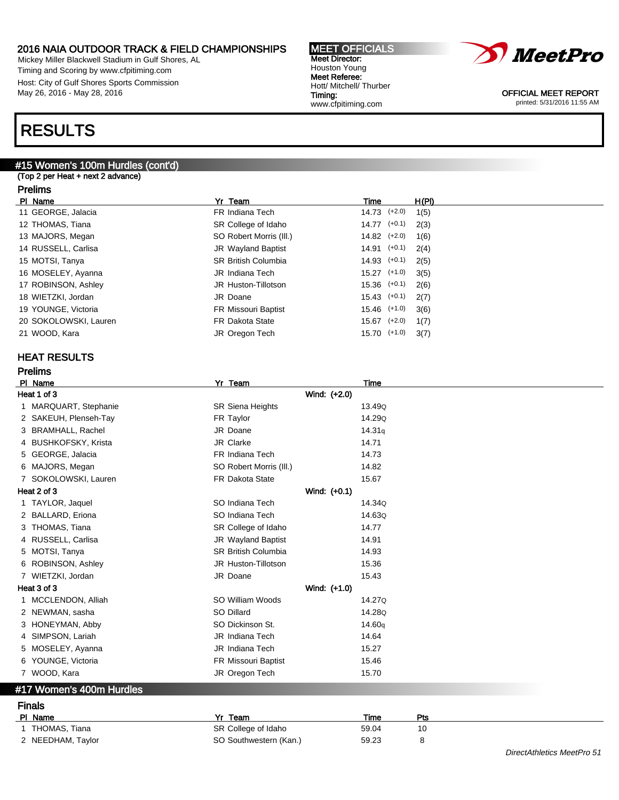Mickey Miller Blackwell Stadium in Gulf Shores, AL Timing and Scoring by www.cfpitiming.com Host: City of Gulf Shores Sports Commission May 26, 2016 - May 28, 2016

# RESULTS

# #15 Women's 100m Hurdles (cont'd)

(Top 2 per Heat + next 2 advance)

### Prelims

| PI Name               | Yr Team                    | Time             | H(PI) |
|-----------------------|----------------------------|------------------|-------|
| 11 GEORGE, Jalacia    | FR Indiana Tech            | 14.73 (+2.0)     | 1(5)  |
| 12 THOMAS, Tiana      | SR College of Idaho        | $14.77$ $(+0.1)$ | 2(3)  |
| 13 MAJORS, Megan      | SO Robert Morris (III.)    | $14.82$ $(+2.0)$ | 1(6)  |
| 14 RUSSELL, Carlisa   | <b>JR Wayland Baptist</b>  | $14.91$ $(+0.1)$ | 2(4)  |
| 15 MOTSI, Tanya       | <b>SR British Columbia</b> | $14.93$ $(+0.1)$ | 2(5)  |
| 16 MOSELEY, Ayanna    | JR Indiana Tech            | $15.27$ $(+1.0)$ | 3(5)  |
| 17 ROBINSON, Ashley   | JR Huston-Tillotson        | $15.36$ $(+0.1)$ | 2(6)  |
| 18 WIETZKI, Jordan    | JR Doane                   | $15.43$ $(+0.1)$ | 2(7)  |
| 19 YOUNGE, Victoria   | FR Missouri Baptist        | $15.46$ $(+1.0)$ | 3(6)  |
| 20 SOKOLOWSKI, Lauren | <b>FR Dakota State</b>     | $15.67$ $(+2.0)$ | 1(7)  |
| 21 WOOD, Kara         | JR Oregon Tech             | 15.70 (+1.0)     | 3(7)  |
|                       |                            |                  |       |

### HEAT RESULTS

Prelims

| PI_Name                  |                       | Yr Team                    | Time               |
|--------------------------|-----------------------|----------------------------|--------------------|
| Heat 1 of 3              |                       | Wind: (+2.0)               |                    |
|                          | 1 MARQUART, Stephanie | <b>SR Siena Heights</b>    | 13.49Q             |
| 2 SAKEUH, Plenseh-Tay    |                       | FR Taylor                  | 14.29Q             |
| 3 BRAMHALL, Rachel       |                       | JR Doane                   | 14.31q             |
| 4 BUSHKOFSKY, Krista     |                       | JR Clarke                  | 14.71              |
| 5 GEORGE, Jalacia        |                       | FR Indiana Tech            | 14.73              |
| 6 MAJORS, Megan          |                       | SO Robert Morris (III.)    | 14.82              |
| 7 SOKOLOWSKI, Lauren     |                       | <b>FR Dakota State</b>     | 15.67              |
| Heat 2 of 3              |                       | Wind: (+0.1)               |                    |
| 1 TAYLOR, Jaquel         |                       | SO Indiana Tech            | 14.34Q             |
| 2 BALLARD, Eriona        |                       | SO Indiana Tech            | 14.63Q             |
| 3 THOMAS, Tiana          |                       | SR College of Idaho        | 14.77              |
| 4 RUSSELL, Carlisa       |                       | JR Wayland Baptist         | 14.91              |
| 5 MOTSI, Tanya           |                       | <b>SR British Columbia</b> | 14.93              |
| ROBINSON, Ashley<br>6    |                       | JR Huston-Tillotson        | 15.36              |
| 7 WIETZKI, Jordan        |                       | JR Doane                   | 15.43              |
| Heat 3 of 3              |                       | Wind: (+1.0)               |                    |
| MCCLENDON, Alliah<br>1.  |                       | SO William Woods           | 14.27Q             |
| 2 NEWMAN, sasha          |                       | SO Dillard                 | 14.28Q             |
| 3 HONEYMAN, Abby         |                       | SO Dickinson St.           | 14.60 <sub>q</sub> |
| 4 SIMPSON, Lariah        |                       | <b>JR</b> Indiana Tech     | 14.64              |
| 5 MOSELEY, Ayanna        |                       | <b>JR</b> Indiana Tech     | 15.27              |
| 6 YOUNGE, Victoria       |                       | FR Missouri Baptist        | 15.46              |
| 7 WOOD, Kara             |                       | JR Oregon Tech             | 15.70              |
| #17 Women's 400m Hurdles |                       |                            |                    |
| <b>Finals</b>            |                       |                            |                    |
| PI Name                  |                       | Yr Team                    | Pts<br>Time        |

1 THOMAS, Tiana SR College of Idaho 59.04 10 2 NEEDHAM, Taylor **SO Southwestern (Kan.)** 59.23 8



OFFICIAL MEET REPORT printed: 5/31/2016 11:55 AM

DirectAthletics MeetPro 51

#### MEET OFFICIALS Meet Director: Houston Young Meet Referee: Hott/ Mitchell/ Thurber Timing: www.cfpitiming.com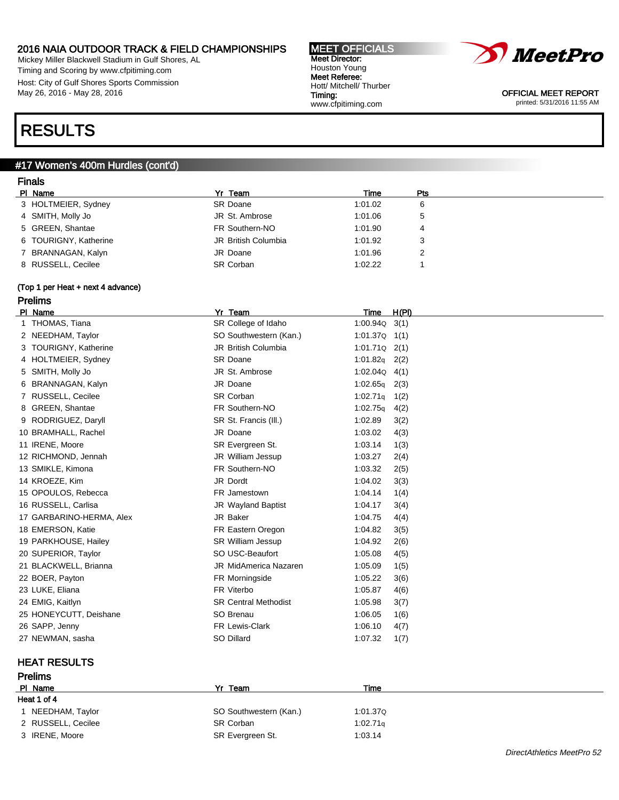Mickey Miller Blackwell Stadium in Gulf Shores, AL Timing and Scoring by www.cfpitiming.com Host: City of Gulf Shores Sports Commission May 26, 2016 - May 28, 2016

#### MEET OFFICIALS Meet Director: Houston Young Meet Referee: Hott/ Mitchell/ Thurber Timing: www.cfpitiming.com



OFFICIAL MEET REPORT printed: 5/31/2016 11:55 AM

# RESULTS

### #17 Women's 400m Hurdles (cont'd)

### Finals

| PI Name               | Yr Team             | Time    | Pts          |  |
|-----------------------|---------------------|---------|--------------|--|
| 3 HOLTMEIER, Sydney   | <b>SR Doane</b>     | 1:01.02 | 6            |  |
| 4 SMITH, Molly Jo     | JR St. Ambrose      | 1:01.06 | $\mathbf{p}$ |  |
| 5 GREEN, Shantae      | FR Southern-NO      | 1:01.90 |              |  |
| 6 TOURIGNY, Katherine | JR British Columbia | 1:01.92 | 3            |  |
| 7 BRANNAGAN, Kalyn    | JR Doane            | 1:01.96 |              |  |
| 8 RUSSELL, Cecilee    | <b>SR Corban</b>    | 1:02.22 |              |  |

### (Top 1 per Heat + next 4 advance) Prelims

| PI Name                  | Yr_Team                     | Time              | H(PI) |
|--------------------------|-----------------------------|-------------------|-------|
| 1 THOMAS, Tiana          | SR College of Idaho         | 1:00.94Q          | 3(1)  |
| 2 NEEDHAM, Taylor        | SO Southwestern (Kan.)      | $1:01.37Q$ $1(1)$ |       |
| 3 TOURIGNY, Katherine    | <b>JR British Columbia</b>  | 1:01.71Q          | 2(1)  |
| 4 HOLTMEIER, Sydney      | <b>SR Doane</b>             | 1:01.82q          | 2(2)  |
| 5 SMITH, Molly Jo        | JR St. Ambrose              | 1:02.04Q          | 4(1)  |
| 6 BRANNAGAN, Kalyn       | JR Doane                    | 1:02.65q          | 2(3)  |
| 7 RUSSELL, Cecilee       | <b>SR Corban</b>            | 1:02.71q          | 1(2)  |
| 8 GREEN, Shantae         | FR Southern-NO              | 1:02.75q          | 4(2)  |
| 9 RODRIGUEZ, Daryll      | SR St. Francis (III.)       | 1:02.89           | 3(2)  |
| 10 BRAMHALL, Rachel      | JR Doane                    | 1:03.02           | 4(3)  |
| 11 IRENE, Moore          | SR Evergreen St.            | 1:03.14           | 1(3)  |
| 12 RICHMOND, Jennah      | JR William Jessup           | 1:03.27           | 2(4)  |
| 13 SMIKLE, Kimona        | FR Southern-NO              | 1:03.32           | 2(5)  |
| 14 KROEZE, Kim           | JR Dordt                    | 1:04.02           | 3(3)  |
| 15 OPOULOS, Rebecca      | FR Jamestown                | 1:04.14           | 1(4)  |
| 16 RUSSELL, Carlisa      | <b>JR Wayland Baptist</b>   | 1:04.17           | 3(4)  |
| 17 GARBARINO-HERMA, Alex | JR Baker                    | 1:04.75           | 4(4)  |
| 18 EMERSON, Katie        | FR Eastern Oregon           | 1:04.82           | 3(5)  |
| 19 PARKHOUSE, Hailey     | <b>SR William Jessup</b>    | 1:04.92           | 2(6)  |
| 20 SUPERIOR, Taylor      | SO USC-Beaufort             | 1:05.08           | 4(5)  |
| 21 BLACKWELL, Brianna    | JR MidAmerica Nazaren       | 1:05.09           | 1(5)  |
| 22 BOER, Payton          | FR Morningside              | 1:05.22           | 3(6)  |
| 23 LUKE, Eliana          | FR Viterbo                  | 1:05.87           | 4(6)  |
| 24 EMIG, Kaitlyn         | <b>SR Central Methodist</b> | 1:05.98           | 3(7)  |
| 25 HONEYCUTT, Deishane   | SO Brenau                   | 1:06.05           | 1(6)  |
| 26 SAPP, Jenny           | FR Lewis-Clark              | 1:06.10           | 4(7)  |
| 27 NEWMAN, sasha         | SO Dillard                  | 1:07.32           | 1(7)  |

### HEAT RESULTS Prelims

| .                  |                        |          |  |
|--------------------|------------------------|----------|--|
| PI Name            | Yr Team                | Time     |  |
| Heat 1 of 4        |                        |          |  |
| NEEDHAM, Taylor    | SO Southwestern (Kan.) | 1:01.37Q |  |
| 2 RUSSELL, Cecilee | SR Corban              | 1:02.71q |  |
| 3 IRENE, Moore     | SR Evergreen St.       | 1:03.14  |  |
|                    |                        |          |  |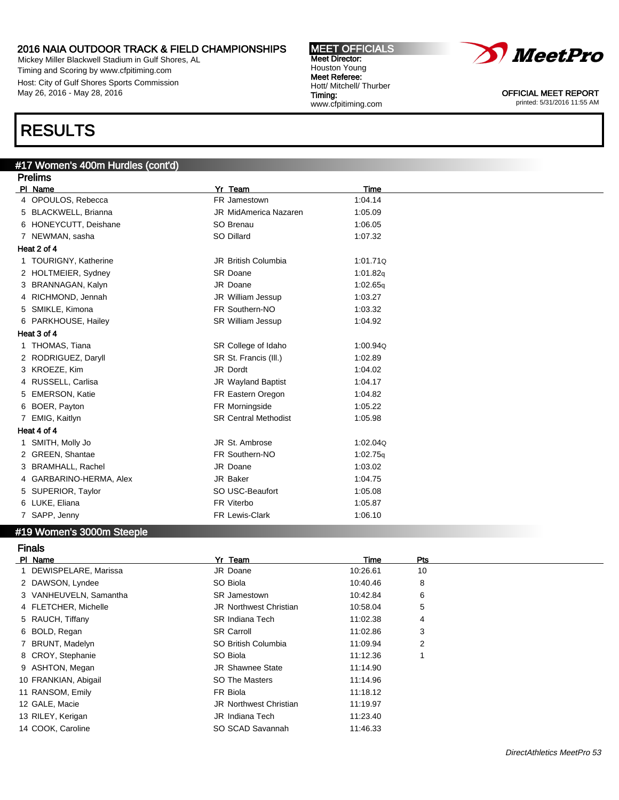Mickey Miller Blackwell Stadium in Gulf Shores, AL Timing and Scoring by www.cfpitiming.com Host: City of Gulf Shores Sports Commission May 26, 2016 - May 28, 2016

#### MEET OFFICIALS Meet Director: Houston Young Meet Referee: Hott/ Mitchell/ Thurber Timing: www.cfpitiming.com



OFFICIAL MEET REPORT printed: 5/31/2016 11:55 AM

# RESULTS

### #17 Women's 400m Hurdles (cont'd)

|    | <b>Prelims</b>             |                              |          |  |  |
|----|----------------------------|------------------------------|----------|--|--|
|    | PI Name                    | Yr Team                      | Time     |  |  |
|    | 4 OPOULOS, Rebecca         | FR Jamestown                 | 1:04.14  |  |  |
| 5  | <b>BLACKWELL, Brianna</b>  | <b>JR MidAmerica Nazaren</b> | 1:05.09  |  |  |
|    | 6 HONEYCUTT, Deishane      | SO Brenau                    | 1:06.05  |  |  |
|    | 7 NEWMAN, sasha            | SO Dillard                   | 1:07.32  |  |  |
|    | Heat 2 of 4                |                              |          |  |  |
|    | <b>TOURIGNY, Katherine</b> | <b>JR British Columbia</b>   | 1:01.710 |  |  |
|    | 2 HOLTMEIER, Sydney        | <b>SR Doane</b>              | 1:01.82q |  |  |
| 3  | BRANNAGAN, Kalyn           | JR Doane                     | 1:02.65q |  |  |
|    | RICHMOND, Jennah           | JR William Jessup            | 1:03.27  |  |  |
| 5  | SMIKLE, Kimona             | FR Southern-NO               | 1:03.32  |  |  |
|    | 6 PARKHOUSE, Hailey        | SR William Jessup            | 1:04.92  |  |  |
|    | Heat 3 of 4                |                              |          |  |  |
|    | 1 THOMAS, Tiana            | SR College of Idaho          | 1:00.940 |  |  |
|    | 2 RODRIGUEZ, Daryll        | SR St. Francis (III.)        | 1:02.89  |  |  |
|    | 3 KROEZE, Kim              | JR Dordt                     | 1:04.02  |  |  |
| 4  | RUSSELL, Carlisa           | JR Wayland Baptist           | 1:04.17  |  |  |
| 5  | <b>EMERSON, Katie</b>      | FR Eastern Oregon            | 1:04.82  |  |  |
| 6  | BOER, Payton               | FR Morningside               | 1:05.22  |  |  |
| 7  | EMIG, Kaitlyn              | <b>SR Central Methodist</b>  | 1:05.98  |  |  |
|    | Heat 4 of 4                |                              |          |  |  |
| 1. | SMITH, Molly Jo            | JR St. Ambrose               | 1:02.04Q |  |  |
|    | 2 GREEN, Shantae           | FR Southern-NO               | 1:02.75q |  |  |
| 3  | <b>BRAMHALL, Rachel</b>    | JR Doane                     | 1:03.02  |  |  |
| 4  | GARBARINO-HERMA, Alex      | JR Baker                     | 1:04.75  |  |  |
| 5  | SUPERIOR, Taylor           | SO USC-Beaufort              | 1:05.08  |  |  |
|    | 6 LUKE, Eliana             | FR Viterbo                   | 1:05.87  |  |  |
|    | SAPP, Jenny                | FR Lewis-Clark               | 1:06.10  |  |  |

### #19 Women's 3000m Steeple

| <b>Finals</b>          |                               |          |                |  |
|------------------------|-------------------------------|----------|----------------|--|
| PI Name                | Yr Team                       | Time     | Pts            |  |
| 1 DEWISPELARE, Marissa | JR Doane                      | 10:26.61 | 10             |  |
| 2 DAWSON, Lyndee       | SO Biola                      | 10:40.46 | 8              |  |
| 3 VANHEUVELN, Samantha | <b>SR Jamestown</b>           | 10:42.84 | 6              |  |
| 4 FLETCHER, Michelle   | <b>JR Northwest Christian</b> | 10:58.04 | 5              |  |
| 5 RAUCH, Tiffany       | <b>SR Indiana Tech</b>        | 11:02.38 | 4              |  |
| 6 BOLD, Regan          | <b>SR Carroll</b>             | 11:02.86 | 3              |  |
| BRUNT, Madelyn         | SO British Columbia           | 11:09.94 | $\overline{2}$ |  |
| 8 CROY, Stephanie      | SO Biola                      | 11:12.36 |                |  |
| 9 ASHTON, Megan        | <b>JR Shawnee State</b>       | 11:14.90 |                |  |
| 10 FRANKIAN, Abigail   | SO The Masters                | 11:14.96 |                |  |
| 11 RANSOM, Emily       | FR Biola                      | 11:18.12 |                |  |
| 12 GALE, Macie         | <b>JR Northwest Christian</b> | 11:19.97 |                |  |
| 13 RILEY, Kerigan      | JR Indiana Tech               | 11:23.40 |                |  |
| 14 COOK, Caroline      | SO SCAD Savannah              | 11:46.33 |                |  |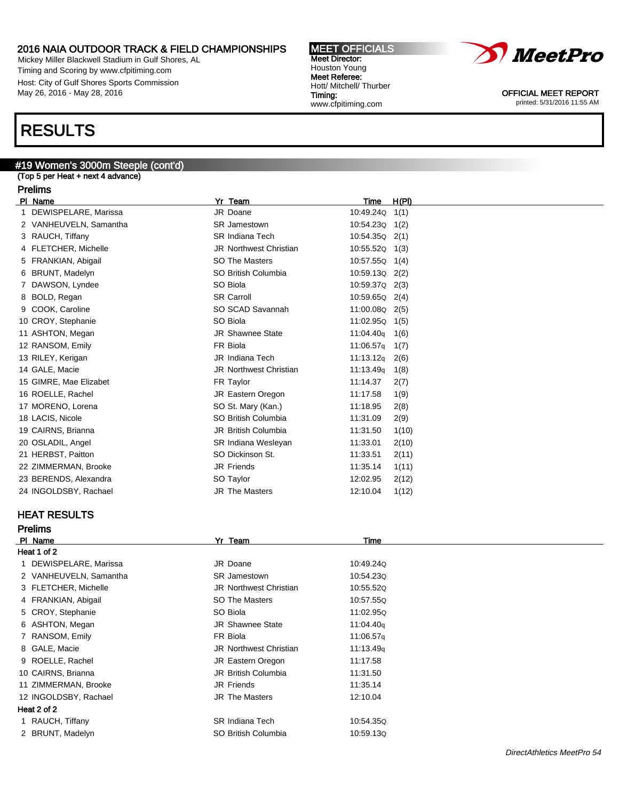Mickey Miller Blackwell Stadium in Gulf Shores, AL Timing and Scoring by www.cfpitiming.com Host: City of Gulf Shores Sports Commission May 26, 2016 - May 28, 2016

#### MEET OFFICIALS Meet Director: Houston Young Meet Referee: Hott/ Mitchell/ Thurber Timing: www.cfpitiming.com



OFFICIAL MEET REPORT printed: 5/31/2016 11:55 AM

# RESULTS

# #19 Women's 3000m Steeple (cont'd)

(Top 5 per Heat + next 4 advance)

### Prelims

| PI Name                | Yr Team                       | Time           | H(PI) |
|------------------------|-------------------------------|----------------|-------|
| DEWISPELARE, Marissa   | JR Doane                      | 10:49.24Q      | 1(1)  |
| 2 VANHEUVELN, Samantha | <b>SR</b> Jamestown           | 10:54.23Q      | 1(2)  |
| 3 RAUCH, Tiffany       | <b>SR Indiana Tech</b>        | 10:54.35Q      | 2(1)  |
| 4 FLETCHER, Michelle   | JR Northwest Christian        | 10:55.52Q      | 1(3)  |
| 5 FRANKIAN, Abigail    | <b>SO The Masters</b>         | 10:57.55Q      | 1(4)  |
| 6 BRUNT, Madelyn       | SO British Columbia           | 10:59.13Q      | 2(2)  |
| 7 DAWSON, Lyndee       | SO Biola                      | 10:59.37Q 2(3) |       |
| 8 BOLD, Regan          | <b>SR Carroll</b>             | 10:59.65Q 2(4) |       |
| 9 COOK, Caroline       | SO SCAD Savannah              | 11:00.08Q 2(5) |       |
| 10 CROY, Stephanie     | SO Biola                      | 11:02.95Q      | 1(5)  |
| 11 ASHTON, Megan       | <b>JR Shawnee State</b>       | 11:04.40q      | 1(6)  |
| 12 RANSOM, Emily       | FR Biola                      | 11:06.57q      | 1(7)  |
| 13 RILEY, Kerigan      | <b>JR</b> Indiana Tech        | 11:13.12q      | 2(6)  |
| 14 GALE, Macie         | <b>JR Northwest Christian</b> | 11:13.49q      | 1(8)  |
| 15 GIMRE, Mae Elizabet | FR Taylor                     | 11:14.37       | 2(7)  |
| 16 ROELLE, Rachel      | JR Eastern Oregon             | 11:17.58       | 1(9)  |
| 17 MORENO, Lorena      | SO St. Mary (Kan.)            | 11:18.95       | 2(8)  |
| 18 LACIS, Nicole       | SO British Columbia           | 11:31.09       | 2(9)  |
| 19 CAIRNS, Brianna     | <b>JR British Columbia</b>    | 11:31.50       | 1(10) |
| 20 OSLADIL, Angel      | <b>SR Indiana Wesleyan</b>    | 11:33.01       | 2(10) |
| 21 HERBST, Paitton     | SO Dickinson St.              | 11:33.51       | 2(11) |
| 22 ZIMMERMAN, Brooke   | <b>JR Friends</b>             | 11:35.14       | 1(11) |
| 23 BERENDS, Alexandra  | SO Taylor                     | 12:02.95       | 2(12) |
| 24 INGOLDSBY, Rachael  | <b>JR The Masters</b>         | 12:10.04       | 1(12) |
|                        |                               |                |       |

### HEAT RESULTS

Prelims

| PI Name                | Yr Team                       | <b>Time</b> |
|------------------------|-------------------------------|-------------|
| Heat 1 of 2            |                               |             |
| 1 DEWISPELARE, Marissa | JR Doane                      | 10:49.240   |
| 2 VANHEUVELN, Samantha | <b>SR</b> Jamestown           | 10:54.23Q   |
| 3 FLETCHER, Michelle   | <b>JR Northwest Christian</b> | 10:55.520   |
| 4 FRANKIAN, Abigail    | SO The Masters                | 10:57.55Q   |
| 5 CROY, Stephanie      | SO Biola                      | 11:02.95Q   |
| 6 ASHTON, Megan        | <b>JR Shawnee State</b>       | 11:04.40g   |
| 7 RANSOM, Emily        | FR Biola                      | 11:06.57q   |
| 8 GALE, Macie          | JR Northwest Christian        | 11:13.49g   |
| 9 ROELLE, Rachel       | JR Eastern Oregon             | 11:17.58    |
| 10 CAIRNS, Brianna     | <b>JR British Columbia</b>    | 11:31.50    |
| 11 ZIMMERMAN, Brooke   | <b>JR Friends</b>             | 11:35.14    |
| 12 INGOLDSBY, Rachael  | <b>JR The Masters</b>         | 12:10.04    |
| Heat 2 of 2            |                               |             |
| 1 RAUCH, Tiffany       | <b>SR Indiana Tech</b>        | 10:54.35Q   |
| 2 BRUNT, Madelyn       | SO British Columbia           | 10:59.13Q   |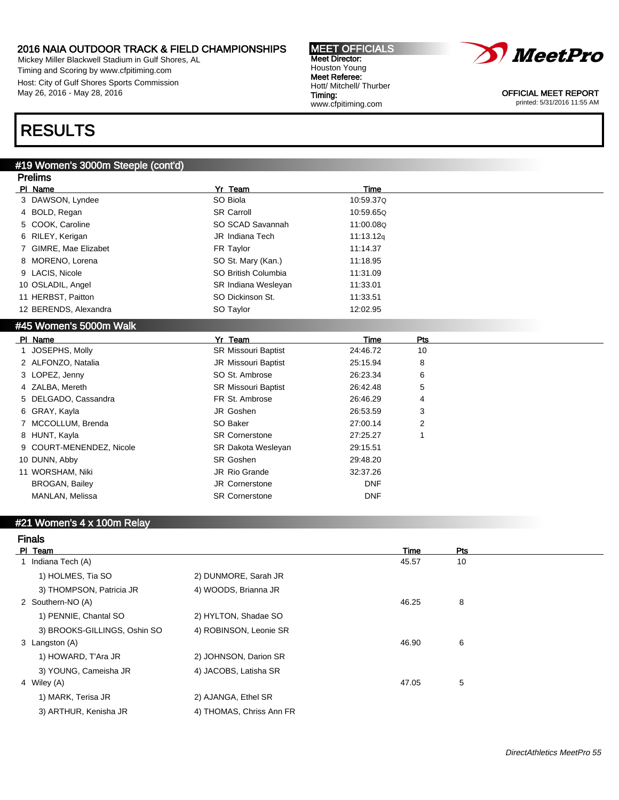Mickey Miller Blackwell Stadium in Gulf Shores, AL Timing and Scoring by www.cfpitiming.com Host: City of Gulf Shores Sports Commission May 26, 2016 - May 28, 2016

#### MEET OFFICIALS Meet Director: Houston Young Meet Referee: Hott/ Mitchell/ Thurber Timing: www.cfpitiming.com



OFFICIAL MEET REPORT printed: 5/31/2016 11:55 AM

# RESULTS

### #19 Women's 3000m Steeple (cont'd)

| PI Name<br>Yr Team<br><b>Time</b><br>SO Biola<br>3 DAWSON, Lyndee<br>10:59.37Q |  |
|--------------------------------------------------------------------------------|--|
|                                                                                |  |
|                                                                                |  |
| <b>SR Carroll</b><br>BOLD, Regan<br>10:59.65Q<br>4                             |  |
| SO SCAD Savannah<br>11:00.08Q<br>COOK, Caroline<br>5                           |  |
| RILEY, Kerigan<br><b>JR</b> Indiana Tech<br>11:13.12g<br>6                     |  |
| GIMRE, Mae Elizabet<br>FR Taylor<br>11:14.37                                   |  |
| MORENO, Lorena<br>SO St. Mary (Kan.)<br>11:18.95<br>8                          |  |
| 9 LACIS, Nicole<br>SO British Columbia<br>11:31.09                             |  |
| 10 OSLADIL, Angel<br>SR Indiana Wesleyan<br>11:33.01                           |  |
| 11 HERBST, Paitton<br>SO Dickinson St.<br>11:33.51                             |  |
| 12 BERENDS, Alexandra<br>SO Taylor<br>12:02.95                                 |  |
| #45 Women's 5000m Walk                                                         |  |
| PI Name<br>Yr Team<br><b>Time</b><br>Pts                                       |  |
| JOSEPHS, Molly<br>SR Missouri Baptist<br>24:46.72<br>10                        |  |
| 2 ALFONZO, Natalia<br>25:15.94<br><b>JR Missouri Baptist</b><br>8              |  |
| 3 LOPEZ, Jenny<br>SO St. Ambrose<br>26:23.34<br>6                              |  |
| ZALBA, Mereth<br><b>SR Missouri Baptist</b><br>26:42.48<br>5<br>4              |  |
| FR St. Ambrose<br>DELGADO, Cassandra<br>26:46.29<br>4<br>5                     |  |
| JR Goshen<br>GRAY, Kayla<br>26:53.59<br>3<br>6                                 |  |
| MCCOLLUM, Brenda<br>SO Baker<br>27:00.14<br>2                                  |  |
| 8 HUNT, Kayla<br><b>SR Cornerstone</b><br>27:25.27<br>1                        |  |
| COURT-MENENDEZ, Nicole<br>SR Dakota Wesleyan<br>29:15.51<br>9                  |  |
| SR Goshen<br>10 DUNN, Abby<br>29:48.20                                         |  |
| 32:37.26<br>11 WORSHAM, Niki<br>JR Rio Grande                                  |  |
| <b>BROGAN, Bailey</b><br><b>JR Cornerstone</b><br><b>DNF</b>                   |  |
|                                                                                |  |

# #21 Women's 4 x 100m Relay

| ш<br>п | ıЭ |  |
|--------|----|--|
|        |    |  |

| PI Team                      |                          | Time  | Pts |  |
|------------------------------|--------------------------|-------|-----|--|
| 1 Indiana Tech (A)           |                          | 45.57 | 10  |  |
| 1) HOLMES, Tia SO            | 2) DUNMORE, Sarah JR     |       |     |  |
| 3) THOMPSON, Patricia JR     | 4) WOODS, Brianna JR     |       |     |  |
| 2 Southern-NO (A)            |                          | 46.25 | 8   |  |
| 1) PENNIE, Chantal SO        | 2) HYLTON, Shadae SO     |       |     |  |
| 3) BROOKS-GILLINGS, Oshin SO | 4) ROBINSON, Leonie SR   |       |     |  |
| 3 Langston (A)               |                          | 46.90 | 6   |  |
| 1) HOWARD, T'Ara JR          | 2) JOHNSON, Darion SR    |       |     |  |
| 3) YOUNG, Cameisha JR        | 4) JACOBS, Latisha SR    |       |     |  |
| 4 Wiley (A)                  |                          | 47.05 | 5   |  |
| 1) MARK, Terisa JR           | 2) AJANGA, Ethel SR      |       |     |  |
| 3) ARTHUR, Kenisha JR        | 4) THOMAS, Chriss Ann FR |       |     |  |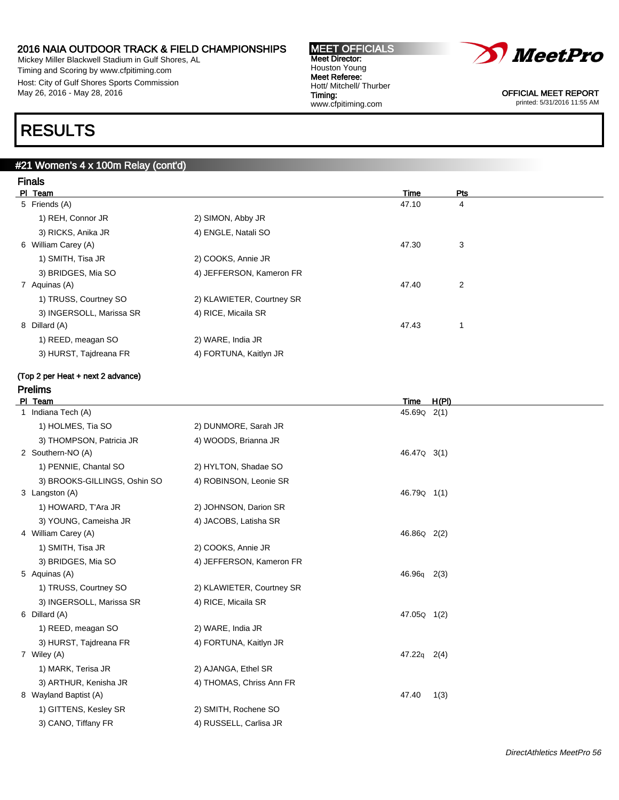Mickey Miller Blackwell Stadium in Gulf Shores, AL Timing and Scoring by www.cfpitiming.com Host: City of Gulf Shores Sports Commission May 26, 2016 - May 28, 2016

#### MEET OFFICIALS Meet Director: Houston Young Meet Referee: Hott/ Mitchell/ Thurber Timing: www.cfpitiming.com



OFFICIAL MEET REPORT printed: 5/31/2016 11:55 AM

# RESULTS

### #21 Women's 4 x 100m Relay (cont'd)

| <b>Finals</b>       |                          |                           |       |     |  |
|---------------------|--------------------------|---------------------------|-------|-----|--|
| PI Team             |                          |                           | Time  | Pts |  |
| 5 Friends (A)       |                          |                           | 47.10 | 4   |  |
| 1) REH, Connor JR   |                          | 2) SIMON, Abby JR         |       |     |  |
| 3) RICKS, Anika JR  |                          | 4) ENGLE, Natali SO       |       |     |  |
| 6 William Carey (A) |                          |                           | 47.30 | 3   |  |
| 1) SMITH, Tisa JR   |                          | 2) COOKS, Annie JR        |       |     |  |
| 3) BRIDGES, Mia SO  |                          | 4) JEFFERSON, Kameron FR  |       |     |  |
| 7 Aquinas (A)       |                          |                           | 47.40 | 2   |  |
|                     | 1) TRUSS, Courtney SO    | 2) KLAWIETER, Courtney SR |       |     |  |
|                     | 3) INGERSOLL, Marissa SR | 4) RICE, Micaila SR       |       |     |  |
| 8 Dillard (A)       |                          |                           | 47.43 |     |  |
| 1) REED, meagan SO  |                          | 2) WARE, India JR         |       |     |  |
|                     | 3) HURST, Tajdreana FR   | 4) FORTUNA, Kaitlyn JR    |       |     |  |
|                     |                          |                           |       |     |  |

#### (Top 2 per Heat + next 2 advance) Prelims

| PI Team                      |                           | H(PI)<br><b>Time</b>    |
|------------------------------|---------------------------|-------------------------|
| 1 Indiana Tech (A)           |                           | 45.69 Q2(1)             |
| 1) HOLMES, Tia SO            | 2) DUNMORE, Sarah JR      |                         |
| 3) THOMPSON, Patricia JR     | 4) WOODS, Brianna JR      |                         |
| 2 Southern-NO (A)            |                           | 46.47Q 3(1)             |
| 1) PENNIE, Chantal SO        | 2) HYLTON, Shadae SO      |                         |
| 3) BROOKS-GILLINGS, Oshin SO | 4) ROBINSON, Leonie SR    |                         |
| 3 Langston (A)               |                           | 46.79 <sub>Q</sub> 1(1) |
| 1) HOWARD, T'Ara JR          | 2) JOHNSON, Darion SR     |                         |
| 3) YOUNG, Cameisha JR        | 4) JACOBS, Latisha SR     |                         |
| 4 William Carey (A)          |                           | 46.86Q 2(2)             |
| 1) SMITH, Tisa JR            | 2) COOKS, Annie JR        |                         |
| 3) BRIDGES, Mia SO           | 4) JEFFERSON, Kameron FR  |                         |
| 5 Aquinas (A)                |                           | $46.96q$ 2(3)           |
| 1) TRUSS, Courtney SO        | 2) KLAWIETER, Courtney SR |                         |
| 3) INGERSOLL, Marissa SR     | 4) RICE, Micaila SR       |                         |
| 6 Dillard (A)                |                           | 47.05Q 1(2)             |
| 1) REED, meagan SO           | 2) WARE, India JR         |                         |
| 3) HURST, Tajdreana FR       | 4) FORTUNA, Kaitlyn JR    |                         |
| 7 Wiley (A)                  |                           | $47.22q$ 2(4)           |
| 1) MARK, Terisa JR           | 2) AJANGA, Ethel SR       |                         |
| 3) ARTHUR, Kenisha JR        | 4) THOMAS, Chriss Ann FR  |                         |
| 8 Wayland Baptist (A)        |                           | 47.40<br>1(3)           |
| 1) GITTENS, Kesley SR        | 2) SMITH, Rochene SO      |                         |
| 3) CANO, Tiffany FR          | 4) RUSSELL, Carlisa JR    |                         |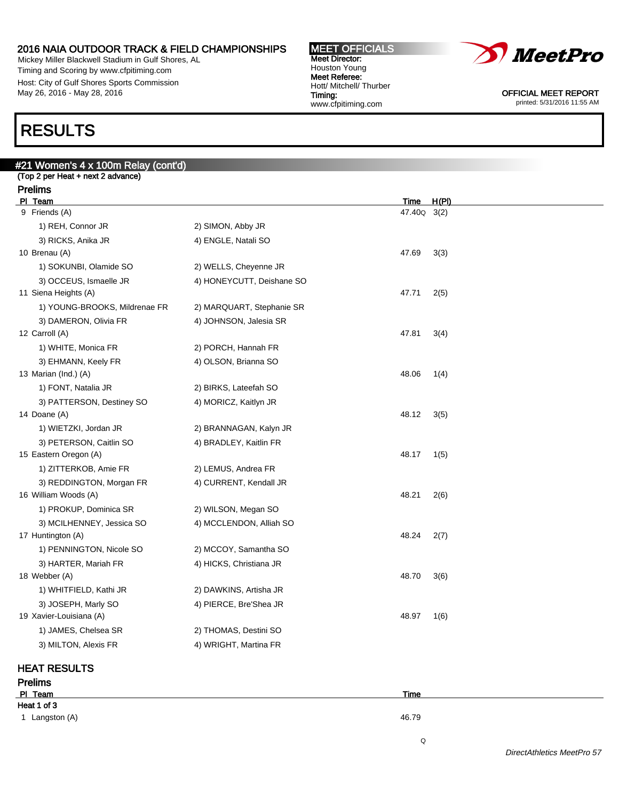Mickey Miller Blackwell Stadium in Gulf Shores, AL Timing and Scoring by www.cfpitiming.com Host: City of Gulf Shores Sports Commission May 26, 2016 - May 28, 2016

#### MEET OFFICIALS Meet Director: Houston Young Meet Referee: Hott/ Mitchell/ Thurber Timing: www.cfpitiming.com



OFFICIAL MEET REPORT printed: 5/31/2016 11:55 AM

# RESULTS

# #21 Women's 4 x 100m Relay (cont'd) (Top 2 per Heat + next 2 advance) Prelims Pl Team Time H(Pl) 9 Friends (A) 47.40Q 3(2) 1) REH, Connor JR 2) SIMON, Abby JR 3) RICKS, Anika JR 4) ENGLE, Natali SO 10 Brenau (A) 47.69 3(3) 1) SOKUNBI, Olamide SO 2) WELLS, Cheyenne JR 3) OCCEUS, Ismaelle JR 4) HONEYCUTT, Deishane SO 11 Siena Heights (A) 47.71 2(5) 1) YOUNG-BROOKS, Mildrenae FR 2) MARQUART, Stephanie SR 3) DAMERON, Olivia FR 4) JOHNSON, Jalesia SR 12 Carroll (A) 47.81 3(4) 1) WHITE, Monica FR 2) PORCH, Hannah FR 3) EHMANN, Keely FR 4) OLSON, Brianna SO 13 Marian (Ind.) (A) 48.06 1(4) 1) FONT, Natalia JR 2) BIRKS, Lateefah SO 3) PATTERSON, Destiney SO 4) MORICZ, Kaitlyn JR 14 Doane (A) 48.12 3(5) 1) WIETZKI, Jordan JR 2) BRANNAGAN, Kalyn JR 3) PETERSON, Caitlin SO 4) BRADLEY, Kaitlin FR 15 Eastern Oregon (A) 48.17 1(5) 1) ZITTERKOB, Amie FR 2) LEMUS, Andrea FR 3) REDDINGTON, Morgan FR 4) CURRENT, Kendall JR 16 William Woods (A) 48.21 2(6) 1) PROKUP, Dominica SR 2) WILSON, Megan SO 3) MCILHENNEY, Jessica SO 4) MCCLENDON, Alliah SO 17 Huntington (A) 48.24 2(7) 1) PENNINGTON, Nicole SO 2) MCCOY, Samantha SO 3) HARTER, Mariah FR 4) HICKS, Christiana JR 18 Webber (A) 48.70 3(6) 1) WHITFIELD, Kathi JR 2) DAWKINS, Artisha JR 3) JOSEPH, Marly SO 4) PIERCE, Bre'Shea JR 19 Xavier-Louisiana (A) 48.97 1(6)

### HEAT RESULTS

1) JAMES, Chelsea SR 2) THOMAS, Destini SO 3) MILTON, Alexis FR 4) WRIGHT, Martina FR

Prelims Pl Team Time Heat 1 of 3 1 Langston (A) 46.79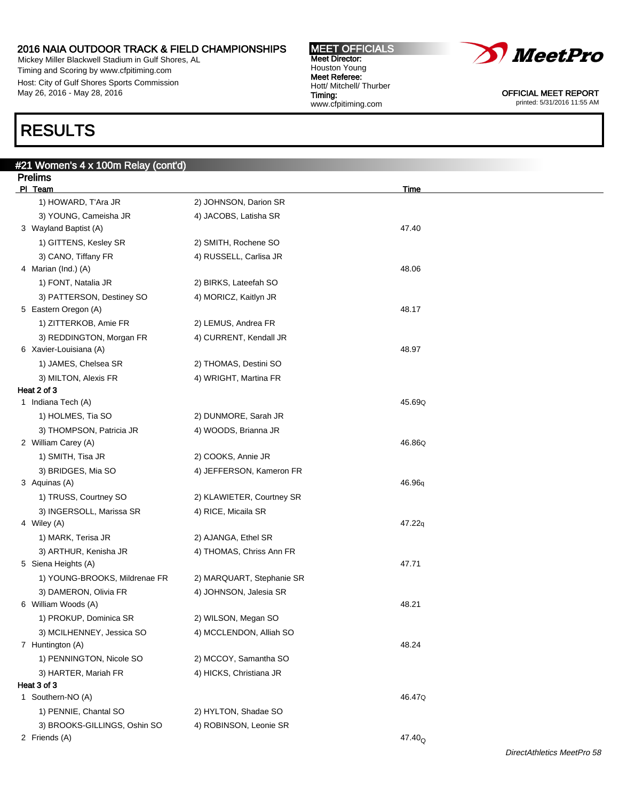Mickey Miller Blackwell Stadium in Gulf Shores, AL Timing and Scoring by www.cfpitiming.com Host: City of Gulf Shores Sports Commission May 26, 2016 - May 28, 2016

# RESULTS

| #21 Women's 4 x 100m Relay (cont'd) |                           |                  |  |
|-------------------------------------|---------------------------|------------------|--|
| <b>Prelims</b>                      |                           |                  |  |
| PI Team                             |                           | Time             |  |
| 1) HOWARD, T'Ara JR                 | 2) JOHNSON, Darion SR     |                  |  |
| 3) YOUNG, Cameisha JR               | 4) JACOBS, Latisha SR     |                  |  |
| 3 Wayland Baptist (A)               |                           | 47.40            |  |
| 1) GITTENS, Kesley SR               | 2) SMITH, Rochene SO      |                  |  |
| 3) CANO, Tiffany FR                 | 4) RUSSELL, Carlisa JR    |                  |  |
| 4 Marian (Ind.) (A)                 |                           | 48.06            |  |
| 1) FONT, Natalia JR                 | 2) BIRKS, Lateefah SO     |                  |  |
| 3) PATTERSON, Destiney SO           | 4) MORICZ, Kaitlyn JR     |                  |  |
| 5 Eastern Oregon (A)                |                           | 48.17            |  |
| 1) ZITTERKOB, Amie FR               | 2) LEMUS, Andrea FR       |                  |  |
| 3) REDDINGTON, Morgan FR            | 4) CURRENT, Kendall JR    |                  |  |
| 6 Xavier-Louisiana (A)              |                           | 48.97            |  |
| 1) JAMES, Chelsea SR                | 2) THOMAS, Destini SO     |                  |  |
| 3) MILTON, Alexis FR                | 4) WRIGHT, Martina FR     |                  |  |
| Heat 2 of 3                         |                           |                  |  |
| 1 Indiana Tech (A)                  |                           | 45.69Q           |  |
| 1) HOLMES, Tia SO                   | 2) DUNMORE, Sarah JR      |                  |  |
| 3) THOMPSON, Patricia JR            | 4) WOODS, Brianna JR      |                  |  |
| 2 William Carey (A)                 |                           | 46.86Q           |  |
| 1) SMITH, Tisa JR                   | 2) COOKS, Annie JR        |                  |  |
| 3) BRIDGES, Mia SO                  | 4) JEFFERSON, Kameron FR  |                  |  |
| 3 Aquinas (A)                       |                           | 46.96q           |  |
| 1) TRUSS, Courtney SO               | 2) KLAWIETER, Courtney SR |                  |  |
| 3) INGERSOLL, Marissa SR            | 4) RICE, Micaila SR       |                  |  |
| 4 Wiley (A)                         |                           | 47.22q           |  |
| 1) MARK, Terisa JR                  | 2) AJANGA, Ethel SR       |                  |  |
| 3) ARTHUR, Kenisha JR               | 4) THOMAS, Chriss Ann FR  |                  |  |
| 5 Siena Heights (A)                 |                           | 47.71            |  |
| 1) YOUNG-BROOKS, Mildrenae FR       | 2) MARQUART, Stephanie SR |                  |  |
| 3) DAMERON, Olivia FR               | 4) JOHNSON, Jalesia SR    |                  |  |
| 6 William Woods (A)                 |                           | 48.21            |  |
| 1) PROKUP, Dominica SR              | 2) WILSON, Megan SO       |                  |  |
| 3) MCILHENNEY, Jessica SO           | 4) MCCLENDON, Alliah SO   |                  |  |
| 7 Huntington (A)                    |                           | 48.24            |  |
| 1) PENNINGTON, Nicole SO            | 2) MCCOY, Samantha SO     |                  |  |
| 3) HARTER, Mariah FR                | 4) HICKS, Christiana JR   |                  |  |
| Heat 3 of 3                         |                           |                  |  |
| 1 Southern-NO (A)                   |                           | 46.47Q           |  |
| 1) PENNIE, Chantal SO               | 2) HYLTON, Shadae SO      |                  |  |
| 3) BROOKS-GILLINGS, Oshin SO        | 4) ROBINSON, Leonie SR    |                  |  |
| 2 Friends (A)                       |                           | $47.40_{\Omega}$ |  |

MEET OFFICIALS Meet Director: Houston Young Meet Referee: Hott/ Mitchell/ Thurber

www.cfpitiming.com

Timing:



OFFICIAL MEET REPORT printed: 5/31/2016 11:55 AM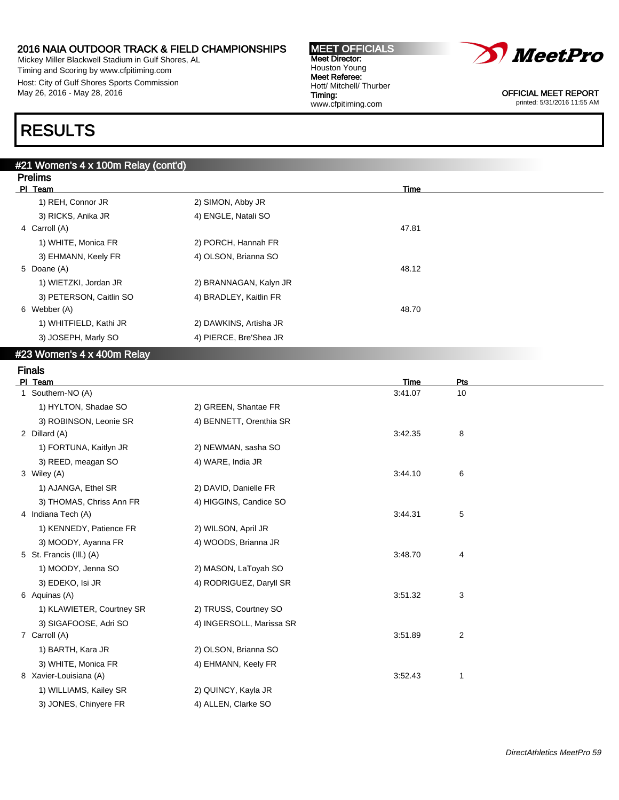Mickey Miller Blackwell Stadium in Gulf Shores, AL Timing and Scoring by www.cfpitiming.com Host: City of Gulf Shores Sports Commission May 26, 2016 - May 28, 2016

#### MEET OFFICIALS Meet Director: Houston Young Meet Referee: Hott/ Mitchell/ Thurber Timing: www.cfpitiming.com



OFFICIAL MEET REPORT printed: 5/31/2016 11:55 AM

# RESULTS

| #21 Women's 4 x 100m Relay (cont'd) |                        |             |  |  |  |  |  |
|-------------------------------------|------------------------|-------------|--|--|--|--|--|
| <b>Prelims</b>                      |                        |             |  |  |  |  |  |
| PI Team                             |                        | <b>Time</b> |  |  |  |  |  |
| 1) REH, Connor JR                   | 2) SIMON, Abby JR      |             |  |  |  |  |  |
| 3) RICKS, Anika JR                  | 4) ENGLE, Natali SO    |             |  |  |  |  |  |
| 4 Carroll (A)                       |                        | 47.81       |  |  |  |  |  |
| 1) WHITE, Monica FR                 | 2) PORCH, Hannah FR    |             |  |  |  |  |  |
| 3) EHMANN, Keely FR                 | 4) OLSON, Brianna SO   |             |  |  |  |  |  |
| 5 Doane (A)                         |                        | 48.12       |  |  |  |  |  |
| 1) WIETZKI, Jordan JR               | 2) BRANNAGAN, Kalyn JR |             |  |  |  |  |  |
| 3) PETERSON, Caitlin SO             | 4) BRADLEY, Kaitlin FR |             |  |  |  |  |  |
| 6 Webber (A)                        |                        | 48.70       |  |  |  |  |  |
| 1) WHITFIELD, Kathi JR              | 2) DAWKINS, Artisha JR |             |  |  |  |  |  |
| 3) JOSEPH, Marly SO                 | 4) PIERCE, Bre'Shea JR |             |  |  |  |  |  |

#### #23 Women's 4 x 400m Relay

# Finals

|                           |                          |         | Pts            |
|---------------------------|--------------------------|---------|----------------|
| 1 Southern-NO (A)         |                          | 3:41.07 | 10             |
| 1) HYLTON, Shadae SO      | 2) GREEN, Shantae FR     |         |                |
| 3) ROBINSON, Leonie SR    | 4) BENNETT, Orenthia SR  |         |                |
| 2 Dillard (A)             |                          | 3:42.35 | 8              |
| 1) FORTUNA, Kaitlyn JR    | 2) NEWMAN, sasha SO      |         |                |
| 3) REED, meagan SO        | 4) WARE, India JR        |         |                |
| 3 Wiley (A)               |                          | 3:44.10 | 6              |
| 1) AJANGA, Ethel SR       | 2) DAVID, Danielle FR    |         |                |
| 3) THOMAS, Chriss Ann FR  | 4) HIGGINS, Candice SO   |         |                |
| 4 Indiana Tech (A)        |                          | 3:44.31 | 5              |
| 1) KENNEDY, Patience FR   | 2) WILSON, April JR      |         |                |
| 3) MOODY, Ayanna FR       | 4) WOODS, Brianna JR     |         |                |
| 5 St. Francis (III.) (A)  |                          | 3:48.70 | 4              |
| 1) MOODY, Jenna SO        | 2) MASON, LaToyah SO     |         |                |
| 3) EDEKO, Isi JR          | 4) RODRIGUEZ, Daryll SR  |         |                |
| 6 Aquinas (A)             |                          | 3:51.32 | 3              |
| 1) KLAWIETER, Courtney SR | 2) TRUSS, Courtney SO    |         |                |
| 3) SIGAFOOSE, Adri SO     | 4) INGERSOLL, Marissa SR |         |                |
| 7 Carroll (A)             |                          | 3:51.89 | $\overline{2}$ |
| 1) BARTH, Kara JR         | 2) OLSON, Brianna SO     |         |                |
| 3) WHITE, Monica FR       | 4) EHMANN, Keely FR      |         |                |
| 8 Xavier-Louisiana (A)    |                          | 3:52.43 | 1              |
| 1) WILLIAMS, Kailey SR    | 2) QUINCY, Kayla JR      |         |                |
| 3) JONES, Chinyere FR     | 4) ALLEN, Clarke SO      |         |                |
|                           | PI Team                  |         | Time           |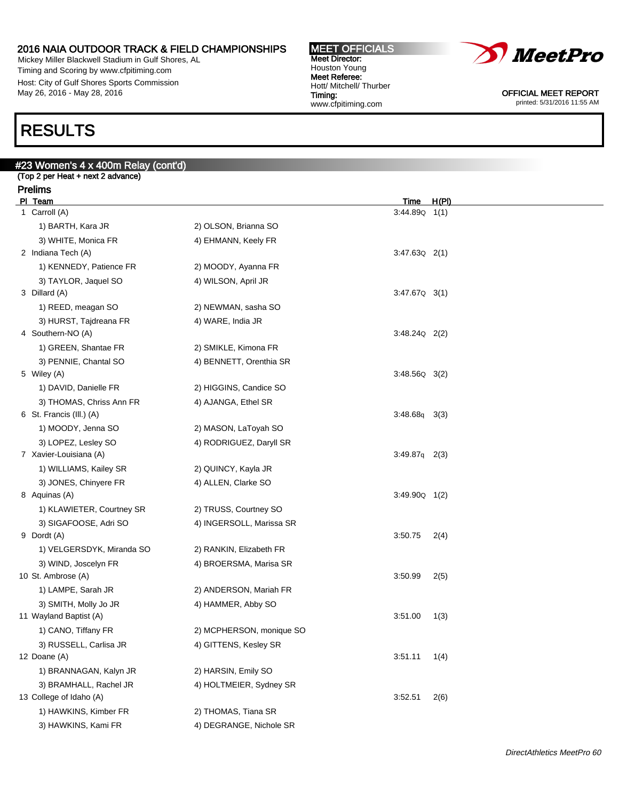Mickey Miller Blackwell Stadium in Gulf Shores, AL Timing and Scoring by www.cfpitiming.com Host: City of Gulf Shores Sports Commission May 26, 2016 - May 28, 2016

#### MEET OFFICIALS Meet Director: Houston Young Meet Referee: Hott/ Mitchell/ Thurber Timing: www.cfpitiming.com



OFFICIAL MEET REPORT printed: 5/31/2016 11:55 AM

# RESULTS

# #23 Women's 4 x 400m Relay (cont'd) (Top 2 per Heat + next 2 advance) Prelims PI Team Time H(PI) 1 Carroll (A) 3:44.89Q 1(1) 1) BARTH, Kara JR 2) OLSON, Brianna SO 3) WHITE, Monica FR 4) EHMANN, Keely FR 2 Indiana Tech (A) 3:47.63Q 2(1) 1) KENNEDY, Patience FR 2) MOODY, Ayanna FR 3) TAYLOR, Jaquel SO 4) WILSON, April JR 3 Dillard (A) 3:47.67Q 3(1) 1) REED, meagan SO 2) NEWMAN, sasha SO 3) HURST, Tajdreana FR 4) WARE, India JR 4 Southern-NO (A) 3:48.24Q 2(2) 1) GREEN, Shantae FR 2) SMIKLE, Kimona FR 3) PENNIE, Chantal SO 4) BENNETT, Orenthia SR 5 Wiley (A) 3:48.56Q 3(2) 1) DAVID, Danielle FR 2) HIGGINS, Candice SO 3) THOMAS, Chriss Ann FR 4) AJANGA, Ethel SR 6 St. Francis (Ill.) (A) 3:48.68q 3(3) 1) MOODY, Jenna SO 2) MASON, LaToyah SO 3) LOPEZ, Lesley SO 4) RODRIGUEZ, Daryll SR 7 Xavier-Louisiana (A) 3:49.87q 2(3) 1) WILLIAMS, Kailey SR 2) QUINCY, Kayla JR 3) JONES, Chinyere FR 4) ALLEN, Clarke SO 8 Aquinas (A) 3:49.90Q 1(2) 1) KLAWIETER, Courtney SR 2) TRUSS, Courtney SO 3) SIGAFOOSE, Adri SO 4) INGERSOLL, Marissa SR 9 Dordt (A) 3:50.75 2(4) 1) VELGERSDYK, Miranda SO 2) RANKIN, Elizabeth FR 3) WIND, Joscelyn FR 4) BROERSMA, Marisa SR 10 St. Ambrose (A) 3:50.99 2(5) 1) LAMPE, Sarah JR 2) ANDERSON, Mariah FR 3) SMITH, Molly Jo JR 4) HAMMER, Abby SO 11 Wayland Baptist (A) 3:51.00 1(3) 1) CANO, Tiffany FR 2) MCPHERSON, monique SO 3) RUSSELL, Carlisa JR 4) GITTENS, Kesley SR 12 Doane (A) 3:51.11 1(4) 1) BRANNAGAN, Kalyn JR 2) HARSIN, Emily SO 3) BRAMHALL, Rachel JR 4) HOLTMEIER, Sydney SR 13 College of Idaho (A) 3:52.51 2(6) 1) HAWKINS, Kimber FR 2) THOMAS, Tiana SR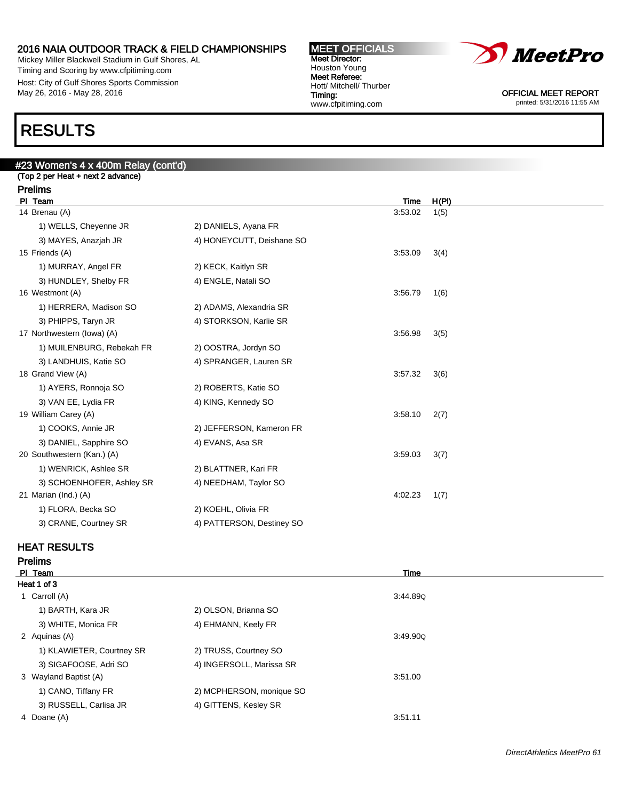Mickey Miller Blackwell Stadium in Gulf Shores, AL Timing and Scoring by www.cfpitiming.com Host: City of Gulf Shores Sports Commission May 26, 2016 - May 28, 2016





OFFICIAL MEET REPORT printed: 5/31/2016 11:55 AM

# RESULTS

### #23 Women's 4 x 400m Relay (cont'd) (Top 2 per Heat + next 2 advance)

| <b>Prelims</b>             |                           |         |       |  |
|----------------------------|---------------------------|---------|-------|--|
| PI Team                    |                           | Time    | H(PI) |  |
| 14 Brenau (A)              |                           | 3:53.02 | 1(5)  |  |
| 1) WELLS, Cheyenne JR      | 2) DANIELS, Ayana FR      |         |       |  |
| 3) MAYES, Anazjah JR       | 4) HONEYCUTT, Deishane SO |         |       |  |
| 15 Friends (A)             |                           | 3:53.09 | 3(4)  |  |
| 1) MURRAY, Angel FR        | 2) KECK, Kaitlyn SR       |         |       |  |
| 3) HUNDLEY, Shelby FR      | 4) ENGLE, Natali SO       |         |       |  |
| 16 Westmont (A)            |                           | 3:56.79 | 1(6)  |  |
| 1) HERRERA, Madison SO     | 2) ADAMS, Alexandria SR   |         |       |  |
| 3) PHIPPS, Taryn JR        | 4) STORKSON, Karlie SR    |         |       |  |
| 17 Northwestern (lowa) (A) |                           | 3:56.98 | 3(5)  |  |
| 1) MUILENBURG, Rebekah FR  | 2) OOSTRA, Jordyn SO      |         |       |  |
| 3) LANDHUIS, Katie SO      | 4) SPRANGER, Lauren SR    |         |       |  |
| 18 Grand View (A)          |                           | 3:57.32 | 3(6)  |  |
| 1) AYERS, Ronnoja SO       | 2) ROBERTS, Katie SO      |         |       |  |
| 3) VAN EE, Lydia FR        | 4) KING, Kennedy SO       |         |       |  |
| 19 William Carey (A)       |                           | 3:58.10 | 2(7)  |  |
| 1) COOKS, Annie JR         | 2) JEFFERSON, Kameron FR  |         |       |  |
| 3) DANIEL, Sapphire SO     | 4) EVANS, Asa SR          |         |       |  |
| 20 Southwestern (Kan.) (A) |                           | 3:59.03 | 3(7)  |  |
| 1) WENRICK, Ashlee SR      | 2) BLATTNER, Kari FR      |         |       |  |
| 3) SCHOENHOFER, Ashley SR  | 4) NEEDHAM, Taylor SO     |         |       |  |
| 21 Marian (Ind.) (A)       |                           | 4:02.23 | 1(7)  |  |
| 1) FLORA, Becka SO         | 2) KOEHL, Olivia FR       |         |       |  |
| 3) CRANE, Courtney SR      | 4) PATTERSON, Destiney SO |         |       |  |
|                            |                           |         |       |  |

### HEAT RESULTS

Prelims

| PI Team                   |                          | Time     |  |
|---------------------------|--------------------------|----------|--|
| Heat 1 of 3               |                          |          |  |
| 1 Carroll (A)             |                          | 3:44.89Q |  |
| 1) BARTH, Kara JR         | 2) OLSON, Brianna SO     |          |  |
| 3) WHITE, Monica FR       | 4) EHMANN, Keely FR      |          |  |
| 2 Aquinas (A)             |                          | 3:49.90Q |  |
| 1) KLAWIETER, Courtney SR | 2) TRUSS, Courtney SO    |          |  |
| 3) SIGAFOOSE, Adri SO     | 4) INGERSOLL, Marissa SR |          |  |
| 3 Wayland Baptist (A)     |                          | 3:51.00  |  |
| 1) CANO, Tiffany FR       | 2) MCPHERSON, monique SO |          |  |
| 3) RUSSELL, Carlisa JR    | 4) GITTENS, Kesley SR    |          |  |
| 4 Doane (A)               |                          | 3:51.11  |  |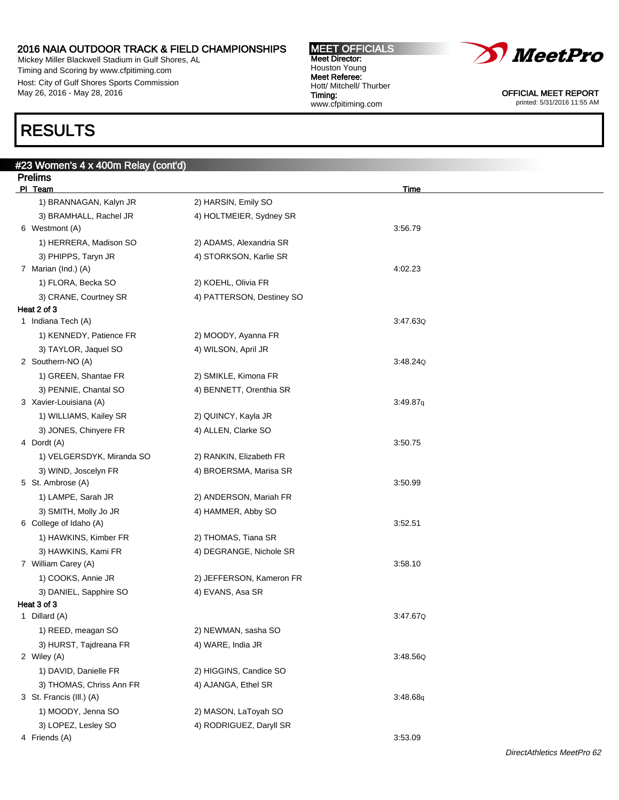Mickey Miller Blackwell Stadium in Gulf Shores, AL Timing and Scoring by www.cfpitiming.com Host: City of Gulf Shores Sports Commission May 26, 2016 - May 28, 2016

#### MEET OFFICIALS Meet Director: Houston Young Meet Referee: Hott/ Mitchell/ Thurber Timing: www.cfpitiming.com



OFFICIAL MEET REPORT printed: 5/31/2016 11:55 AM

# RESULTS

| #23 Women's 4 x 400m Relay (cont'd)             |                           |             |
|-------------------------------------------------|---------------------------|-------------|
| <b>Prelims</b>                                  |                           |             |
| PI Team                                         |                           | <b>Time</b> |
| 1) BRANNAGAN, Kalyn JR                          | 2) HARSIN, Emily SO       |             |
| 3) BRAMHALL, Rachel JR                          | 4) HOLTMEIER, Sydney SR   |             |
| 6 Westmont (A)                                  |                           | 3:56.79     |
| 1) HERRERA, Madison SO                          | 2) ADAMS, Alexandria SR   |             |
| 3) PHIPPS, Taryn JR                             | 4) STORKSON, Karlie SR    |             |
| 7 Marian (Ind.) (A)                             |                           | 4:02.23     |
| 1) FLORA, Becka SO                              | 2) KOEHL, Olivia FR       |             |
| 3) CRANE, Courtney SR                           | 4) PATTERSON, Destiney SO |             |
| Heat 2 of 3<br>1 Indiana Tech (A)               |                           | 3:47.63Q    |
|                                                 |                           |             |
| 1) KENNEDY, Patience FR                         | 2) MOODY, Ayanna FR       |             |
| 3) TAYLOR, Jaquel SO<br>2 Southern-NO (A)       | 4) WILSON, April JR       | 3:48.24Q    |
|                                                 | 2) SMIKLE, Kimona FR      |             |
| 1) GREEN, Shantae FR                            |                           |             |
| 3) PENNIE, Chantal SO<br>3 Xavier-Louisiana (A) | 4) BENNETT, Orenthia SR   | 3:49.87q    |
| 1) WILLIAMS, Kailey SR                          | 2) QUINCY, Kayla JR       |             |
| 3) JONES, Chinyere FR                           |                           |             |
| 4 Dordt (A)                                     | 4) ALLEN, Clarke SO       | 3:50.75     |
| 1) VELGERSDYK, Miranda SO                       | 2) RANKIN, Elizabeth FR   |             |
| 3) WIND, Joscelyn FR                            | 4) BROERSMA, Marisa SR    |             |
| 5 St. Ambrose (A)                               |                           | 3:50.99     |
| 1) LAMPE, Sarah JR                              | 2) ANDERSON, Mariah FR    |             |
| 3) SMITH, Molly Jo JR                           | 4) HAMMER, Abby SO        |             |
| 6 College of Idaho (A)                          |                           | 3:52.51     |
| 1) HAWKINS, Kimber FR                           | 2) THOMAS, Tiana SR       |             |
| 3) HAWKINS, Kami FR                             | 4) DEGRANGE, Nichole SR   |             |
| 7 William Carey (A)                             |                           | 3:58.10     |
| 1) COOKS, Annie JR                              | 2) JEFFERSON, Kameron FR  |             |
| 3) DANIEL, Sapphire SO                          | 4) EVANS, Asa SR          |             |
| Heat 3 of 3                                     |                           |             |
| 1 Dillard (A)                                   |                           | 3:47.67Q    |
| 1) REED, meagan SO                              | 2) NEWMAN, sasha SO       |             |
| 3) HURST, Tajdreana FR                          | 4) WARE, India JR         |             |
| 2 Wiley (A)                                     |                           | 3:48.56Q    |
| 1) DAVID, Danielle FR                           | 2) HIGGINS, Candice SO    |             |
| 3) THOMAS, Chriss Ann FR                        | 4) AJANGA, Ethel SR       |             |
| 3 St. Francis (III.) (A)                        |                           | 3:48.68q    |
| 1) MOODY, Jenna SO                              | 2) MASON, LaToyah SO      |             |
| 3) LOPEZ, Lesley SO                             | 4) RODRIGUEZ, Daryll SR   |             |
| 4 Friends (A)                                   |                           | 3:53.09     |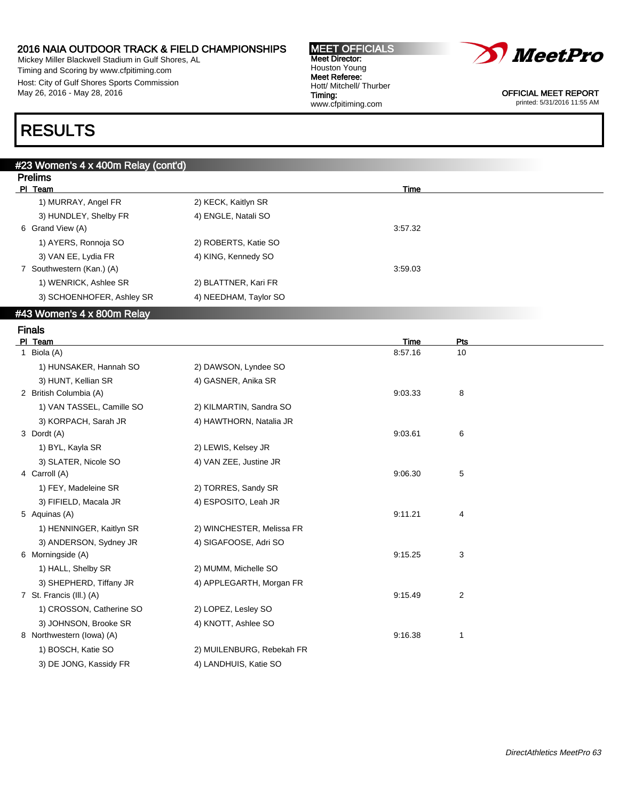Mickey Miller Blackwell Stadium in Gulf Shores, AL Timing and Scoring by www.cfpitiming.com Host: City of Gulf Shores Sports Commission May 26, 2016 - May 28, 2016

| <b>MEET OFFICIALS</b>   |
|-------------------------|
| <b>Meet Director:</b>   |
| Houston Young           |
| Meet Referee:           |
| Hott/ Mitchell/ Thurber |
| Timing:                 |
| www.cfpitiming.com      |
|                         |



OFFICIAL MEET REPORT printed: 5/31/2016 11:55 AM

# RESULTS

# #23 Women's 4 x 400m Relay (cont'd) Prelims PI Team Time **The Contract of the Contract of the Contract of the Contract of Time** 1) MURRAY, Angel FR 2) KECK, Kaitlyn SR 3) HUNDLEY, Shelby FR 4) ENGLE, Natali SO 6 Grand View (A) 3:57.32 1) AYERS, Ronnoja SO 2) ROBERTS, Katie SO 3) VAN EE, Lydia FR 4) KING, Kennedy SO 7 Southwestern (Kan.) (A) 3:59.03 1) WENRICK, Ashlee SR 2) BLATTNER, Kari FR 3) SCHOENHOFER, Ashley SR 4) NEEDHAM, Taylor SO

# #43 Women's 4 x 800m Relay

Finals

| PI Team                   |                           | Time    | Pts            |  |
|---------------------------|---------------------------|---------|----------------|--|
| 1 Biola (A)               |                           | 8:57.16 | 10             |  |
| 1) HUNSAKER, Hannah SO    | 2) DAWSON, Lyndee SO      |         |                |  |
| 3) HUNT, Kellian SR       | 4) GASNER, Anika SR       |         |                |  |
| 2 British Columbia (A)    |                           | 9:03.33 | 8              |  |
| 1) VAN TASSEL, Camille SO | 2) KILMARTIN, Sandra SO   |         |                |  |
| 3) KORPACH, Sarah JR      | 4) HAWTHORN, Natalia JR   |         |                |  |
| 3 Dordt (A)               |                           | 9:03.61 | 6              |  |
| 1) BYL, Kayla SR          | 2) LEWIS, Kelsey JR       |         |                |  |
| 3) SLATER, Nicole SO      | 4) VAN ZEE, Justine JR    |         |                |  |
| 4 Carroll (A)             |                           | 9:06.30 | 5              |  |
| 1) FEY, Madeleine SR      | 2) TORRES, Sandy SR       |         |                |  |
| 3) FIFIELD, Macala JR     | 4) ESPOSITO, Leah JR      |         |                |  |
| 5 Aquinas (A)             |                           | 9:11.21 | 4              |  |
| 1) HENNINGER, Kaitlyn SR  | 2) WINCHESTER, Melissa FR |         |                |  |
| 3) ANDERSON, Sydney JR    | 4) SIGAFOOSE, Adri SO     |         |                |  |
| 6 Morningside (A)         |                           | 9:15.25 | 3              |  |
| 1) HALL, Shelby SR        | 2) MUMM, Michelle SO      |         |                |  |
| 3) SHEPHERD, Tiffany JR   | 4) APPLEGARTH, Morgan FR  |         |                |  |
| 7 St. Francis (III.) (A)  |                           | 9:15.49 | $\overline{2}$ |  |
| 1) CROSSON, Catherine SO  | 2) LOPEZ, Lesley SO       |         |                |  |
| 3) JOHNSON, Brooke SR     | 4) KNOTT, Ashlee SO       |         |                |  |
| 8 Northwestern (lowa) (A) |                           | 9:16.38 | 1              |  |
| 1) BOSCH, Katie SO        | 2) MUILENBURG, Rebekah FR |         |                |  |
| 3) DE JONG, Kassidy FR    | 4) LANDHUIS, Katie SO     |         |                |  |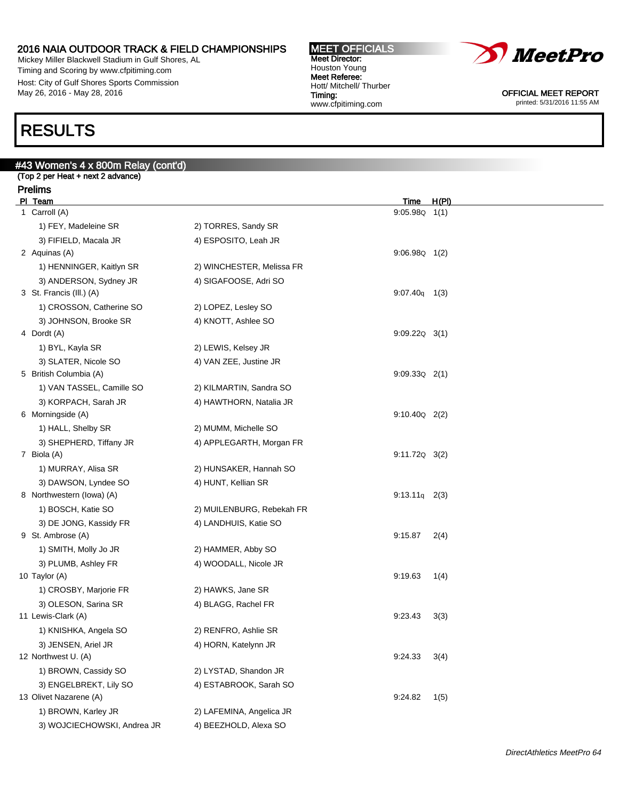Mickey Miller Blackwell Stadium in Gulf Shores, AL Timing and Scoring by www.cfpitiming.com Host: City of Gulf Shores Sports Commission May 26, 2016 - May 28, 2016

#### MEET OFFICIALS Meet Director: Houston Young Meet Referee: Hott/ Mitchell/ Thurber Timing: www.cfpitiming.com



OFFICIAL MEET REPORT printed: 5/31/2016 11:55 AM

# RESULTS

# #43 Women's 4 x 800m Relay (cont'd) (Top 2 per Heat + next 2 advance) Prelims PI Team Time H(PI) 1 Carroll (A) 9:05.98Q 1(1) 1) FEY, Madeleine SR 2) TORRES, Sandy SR 3) FIFIELD, Macala JR 4) ESPOSITO, Leah JR 2 Aquinas (A) 9:06.98Q 1(2) 1) HENNINGER, Kaitlyn SR 2) WINCHESTER, Melissa FR 3) ANDERSON, Sydney JR 4) SIGAFOOSE, Adri SO 3 St. Francis (Ill.) (A) 9:07.40q 1(3) 1) CROSSON, Catherine SO 2) LOPEZ, Lesley SO 3) JOHNSON, Brooke SR 4) KNOTT, Ashlee SO 4 Dordt (A) 9:09.22Q 3(1) 1) BYL, Kayla SR 2) LEWIS, Kelsey JR 3) SLATER, Nicole SO 4) VAN ZEE, Justine JR 5 British Columbia (A) 9:09.33Q 2(1) 1) VAN TASSEL, Camille SO 2) KILMARTIN, Sandra SO 3) KORPACH, Sarah JR 4) HAWTHORN, Natalia JR 6 Morningside (A) 9:10.40Q 2(2) 1) HALL, Shelby SR 2) MUMM, Michelle SO 3) SHEPHERD, Tiffany JR 4) APPLEGARTH, Morgan FR 7 Biola (A) 9:11.72Q 3(2) 1) MURRAY, Alisa SR 2) HUNSAKER, Hannah SO 3) DAWSON, Lyndee SO 4) HUNT, Kellian SR 8 Northwestern (Iowa) (A) 9:13.11q 2(3) 1) BOSCH, Katie SO 2) MUILENBURG, Rebekah FR 3) DE JONG, Kassidy FR 4) LANDHUIS, Katie SO 9 St. Ambrose (A) 9:15.87 2(4) 1) SMITH, Molly Jo JR 2) HAMMER, Abby SO 3) PLUMB, Ashley FR 4) WOODALL, Nicole JR 10 Taylor (A) 9:19.63 1(4) 1) CROSBY, Marjorie FR 2) HAWKS, Jane SR 3) OLESON, Sarina SR 4) BLAGG, Rachel FR 11 Lewis-Clark (A) 9:23.43 3(3) 1) KNISHKA, Angela SO 2) RENFRO, Ashlie SR 3) JENSEN, Ariel JR 4) HORN, Katelynn JR 12 Northwest U. (A) 9:24.33 3(4) 1) BROWN, Cassidy SO 2) LYSTAD, Shandon JR 3) ENGELBREKT, Lily SO 4) ESTABROOK, Sarah SO 13 Olivet Nazarene (A) 9:24.82 1(5) 1) BROWN, Karley JR 2) LAFEMINA, Angelica JR 3) WOJCIECHOWSKI, Andrea JR 4) BEEZHOLD, Alexa SO

DirectAthletics MeetPro 64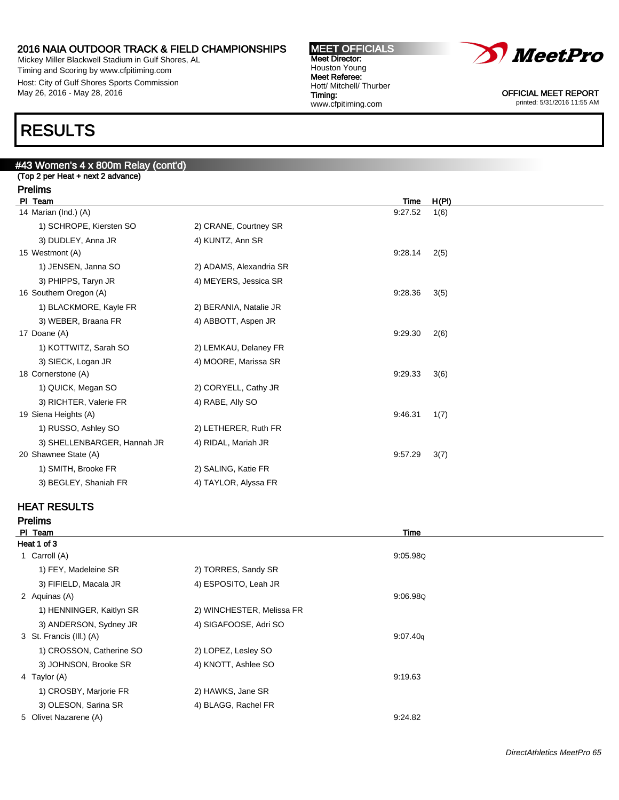Mickey Miller Blackwell Stadium in Gulf Shores, AL Timing and Scoring by www.cfpitiming.com Host: City of Gulf Shores Sports Commission May 26, 2016 - May 28, 2016





OFFICIAL MEET REPORT printed: 5/31/2016 11:55 AM

# RESULTS

# #43 Women's 4 x 800m Relay (cont'd) (Top 2 per Heat + next 2 advance) Prelims Pl Team Time H(Pl) 14 Marian (Ind.) (A) 9:27.52 1(6) 1) SCHROPE, Kiersten SO 2) CRANE, Courtney SR 3) DUDLEY, Anna JR 4) KUNTZ, Ann SR 15 Westmont (A) 9:28.14 2(5) 1) JENSEN, Janna SO 2) ADAMS, Alexandria SR 3) PHIPPS, Taryn JR 4) MEYERS, Jessica SR 16 Southern Oregon (A) 9:28.36 3(5) 1) BLACKMORE, Kayle FR 2) BERANIA, Natalie JR 3) WEBER, Braana FR 4) ABBOTT, Aspen JR 17 Doane (A) 9:29.30 2(6) 1) KOTTWITZ, Sarah SO 2) LEMKAU, Delaney FR 3) SIECK, Logan JR 4) MOORE, Marissa SR 18 Cornerstone (A) 9:29.33 3(6) 1) QUICK, Megan SO 2) CORYELL, Cathy JR 3) RICHTER, Valerie FR 4) RABE, Ally SO 19 Siena Heights (A) 9:46.31 1(7) 1) RUSSO, Ashley SO 2) LETHERER, Ruth FR 3) SHELLENBARGER, Hannah JR 4) RIDAL, Mariah JR 20 Shawnee State (A) 9:57.29 3(7) 1) SMITH, Brooke FR 2) SALING, Katie FR 3) BEGLEY, Shaniah FR 4) TAYLOR, Alyssa FR

### HEAT RESULTS

Prelims

|                           | Time     |  |
|---------------------------|----------|--|
|                           |          |  |
|                           | 9:05.98Q |  |
| 2) TORRES, Sandy SR       |          |  |
| 4) ESPOSITO, Leah JR      |          |  |
|                           | 9:06.98Q |  |
| 2) WINCHESTER, Melissa FR |          |  |
| 4) SIGAFOOSE, Adri SO     |          |  |
|                           | 9:07.40q |  |
| 2) LOPEZ, Lesley SO       |          |  |
| 4) KNOTT, Ashlee SO       |          |  |
|                           | 9:19.63  |  |
| 2) HAWKS, Jane SR         |          |  |
| 4) BLAGG, Rachel FR       |          |  |
|                           | 9:24.82  |  |
|                           |          |  |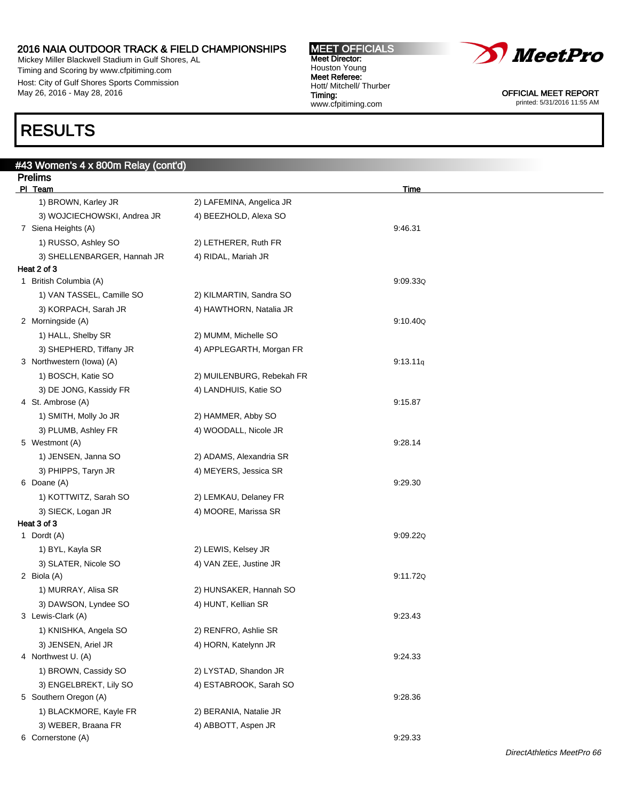Mickey Miller Blackwell Stadium in Gulf Shores, AL Timing and Scoring by www.cfpitiming.com Host: City of Gulf Shores Sports Commission May 26, 2016 - May 28, 2016

#43 Women's 4 x 800m Relay (cont'd)

# RESULTS

| <b>Prelims</b>              |                           |             |  |
|-----------------------------|---------------------------|-------------|--|
| PI Team                     |                           | <b>Time</b> |  |
| 1) BROWN, Karley JR         | 2) LAFEMINA, Angelica JR  |             |  |
| 3) WOJCIECHOWSKI, Andrea JR | 4) BEEZHOLD, Alexa SO     |             |  |
| 7 Siena Heights (A)         |                           | 9:46.31     |  |
| 1) RUSSO, Ashley SO         | 2) LETHERER, Ruth FR      |             |  |
| 3) SHELLENBARGER, Hannah JR | 4) RIDAL, Mariah JR       |             |  |
| Heat 2 of 3                 |                           |             |  |
| 1 British Columbia (A)      |                           | 9:09.33Q    |  |
| 1) VAN TASSEL, Camille SO   | 2) KILMARTIN, Sandra SO   |             |  |
| 3) KORPACH, Sarah JR        | 4) HAWTHORN, Natalia JR   |             |  |
| 2 Morningside (A)           |                           | 9:10.40Q    |  |
| 1) HALL, Shelby SR          | 2) MUMM, Michelle SO      |             |  |
| 3) SHEPHERD, Tiffany JR     | 4) APPLEGARTH, Morgan FR  |             |  |
| 3 Northwestern (lowa) (A)   |                           | 9:13.11q    |  |
| 1) BOSCH, Katie SO          | 2) MUILENBURG, Rebekah FR |             |  |
| 3) DE JONG, Kassidy FR      | 4) LANDHUIS, Katie SO     |             |  |
| 4 St. Ambrose (A)           |                           | 9:15.87     |  |
| 1) SMITH, Molly Jo JR       | 2) HAMMER, Abby SO        |             |  |
| 3) PLUMB, Ashley FR         | 4) WOODALL, Nicole JR     |             |  |
| 5 Westmont (A)              |                           | 9:28.14     |  |
| 1) JENSEN, Janna SO         | 2) ADAMS, Alexandria SR   |             |  |
| 3) PHIPPS, Taryn JR         | 4) MEYERS, Jessica SR     |             |  |
| 6 Doane (A)                 |                           | 9:29.30     |  |
| 1) KOTTWITZ, Sarah SO       | 2) LEMKAU, Delaney FR     |             |  |
| 3) SIECK, Logan JR          | 4) MOORE, Marissa SR      |             |  |
| Heat 3 of 3                 |                           |             |  |
| 1 Dordt (A)                 |                           | 9:09.22Q    |  |
| 1) BYL, Kayla SR            | 2) LEWIS, Kelsey JR       |             |  |
| 3) SLATER, Nicole SO        | 4) VAN ZEE, Justine JR    |             |  |
| 2 Biola (A)                 |                           | 9:11.72Q    |  |
| 1) MURRAY, Alisa SR         | 2) HUNSAKER, Hannah SO    |             |  |
| 3) DAWSON, Lyndee SO        | 4) HUNT, Kellian SR       |             |  |
| 3 Lewis-Clark (A)           |                           | 9:23.43     |  |
| 1) KNISHKA, Angela SO       | 2) RENFRO, Ashlie SR      |             |  |
| 3) JENSEN, Ariel JR         | 4) HORN, Katelynn JR      |             |  |
| 4 Northwest U. (A)          |                           | 9:24.33     |  |
| 1) BROWN, Cassidy SO        | 2) LYSTAD, Shandon JR     |             |  |
| 3) ENGELBREKT, Lily SO      | 4) ESTABROOK, Sarah SO    |             |  |
| 5 Southern Oregon (A)       |                           | 9:28.36     |  |
| 1) BLACKMORE, Kayle FR      | 2) BERANIA, Natalie JR    |             |  |
| 3) WEBER, Braana FR         | 4) ABBOTT, Aspen JR       |             |  |
| 6 Cornerstone (A)           |                           | 9:29.33     |  |

#### MEET OFFICIALS Meet Director: Houston Young Meet Referee: Hott/ Mitchell/ Thurber Timing: www.cfpitiming.com



OFFICIAL MEET REPORT printed: 5/31/2016 11:55 AM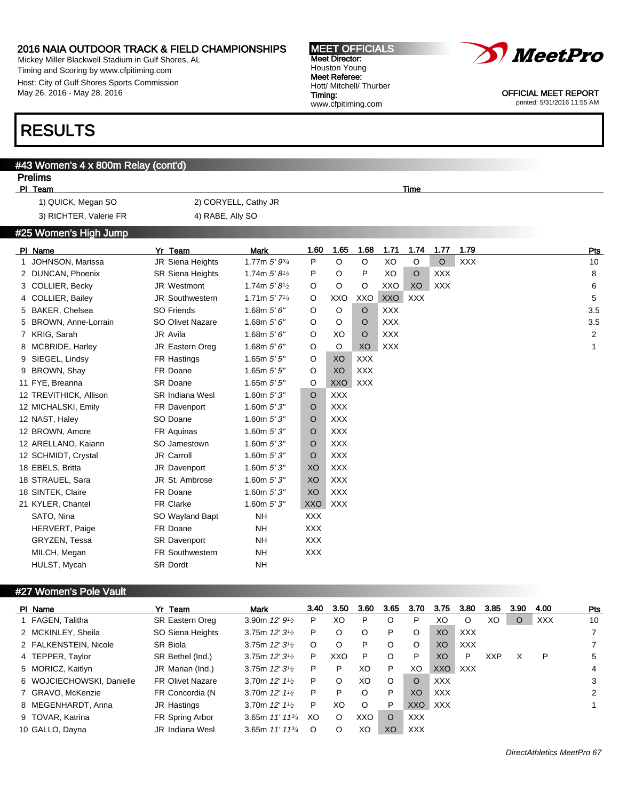Mickey Miller Blackwell Stadium in Gulf Shores, AL Timing and Scoring by www.cfpitiming.com Host: City of Gulf Shores Sports Commission May 26, 2016 - May 28, 2016

# RESULTS

### #43 Women's 4 x 800m Relay (cont'd)

### Prelims<br>PL Team PI Team Time **The Contract of the Contract of Time Time Account Contract of Time**

1) QUICK, Megan SO 2) CORYELL, Cathy JR 3) RICHTER, Valerie FR 4) RABE, Ally SO

### #25 Women's High Jump

| PI Name                | Yr Team                 | Mark                                     | 1.60       | 1.65       | 1.68       | 1.71       | 1.74       | 1.77       | 1.79       | Pts            |
|------------------------|-------------------------|------------------------------------------|------------|------------|------------|------------|------------|------------|------------|----------------|
| 1 JOHNSON, Marissa     | JR Siena Heights        | 1.77m $5'$ $9^{3}/_4$                    | P          | O          | O          | XO         | O          | $\circ$    | <b>XXX</b> | 10             |
| 2 DUNCAN, Phoenix      | <b>SR Siena Heights</b> | 1.74m $5'8\frac{1}{2}$                   | P          | O          | P          | XO         | $\circ$    | <b>XXX</b> |            | 8              |
| 3 COLLIER, Becky       | JR Westmont             | 1.74m $5'8'$                             | O          | O          | O          | XXO        | XO         | <b>XXX</b> |            | 6              |
| 4 COLLIER, Bailey      | <b>JR Southwestern</b>  | 1.71m $5'$ 7 <sup>1</sup> / <sub>4</sub> | O          | XXO        | XXO        | <b>XXO</b> | <b>XXX</b> |            |            | 5              |
| 5 BAKER, Chelsea       | <b>SO Friends</b>       | 1.68m $5'6''$                            | O          | O          | $\circ$    | <b>XXX</b> |            |            |            | 3.5            |
| 5 BROWN, Anne-Lorrain  | <b>SO Olivet Nazare</b> | 1.68m $5'6''$                            | O          | O          | O          | <b>XXX</b> |            |            |            | 3.5            |
| 7 KRIG, Sarah          | JR Avila                | 1.68m $5'6''$                            | O          | XO         | $\circ$    | <b>XXX</b> |            |            |            | $\overline{2}$ |
| 8 MCBRIDE, Harley      | <b>JR Eastern Oreg</b>  | 1.68m $5'6''$                            | O          | O          | XO         | <b>XXX</b> |            |            |            | $\mathbf{1}$   |
| 9 SIEGEL, Lindsy       | FR Hastings             | 1.65 $m 5' 5''$                          | O          | XO         | <b>XXX</b> |            |            |            |            |                |
| 9 BROWN, Shay          | FR Doane                | 1.65 $m 5' 5''$                          | O          | XO         | <b>XXX</b> |            |            |            |            |                |
| 11 FYE, Breanna        | SR Doane                | 1.65 $m 5' 5''$                          | O          | XXO        | XXX        |            |            |            |            |                |
| 12 TREVITHICK, Allison | <b>SR Indiana Wesl</b>  | 1.60m $5'3''$                            | O          | <b>XXX</b> |            |            |            |            |            |                |
| 12 MICHALSKI, Emily    | FR Davenport            | 1.60 $m 5' 3''$                          | O          | <b>XXX</b> |            |            |            |            |            |                |
| 12 NAST, Haley         | SO Doane                | 1.60 $m 5' 3''$                          | O          | <b>XXX</b> |            |            |            |            |            |                |
| 12 BROWN, Amore        | FR Aquinas              | 1.60 $m 5' 3''$                          | O          | <b>XXX</b> |            |            |            |            |            |                |
| 12 ARELLANO, Kaiann    | SO Jamestown            | 1.60m $5'3''$                            | O          | <b>XXX</b> |            |            |            |            |            |                |
| 12 SCHMIDT, Crystal    | JR Carroll              | 1.60m $5'3''$                            | O          | <b>XXX</b> |            |            |            |            |            |                |
| 18 EBELS, Britta       | JR Davenport            | 1.60 $m 5' 3''$                          | XO         | <b>XXX</b> |            |            |            |            |            |                |
| 18 STRAUEL, Sara       | JR St. Ambrose          | 1.60 $m 5' 3''$                          | XO         | <b>XXX</b> |            |            |            |            |            |                |
| 18 SINTEK, Claire      | FR Doane                | 1.60 $m 5' 3''$                          | XO         | <b>XXX</b> |            |            |            |            |            |                |
| 21 KYLER, Chantel      | <b>FR Clarke</b>        | 1.60 $m 5'3''$                           | <b>XXO</b> | <b>XXX</b> |            |            |            |            |            |                |
| SATO, Nina             | SO Wayland Bapt         | <b>NH</b>                                | <b>XXX</b> |            |            |            |            |            |            |                |
| <b>HERVERT, Paige</b>  | FR Doane                | <b>NH</b>                                | <b>XXX</b> |            |            |            |            |            |            |                |
| GRYZEN, Tessa          | SR Davenport            | NH                                       | <b>XXX</b> |            |            |            |            |            |            |                |
| MILCH, Megan           | FR Southwestern         | <b>NH</b>                                | <b>XXX</b> |            |            |            |            |            |            |                |
| HULST, Mycah           | <b>SR Dordt</b>         | <b>NH</b>                                |            |            |            |            |            |            |            |                |
|                        |                         |                                          |            |            |            |            |            |            |            |                |

### #27 Women's Pole Vault

| PI Name                   | Yr Team                 | Mark                    | 3.40     | 3.50 | 3.60    | 3.65    | 3.70       | 3.75       | 3.80       | 3.85       | 3.90    | 4.00       | Pts |
|---------------------------|-------------------------|-------------------------|----------|------|---------|---------|------------|------------|------------|------------|---------|------------|-----|
| 1 FAGEN, Talitha          | SR Eastern Oreg         | 3.90m $12'9\frac{1}{2}$ | P        | XO   | P       |         | P          | XO         | O          | XO         | $\circ$ | <b>XXX</b> | 10  |
| 2 MCKINLEY, Sheila        | SO Siena Heights        | 3.75m $12'3^{1/2}$      | P        | O    | O       | P       | O          | XO         | <b>XXX</b> |            |         |            |     |
| 2 FALKENSTEIN, Nicole     | <b>SR Biola</b>         | 3.75m $12'31/2$         | O        | O    | P       | $\circ$ | O          | XO         | <b>XXX</b> |            |         |            |     |
| 4 TEPPER, Taylor          | SR Bethel (Ind.)        | 3.75m $12'31/2$         | P        | XXO  | P       | $\circ$ | P          | XO         | P          | <b>XXP</b> | X       | P          | 5   |
| 5 MORICZ, Kaitlyn         | JR Marian (Ind.)        | 3.75m $12'31/2$         | P        | P    | XO      | P       | XO         | <b>XXO</b> | <b>XXX</b> |            |         |            | 4   |
| 6 WOJCIECHOWSKI, Danielle | <b>FR Olivet Nazare</b> | 3.70m $12'11/2$         | P        | O    | XO      | $\circ$ | O          | <b>XXX</b> |            |            |         |            | 3   |
| 7 GRAVO, McKenzie         | FR Concordia (N         | 3.70m $12'11/2$         | P        | P    | O       | P       | XO         | <b>XXX</b> |            |            |         |            | 2   |
| 8 MEGENHARDT, Anna        | JR Hastings             | 3.70m $12'11/2$         | P        | XO   | $\circ$ | P       | XXO        | <b>XXX</b> |            |            |         |            |     |
| 9 TOVAR, Katrina          | FR Spring Arbor         | 3.65m $11'$ $11^{3}/4$  | XO       | O    | XXO     | O       | <b>XXX</b> |            |            |            |         |            |     |
| 10 GALLO, Dayna           | <b>JR</b> Indiana Wesl  | 3.65m $11'$ $11^{3}/4$  | $\Omega$ | Ω    | XO      | XO      | <b>XXX</b> |            |            |            |         |            |     |



OFFICIAL MEET REPORT printed: 5/31/2016 11:55 AM

DirectAthletics MeetPro 67

MEET OFFICIALS Meet Director: Houston Young Meet Referee: Hott/ Mitchell/ Thurber Timing: www.cfpitiming.com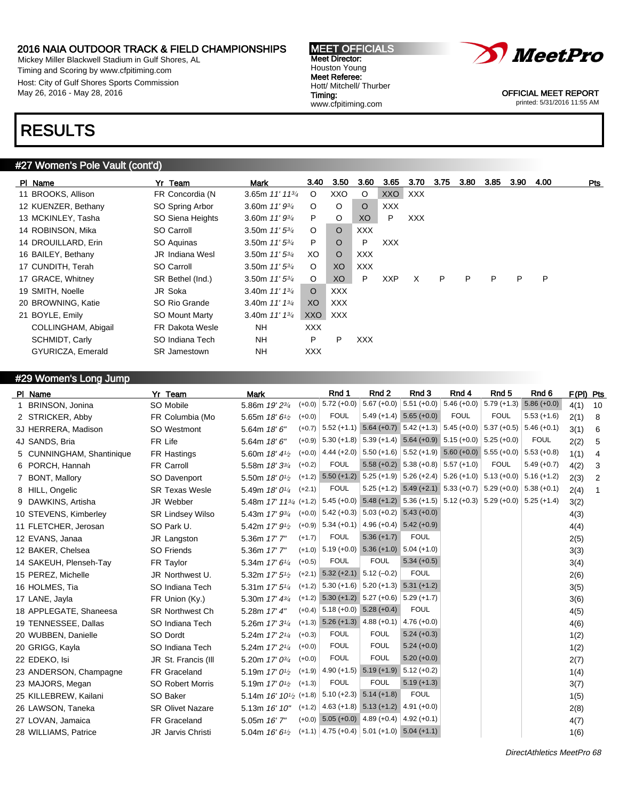Mickey Miller Blackwell Stadium in Gulf Shores, AL Timing and Scoring by www.cfpitiming.com Host: City of Gulf Shores Sports Commission May 26, 2016 - May 28, 2016

#### MEET OFFICIALS Meet Director: Houston Young Meet Referee: Hott/ Mitchell/ Thurber Timing: www.cfpitiming.com



OFFICIAL MEET REPORT printed: 5/31/2016 11:55 AM

# RESULTS

### #27 Women's Pole Vault (cont'd)

| PI Name             | Yr Team                | <b>Mark</b>                  | 3.40           | 3.50       | 3.60       | 3.65       | 3.70       | 3.75 | 3.80 | 3.85 | 3.90 | 4.00 | <b>Pts</b> |
|---------------------|------------------------|------------------------------|----------------|------------|------------|------------|------------|------|------|------|------|------|------------|
| 11 BROOKS, Allison  | FR Concordia (N        | 3.65m $11'$ 11 $\frac{3}{4}$ | $\circ$        | XXO        | $\circ$    | <b>XXO</b> | XXX        |      |      |      |      |      |            |
| 12 KUENZER, Bethany | SO Spring Arbor        | 3.60m $11'93'$               | $\circ$        | $\circ$    | $\circ$    | <b>XXX</b> |            |      |      |      |      |      |            |
| 13 MCKINLEY, Tasha  | SO Siena Heights       | 3.60m $11'9^{3/4}$           | P              | O          | XO         | P          | <b>XXX</b> |      |      |      |      |      |            |
| 14 ROBINSON, Mika   | SO Carroll             | 3.50m $11'5^{3/4}$           | $\circ$        | $\circ$    | <b>XXX</b> |            |            |      |      |      |      |      |            |
| 14 DROUILLARD, Erin | SO Aguinas             | 3.50m $11'5^{3/4}$           | P              | $\circ$    | P          | <b>XXX</b> |            |      |      |      |      |      |            |
| 16 BAILEY, Bethany  | <b>JR Indiana Wesl</b> | 3.50m $11'5^{3/4}$           | XO             | $\circ$    | <b>XXX</b> |            |            |      |      |      |      |      |            |
| 17 CUNDITH, Terah   | SO Carroll             | 3.50m $11'5^{3/4}$           | $\circ$        | XO.        | <b>XXX</b> |            |            |      |      |      |      |      |            |
| 17 GRACE, Whitney   | SR Bethel (Ind.)       | 3.50m $11'$ 5 $\frac{3}{4}$  | $\circ$        | XO         | P          | <b>XXP</b> | X          | P    | P    | P    | P    | P    |            |
| 19 SMITH, Noelle    | JR Soka                | 3.40m $11'$ $13/4$           | $\circ$        | <b>XXX</b> |            |            |            |      |      |      |      |      |            |
| 20 BROWNING, Katie  | SO Rio Grande          | 3.40m $11'$ $13'$            | X <sub>O</sub> | XXX        |            |            |            |      |      |      |      |      |            |
| 21 BOYLE, Emily     | <b>SO Mount Marty</b>  | 3.40m $11'$ $13'$            | XXO            | XXX        |            |            |            |      |      |      |      |      |            |
| COLLINGHAM, Abigail | FR Dakota Wesle        | NH.                          | <b>XXX</b>     |            |            |            |            |      |      |      |      |      |            |
| SCHMIDT, Carly      | SO Indiana Tech        | NH.                          | P              | P          | <b>XXX</b> |            |            |      |      |      |      |      |            |
| GYURICZA, Emerald   | <b>SR</b> Jamestown    | NH                           | <b>XXX</b>     |            |            |            |            |      |      |      |      |      |            |
|                     |                        |                              |                |            |            |            |            |      |      |      |      |      |            |

### #29 Women's Long Jump

| PI Name                   | Yr Team                  | Mark                                    |          | Rnd 1                | Rnd 2                                                                                                                                                                            | Rnd 3                                                                                              | Rnd 4                                                                                                                                                                                                                                                                                                                                                                                                                                                                                                         | Rnd 5                                 | Rnd 6                                                                                                                                           |                                                                                                                                                                                                                                                                                                                                                                                          |                |
|---------------------------|--------------------------|-----------------------------------------|----------|----------------------|----------------------------------------------------------------------------------------------------------------------------------------------------------------------------------|----------------------------------------------------------------------------------------------------|---------------------------------------------------------------------------------------------------------------------------------------------------------------------------------------------------------------------------------------------------------------------------------------------------------------------------------------------------------------------------------------------------------------------------------------------------------------------------------------------------------------|---------------------------------------|-------------------------------------------------------------------------------------------------------------------------------------------------|------------------------------------------------------------------------------------------------------------------------------------------------------------------------------------------------------------------------------------------------------------------------------------------------------------------------------------------------------------------------------------------|----------------|
| BRINSON, Jonina           | SO Mobile                | 5.86m 19' 23/4                          |          |                      |                                                                                                                                                                                  |                                                                                                    |                                                                                                                                                                                                                                                                                                                                                                                                                                                                                                               | $5.79 (+1.3)$                         | $5.86 (+0.0)$                                                                                                                                   | 4(1)                                                                                                                                                                                                                                                                                                                                                                                     | 10             |
| 2 STRICKER, Abby          | FR Columbia (Mo          | 5.65m 18' 61/2                          | $(+0.0)$ | <b>FOUL</b>          |                                                                                                                                                                                  |                                                                                                    | <b>FOUL</b>                                                                                                                                                                                                                                                                                                                                                                                                                                                                                                   | <b>FOUL</b>                           | $5.53 (+1.6)$                                                                                                                                   | 2(1)                                                                                                                                                                                                                                                                                                                                                                                     | 8              |
| 3J HERRERA, Madison       | SO Westmont              | 5.64m 18' 6"                            |          |                      |                                                                                                                                                                                  |                                                                                                    |                                                                                                                                                                                                                                                                                                                                                                                                                                                                                                               |                                       |                                                                                                                                                 | 3(1)                                                                                                                                                                                                                                                                                                                                                                                     | 6              |
| 4J SANDS, Bria            | FR Life                  | 5.64m 18' 6"                            |          |                      |                                                                                                                                                                                  |                                                                                                    |                                                                                                                                                                                                                                                                                                                                                                                                                                                                                                               |                                       | <b>FOUL</b>                                                                                                                                     | 2(2)                                                                                                                                                                                                                                                                                                                                                                                     | 5              |
| 5 CUNNINGHAM, Shantinique | FR Hastings              | 5.60m 18' 41/2                          |          |                      |                                                                                                                                                                                  |                                                                                                    |                                                                                                                                                                                                                                                                                                                                                                                                                                                                                                               |                                       |                                                                                                                                                 | 1(1)                                                                                                                                                                                                                                                                                                                                                                                     | 4              |
| 6 PORCH, Hannah           | <b>FR Carroll</b>        | 5.58m 18' 33/4                          | $(+0.2)$ | <b>FOUL</b>          |                                                                                                                                                                                  |                                                                                                    |                                                                                                                                                                                                                                                                                                                                                                                                                                                                                                               | <b>FOUL</b>                           | $5.49 (+0.7)$                                                                                                                                   | 4(2)                                                                                                                                                                                                                                                                                                                                                                                     | 3              |
| 7 BONT, Mallory           | SO Davenport             | 5.50m 18' 0 <sup>1</sup> / <sub>2</sub> |          |                      |                                                                                                                                                                                  |                                                                                                    |                                                                                                                                                                                                                                                                                                                                                                                                                                                                                                               |                                       |                                                                                                                                                 | 2(3)                                                                                                                                                                                                                                                                                                                                                                                     | $\overline{2}$ |
| 8 HILL, Ongelic           | <b>SR Texas Wesle</b>    | 5.49m 18' 01/4                          | $(+2.1)$ | <b>FOUL</b>          |                                                                                                                                                                                  |                                                                                                    |                                                                                                                                                                                                                                                                                                                                                                                                                                                                                                               |                                       |                                                                                                                                                 | 2(4)                                                                                                                                                                                                                                                                                                                                                                                     | $\mathbf{1}$   |
| 9 DAWKINS, Artisha        | JR Webber                |                                         |          |                      |                                                                                                                                                                                  |                                                                                                    |                                                                                                                                                                                                                                                                                                                                                                                                                                                                                                               |                                       |                                                                                                                                                 | 3(2)                                                                                                                                                                                                                                                                                                                                                                                     |                |
| 10 STEVENS, Kimberley     | <b>SR Lindsey Wilso</b>  | 5.43m 17' 93/4                          |          |                      |                                                                                                                                                                                  |                                                                                                    |                                                                                                                                                                                                                                                                                                                                                                                                                                                                                                               |                                       |                                                                                                                                                 | 4(3)                                                                                                                                                                                                                                                                                                                                                                                     |                |
| 11 FLETCHER, Jerosan      | SO Park U.               | 5.42m 17' 9 <sup>1</sup> / <sub>2</sub> |          |                      |                                                                                                                                                                                  |                                                                                                    |                                                                                                                                                                                                                                                                                                                                                                                                                                                                                                               |                                       |                                                                                                                                                 | 4(4)                                                                                                                                                                                                                                                                                                                                                                                     |                |
| 12 EVANS, Janaa           | JR Langston              | 5.36m 17' 7"                            | $(+1.7)$ | <b>FOUL</b>          | $5.36 (+1.7)$                                                                                                                                                                    | <b>FOUL</b>                                                                                        |                                                                                                                                                                                                                                                                                                                                                                                                                                                                                                               |                                       |                                                                                                                                                 | 2(5)                                                                                                                                                                                                                                                                                                                                                                                     |                |
| 12 BAKER, Chelsea         | SO Friends               | 5.36m 17' 7"                            |          |                      |                                                                                                                                                                                  |                                                                                                    |                                                                                                                                                                                                                                                                                                                                                                                                                                                                                                               |                                       |                                                                                                                                                 | 3(3)                                                                                                                                                                                                                                                                                                                                                                                     |                |
| 14 SAKEUH, Plenseh-Tay    | FR Taylor                | 5.34m 17' 61/4                          | $(+0.5)$ | <b>FOUL</b>          | <b>FOUL</b>                                                                                                                                                                      | $5.34 (+0.5)$                                                                                      |                                                                                                                                                                                                                                                                                                                                                                                                                                                                                                               |                                       |                                                                                                                                                 | 3(4)                                                                                                                                                                                                                                                                                                                                                                                     |                |
| 15 PEREZ, Michelle        | JR Northwest U.          | 5.32m 17' 5 <sup>1/2</sup>              |          |                      |                                                                                                                                                                                  | <b>FOUL</b>                                                                                        |                                                                                                                                                                                                                                                                                                                                                                                                                                                                                                               |                                       |                                                                                                                                                 | 2(6)                                                                                                                                                                                                                                                                                                                                                                                     |                |
| 16 HOLMES, Tia            | SO Indiana Tech          | 5.31m 17' 51/4                          |          |                      |                                                                                                                                                                                  |                                                                                                    |                                                                                                                                                                                                                                                                                                                                                                                                                                                                                                               |                                       |                                                                                                                                                 | 3(5)                                                                                                                                                                                                                                                                                                                                                                                     |                |
| 17 LANE, Jayla            | FR Union (Ky.)           | 5.30m 17' 43/4                          |          |                      |                                                                                                                                                                                  | $5.29(+1.7)$                                                                                       |                                                                                                                                                                                                                                                                                                                                                                                                                                                                                                               |                                       |                                                                                                                                                 | 3(6)                                                                                                                                                                                                                                                                                                                                                                                     |                |
| 18 APPLEGATE, Shaneesa    | <b>SR Northwest Ch</b>   | 5.28m 17' 4"                            |          |                      |                                                                                                                                                                                  | <b>FOUL</b>                                                                                        |                                                                                                                                                                                                                                                                                                                                                                                                                                                                                                               |                                       |                                                                                                                                                 | 4(5)                                                                                                                                                                                                                                                                                                                                                                                     |                |
| 19 TENNESSEE, Dallas      | SO Indiana Tech          | 5.26m 17' 3 <sup>1/4</sup>              |          |                      |                                                                                                                                                                                  | $4.76(+0.0)$                                                                                       |                                                                                                                                                                                                                                                                                                                                                                                                                                                                                                               |                                       |                                                                                                                                                 | 4(6)                                                                                                                                                                                                                                                                                                                                                                                     |                |
| 20 WUBBEN, Danielle       | SO Dordt                 | 5.24m 17' 2 <sup>1/4</sup>              |          | <b>FOUL</b>          | <b>FOUL</b>                                                                                                                                                                      | $5.24 (+0.3)$                                                                                      |                                                                                                                                                                                                                                                                                                                                                                                                                                                                                                               |                                       |                                                                                                                                                 | 1(2)                                                                                                                                                                                                                                                                                                                                                                                     |                |
| 20 GRIGG, Kayla           | SO Indiana Tech          | 5.24m 17' 2 <sup>1/4</sup>              | $(+0.0)$ | <b>FOUL</b>          | <b>FOUL</b>                                                                                                                                                                      | $5.24 (+0.0)$                                                                                      |                                                                                                                                                                                                                                                                                                                                                                                                                                                                                                               |                                       |                                                                                                                                                 | 1(2)                                                                                                                                                                                                                                                                                                                                                                                     |                |
| 22 EDEKO, Isi             | JR St. Francis (III      | 5.20m 17' 03/4                          | $(+0.0)$ | <b>FOUL</b>          | <b>FOUL</b>                                                                                                                                                                      | $5.20 (+0.0)$                                                                                      |                                                                                                                                                                                                                                                                                                                                                                                                                                                                                                               |                                       |                                                                                                                                                 | 2(7)                                                                                                                                                                                                                                                                                                                                                                                     |                |
| 23 ANDERSON, Champagne    | FR Graceland             | 5.19m $17'0\frac{1}{2}$                 |          |                      |                                                                                                                                                                                  | $5.12 (+0.2)$                                                                                      |                                                                                                                                                                                                                                                                                                                                                                                                                                                                                                               |                                       |                                                                                                                                                 | 1(4)                                                                                                                                                                                                                                                                                                                                                                                     |                |
| 23 MAJORS, Megan          | <b>SO Robert Morris</b>  | 5.19m $17'0^{1/2}$                      |          | <b>FOUL</b>          | <b>FOUL</b>                                                                                                                                                                      | $5.19 (+1.3)$                                                                                      |                                                                                                                                                                                                                                                                                                                                                                                                                                                                                                               |                                       |                                                                                                                                                 | 3(7)                                                                                                                                                                                                                                                                                                                                                                                     |                |
| 25 KILLEBREW, Kailani     | SO Baker                 |                                         |          |                      |                                                                                                                                                                                  | <b>FOUL</b>                                                                                        |                                                                                                                                                                                                                                                                                                                                                                                                                                                                                                               |                                       |                                                                                                                                                 | 1(5)                                                                                                                                                                                                                                                                                                                                                                                     |                |
| 26 LAWSON, Taneka         | <b>SR Olivet Nazare</b>  | 5.13m 16' 10"                           |          |                      |                                                                                                                                                                                  |                                                                                                    |                                                                                                                                                                                                                                                                                                                                                                                                                                                                                                               |                                       |                                                                                                                                                 | 2(8)                                                                                                                                                                                                                                                                                                                                                                                     |                |
| 27 LOVAN, Jamaica         | FR Graceland             | 5.05m 16' 7"                            |          |                      |                                                                                                                                                                                  | $4.92 (+0.1)$                                                                                      |                                                                                                                                                                                                                                                                                                                                                                                                                                                                                                               |                                       |                                                                                                                                                 | 4(7)                                                                                                                                                                                                                                                                                                                                                                                     |                |
| 28 WILLIAMS, Patrice      | <b>JR</b> Jarvis Christi | 5.04m $16'6'$                           |          |                      |                                                                                                                                                                                  |                                                                                                    |                                                                                                                                                                                                                                                                                                                                                                                                                                                                                                               |                                       |                                                                                                                                                 | 1(6)                                                                                                                                                                                                                                                                                                                                                                                     |                |
|                           |                          |                                         |          | $(+0.3)$<br>$(+1.3)$ | $(+0.0)$<br>$(+0.7)$<br>$(+0.9)$<br>$(+0.0)$<br>5.48m $17'$ $11^{3/4}$ (+1.2)<br>$(+0.9)$<br>$(+1.0)$<br>$(+0.4)$<br>$(+1.9)$<br>5.14m 16' 10 <sup>1</sup> / <sub>2</sub> (+1.8) | $(+2.1)$ 5.32 $(+2.1)$ 5.12 $(-0.2)$<br>$5.18 (+0.0)$ $5.28 (+0.4)$<br>$5.10 (+2.3)$ $5.14 (+1.8)$ | $5.72 (+0.0)$ 5.67 (+0.0)<br>$5.49 (+1.4) 5.65 (+0.0)$<br>$(+0.0)$ 5.42 (+0.3) 5.03 (+0.2) 5.43 (+0.0)<br>$5.34 (+0.1)$ 4.96 (+0.4) 5.42 (+0.9)<br>$5.19 (+0.0)$ $5.36 (+1.0)$ $5.04 (+1.0)$<br>$(+1.2)$ 5.30 $(+1.6)$ 5.20 $(+1.3)$ 5.31 $(+1.2)$<br>$(+1.2)$ 5.30 $(+1.2)$ 5.27 $(+0.6)$<br>$(+1.3)$ 5.26 $(+1.3)$ 4.88 $(+0.1)$<br>$4.90 (+1.5) 5.19 (+1.9)$<br>$(+1.2)$ 4.63 $(+1.8)$ 5.13 $(+1.2)$ 4.91 $(+0.0)$<br>$(+0.0)$ 5.05 $(+0.0)$ 4.89 $(+0.4)$<br>$(+1.1)$ 4.75 (+0.4) 5.01 (+1.0) 5.04 (+1.1) | $5.58 (+0.2)$ 5.38 (+0.8) 5.57 (+1.0) | $5.51 (+0.0)$ 5.46 (+0.0)<br>$5.30 (+1.8)$ $5.39 (+1.4)$ $5.64 (+0.9)$ $5.15 (+0.0)$ $5.25 (+0.0)$<br>$5.25 (+1.2)$ $5.49 (+2.1)$ $5.33 (+0.7)$ | $5.52$ (+1.1) $5.64$ (+0.7) $5.42$ (+1.3) $5.45$ (+0.0) $5.37$ (+0.5) $5.46$ (+0.1)<br>4.44 (+2.0) $ 5.50$ (+1.6) $ 5.52$ (+1.9) 5.60 (+0.0) 5.55 (+0.0) 5.53 (+0.8)<br>$(+1.2)$ 5.50 $(+1.2)$ 5.25 $(+1.9)$ 5.26 $(+2.4)$ 5.26 $(+1.0)$ 5.13 $(+0.0)$ 5.16 $(+1.2)$<br>$5.29 (+0.0)$ 5.38 (+0.1)<br>$5.45 (+0.0)$ $5.48 (+1.2)$ $5.36 (+1.5)$ $5.12 (+0.3)$ $5.29 (+0.0)$ $5.25 (+1.4)$ | F(PI) Pts      |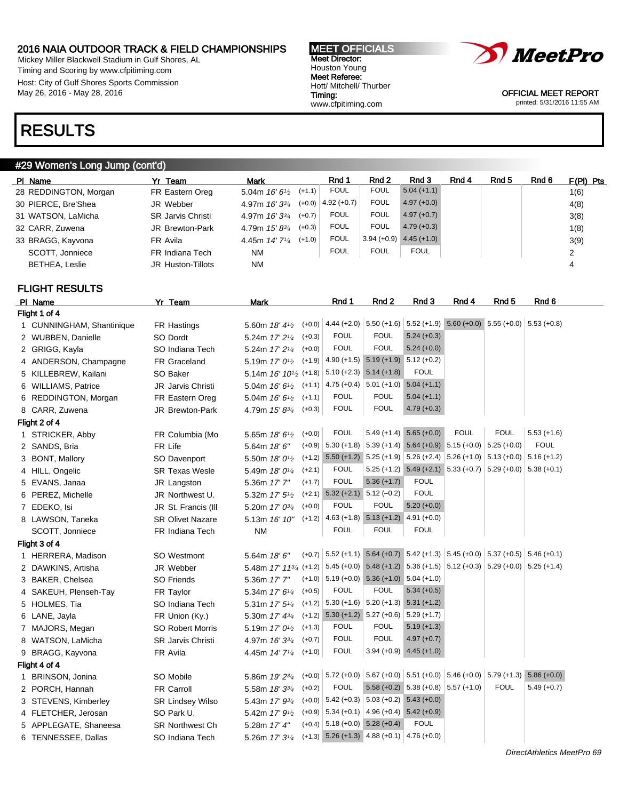Mickey Miller Blackwell Stadium in Gulf Shores, AL Timing and Scoring by www.cfpitiming.com Host: City of Gulf Shores Sports Commission May 26, 2016 - May 28, 2016

| <b>MEET OFFICIALS</b>   |
|-------------------------|
| <b>Meet Director:</b>   |
| Houston Young           |
| Meet Referee:           |
| Hott/ Mitchell/ Thurber |
| Timing:                 |
| www.cfpitiming.com      |
|                         |



OFFICIAL MEET REPORT printed: 5/31/2016 11:55 AM

# RESULTS

### #29 Women's Long Jump (cont'd)

| 1(6) |
|------|
| 4(8) |
| 3(8) |
| 1(8) |
| 3(9) |
| 2    |
| 4    |
|      |

# FLIGHT RESULTS

| PI Name                   | Yr Team                  | <b>Mark</b>                                                                                                                                    | Rnd 1                                                                            | Rnd <sub>2</sub>                          | Rnd 3                                     | Rnd 4                                                                 | Rnd <sub>5</sub> | Rnd 6         |
|---------------------------|--------------------------|------------------------------------------------------------------------------------------------------------------------------------------------|----------------------------------------------------------------------------------|-------------------------------------------|-------------------------------------------|-----------------------------------------------------------------------|------------------|---------------|
| Flight 1 of 4             |                          |                                                                                                                                                |                                                                                  |                                           |                                           |                                                                       |                  |               |
| 1 CUNNINGHAM, Shantinique | FR Hastings              | 5.60m 18' 4 <sup>1</sup> / <sub>2</sub>                                                                                                        | $(+0.0)$ 4.44 (+2.0) 5.50 (+1.6) 5.52 (+1.9) 5.60 (+0.0) 5.55 (+0.0) 5.53 (+0.8) |                                           |                                           |                                                                       |                  |               |
| 2 WUBBEN, Danielle        | SO Dordt                 | 5.24m 17' 2 <sup>1/4</sup>                                                                                                                     | <b>FOUL</b><br>$(+0.3)$                                                          | <b>FOUL</b>                               | $5.24 (+0.3)$                             |                                                                       |                  |               |
| 2 GRIGG, Kayla            | SO Indiana Tech          | 5.24m 17' 2 <sup>1/4</sup>                                                                                                                     | <b>FOUL</b><br>$(+0.0)$                                                          | <b>FOUL</b>                               | $5.24 (+0.0)$                             |                                                                       |                  |               |
| 4 ANDERSON, Champagne     | FR Graceland             | 5.19m $17'0\frac{1}{2}$                                                                                                                        | $(+1.9)$                                                                         | 4.90 (+1.5) $5.19$ (+1.9) $5.12$ (+0.2)   |                                           |                                                                       |                  |               |
| 5 KILLEBREW, Kailani      | SO Baker                 | 5.14m 16' 10 <sup>1</sup> / <sub>2</sub> (+1.8)                                                                                                |                                                                                  | $5.10 (+2.3)$ $5.14 (+1.8)$               | <b>FOUL</b>                               |                                                                       |                  |               |
| 6 WILLIAMS, Patrice       | JR Jarvis Christi        | 5.04m 16' 6 <sup>1</sup> / <sub>2</sub>                                                                                                        | $(+1.1)$                                                                         | $4.75 (+0.4)$ 5.01 (+1.0)                 | $5.04 (+1.1)$                             |                                                                       |                  |               |
| 6 REDDINGTON, Morgan      | FR Eastern Oreg          | 5.04m 16' 6 <sup>1</sup> / <sub>2</sub>                                                                                                        | <b>FOUL</b><br>$(+1.1)$                                                          | <b>FOUL</b>                               | $5.04 (+1.1)$                             |                                                                       |                  |               |
| 8 CARR, Zuwena            | JR Brewton-Park          | 4.79m 15' 83/4                                                                                                                                 | <b>FOUL</b><br>$(+0.3)$                                                          | <b>FOUL</b>                               | $4.79 (+0.3)$                             |                                                                       |                  |               |
| Flight 2 of 4             |                          |                                                                                                                                                |                                                                                  |                                           |                                           |                                                                       |                  |               |
| 1 STRICKER, Abby          | FR Columbia (Mo          | 5.65m 18' 6 <sup>1</sup> /2                                                                                                                    | <b>FOUL</b><br>$(+0.0)$                                                          |                                           | $5.49 (+1.4) 5.65 (+0.0)$                 | <b>FOUL</b>                                                           | <b>FOUL</b>      | $5.53 (+1.6)$ |
| 2 SANDS, Bria             | FR Life                  | 5.64m 18' 6"                                                                                                                                   | $5.30 (+1.8)$<br>$(+0.9)$                                                        |                                           |                                           | $5.39 (+1.4)$ $5.64 (+0.9)$ $5.15 (+0.0)$ $5.25 (+0.0)$               |                  | <b>FOUL</b>   |
| 3 BONT, Mallory           | SO Davenport             | 5.50m $18'0'^2$                                                                                                                                | $5.50 (+1.2)$<br>$(+1.2)$                                                        |                                           |                                           | $5.25 (+1.9)$ $5.26 (+2.4)$ $5.26 (+1.0)$ $5.13 (+0.0)$ $5.16 (+1.2)$ |                  |               |
| 4 HILL, Ongelic           | <b>SR Texas Wesle</b>    | 5.49m 18' 0 <sup>1/4</sup>                                                                                                                     | <b>FOUL</b><br>$(+2.1)$                                                          |                                           |                                           | $5.25 (+1.2)$ $5.49 (+2.1)$ $5.33 (+0.7)$ $5.29 (+0.0)$ $5.38 (+0.1)$ |                  |               |
| 5 EVANS, Janaa            | JR Langston              | 5.36m 17' 7"                                                                                                                                   | <b>FOUL</b><br>$(+1.7)$                                                          | $5.36 (+1.7)$                             | <b>FOUL</b>                               |                                                                       |                  |               |
| 6 PEREZ, Michelle         | JR Northwest U.          | 5.32m $17'5\frac{1}{2}$                                                                                                                        | $(+2.1)$                                                                         | $5.32 (+2.1)$ $5.12 (-0.2)$               | <b>FOUL</b>                               |                                                                       |                  |               |
| 7 EDEKO, Isi              | JR St. Francis (III      | 5.20m 17' 0 <sup>3/4</sup>                                                                                                                     | <b>FOUL</b><br>$(+0.0)$                                                          | <b>FOUL</b>                               | $5.20 (+0.0)$                             |                                                                       |                  |               |
| 8 LAWSON, Taneka          | <b>SR Olivet Nazare</b>  | 5.13m 16' 10"                                                                                                                                  | $(+1.2)$                                                                         | $4.63 (+1.8) 5.13 (+1.2) 4.91 (+0.0)$     |                                           |                                                                       |                  |               |
| SCOTT, Jonniece           | FR Indiana Tech          | <b>NM</b>                                                                                                                                      | <b>FOUL</b>                                                                      | <b>FOUL</b>                               | <b>FOUL</b>                               |                                                                       |                  |               |
| Flight 3 of 4             |                          |                                                                                                                                                |                                                                                  |                                           |                                           |                                                                       |                  |               |
| 1 HERRERA, Madison        | SO Westmont              | 5.64m 18' 6"                                                                                                                                   | $(+0.7)$ 5.52 (+1.1) 5.64 (+0.7) 5.42 (+1.3) 5.45 (+0.0) 5.37 (+0.5) 5.46 (+0.1) |                                           |                                           |                                                                       |                  |               |
| 2 DAWKINS, Artisha        | JR Webber                | 5.48m 17' 113/4 (+1.2) $\Big  5.45$ (+0.0) $\Big  5.48$ (+1.2) $\Big  5.36$ (+1.5) $\Big  5.12$ (+0.3) $\Big  5.29$ (+0.0) $\Big  5.25$ (+1.4) |                                                                                  |                                           |                                           |                                                                       |                  |               |
| 3 BAKER, Chelsea          | <b>SO Friends</b>        | 5.36m 17' 7"                                                                                                                                   | $(+1.0)$ 5.19 $(+0.0)$ 5.36 $(+1.0)$ 5.04 $(+1.0)$                               |                                           |                                           |                                                                       |                  |               |
| 4 SAKEUH, Plenseh-Tay     | FR Taylor                | 5.34m 17' 61/4                                                                                                                                 | <b>FOUL</b><br>$(+0.5)$                                                          | <b>FOUL</b>                               | $5.34 (+0.5)$                             |                                                                       |                  |               |
| 5 HOLMES, Tia             | SO Indiana Tech          | 5.31m 17' 5 <sup>1/4</sup>                                                                                                                     | $(+1.2)$                                                                         | $5.30 (+1.6)$ $5.20 (+1.3)$ $5.31 (+1.2)$ |                                           |                                                                       |                  |               |
| 6 LANE, Jayla             | FR Union (Ky.)           | 5.30m 17' 43/4                                                                                                                                 | $(+1.2)$ 5.30 $(+1.2)$ 5.27 $(+0.6)$                                             |                                           | $5.29 (+1.7)$                             |                                                                       |                  |               |
| 7 MAJORS, Megan           | <b>SO Robert Morris</b>  | 5.19m 17' 0 <sup>1</sup> / <sub>2</sub>                                                                                                        | <b>FOUL</b><br>$(+1.3)$                                                          | <b>FOUL</b>                               | $5.19 (+1.3)$                             |                                                                       |                  |               |
| 8 WATSON, LaMicha         | <b>SR Jarvis Christi</b> | 4.97m 16' 33/4                                                                                                                                 | <b>FOUL</b><br>$(+0.7)$                                                          | <b>FOUL</b>                               | $4.97 (+0.7)$                             |                                                                       |                  |               |
| 9 BRAGG, Kayvona          | FR Avila                 | 4.45m 14' 7 <sup>1</sup> / <sub>4</sub>                                                                                                        | <b>FOUL</b><br>$(+1.0)$                                                          |                                           | $3.94 (+0.9)$ 4.45 (+1.0)                 |                                                                       |                  |               |
| Flight 4 of 4             |                          |                                                                                                                                                |                                                                                  |                                           |                                           |                                                                       |                  |               |
| 1 BRINSON, Jonina         | SO Mobile                | 5.86m 19' 23/4                                                                                                                                 | $(+0.0)$ 5.72 $(+0.0)$                                                           |                                           |                                           | $5.67 (+0.0)$ 5.51 (+0.0) 5.46 (+0.0) 5.79 (+1.3)                     |                  | $5.86 (+0.0)$ |
| 2 PORCH, Hannah           | <b>FR Carroll</b>        | 5.58m 18' 33/4                                                                                                                                 | <b>FOUL</b><br>$(+0.2)$                                                          |                                           | $5.58 (+0.2)$ $5.38 (+0.8)$ $5.57 (+1.0)$ |                                                                       | <b>FOUL</b>      | $5.49 (+0.7)$ |
| 3 STEVENS, Kimberley      | <b>SR Lindsey Wilso</b>  | 5.43m 17' 93/4                                                                                                                                 | $(+0.0)$ 5.42 (+0.3) 5.03 (+0.2) 5.43 (+0.0)                                     |                                           |                                           |                                                                       |                  |               |
| 4 FLETCHER, Jerosan       | SO Park U.               | 5.42m 17' 9 <sup>1</sup> /2                                                                                                                    | $(+0.9)$                                                                         | $5.34 (+0.1)$ 4.96 (+0.4) 5.42 (+0.9)     |                                           |                                                                       |                  |               |
| 5 APPLEGATE, Shaneesa     | <b>SR Northwest Ch</b>   | 5.28m 17' 4"                                                                                                                                   | $(+0.4)$ 5.18 $(+0.0)$ 5.28 $(+0.4)$                                             |                                           | <b>FOUL</b>                               |                                                                       |                  |               |
| 6 TENNESSEE, Dallas       | SO Indiana Tech          | 5.26m 17' 3 <sup>1/4</sup>                                                                                                                     | $(+1.3)$ 5.26 $(+1.3)$ 4.88 $(+0.1)$ 4.76 $(+0.0)$                               |                                           |                                           |                                                                       |                  |               |
|                           |                          |                                                                                                                                                |                                                                                  |                                           |                                           |                                                                       |                  |               |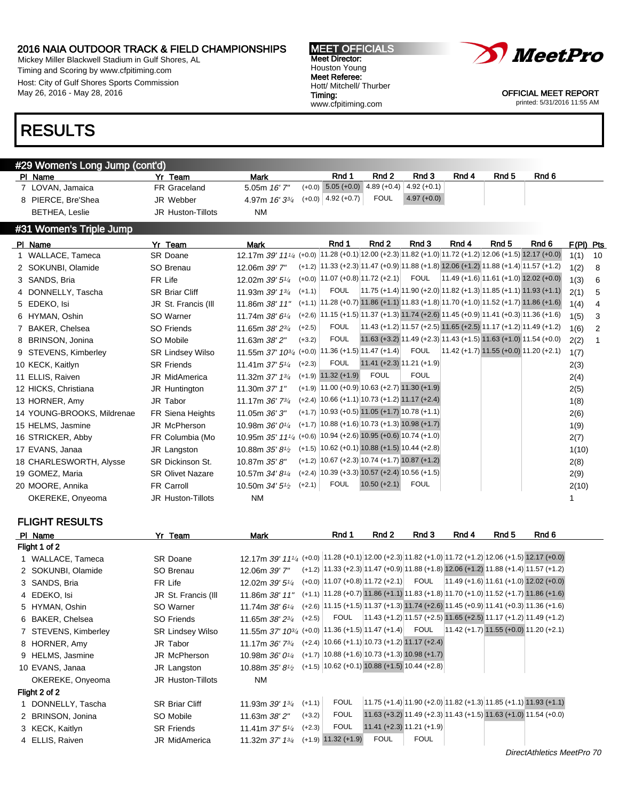Mickey Miller Blackwell Stadium in Gulf Shores, AL Timing and Scoring by www.cfpitiming.com Host: City of Gulf Shores Sports Commission May 26, 2016 - May 28, 2016

#29 Women's Long Jump (cont'd)

# RESULTS

#### MEET OFFICIALS Meet Director: Houston Young Meet Referee: Hott/ Mitchell/ Thurber Timing: www.cfpitiming.com



OFFICIAL MEET REPORT printed: 5/31/2016 11:55 AM

| 7 LOVAN, Jamaica           | FR Graceland             | 5.05m 16' 7"                                                                                                                   |          | $(+0.0)$ 5.05 $(+0.0)$ 4.89 $(+0.4)$                                                               |                             | $4.92 (+0.1)$ |       |                                                                                                |                                                                    |             |                 |
|----------------------------|--------------------------|--------------------------------------------------------------------------------------------------------------------------------|----------|----------------------------------------------------------------------------------------------------|-----------------------------|---------------|-------|------------------------------------------------------------------------------------------------|--------------------------------------------------------------------|-------------|-----------------|
| 8 PIERCE, Bre'Shea         | JR Webber                | 4.97m 16' 33/4                                                                                                                 |          | $(+0.0)$ 4.92 $(+0.7)$                                                                             | <b>FOUL</b>                 | $4.97 (+0.0)$ |       |                                                                                                |                                                                    |             |                 |
| <b>BETHEA, Leslie</b>      | <b>JR Huston-Tillots</b> | NM                                                                                                                             |          |                                                                                                    |                             |               |       |                                                                                                |                                                                    |             |                 |
| #31 Women's Triple Jump    |                          |                                                                                                                                |          |                                                                                                    |                             |               |       |                                                                                                |                                                                    |             |                 |
| PI Name                    | Yr Team                  | Mark                                                                                                                           |          | Rnd 1                                                                                              | Rnd 2                       | Rnd 3         | Rnd 4 | Rnd 5                                                                                          | Rnd 6                                                              | $F(PI)$ Pts |                 |
| 1 WALLACE, Tameca          | SR Doane                 | 12.17m 39' 11 <sup>1</sup> / <sub>4</sub> (+0.0) 11.28 (+0.1) 12.00 (+2.3) 11.82 (+1.0) 11.72 (+1.2) 12.06 (+1.5) 12.17 (+0.0) |          |                                                                                                    |                             |               |       |                                                                                                |                                                                    | $1(1)$ 10   |                 |
| 2 SOKUNBI, Olamide         | SO Brenau                | 12.06m 39' 7"                                                                                                                  |          | $(+1.2)$ 11.33 $(+2.3)$ 11.47 $(+0.9)$ 11.88 $(+1.8)$ 12.06 $(+1.2)$ 11.88 $(+1.4)$ 11.57 $(+1.2)$ |                             |               |       |                                                                                                |                                                                    | 1(2)        | - 8             |
| 3 SANDS, Bria              | FR Life                  | 12.02m 39' 51/4                                                                                                                |          | $(+0.0)$   11.07 $(+0.8)$   11.72 $(+2.1)$                                                         |                             | FOUL          |       | $\left  11.49 \left( +1.6 \right) \right  11.61 \left( +1.0 \right) 12.02 \left( +0.0 \right)$ |                                                                    | 1(3)        | - 6             |
| 4 DONNELLY, Tascha         | <b>SR Briar Cliff</b>    | 11.93m 39' 1 <sup>3/4</sup>                                                                                                    | $(+1.1)$ | FOUL                                                                                               |                             |               |       | $ 11.75 (+1.4) 11.90 (+2.0) 11.82 (+1.3) 11.85 (+1.1) 11.93 (+1.1) $                           |                                                                    | 2(1)        | $5\overline{)}$ |
| 5 EDEKO, Isi               | JR St. Francis (III      | 11.86m 38' 11"                                                                                                                 |          | $(+1.1)$ 11.28 (+0.7) 11.86 (+1.1) 11.83 (+1.8) 11.70 (+1.0) 11.52 (+1.7) 11.86 (+1.6)             |                             |               |       |                                                                                                |                                                                    | 1(4)        | -4              |
| 6 HYMAN, Oshin             | SO Warner                | 11.74m $38'6''$                                                                                                                |          | $(+2.6)$ 11.15 $(+1.5)$ 11.37 $(+1.3)$ 11.74 $(+2.6)$ 11.45 $(+0.9)$ 11.41 $(+0.3)$ 11.36 $(+1.6)$ |                             |               |       |                                                                                                |                                                                    | 1(5)        | - 3             |
| 7 BAKER, Chelsea           | SO Friends               | 11.65m $38'2^{3}/4$                                                                                                            | $(+2.5)$ | <b>FOUL</b>                                                                                        |                             |               |       | $ 11.43 (+1.2) 11.57 (+2.5) 11.65 (+2.5) 11.17 (+1.2) 11.49 (+1.2) $                           |                                                                    | 1(6)        | $\overline{2}$  |
| 8 BRINSON, Jonina          | SO Mobile                | 11.63m 38' 2"                                                                                                                  | $(+3.2)$ | FOUL                                                                                               |                             |               |       |                                                                                                | $11.63 (+3.2) 11.49 (+2.3) 11.43 (+1.5) 11.63 (+1.0) 11.54 (+0.0)$ | 2(2)        | $\overline{1}$  |
| 9 STEVENS, Kimberley       | <b>SR Lindsey Wilso</b>  | 11.55m 37' $10^{3/4}$ (+0.0) 11.36 (+1.5) 11.47 (+1.4)                                                                         |          |                                                                                                    |                             | FOUL          |       | $11.42 (+1.7) 11.55 (+0.0) 11.20 (+2.1)$                                                       |                                                                    | 1(7)        |                 |
| 10 KECK, Kaitlyn           | <b>SR Friends</b>        | 11.41m $37'5^{1/4}$ (+2.3)                                                                                                     |          | FOUL                                                                                               | $11.41 (+2.3) 11.21 (+1.9)$ |               |       |                                                                                                |                                                                    | 2(3)        |                 |
| 11 ELLIS, Raiven           | JR MidAmerica            | 11.32m 37' $1\frac{3}{4}$                                                                                                      |          | $(+1.9)$ 11.32 $(+1.9)$                                                                            | <b>FOUL</b>                 | <b>FOUL</b>   |       |                                                                                                |                                                                    | 2(4)        |                 |
| 12 HICKS, Christiana       | JR Huntington            | 11.30m 37' 1"                                                                                                                  |          | $(+1.9)$   11.00 $(+0.9)$   10.63 $(+2.7)$ 11.30 $(+1.9)$                                          |                             |               |       |                                                                                                |                                                                    | 2(5)        |                 |
| 13 HORNER, Amy             | JR Tabor                 | 11.17m $36'$ 7 $\frac{3}{4}$                                                                                                   |          | $(+2.4)$ 10.66 $(+1.1)$ 10.73 $(+1.2)$ 11.17 $(+2.4)$                                              |                             |               |       |                                                                                                |                                                                    | 1(8)        |                 |
| 14 YOUNG-BROOKS, Mildrenae | <b>FR Siena Heights</b>  | 11.05m 36' 3"                                                                                                                  |          | $(+1.7)$ 10.93 $(+0.5)$ 11.05 $(+1.7)$ 10.78 $(+1.1)$                                              |                             |               |       |                                                                                                |                                                                    | 2(6)        |                 |

Pl Name Yr Team Mark Rnd 1 Rnd 2 Rnd 3 Rnd 4 Rnd 5 Rnd 6

| 14 YOUNG-BROOKS, Mildrenae | FR Siena Heights        | 11.05m 36' 3"                                                                           | $(+1.7)$ 10.93 (+0.5) 11.05 (+1.7) 10.78 (+1.1)       |                |      | 2(6)  |
|----------------------------|-------------------------|-----------------------------------------------------------------------------------------|-------------------------------------------------------|----------------|------|-------|
| 15 HELMS, Jasmine          | JR McPherson            | 10.98m $36'0'4$                                                                         | $(+1.7)$ 10.88 $(+1.6)$ 10.73 $(+1.3)$ 10.98 $(+1.7)$ |                |      | 1(9)  |
| 16 STRICKER, Abby          | FR Columbia (Mo         | 10.95m 35' 11 <sup>1</sup> / <sub>4</sub> (+0.6) 10.94 (+2.6) 10.95 (+0.6) 10.74 (+1.0) |                                                       |                |      | 2(7)  |
| 17 EVANS, Janaa            | JR Langston             | 10.88m $35'8'$ <sup>2</sup>                                                             | $(+1.5)$ 10.62 (+0.1) 10.88 (+1.5) 10.44 (+2.8)       |                |      | 1(10) |
| 18 CHARLESWORTH, Alysse    | SR Dickinson St.        | 10.87m 35' 8"                                                                           | $(+1.2)$   10.67 (+2.3)   10.74 (+1.7) 10.87 (+1.2)   |                |      | 2(8)  |
| 19 GOMEZ, Maria            | <b>SR Olivet Nazare</b> | 10.57m 34' 8 <sup>1/4</sup>                                                             | $(+2.4)$ 10.39 (+3.3) 10.57 (+2.4) 10.56 (+1.5)       |                |      | 2(9)  |
| 20 MOORE, Annika           | FR Carroll              | 10.50m $34'5\frac{1}{2}$                                                                | <b>FOUL</b><br>$(+2.1)$                               | $10.50 (+2.1)$ | FOUL | 2(10) |
| OKEREKE, Onyeoma           | JR Huston-Tillots       | NM.                                                                                     |                                                       |                |      |       |
|                            |                         |                                                                                         |                                                       |                |      |       |

FLIGHT RESULTS

| PI Name              | Yr Team                 | Mark                                                                                                  | Rnd 1                                                                                              | Rnd 2                                                               | Rnd 3       | Rnd 4 | Rnd 5                                                   | Rnd 6 |
|----------------------|-------------------------|-------------------------------------------------------------------------------------------------------|----------------------------------------------------------------------------------------------------|---------------------------------------------------------------------|-------------|-------|---------------------------------------------------------|-------|
| Flight 1 of 2        |                         |                                                                                                       |                                                                                                    |                                                                     |             |       |                                                         |       |
| 1 WALLACE, Tameca    | <b>SR Doane</b>         | 12.17m 39' 111/4 (+0.0) 11.28 (+0.1) 12.00 (+2.3) 11.82 (+1.0) 11.72 (+1.2) 12.06 (+1.5) 12.17 (+0.0) |                                                                                                    |                                                                     |             |       |                                                         |       |
| 2 SOKUNBI, Olamide   | SO Brenau               | 12.06m 39' 7"                                                                                         | $(+1.2)$ 11.33 $(+2.3)$ 11.47 $(+0.9)$ 11.88 $(+1.8)$ 12.06 $(+1.2)$ 11.88 $(+1.4)$ 11.57 $(+1.2)$ |                                                                     |             |       |                                                         |       |
| 3 SANDS, Bria        | FR Life                 | 12.02m $39'5\frac{1}{4}$                                                                              | $(+0.0)$   11.07 $(+0.8)$   11.72 $(+2.1)$                                                         |                                                                     | FOUL        |       | $\left  11.49 \right $ (+1.6) 11.61 (+1.0) 12.02 (+0.0) |       |
| 4 EDEKO, Isi         | JR St. Francis (III     | 11.86m 38' 11"                                                                                        | $(+1.1)$ 11.28 (+0.7) 11.86 (+1.1) 11.83 (+1.8) 11.70 (+1.0) 11.52 (+1.7) 11.86 (+1.6)             |                                                                     |             |       |                                                         |       |
| 5 HYMAN, Oshin       | SO Warner               | 11.74m 38' 61/4                                                                                       | $(+2.6)$ 11.15 $(+1.5)$ 11.37 $(+1.3)$ 11.74 $(+2.6)$ 11.45 $(+0.9)$ 11.41 $(+0.3)$ 11.36 $(+1.6)$ |                                                                     |             |       |                                                         |       |
| 6 BAKER, Chelsea     | SO Friends              | $(+2.5)$<br>11.65m $38'2^{3}/4$                                                                       | <b>FOUL</b>                                                                                        | $ 11.43 (+1.2) 11.57 (+2.5) 11.65 (+2.5) 11.17 (+1.2) 11.49 (+1.2)$ |             |       |                                                         |       |
| 7 STEVENS, Kimberley | <b>SR Lindsey Wilso</b> | 11.55m $37'$ $10^{3/4}$ (+0.0) $ 11.36$ (+1.5) $ 11.47$ (+1.4)                                        |                                                                                                    |                                                                     | <b>FOUL</b> |       | $11.42 (+1.7) 11.55 (+0.0) 11.20 (+2.1)$                |       |
| 8 HORNER, Amy        | JR Tabor                | 11.17m $36'$ 7 $\frac{3}{4}$                                                                          | $(+2.4)$ 10.66 $(+1.1)$ 10.73 $(+1.2)$ 11.17 $(+2.4)$                                              |                                                                     |             |       |                                                         |       |
| 9 HELMS, Jasmine     | JR McPherson            | 10.98m $36'0\frac{1}{4}$                                                                              | $(+1.7)$ 10.88 $(+1.6)$ 10.73 $(+1.3)$ 10.98 $(+1.7)$                                              |                                                                     |             |       |                                                         |       |
| 10 EVANS, Janaa      | JR Langston             | 10.88m $35'8'$ <sup>1/2</sup>                                                                         | $(+1.5)$ 10.62 (+0.1) 10.88 (+1.5) 10.44 (+2.8)                                                    |                                                                     |             |       |                                                         |       |
| OKEREKE, Onyeoma     | JR Huston-Tillots       | <b>NM</b>                                                                                             |                                                                                                    |                                                                     |             |       |                                                         |       |
| Flight 2 of 2        |                         |                                                                                                       |                                                                                                    |                                                                     |             |       |                                                         |       |
| 1 DONNELLY, Tascha   | <b>SR Briar Cliff</b>   | $(+1.1)$<br>11.93m 39' 13/4                                                                           | <b>FOUL</b>                                                                                        | $11.75$ (+1.4) 11.90 (+2.0) 11.82 (+1.3) 11.85 (+1.1) 11.93 (+1.1)  |             |       |                                                         |       |
| 2 BRINSON, Jonina    | SO Mobile               | $(+3.2)$<br>11.63m 38' 2"                                                                             | <b>FOUL</b>                                                                                        | 11.63 (+3.2) 11.49 (+2.3) 11.43 (+1.5) 11.63 (+1.0) 11.54 (+0.0)    |             |       |                                                         |       |
| 3 KECK, Kaitlyn      | <b>SR Friends</b>       | $(+2.3)$<br>11.41m $37'5''_4$                                                                         | <b>FOUL</b>                                                                                        | $11.41 (+2.3) 11.21 (+1.9)$                                         |             |       |                                                         |       |
| 4 ELLIS, Raiven      | <b>JR MidAmerica</b>    | 11.32m 37' 1 <sup>3/4</sup>                                                                           | $(+1.9)$ 11.32 $(+1.9)$                                                                            | <b>FOUL</b>                                                         | <b>FOUL</b> |       |                                                         |       |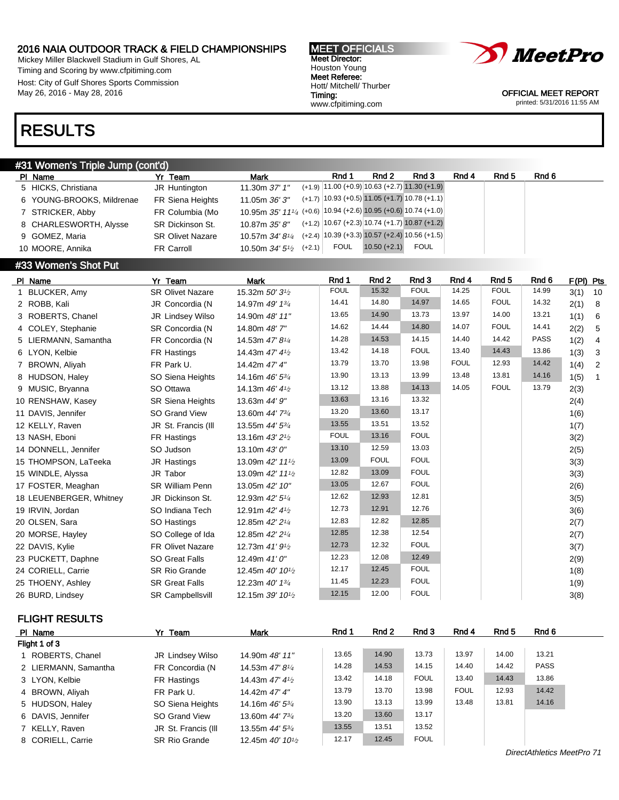Mickey Miller Blackwell Stadium in Gulf Shores, AL Timing and Scoring by www.cfpitiming.com Host: City of Gulf Shores Sports Commission May 26, 2016 - May 28, 2016

# RESULTS

### #31 Women's Triple Jump (cont'd)

| PI Name                   | Yr Team                 | <b>Mark</b>                                                    | Rnd 1       | Rnd 2                                                 | Rnd 3       | Rnd 4 | Rnd 5 | Rnd 6 |
|---------------------------|-------------------------|----------------------------------------------------------------|-------------|-------------------------------------------------------|-------------|-------|-------|-------|
| 5 HICKS, Christiana       | JR Huntington           | 11.30m 37' 1"                                                  |             | $(+1.9)$   11.00 (+0.9)   10.63 (+2.7)   11.30 (+1.9) |             |       |       |       |
| 6 YOUNG-BROOKS, Mildrenae | FR Siena Heights        | 11.05m 36' 3"                                                  |             | $(+1.7)$ 10.93 (+0.5) 11.05 (+1.7) 10.78 (+1.1)       |             |       |       |       |
| 7 STRICKER, Abby          | FR Columbia (Mo         | 10.95m 35' 111/4 (+0.6) 10.94 (+2.6) 10.95 (+0.6) 10.74 (+1.0) |             |                                                       |             |       |       |       |
| 8 CHARLESWORTH, Alysse    | SR Dickinson St.        | 10.87m 35' 8"                                                  |             | $(+1.2)$ $ 10.67 +2.3 10.74 +1.7 10.87 +1.2 $         |             |       |       |       |
| 9 GOMEZ, Maria            | <b>SR Olivet Nazare</b> | 10.57m <i>34' 81⁄4</i>                                         |             | $(+2.4)$ 10.39 (+3.3) 10.57 (+2.4) 10.56 (+1.5)       |             |       |       |       |
| 10 MOORE, Annika          | FR Carroll              | 10.50m $34'5^{1/2}$ (+2.1)                                     | <b>FOUL</b> | $10.50 (+2.1)$                                        | <b>FOUL</b> |       |       |       |

# **#33 Women's Shot Put**

| PI Name                 | Yr Team                 | <b>Mark</b>                               | Rnd 1       | Rnd <sub>2</sub> | Rnd 3       | Rnd 4       | Rnd <sub>5</sub> | Rnd <sub>6</sub> | F(PI) Pts |              |
|-------------------------|-------------------------|-------------------------------------------|-------------|------------------|-------------|-------------|------------------|------------------|-----------|--------------|
| 1 BLUCKER, Amy          | <b>SR Olivet Nazare</b> | 15.32m 50' 3 <sup>1</sup> /2              | <b>FOUL</b> | 15.32            | <b>FOUL</b> | 14.25       | <b>FOUL</b>      | 14.99            | 3(1)      | 10           |
| 2 ROBB, Kali            | JR Concordia (N         | 14.97m 49' 13/4                           | 14.41       | 14.80            | 14.97       | 14.65       | <b>FOUL</b>      | 14.32            | 2(1)      | - 8          |
| 3 ROBERTS, Chanel       | JR Lindsey Wilso        | 14.90m 48' 11"                            | 13.65       | 14.90            | 13.73       | 13.97       | 14.00            | 13.21            | 1(1)      | 6            |
| 4 COLEY, Stephanie      | SR Concordia (N         | 14.80m 48'7"                              | 14.62       | 14.44            | 14.80       | 14.07       | <b>FOUL</b>      | 14.41            | 2(2)      | 5            |
| 5 LIERMANN, Samantha    | FR Concordia (N         | 14.53m 47' 8 <sup>1/4</sup>               | 14.28       | 14.53            | 14.15       | 14.40       | 14.42            | <b>PASS</b>      | 1(2)      | 4            |
| 6 LYON, Kelbie          | FR Hastings             | 14.43m 47' 4 <sup>1</sup> / <sub>2</sub>  | 13.42       | 14.18            | <b>FOUL</b> | 13.40       | 14.43            | 13.86            | 1(3)      | $\mathbf{3}$ |
| 7 BROWN, Aliyah         | FR Park U.              | 14.42m 47' 4"                             | 13.79       | 13.70            | 13.98       | <b>FOUL</b> | 12.93            | 14.42            | 1(4)      | 2            |
| 8 HUDSON, Haley         | SO Siena Heights        | 14.16m 46' 53/4                           | 13.90       | 13.13            | 13.99       | 13.48       | 13.81            | 14.16            | 1(5)      | $\mathbf{1}$ |
| 9 MUSIC, Bryanna        | SO Ottawa               | 14.13m 46' 4 <sup>1</sup> / <sub>2</sub>  | 13.12       | 13.88            | 14.13       | 14.05       | <b>FOUL</b>      | 13.79            | 2(3)      |              |
| 10 RENSHAW, Kasey       | <b>SR Siena Heights</b> | 13.63m 44' 9"                             | 13.63       | 13.16            | 13.32       |             |                  |                  | 2(4)      |              |
| 11 DAVIS, Jennifer      | SO Grand View           | 13.60m 44' 73/4                           | 13.20       | 13.60            | 13.17       |             |                  |                  | 1(6)      |              |
| 12 KELLY, Raven         | JR St. Francis (III     | 13.55m 44' 53/4                           | 13.55       | 13.51            | 13.52       |             |                  |                  | 1(7)      |              |
| 13 NASH, Eboni          | FR Hastings             | 13.16m 43' 2 <sup>1</sup> / <sub>2</sub>  | <b>FOUL</b> | 13.16            | <b>FOUL</b> |             |                  |                  | 3(2)      |              |
| 14 DONNELL, Jennifer    | SO Judson               | 13.10m 43' 0"                             | 13.10       | 12.59            | 13.03       |             |                  |                  | 2(5)      |              |
| 15 THOMPSON, LaTeeka    | JR Hastings             | 13.09m 42' 11 <sup>1</sup> / <sub>2</sub> | 13.09       | <b>FOUL</b>      | <b>FOUL</b> |             |                  |                  | 3(3)      |              |
| 15 WINDLE, Alyssa       | JR Tabor                | 13.09m 42' 11 <sup>1</sup> / <sub>2</sub> | 12.82       | 13.09            | <b>FOUL</b> |             |                  |                  | 3(3)      |              |
| 17 FOSTER, Meaghan      | <b>SR William Penn</b>  | 13.05m 42' 10"                            | 13.05       | 12.67            | <b>FOUL</b> |             |                  |                  | 2(6)      |              |
| 18 LEUENBERGER, Whitney | JR Dickinson St.        | 12.93m 42' 51/4                           | 12.62       | 12.93            | 12.81       |             |                  |                  | 3(5)      |              |
| 19 IRVIN, Jordan        | SO Indiana Tech         | 12.91m 42' 4 <sup>1</sup> / <sub>2</sub>  | 12.73       | 12.91            | 12.76       |             |                  |                  | 3(6)      |              |
| 20 OLSEN, Sara          | SO Hastings             | 12.85m 42' 21/4                           | 12.83       | 12.82            | 12.85       |             |                  |                  | 2(7)      |              |
| 20 MORSE, Hayley        | SO College of Ida       | 12.85m 42' 2 <sup>1/4</sup>               | 12.85       | 12.38            | 12.54       |             |                  |                  | 2(7)      |              |
| 22 DAVIS, Kylie         | <b>FR Olivet Nazare</b> | 12.73m 41' 9 <sup>1</sup> / <sub>2</sub>  | 12.73       | 12.32            | <b>FOUL</b> |             |                  |                  | 3(7)      |              |
| 23 PUCKETT, Daphne      | <b>SO Great Falls</b>   | 12.49m 41' 0"                             | 12.23       | 12.08            | 12.49       |             |                  |                  | 2(9)      |              |
| 24 CORIELL, Carrie      | <b>SR Rio Grande</b>    | 12.45m 40' 10 <sup>1</sup> / <sub>2</sub> | 12.17       | 12.45            | <b>FOUL</b> |             |                  |                  | 1(8)      |              |
| 25 THOENY, Ashley       | <b>SR Great Falls</b>   | 12.23m 40' 13/4                           | 11.45       | 12.23            | <b>FOUL</b> |             |                  |                  | 1(9)      |              |
| 26 BURD, Lindsey        | <b>SR Campbellsvill</b> | 12.15m 39' 10 <sup>1</sup> / <sub>2</sub> | 12.15       | 12.00            | <b>FOUL</b> |             |                  |                  | 3(8)      |              |

# FLIGHT RESULTS

| PI Name              | Yr Team              | <b>Mark</b>                                 | Rnd 1 | Rnd 2 | Rnd 3       | Rnd 4       | Rnd <sub>5</sub> | Rnd 6       |
|----------------------|----------------------|---------------------------------------------|-------|-------|-------------|-------------|------------------|-------------|
| Flight 1 of 3        |                      |                                             |       |       |             |             |                  |             |
| 1 ROBERTS, Chanel    | JR Lindsey Wilso     | 14.90m 48' 11"                              | 13.65 | 14.90 | 13.73       | 13.97       | 14.00            | 13.21       |
| 2 LIERMANN, Samantha | FR Concordia (N      | 14.53m 47' 8 <sup>1/4</sup>                 | 14.28 | 14.53 | 14.15       | 14.40       | 14.42            | <b>PASS</b> |
| 3 LYON, Kelbie       | FR Hastings          | 14.43m $47'$ $4\frac{1}{2}$                 | 13.42 | 14.18 | <b>FOUL</b> | 13.40       | 14.43            | 13.86       |
| 4 BROWN, Aliyah      | FR Park U.           | 14.42m 47' 4"                               | 13.79 | 13.70 | 13.98       | <b>FOUL</b> | 12.93            | 14.42       |
| 5 HUDSON, Haley      | SO Siena Heights     | 14.16m $46'$ $5\frac{3}{4}$                 | 13.90 | 13.13 | 13.99       | 13.48       | 13.81            | 14.16       |
| 6 DAVIS, Jennifer    | SO Grand View        | 13.60m 44' 7 <sup>3/4</sup>                 | 13.20 | 13.60 | 13.17       |             |                  |             |
| 7 KELLY, Raven       | JR St. Francis (III  | 13.55m $44'$ 5 $\frac{3}{4}$                | 13.55 | 13.51 | 13.52       |             |                  |             |
| 8 CORIELL, Carrie    | <b>SR Rio Grande</b> | 12.45m $40'$ 10 <sup>1</sup> / <sub>2</sub> | 12.17 | 12.45 | <b>FOUL</b> |             |                  |             |



OFFICIAL MEET REPORT printed: 5/31/2016 11:55 AM

Meet Director: Houston Young Meet Referee: Hott/ Mitchell/ Thurber Timing: www.cfpitiming.com

MEET OFFICIALS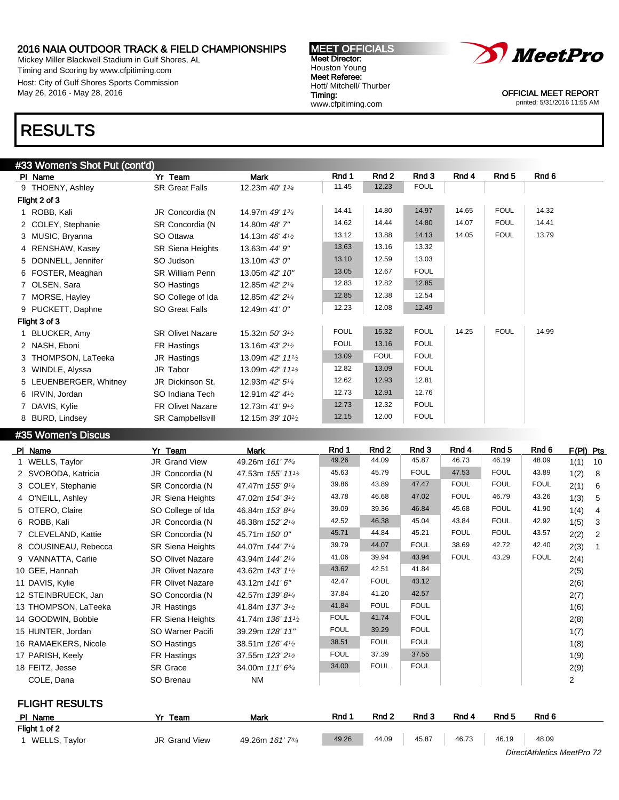Mickey Miller Blackwell Stadium in Gulf Shores, AL Timing and Scoring by www.cfpitiming.com Host: City of Gulf Shores Sports Commission May 26, 2016 - May 28, 2016

# RESULTS

### #33 Women's Shot Put (cont'd)

| $\frac{1}{2}$<br>PI Name | Yr Team                 | Mark                                        | Rnd 1       | Rnd 2       | Rnd 3       | Rnd 4 | Rnd 5       | Rnd 6 |
|--------------------------|-------------------------|---------------------------------------------|-------------|-------------|-------------|-------|-------------|-------|
| 9 THOENY, Ashley         | <b>SR Great Falls</b>   | 12.23m 40' 13/4                             | 11.45       | 12.23       | <b>FOUL</b> |       |             |       |
| Flight 2 of 3            |                         |                                             |             |             |             |       |             |       |
| 1 ROBB, Kali             | JR Concordia (N         | 14.97m 49' 13/4                             | 14.41       | 14.80       | 14.97       | 14.65 | <b>FOUL</b> | 14.32 |
| 2 COLEY, Stephanie       | SR Concordia (N         | 14.80m 48'7"                                | 14.62       | 14.44       | 14.80       | 14.07 | <b>FOUL</b> | 14.41 |
| 3 MUSIC, Bryanna         | SO Ottawa               | 14.13m 46' 41/2                             | 13.12       | 13.88       | 14.13       | 14.05 | <b>FOUL</b> | 13.79 |
| 4 RENSHAW, Kasey         | <b>SR Siena Heights</b> | 13.63m 44' 9"                               | 13.63       | 13.16       | 13.32       |       |             |       |
| 5 DONNELL, Jennifer      | SO Judson               | 13.10m 43' 0"                               | 13.10       | 12.59       | 13.03       |       |             |       |
| 6 FOSTER, Meaghan        | <b>SR William Penn</b>  | 13.05m 42' 10"                              | 13.05       | 12.67       | <b>FOUL</b> |       |             |       |
| 7 OLSEN, Sara            | SO Hastings             | 12.85m 42' 21/4                             | 12.83       | 12.82       | 12.85       |       |             |       |
| 7 MORSE, Hayley          | SO College of Ida       | 12.85m 42' 21/4                             | 12.85       | 12.38       | 12.54       |       |             |       |
| 9 PUCKETT, Daphne        | SO Great Falls          | 12.49m 41' 0"                               | 12.23       | 12.08       | 12.49       |       |             |       |
| Flight 3 of 3            |                         |                                             |             |             |             |       |             |       |
| 1 BLUCKER, Amy           | <b>SR Olivet Nazare</b> | 15.32m 50' 3 <sup>1</sup> / <sub>2</sub>    | <b>FOUL</b> | 15.32       | <b>FOUL</b> | 14.25 | <b>FOUL</b> | 14.99 |
| 2 NASH, Eboni            | FR Hastings             | 13.16m $43'2\frac{1}{2}$                    | <b>FOUL</b> | 13.16       | <b>FOUL</b> |       |             |       |
| 3 THOMPSON, LaTeeka      | JR Hastings             | 13.09m 42' 111/2                            | 13.09       | <b>FOUL</b> | <b>FOUL</b> |       |             |       |
| 3 WINDLE, Alyssa         | JR Tabor                | 13.09m 42' 11 <sup>1</sup> / <sub>2</sub>   | 12.82       | 13.09       | <b>FOUL</b> |       |             |       |
| 5 LEUENBERGER, Whitney   | JR Dickinson St.        | 12.93m 42' 51/4                             | 12.62       | 12.93       | 12.81       |       |             |       |
| 6 IRVIN, Jordan          | SO Indiana Tech         | 12.91m 42' 41/2                             | 12.73       | 12.91       | 12.76       |       |             |       |
| 7 DAVIS, Kylie           | <b>FR Olivet Nazare</b> | 12.73m 41' 91/2                             | 12.73       | 12.32       | <b>FOUL</b> |       |             |       |
| 8 BURD, Lindsey          | <b>SR Campbellsvill</b> | 12.15m $39'$ 10 <sup>1</sup> / <sub>2</sub> | 12.15       | 12.00       | <b>FOUL</b> |       |             |       |

MEET OFFICIALS Meet Director: Houston Young Meet Referee: Hott/ Mitchell/ Thurber

www.cfpitiming.com

Timing:

#35 Women's Discus

| PI Name               | Yr Team                 | <b>Mark</b>                                | Rnd 1            | Rnd 2       | Rnd 3       | Rnd 4         | Rnd 5        | Rnd 6       | F(PI) Pts      |                |
|-----------------------|-------------------------|--------------------------------------------|------------------|-------------|-------------|---------------|--------------|-------------|----------------|----------------|
| 1 WELLS, Taylor       | JR Grand View           | 49.26m 161'73/4                            | 49.26            | 44.09       | 45.87       | 46.73         | 46.19        | 48.09       | 1(1)           | 10             |
| 2 SVOBODA, Katricia   | JR Concordia (N         | 47.53m 155' 11 <sup>1</sup> / <sub>2</sub> | 45.63            | 45.79       | <b>FOUL</b> | 47.53         | <b>FOUL</b>  | 43.89       | 1(2)           | 8              |
| 3 COLEY, Stephanie    | SR Concordia (N         | 47.47m 155' 91/4                           | 39.86            | 43.89       | 47.47       | <b>FOUL</b>   | <b>FOUL</b>  | <b>FOUL</b> | 2(1)           | 6              |
| 4 O'NEILL, Ashley     | JR Siena Heights        | 47.02m 154' 3 <sup>1</sup> / <sub>2</sub>  | 43.78            | 46.68       | 47.02       | <b>FOUL</b>   | 46.79        | 43.26       | 1(3)           | 5              |
| 5 OTERO, Claire       | SO College of Ida       | 46.84m 153'81/4                            | 39.09            | 39.36       | 46.84       | 45.68         | <b>FOUL</b>  | 41.90       | 1(4)           | $\overline{4}$ |
| 6 ROBB, Kali          | JR Concordia (N         | 46.38m 152' 21/4                           | 42.52            | 46.38       | 45.04       | 43.84         | <b>FOUL</b>  | 42.92       | 1(5)           | 3              |
| 7 CLEVELAND, Kattie   | SR Concordia (N         | 45.71m 150' 0"                             | 45.71            | 44.84       | 45.21       | <b>FOUL</b>   | <b>FOUL</b>  | 43.57       | 2(2)           | 2              |
| 8 COUSINEAU, Rebecca  | <b>SR Siena Heights</b> | 44.07m 144' 71/4                           | 39.79            | 44.07       | <b>FOUL</b> | 38.69         | 42.72        | 42.40       | 2(3)           |                |
| 9 VANNATTA, Carlie    | SO Olivet Nazare        | 43.94m 144' 2 <sup>1/4</sup>               | 41.06            | 39.94       | 43.94       | <b>FOUL</b>   | 43.29        | <b>FOUL</b> | 2(4)           |                |
| 10 GEE, Hannah        | <b>JR Olivet Nazare</b> | 43.62m 143' 1 <sup>1</sup> / <sub>2</sub>  | 43.62            | 42.51       | 41.84       |               |              |             | 2(5)           |                |
| 11 DAVIS, Kylie       | <b>FR Olivet Nazare</b> | 43.12m 141'6"                              | 42.47            | <b>FOUL</b> | 43.12       |               |              |             | 2(6)           |                |
| 12 STEINBRUECK, Jan   | SO Concordia (N         | 42.57m 139' 81/4                           | 37.84            | 41.20       | 42.57       |               |              |             | 2(7)           |                |
| 13 THOMPSON, LaTeeka  | JR Hastings             | 41.84m 137' 3 <sup>1</sup> / <sub>2</sub>  | 41.84            | <b>FOUL</b> | <b>FOUL</b> |               |              |             | 1(6)           |                |
| 14 GOODWIN, Bobbie    | FR Siena Heights        | 41.74m 136' 11 <sup>1</sup> / <sub>2</sub> | <b>FOUL</b>      | 41.74       | <b>FOUL</b> |               |              |             | 2(8)           |                |
| 15 HUNTER, Jordan     | SO Warner Pacifi        | 39.29m 128' 11"                            | <b>FOUL</b>      | 39.29       | <b>FOUL</b> |               |              |             | 1(7)           |                |
| 16 RAMAEKERS, Nicole  | SO Hastings             | 38.51m 126' 41/2                           | 38.51            | <b>FOUL</b> | <b>FOUL</b> |               |              |             | 1(8)           |                |
| 17 PARISH, Keely      | FR Hastings             | 37.55m 123' 21/2                           | <b>FOUL</b>      | 37.39       | 37.55       |               |              |             | 1(9)           |                |
| 18 FEITZ, Jesse       | <b>SR</b> Grace         | 34.00m 111' 6 <sup>3/4</sup>               | 34.00            | <b>FOUL</b> | <b>FOUL</b> |               |              |             | 2(9)           |                |
| COLE, Dana            | SO Brenau               | <b>NM</b>                                  |                  |             |             |               |              |             | $\overline{2}$ |                |
| <b>FLIGHT RESULTS</b> |                         |                                            |                  |             |             |               |              |             |                |                |
|                       |                         |                                            | <b>Provident</b> | <b>DAJ0</b> | <b>D-JA</b> | <b>Paul 4</b> | <b>DAJ 5</b> | <b>D-JA</b> |                |                |

| PI Name         | Team<br>v.           | Mark                         | Rnd ' | Rnd <sub>2</sub> | Rnd 3 | Rnd 4 | Rnd <sub>5</sub> | Rnd <sub>6</sub>           |  |  |  |  |  |  |  |
|-----------------|----------------------|------------------------------|-------|------------------|-------|-------|------------------|----------------------------|--|--|--|--|--|--|--|
| Flight 1 of 2   |                      |                              |       |                  |       |       |                  |                            |  |  |  |  |  |  |  |
| 1 WELLS, Taylor | <b>JR Grand View</b> | 49.26m 161' 7 <sup>3/4</sup> | 49.26 | 44.09            | 45.87 | 46.73 | 46.19            | 48.09                      |  |  |  |  |  |  |  |
|                 |                      |                              |       |                  |       |       |                  | DirectAthletics MeetPro 72 |  |  |  |  |  |  |  |



OFFICIAL MEET REPORT printed: 5/31/2016 11:55 AM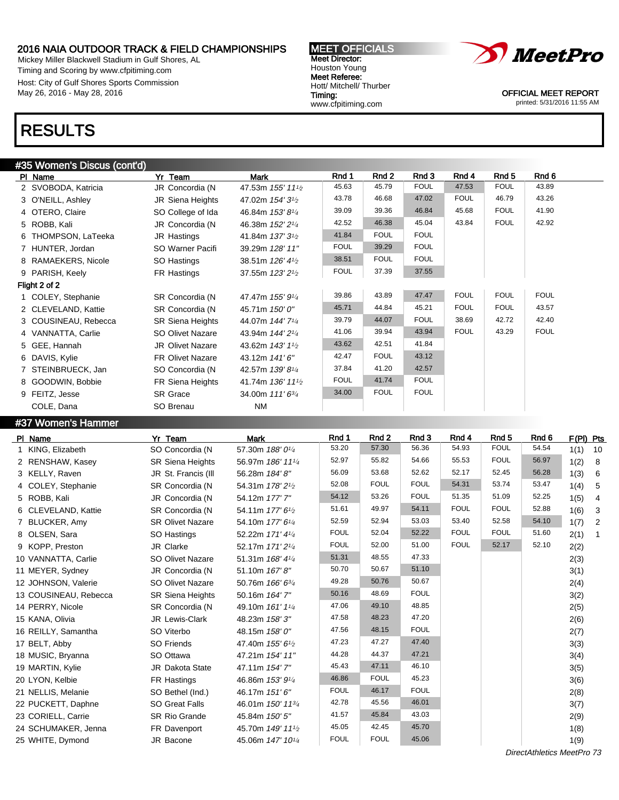Mickey Miller Blackwell Stadium in Gulf Shores, AL Timing and Scoring by www.cfpitiming.com Host: City of Gulf Shores Sports Commission May 26, 2016 - May 28, 2016

#### MEET OFFICIALS Meet Director: Houston Young Meet Referee: Hott/ Mitchell/ Thurber Timing: www.cfpitiming.com



OFFICIAL MEET REPORT printed: 5/31/2016 11:55 AM

## RESULTS

## #35 Women's Discus (cont'd)

| PI Name              | Yr Team                 | Mark                                       | Rnd 1       | Rnd 2       | Rnd 3       | Rnd 4       | Rnd 5       | Rnd 6       |
|----------------------|-------------------------|--------------------------------------------|-------------|-------------|-------------|-------------|-------------|-------------|
| 2 SVOBODA, Katricia  | JR Concordia (N         | 47.53m 155' 111/2                          | 45.63       | 45.79       | <b>FOUL</b> | 47.53       | <b>FOUL</b> | 43.89       |
| 3 O'NEILL, Ashley    | JR Siena Heights        | 47.02m 154' 3 <sup>1</sup> / <sub>2</sub>  | 43.78       | 46.68       | 47.02       | <b>FOUL</b> | 46.79       | 43.26       |
| 4 OTERO, Claire      | SO College of Ida       | 46.84m 153'81/4                            | 39.09       | 39.36       | 46.84       | 45.68       | <b>FOUL</b> | 41.90       |
| 5 ROBB, Kali         | JR Concordia (N         | 46.38m 152' 21/4                           | 42.52       | 46.38       | 45.04       | 43.84       | <b>FOUL</b> | 42.92       |
| 6 THOMPSON, LaTeeka  | JR Hastings             | 41.84m 137' 3 <sup>1</sup> / <sub>2</sub>  | 41.84       | <b>FOUL</b> | <b>FOUL</b> |             |             |             |
| 7 HUNTER, Jordan     | SO Warner Pacifi        | 39.29m 128' 11"                            | <b>FOUL</b> | 39.29       | <b>FOUL</b> |             |             |             |
| 8 RAMAEKERS, Nicole  | SO Hastings             | 38.51m 126' 41/2                           | 38.51       | <b>FOUL</b> | <b>FOUL</b> |             |             |             |
| 9 PARISH, Keely      | FR Hastings             | 37.55m 123' 21/2                           | <b>FOUL</b> | 37.39       | 37.55       |             |             |             |
| Flight 2 of 2        |                         |                                            |             |             |             |             |             |             |
| 1 COLEY, Stephanie   | SR Concordia (N         | 47.47m 155' 91/4                           | 39.86       | 43.89       | 47.47       | <b>FOUL</b> | <b>FOUL</b> | <b>FOUL</b> |
| 2 CLEVELAND, Kattie  | SR Concordia (N         | 45.71m 150' 0"                             | 45.71       | 44.84       | 45.21       | <b>FOUL</b> | <b>FOUL</b> | 43.57       |
| 3 COUSINEAU, Rebecca | <b>SR Siena Heights</b> | 44.07m 144' 71/4                           | 39.79       | 44.07       | <b>FOUL</b> | 38.69       | 42.72       | 42.40       |
| 4 VANNATTA, Carlie   | SO Olivet Nazare        | 43.94m 144' 2 <sup>1/4</sup>               | 41.06       | 39.94       | 43.94       | <b>FOUL</b> | 43.29       | <b>FOUL</b> |
| 5 GEE, Hannah        | <b>JR Olivet Nazare</b> | 43.62m 143' 1 <sup>1</sup> / <sub>2</sub>  | 43.62       | 42.51       | 41.84       |             |             |             |
| 6 DAVIS, Kylie       | <b>FR Olivet Nazare</b> | 43.12m 141'6"                              | 42.47       | <b>FOUL</b> | 43.12       |             |             |             |
| 7 STEINBRUECK, Jan   | SO Concordia (N         | 42.57m 139' 81/4                           | 37.84       | 41.20       | 42.57       |             |             |             |
| 8 GOODWIN, Bobbie    | FR Siena Heights        | 41.74m 136' 11 <sup>1</sup> / <sub>2</sub> | <b>FOUL</b> | 41.74       | <b>FOUL</b> |             |             |             |
| 9 FEITZ, Jesse       | <b>SR Grace</b>         | 34.00m 111' 6 <sup>3/4</sup>               | 34.00       | <b>FOUL</b> | <b>FOUL</b> |             |             |             |
| COLE, Dana           | SO Brenau               | NM                                         |             |             |             |             |             |             |

## #37 Women's Hammer

| PI Name               | Yr Team                 | <b>Mark</b>                                | Rnd 1       | Rnd <sub>2</sub> | Rnd 3       | Rnd 4       | Rnd <sub>5</sub> | Rnd 6 | F(PI) Pts |                |
|-----------------------|-------------------------|--------------------------------------------|-------------|------------------|-------------|-------------|------------------|-------|-----------|----------------|
| 1 KING, Elizabeth     | SO Concordia (N         | 57.30m 188' 01/4                           | 53.20       | 57.30            | 56.36       | 54.93       | <b>FOUL</b>      | 54.54 | 1(1)      | 10             |
| 2 RENSHAW, Kasey      | <b>SR Siena Heights</b> | 56.97m 186' 111/4                          | 52.97       | 55.82            | 54.66       | 55.53       | <b>FOUL</b>      | 56.97 | 1(2)      | 8              |
| 3 KELLY, Raven        | JR St. Francis (III     | 56.28m 184' 8"                             | 56.09       | 53.68            | 52.62       | 52.17       | 52.45            | 56.28 | 1(3)      | 6              |
| 4 COLEY, Stephanie    | SR Concordia (N         | 54.31m 178' 2 <sup>1</sup> / <sub>2</sub>  | 52.08       | <b>FOUL</b>      | <b>FOUL</b> | 54.31       | 53.74            | 53.47 | 1(4)      | 5              |
| 5 ROBB, Kali          | JR Concordia (N         | 54.12m 177'7"                              | 54.12       | 53.26            | <b>FOUL</b> | 51.35       | 51.09            | 52.25 | 1(5)      | 4              |
| 6 CLEVELAND, Kattie   | SR Concordia (N         | 54.11m 177' 6 <sup>1</sup> / <sub>2</sub>  | 51.61       | 49.97            | 54.11       | <b>FOUL</b> | <b>FOUL</b>      | 52.88 | 1(6)      | $\mathbf{3}$   |
| 7 BLUCKER, Amy        | <b>SR Olivet Nazare</b> | 54.10m 177' 6 <sup>1/4</sup>               | 52.59       | 52.94            | 53.03       | 53.40       | 52.58            | 54.10 | 1(7)      | $\overline{c}$ |
| 8 OLSEN, Sara         | SO Hastings             | 52.22m 171' 41/4                           | <b>FOUL</b> | 52.04            | 52.22       | <b>FOUL</b> | <b>FOUL</b>      | 51.60 | 2(1)      | $\overline{1}$ |
| 9 KOPP, Preston       | JR Clarke               | 52.17m 171' 2 <sup>1/4</sup>               | <b>FOUL</b> | 52.00            | 51.00       | <b>FOUL</b> | 52.17            | 52.10 | 2(2)      |                |
| 10 VANNATTA, Carlie   | <b>SO Olivet Nazare</b> | 51.31m 168' 41/4                           | 51.31       | 48.55            | 47.33       |             |                  |       | 2(3)      |                |
| 11 MEYER, Sydney      | JR Concordia (N         | 51.10m 167'8"                              | 50.70       | 50.67            | 51.10       |             |                  |       | 3(1)      |                |
| 12 JOHNSON, Valerie   | SO Olivet Nazare        | 50.76m 166' 63/4                           | 49.28       | 50.76            | 50.67       |             |                  |       | 2(4)      |                |
| 13 COUSINEAU, Rebecca | <b>SR Siena Heights</b> | 50.16m 164' 7"                             | 50.16       | 48.69            | <b>FOUL</b> |             |                  |       | 3(2)      |                |
| 14 PERRY, Nicole      | SR Concordia (N         | 49.10m 161' 11/4                           | 47.06       | 49.10            | 48.85       |             |                  |       | 2(5)      |                |
| 15 KANA, Olivia       | JR Lewis-Clark          | 48.23m 158'3"                              | 47.58       | 48.23            | 47.20       |             |                  |       | 2(6)      |                |
| 16 REILLY, Samantha   | SO Viterbo              | 48.15m 158' 0"                             | 47.56       | 48.15            | <b>FOUL</b> |             |                  |       | 2(7)      |                |
| 17 BELT, Abby         | <b>SO Friends</b>       | 47.40m 155' 6 <sup>1</sup> / <sub>2</sub>  | 47.23       | 47.27            | 47.40       |             |                  |       | 3(3)      |                |
| 18 MUSIC, Bryanna     | SO Ottawa               | 47.21m 154' 11"                            | 44.28       | 44.37            | 47.21       |             |                  |       | 3(4)      |                |
| 19 MARTIN, Kylie      | <b>JR Dakota State</b>  | 47.11m 154'7"                              | 45.43       | 47.11            | 46.10       |             |                  |       | 3(5)      |                |
| 20 LYON, Kelbie       | FR Hastings             | 46.86m 153' 91/4                           | 46.86       | <b>FOUL</b>      | 45.23       |             |                  |       | 3(6)      |                |
| 21 NELLIS, Melanie    | SO Bethel (Ind.)        | 46.17m 151'6"                              | <b>FOUL</b> | 46.17            | <b>FOUL</b> |             |                  |       | 2(8)      |                |
| 22 PUCKETT, Daphne    | <b>SO Great Falls</b>   | 46.01m 150' 11 <sup>3/4</sup>              | 42.78       | 45.56            | 46.01       |             |                  |       | 3(7)      |                |
| 23 CORIELL, Carrie    | <b>SR Rio Grande</b>    | 45.84m 150' 5"                             | 41.57       | 45.84            | 43.03       |             |                  |       | 2(9)      |                |
| 24 SCHUMAKER, Jenna   | FR Davenport            | 45.70m 149' 11 <sup>1</sup> / <sub>2</sub> | 45.05       | 42.45            | 45.70       |             |                  |       | 1(8)      |                |
| 25 WHITE, Dymond      | JR Bacone               | 45.06m 147' 10 <sup>1/4</sup>              | <b>FOUL</b> | <b>FOUL</b>      | 45.06       |             |                  |       | 1(9)      |                |
|                       |                         |                                            |             |                  |             |             |                  |       |           |                |

DirectAthletics MeetPro 73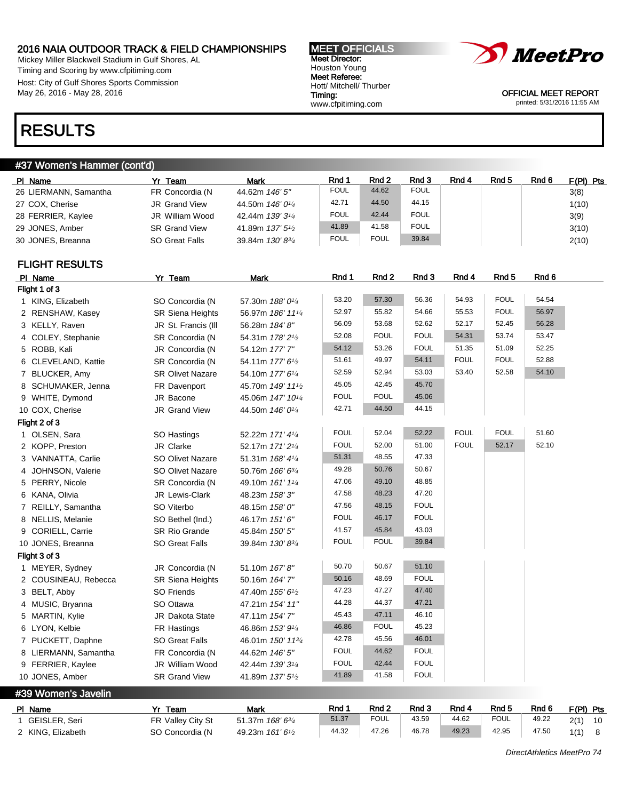Mickey Miller Blackwell Stadium in Gulf Shores, AL Timing and Scoring by www.cfpitiming.com Host: City of Gulf Shores Sports Commission May 26, 2016 - May 28, 2016

#### MEET OFFICIALS Meet Director: Houston Young Meet Referee: Hott/ Mitchell/ Thurber Timing: www.cfpitiming.com



OFFICIAL MEET REPORT printed: 5/31/2016 11:55 AM

## RESULTS

## #37 Women's Hammer (cont'd)

| PI Name               | Yr Team              | Mark                                      | Rnd 1       | Rnd 2       | Rnd 3       | Rnd 4 | Rnd 5 | Rnd 6 | $F(PI)$ Pts |
|-----------------------|----------------------|-------------------------------------------|-------------|-------------|-------------|-------|-------|-------|-------------|
| 26 LIERMANN, Samantha | FR Concordia (N      | 44.62m 146' 5"                            | <b>FOUL</b> | 44.62       | <b>FOUL</b> |       |       |       | 3(8)        |
| 27 COX, Cherise       | JR Grand View        | 44.50m 146' 0 <sup>1/4</sup>              | 42.71       | 44.50       | 44.15       |       |       |       | 1(10)       |
| 28 FERRIER, Kaylee    | JR William Wood      | 42.44m 139'3 <sup>1</sup> / <sub>4</sub>  | <b>FOUL</b> | 42.44       | <b>FOUL</b> |       |       |       | 3(9)        |
| 29 JONES, Amber       | <b>SR Grand View</b> | 41.89m 137' 5 <sup>1</sup> / <sub>2</sub> | 41.89       | 41.58       | <b>FOUL</b> |       |       |       | 3(10)       |
| 30 JONES, Breanna     | SO Great Falls       | 39.84m $130' 8^{3/4}$                     | <b>FOUL</b> | <b>FOUL</b> | 39.84       |       |       |       | 2(10)       |

FLIGHT RESULTS

| PI Name              | Yr Team                 | <b>Mark</b>                                | Rnd 1       | Rnd <sub>2</sub> | Rnd 3       | Rnd 4       | Rnd <sub>5</sub> | Rnd <sub>6</sub> |
|----------------------|-------------------------|--------------------------------------------|-------------|------------------|-------------|-------------|------------------|------------------|
| Flight 1 of 3        |                         |                                            |             |                  |             |             |                  |                  |
| 1 KING, Elizabeth    | SO Concordia (N         | 57.30m 188' 01/4                           | 53.20       | 57.30            | 56.36       | 54.93       | <b>FOUL</b>      | 54.54            |
| 2 RENSHAW, Kasey     | <b>SR Siena Heights</b> | 56.97m 186' 111/4                          | 52.97       | 55.82            | 54.66       | 55.53       | <b>FOUL</b>      | 56.97            |
| 3 KELLY, Raven       | JR St. Francis (III     | 56.28m 184' 8"                             | 56.09       | 53.68            | 52.62       | 52.17       | 52.45            | 56.28            |
| 4 COLEY, Stephanie   | SR Concordia (N         | 54.31m 178' 2 <sup>1</sup> / <sub>2</sub>  | 52.08       | <b>FOUL</b>      | <b>FOUL</b> | 54.31       | 53.74            | 53.47            |
| 5 ROBB, Kali         | JR Concordia (N         | 54.12m 177'7"                              | 54.12       | 53.26            | <b>FOUL</b> | 51.35       | 51.09            | 52.25            |
| 6 CLEVELAND, Kattie  | SR Concordia (N         | 54.11m 177' 6 <sup>1</sup> /2              | 51.61       | 49.97            | 54.11       | <b>FOUL</b> | <b>FOUL</b>      | 52.88            |
| 7 BLUCKER, Amy       | <b>SR Olivet Nazare</b> | 54.10m 177' 61/4                           | 52.59       | 52.94            | 53.03       | 53.40       | 52.58            | 54.10            |
| 8 SCHUMAKER, Jenna   | FR Davenport            | 45.70m 149' 11 <sup>1</sup> / <sub>2</sub> | 45.05       | 42.45            | 45.70       |             |                  |                  |
| 9 WHITE, Dymond      | JR Bacone               | 45.06m 147' 10 <sup>1/4</sup>              | <b>FOUL</b> | <b>FOUL</b>      | 45.06       |             |                  |                  |
| 10 COX, Cherise      | <b>JR Grand View</b>    | 44.50m 146' 01/4                           | 42.71       | 44.50            | 44.15       |             |                  |                  |
| Flight 2 of 3        |                         |                                            |             |                  |             |             |                  |                  |
| 1 OLSEN, Sara        | SO Hastings             | 52.22m 171' 41/4                           | <b>FOUL</b> | 52.04            | 52.22       | <b>FOUL</b> | <b>FOUL</b>      | 51.60            |
| 2 KOPP, Preston      | JR Clarke               | 52.17m 171'2 <sup>1/4</sup>                | <b>FOUL</b> | 52.00            | 51.00       | <b>FOUL</b> | 52.17            | 52.10            |
| 3 VANNATTA, Carlie   | <b>SO Olivet Nazare</b> | 51.31m 168' 41/4                           | 51.31       | 48.55            | 47.33       |             |                  |                  |
| 4 JOHNSON, Valerie   | <b>SO Olivet Nazare</b> | 50.76m 166' 63/4                           | 49.28       | 50.76            | 50.67       |             |                  |                  |
| 5 PERRY, Nicole      | SR Concordia (N         | 49.10m 161' 11/4                           | 47.06       | 49.10            | 48.85       |             |                  |                  |
| 6 KANA, Olivia       | JR Lewis-Clark          | 48.23m 158'3"                              | 47.58       | 48.23            | 47.20       |             |                  |                  |
| 7 REILLY, Samantha   | SO Viterbo              | 48.15m 158' 0"                             | 47.56       | 48.15            | <b>FOUL</b> |             |                  |                  |
| 8 NELLIS, Melanie    | SO Bethel (Ind.)        | 46.17m 151'6"                              | <b>FOUL</b> | 46.17            | <b>FOUL</b> |             |                  |                  |
| 9 CORIELL, Carrie    | <b>SR Rio Grande</b>    | 45.84m 150' 5"                             | 41.57       | 45.84            | 43.03       |             |                  |                  |
| 10 JONES, Breanna    | <b>SO Great Falls</b>   | 39.84m 130' 83/4                           | <b>FOUL</b> | <b>FOUL</b>      | 39.84       |             |                  |                  |
| Flight 3 of 3        |                         |                                            |             |                  |             |             |                  |                  |
| 1 MEYER, Sydney      | JR Concordia (N         | 51.10m 167' 8"                             | 50.70       | 50.67            | 51.10       |             |                  |                  |
| 2 COUSINEAU, Rebecca | <b>SR Siena Heights</b> | 50.16m 164' 7"                             | 50.16       | 48.69            | <b>FOUL</b> |             |                  |                  |
| 3 BELT, Abby         | <b>SO Friends</b>       | 47.40m 155' 6 <sup>1</sup> / <sub>2</sub>  | 47.23       | 47.27            | 47.40       |             |                  |                  |
| 4 MUSIC, Bryanna     | SO Ottawa               | 47.21m 154' 11"                            | 44.28       | 44.37            | 47.21       |             |                  |                  |
| 5 MARTIN, Kylie      | JR Dakota State         | 47.11m 154'7"                              | 45.43       | 47.11            | 46.10       |             |                  |                  |
| 6 LYON, Kelbie       | FR Hastings             | 46.86m 153' 91/4                           | 46.86       | <b>FOUL</b>      | 45.23       |             |                  |                  |
| 7 PUCKETT, Daphne    | <b>SO Great Falls</b>   | 46.01m 150' 113/4                          | 42.78       | 45.56            | 46.01       |             |                  |                  |
| 8 LIERMANN, Samantha | FR Concordia (N         | 44.62m 146' 5"                             | <b>FOUL</b> | 44.62            | <b>FOUL</b> |             |                  |                  |
| 9 FERRIER, Kaylee    | JR William Wood         | 42.44m 139' 31/4                           | <b>FOUL</b> | 42.44            | <b>FOUL</b> |             |                  |                  |
| 10 JONES, Amber      | <b>SR Grand View</b>    | 41.89m 137' 5 <sup>1</sup> /2              | 41.89       | 41.58            | <b>FOUL</b> |             |                  |                  |

#39 Women's Javelin

| PI Name           | Yr Team           | Mark                    | Rnd   | Rnd 2       | Rnd <sub>3</sub> | Rnd 4 | Rnd 5       | Rnd 6 | $F(PI)$ Pts |      |
|-------------------|-------------------|-------------------------|-------|-------------|------------------|-------|-------------|-------|-------------|------|
| 1 GEISLER, Seri   | FR Valley City St | 51.37m <i>168' 63/4</i> | 51.37 | <b>FOUL</b> | 43.59            | 44.62 | <b>FOUL</b> | 49.22 | 2(1)        | - 10 |
| 2 KING, Elizabeth | SO Concordia (N   | 49.23m 161' 61/2        | 44.32 | 47.26       | 46.78            | 49.23 | 42.95       | 47.50 | $1(1)$ 8    |      |

DirectAthletics MeetPro 74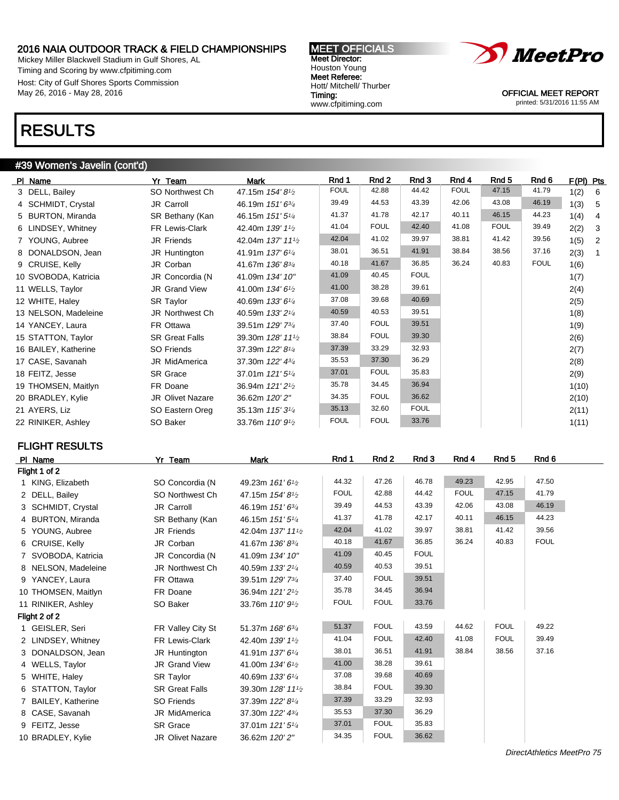Mickey Miller Blackwell Stadium in Gulf Shores, AL Timing and Scoring by www.cfpitiming.com Host: City of Gulf Shores Sports Commission May 26, 2016 - May 28, 2016

#### MEET OFFICIALS Meet Director: Houston Young Meet Referee: Hott/ Mitchell/ Thurber Timing: www.cfpitiming.com



OFFICIAL MEET REPORT printed: 5/31/2016 11:55 AM

## RESULTS

## #39 Women's Javelin (cont'd)

| PI Name              | Yr_Team                 | <b>Mark</b>                                | Rnd 1       | Rnd 2       | Rnd 3       | Rnd 4       | Rnd 5       | Rnd 6       | F(PI) Pts |                 |
|----------------------|-------------------------|--------------------------------------------|-------------|-------------|-------------|-------------|-------------|-------------|-----------|-----------------|
| 3 DELL, Bailey       | SO Northwest Ch         | 47.15m 154'8 <sup>1</sup> /2               | <b>FOUL</b> | 42.88       | 44.42       | <b>FOUL</b> | 47.15       | 41.79       | 1(2)      | $6\overline{6}$ |
| 4 SCHMIDT, Crystal   | JR Carroll              | 46.19m 151' 6 <sup>3/4</sup>               | 39.49       | 44.53       | 43.39       | 42.06       | 43.08       | 46.19       | 1(3)      | 5               |
| 5 BURTON, Miranda    | SR Bethany (Kan         | 46.15m 151' 5 <sup>1</sup> / <sub>4</sub>  | 41.37       | 41.78       | 42.17       | 40.11       | 46.15       | 44.23       | 1(4)      | 4               |
| 6 LINDSEY, Whitney   | FR Lewis-Clark          | 42.40m 139' 1 <sup>1</sup> / <sub>2</sub>  | 41.04       | <b>FOUL</b> | 42.40       | 41.08       | <b>FOUL</b> | 39.49       | 2(2)      | 3               |
| 7 YOUNG, Aubree      | JR Friends              | 42.04m 137' 11 <sup>1</sup> / <sub>2</sub> | 42.04       | 41.02       | 39.97       | 38.81       | 41.42       | 39.56       | 1(5)      | $\overline{2}$  |
| 8 DONALDSON, Jean    | JR Huntington           | 41.91m 137' 61/4                           | 38.01       | 36.51       | 41.91       | 38.84       | 38.56       | 37.16       | 2(3)      | $\mathbf{1}$    |
| 9 CRUISE, Kelly      | JR Corban               | 41.67m 136' 8 <sup>3/4</sup>               | 40.18       | 41.67       | 36.85       | 36.24       | 40.83       | <b>FOUL</b> | 1(6)      |                 |
| 10 SVOBODA, Katricia | JR Concordia (N         | 41.09m 134' 10"                            | 41.09       | 40.45       | <b>FOUL</b> |             |             |             | 1(7)      |                 |
| 11 WELLS, Taylor     | JR Grand View           | 41.00m 134' 6 <sup>1</sup> / <sub>2</sub>  | 41.00       | 38.28       | 39.61       |             |             |             | 2(4)      |                 |
| 12 WHITE, Haley      | <b>SR Taylor</b>        | 40.69m 133' 6 <sup>1/4</sup>               | 37.08       | 39.68       | 40.69       |             |             |             | 2(5)      |                 |
| 13 NELSON, Madeleine | JR Northwest Ch         | 40.59m 133' 2 <sup>1/4</sup>               | 40.59       | 40.53       | 39.51       |             |             |             | 1(8)      |                 |
| 14 YANCEY, Laura     | FR Ottawa               | 39.51m 129' 73/4                           | 37.40       | <b>FOUL</b> | 39.51       |             |             |             | 1(9)      |                 |
| 15 STATTON, Taylor   | <b>SR Great Falls</b>   | 39.30m 128' 11 <sup>1</sup> / <sub>2</sub> | 38.84       | <b>FOUL</b> | 39.30       |             |             |             | 2(6)      |                 |
| 16 BAILEY, Katherine | SO Friends              | 37.39m 122' 81/4                           | 37.39       | 33.29       | 32.93       |             |             |             | 2(7)      |                 |
| 17 CASE, Savanah     | JR MidAmerica           | 37.30m 122' 43/4                           | 35.53       | 37.30       | 36.29       |             |             |             | 2(8)      |                 |
| 18 FEITZ, Jesse      | <b>SR</b> Grace         | 37.01m 121' 51/4                           | 37.01       | <b>FOUL</b> | 35.83       |             |             |             | 2(9)      |                 |
| 19 THOMSEN, Maitlyn  | FR Doane                | 36.94m 121'2 <sup>1</sup> /2               | 35.78       | 34.45       | 36.94       |             |             |             | 1(10)     |                 |
| 20 BRADLEY, Kylie    | <b>JR Olivet Nazare</b> | 36.62m 120'2"                              | 34.35       | <b>FOUL</b> | 36.62       |             |             |             | 2(10)     |                 |
| 21 AYERS, Liz        | SO Eastern Oreg         | 35.13m 115' 3 <sup>1/4</sup>               | 35.13       | 32.60       | <b>FOUL</b> |             |             |             | 2(11)     |                 |
| 22 RINIKER, Ashley   | SO Baker                | 33.76m 110' 9 <sup>1</sup> /2              | <b>FOUL</b> | <b>FOUL</b> | 33.76       |             |             |             | 1(11)     |                 |

## FLIGHT RESULTS

| PI Name             | Yr Team                 | Mark                                       | Rnd 1       | Rnd 2       | Rnd 3       | Rnd 4       | Rnd <sub>5</sub> | Rnd 6       |
|---------------------|-------------------------|--------------------------------------------|-------------|-------------|-------------|-------------|------------------|-------------|
| Flight 1 of 2       |                         |                                            |             |             |             |             |                  |             |
| 1 KING, Elizabeth   | SO Concordia (N         | 49.23m 161'6 <sup>1</sup> /2               | 44.32       | 47.26       | 46.78       | 49.23       | 42.95            | 47.50       |
| 2 DELL, Bailey      | SO Northwest Ch         | 47.15m 154'8 <sup>1</sup> /2               | <b>FOUL</b> | 42.88       | 44.42       | <b>FOUL</b> | 47.15            | 41.79       |
| 3 SCHMIDT, Crystal  | JR Carroll              | 46.19m 151' 63/4                           | 39.49       | 44.53       | 43.39       | 42.06       | 43.08            | 46.19       |
| 4 BURTON, Miranda   | SR Bethany (Kan         | 46.15m 151' 5 <sup>1</sup> / <sub>4</sub>  | 41.37       | 41.78       | 42.17       | 40.11       | 46.15            | 44.23       |
| 5 YOUNG, Aubree     | <b>JR Friends</b>       | 42.04m 137' 11 <sup>1</sup> / <sub>2</sub> | 42.04       | 41.02       | 39.97       | 38.81       | 41.42            | 39.56       |
| 6 CRUISE, Kelly     | JR Corban               | 41.67m 136' 834                            | 40.18       | 41.67       | 36.85       | 36.24       | 40.83            | <b>FOUL</b> |
| 7 SVOBODA, Katricia | JR Concordia (N         | 41.09m 134' 10"                            | 41.09       | 40.45       | <b>FOUL</b> |             |                  |             |
| 8 NELSON, Madeleine | JR Northwest Ch         | 40.59m 133' 2 <sup>1/4</sup>               | 40.59       | 40.53       | 39.51       |             |                  |             |
| 9 YANCEY, Laura     | FR Ottawa               | 39.51m 129' 73/4                           | 37.40       | <b>FOUL</b> | 39.51       |             |                  |             |
| 10 THOMSEN, Maitlyn | FR Doane                | 36.94m 121' 2 <sup>1</sup> / <sub>2</sub>  | 35.78       | 34.45       | 36.94       |             |                  |             |
| 11 RINIKER, Ashley  | SO Baker                | 33.76m 110' 9 <sup>1</sup> / <sub>2</sub>  | <b>FOUL</b> | <b>FOUL</b> | 33.76       |             |                  |             |
| Flight 2 of 2       |                         |                                            |             |             |             |             |                  |             |
| 1 GEISLER, Seri     | FR Valley City St       | 51.37m 168' 63/4                           | 51.37       | <b>FOUL</b> | 43.59       | 44.62       | <b>FOUL</b>      | 49.22       |
| 2 LINDSEY, Whitney  | <b>FR Lewis-Clark</b>   | 42.40m 139' 1 <sup>1</sup> / <sub>2</sub>  | 41.04       | <b>FOUL</b> | 42.40       | 41.08       | <b>FOUL</b>      | 39.49       |
| 3 DONALDSON, Jean   | JR Huntington           | 41.91m 137' 6 <sup>1</sup> / <sub>4</sub>  | 38.01       | 36.51       | 41.91       | 38.84       | 38.56            | 37.16       |
| 4 WELLS, Taylor     | <b>JR Grand View</b>    | 41.00m 134' 6 <sup>1</sup> / <sub>2</sub>  | 41.00       | 38.28       | 39.61       |             |                  |             |
| 5 WHITE, Haley      | SR Taylor               | 40.69m 133' 6 <sup>1</sup> / <sub>4</sub>  | 37.08       | 39.68       | 40.69       |             |                  |             |
| 6 STATTON, Taylor   | <b>SR Great Falls</b>   | 39.30m 128' 11 <sup>1</sup> / <sub>2</sub> | 38.84       | <b>FOUL</b> | 39.30       |             |                  |             |
| 7 BAILEY, Katherine | SO Friends              | 37.39m 122' 81/4                           | 37.39       | 33.29       | 32.93       |             |                  |             |
| 8 CASE, Savanah     | JR MidAmerica           | 37.30m 122' 434                            | 35.53       | 37.30       | 36.29       |             |                  |             |
| 9 FEITZ, Jesse      | <b>SR Grace</b>         | 37.01m 121' 5 <sup>1</sup> / <sub>4</sub>  | 37.01       | <b>FOUL</b> | 35.83       |             |                  |             |
| 10 BRADLEY, Kylie   | <b>JR Olivet Nazare</b> | 36.62m 120'2"                              | 34.35       | <b>FOUL</b> | 36.62       |             |                  |             |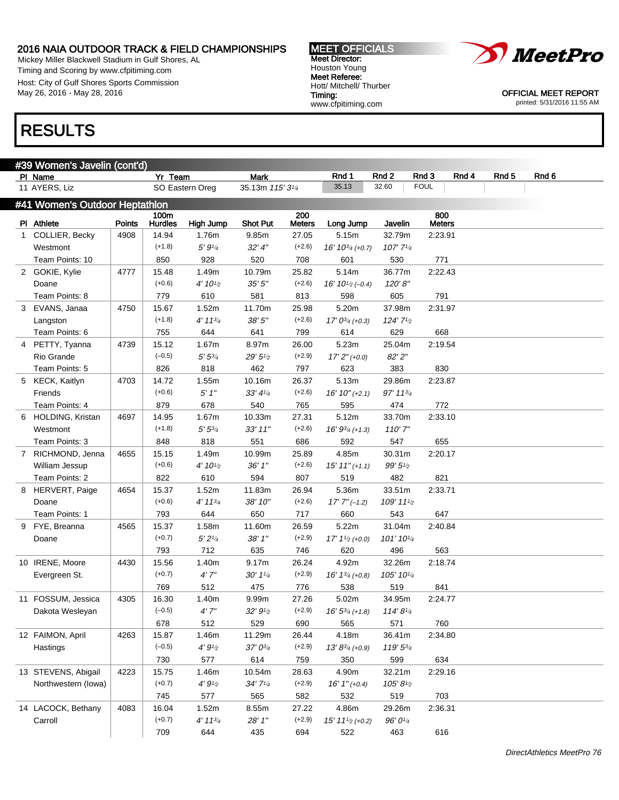Mickey Miller Blackwell Stadium in Gulf Shores, AL Timing and Scoring by www.cfpitiming.com Host: City of Gulf Shores Sports Commission May 26, 2016 - May 28, 2016





OFFICIAL MEET REPORT printed: 5/31/2016 11:55 AM

## RESULTS

| <u>#39 Wo</u> men's Javelin (cont'd) |               |                 |                 |                      |                      |                       |                       |                      |       |       |       |  |
|--------------------------------------|---------------|-----------------|-----------------|----------------------|----------------------|-----------------------|-----------------------|----------------------|-------|-------|-------|--|
| PI Name                              |               | Yr Team         |                 | <b>Mark</b>          |                      | Rnd 1                 | Rnd 2                 | Rnd 3                | Rnd 4 | Rnd 5 | Rnd 6 |  |
| 11 AYERS, Liz                        |               |                 | SO Eastern Oreg | 35.13m 115' 31/4     |                      | 35.13                 | 32.60                 | <b>FOUL</b>          |       |       |       |  |
| #41 Women's Outdoor Heptathlon       |               |                 |                 |                      |                      |                       |                       |                      |       |       |       |  |
| PI Athlete                           | <b>Points</b> | 100m<br>Hurdles | High Jump       | <b>Shot Put</b>      | 200<br><b>Meters</b> | Long Jump             | Javelin               | 800<br><b>Meters</b> |       |       |       |  |
| 1 COLLIER, Becky                     | 4908          | 14.94           | 1.76m           | 9.85m                | 27.05                | 5.15m                 | 32.79m                | 2:23.91              |       |       |       |  |
| Westmont                             |               | $(+1.8)$        | 5' 9'4          | 32' 4''              | $(+2.6)$             | $16' 10^{3/4}$ (+0.7) | $107'$ $7\frac{1}{4}$ |                      |       |       |       |  |
| Team Points: 10                      |               | 850             | 928             | 520                  | 708                  | 601                   | 530                   | 771                  |       |       |       |  |
| 2 GOKIE, Kylie                       | 4777          | 15.48           | 1.49m           | 10.79m               | 25.82                | 5.14m                 | 36.77m                | 2:22.43              |       |       |       |  |
| Doane                                |               | $(+0.6)$        | 4' 101⁄2        | 35'5''               | $(+2.6)$             | $16' 10^{1/2} (-0.4)$ | 120'8''               |                      |       |       |       |  |
| Team Points: 8                       |               | 779             | 610             | 581                  | 813                  | 598                   | 605                   | 791                  |       |       |       |  |
| 3 EVANS, Janaa                       | 4750          | 15.67           | 1.52m           | 11.70m               | 25.98                | 5.20m                 | 37.98m                | 2:31.97              |       |       |       |  |
| Langston                             |               | $(+1.8)$        | 4' 1134         | 38'5''               | $(+2.6)$             | $17' 0^{3/4}$ (+0.3)  | 124' 71/2             |                      |       |       |       |  |
| Team Points: 6                       |               | 755             | 644             | 641                  | 799                  | 614                   | 629                   | 668                  |       |       |       |  |
| 4 PETTY, Tyanna                      | 4739          | 15.12           | 1.67m           | 8.97m                | 26.00                | 5.23m                 | 25.04m                | 2:19.54              |       |       |       |  |
| Rio Grande                           |               | $(-0.5)$        | $5'5^{3/4}$     | 29'5'' <sub>2</sub>  | $(+2.9)$             | $17'2''(+0.0)$        | 82' 2"                |                      |       |       |       |  |
| Team Points: 5                       |               | 826             | 818             | 462                  | 797                  | 623                   | 383                   | 830                  |       |       |       |  |
| 5 KECK, Kaitlyn                      | 4703          | 14.72           | 1.55m           | 10.16m               | 26.37                | 5.13m                 | 29.86m                | 2:23.87              |       |       |       |  |
| Friends                              |               | $(+0.6)$        | 5'1''           | 33' 41/4             | $(+2.6)$             | $16' 10'' (+2.1)$     | 97' 113/4             |                      |       |       |       |  |
| Team Points: 4                       |               | 879             | 678             | 540                  | 765                  | 595                   | 474                   | 772                  |       |       |       |  |
| 6 HOLDING, Kristan                   | 4697          | 14.95           | 1.67m           | 10.33m               | 27.31                | 5.12m                 | 33.70m                | 2:33.10              |       |       |       |  |
| Westmont                             |               | $(+1.8)$        | $5'5^{3/4}$     | $33'$ 11"            | $(+2.6)$             | $16' 9^{3/4}$ (+1.3)  | 110'7''               |                      |       |       |       |  |
| Team Points: 3                       |               | 848             | 818             | 551                  | 686                  | 592                   | 547                   | 655                  |       |       |       |  |
| 7 RICHMOND, Jenna                    | 4655          | 15.15           | 1.49m           | 10.99m               | 25.89                | 4.85m                 | 30.31m                | 2:20.17              |       |       |       |  |
| William Jessup                       |               | $(+0.6)$        | 4' 101⁄2        | 36'1''               | $(+2.6)$             | $15' 11'' (+1.1)$     | $99'5\%$              |                      |       |       |       |  |
| Team Points: 2                       |               | 822             | 610             | 594                  | 807                  | 519                   | 482                   | 821                  |       |       |       |  |
| 8 HERVERT, Paige                     | 4654          | 15.37           | 1.52m           | 11.83m               | 26.94                | 5.36m                 | 33.51m                | 2:33.71              |       |       |       |  |
| Doane                                |               | $(+0.6)$        | 4' 1134         | 38' 10"              | $(+2.6)$             | $17'$ $7''$ $(-1.2)$  | 109' 111/2            |                      |       |       |       |  |
| Team Points: 1                       |               | 793             | 644             | 650                  | 717                  | 660                   | 543                   | 647                  |       |       |       |  |
| 9 FYE, Breanna                       | 4565          | 15.37           | 1.58m           | 11.60m               | 26.59                | 5.22m                 | 31.04m                | 2:40.84              |       |       |       |  |
| Doane                                |               | $(+0.7)$        | 5'2''/4         | 38'1''               | $(+2.9)$             | $17' 11/2$ (+0.0)     | 101' 101/4            |                      |       |       |       |  |
|                                      |               | 793             | 712             | 635                  | 746                  | 620                   | 496                   | 563                  |       |       |       |  |
| 10 IRENE, Moore                      | 4430          | 15.56           | 1.40m           | 9.17m                | 26.24                | 4.92m                 | 32.26m                | 2:18.74              |       |       |       |  |
| Evergreen St.                        |               | $(+0.7)$        | 4'7''           | $30'$ $1\frac{1}{4}$ | $(+2.9)$             | $16' 1^{3/4}$ (+0.8)  | 105' 101/4            |                      |       |       |       |  |
|                                      |               | 769             | 512             | 475                  | 776                  | 538                   | 519                   | 841                  |       |       |       |  |
| 11 FOSSUM, Jessica                   | 4305          | 16.30           | 1.40m           | 9.99m                | 27.26                | 5.02m                 | 34.95m                | 2:24.77              |       |       |       |  |
| Dakota Wesleyan                      |               | $(-0.5)$        | 4'7''           | 32' 91/2             | $(+2.9)$             | $16' 5^{3/4}$ (+1.8)  | $114'8\frac{1}{4}$    |                      |       |       |       |  |
|                                      |               | 678             | 512             | 529                  | 690                  | 565                   | 571                   | 760                  |       |       |       |  |
| 12 FAIMON, April                     | 4263          | 15.87           | 1.46m           | 11.29m               | 26.44                | 4.18m                 | 36.41m                | 2:34.80              |       |       |       |  |
| Hastings                             |               | $(-0.5)$        | $4'9'_{2}$      | $37' 0^{3/4}$        | $(+2.9)$             | $13' 8^{3/4}$ (+0.9)  | $119'5^{3/4}$         |                      |       |       |       |  |
|                                      |               | 730             | 577             | 614                  | 759                  | 350                   | 599                   | 634                  |       |       |       |  |
| 13 STEVENS, Abigail                  | 4223          | 15.75           | 1.46m           | 10.54m               | 28.63                | 4.90m                 | 32.21m                | 2:29.16              |       |       |       |  |
| Northwestern (lowa)                  |               | $(+0.7)$        | $4'9'_{2}$      | 34'7'4               | $(+2.9)$             | $16'1''(+0.4)$        | 105'81/2              |                      |       |       |       |  |
|                                      |               | 745             | 577             | 565                  | 582                  | 532                   | 519                   | 703                  |       |       |       |  |
| 14 LACOCK, Bethany                   | 4083          | 16.04           | 1.52m           | 8.55m                | 27.22                | 4.86m                 | 29.26m                | 2:36.31              |       |       |       |  |
| Carroll                              |               | $(+0.7)$        | $4' 11^{3/4}$   | 28' 1"               | $(+2.9)$             | $15' 111/2 (+0.2)$    | 96' 01/4              |                      |       |       |       |  |
|                                      |               | 709             | 644             | 435                  | 694                  | 522                   | 463                   | 616                  |       |       |       |  |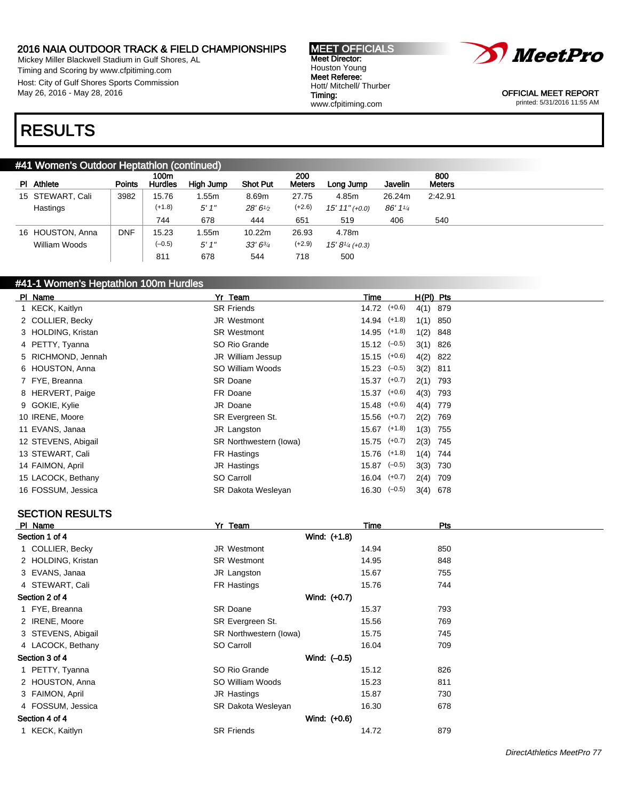Mickey Miller Blackwell Stadium in Gulf Shores, AL Timing and Scoring by www.cfpitiming.com Host: City of Gulf Shores Sports Commission May 26, 2016 - May 28, 2016





OFFICIAL MEET REPORT printed: 5/31/2016 11:55 AM

# RESULTS

#### #41 Women's Outdoor Heptathlon (continued)

|                  |               | 100m           |           |                 | 200           |                      |         | 800           |
|------------------|---------------|----------------|-----------|-----------------|---------------|----------------------|---------|---------------|
| PI Athlete       | <b>Points</b> | <b>Hurdles</b> | High Jump | <b>Shot Put</b> | <b>Meters</b> | Long Jump            | Javelin | <b>Meters</b> |
| 15 STEWART, Cali | 3982          | 15.76          | .55m      | 8.69m           | 27.75         | 4.85m                | 26.24m  | 2:42.91       |
| Hastings         |               | $(+1.8)$       | 5'1''     | 28' 61/2        | $(+2.6)$      | $15' 11'' (+0.0)$    | 86' 114 |               |
|                  |               | 744            | 678       | 444             | 651           | 519                  | 406     | 540           |
| 16 HOUSTON, Anna | <b>DNF</b>    | 15.23          | .55m      | 10.22m          | 26.93         | 4.78m                |         |               |
| William Woods    |               | $(-0.5)$       | 5'1''     | $33'6^{3/4}$    | $(+2.9)$      | $15' 8_{1/4}$ (+0.3) |         |               |
|                  |               | 811            | 678       | 544             | 718           | 500                  |         |               |

## #41-1 Women's Heptathlon 100m Hurdles

| PI Name             | Yr Team                | Time                      | H(PI) Pts  |     |
|---------------------|------------------------|---------------------------|------------|-----|
| 1 KECK, Kaitlyn     | <b>SR Friends</b>      | 14.72 (+0.6)              | 4(1) 879   |     |
| 2 COLLIER, Becky    | JR Westmont            | $14.94$ $(+1.8)$          | $1(1)$ 850 |     |
| 3 HOLDING, Kristan  | <b>SR Westmont</b>     | $14.95$ $(+1.8)$          | $1(2)$ 848 |     |
| 4 PETTY, Tyanna     | SO Rio Grande          | $15.12 \left(-0.5\right)$ | $3(1)$ 826 |     |
| 5 RICHMOND, Jennah  | JR William Jessup      | $15.15$ $(+0.6)$          | 4(2) 822   |     |
| 6 HOUSTON, Anna     | SO William Woods       | $15.23$ $(-0.5)$          | $3(2)$ 811 |     |
| 7 FYE, Breanna      | <b>SR Doane</b>        | $15.37$ $(+0.7)$          | $2(1)$ 793 |     |
| 8 HERVERT, Paige    | FR Doane               | $15.37$ $(+0.6)$          | 4(3) 793   |     |
| 9 GOKIE, Kylie      | JR Doane               | $15.48$ $(+0.6)$          | 4(4) 779   |     |
| 10 IRENE, Moore     | SR Evergreen St.       | $15.56$ $(+0.7)$          | 2(2) 769   |     |
| 11 EVANS, Janaa     | JR Langston            | $15.67$ $(+1.8)$          | 1(3)       | 755 |
| 12 STEVENS, Abigail | SR Northwestern (lowa) | $15.75$ $(+0.7)$          | 2(3) 745   |     |
| 13 STEWART, Cali    | FR Hastings            | $15.76$ $(+1.8)$          | $1(4)$ 744 |     |
| 14 FAIMON, April    | JR Hastings            | $15.87$ $(-0.5)$          | $3(3)$ 730 |     |
| 15 LACOCK, Bethany  | SO Carroll             | $16.04$ $(+0.7)$          | 2(4) 709   |     |
| 16 FOSSUM, Jessica  | SR Dakota Wesleyan     | $16.30 \left(-0.5\right)$ | $3(4)$ 678 |     |
|                     |                        |                           |            |     |

## SECTION RESULTS

| Yr Team                | Time  | Pts |
|------------------------|-------|-----|
| Wind: (+1.8)           |       |     |
| JR Westmont            | 14.94 | 850 |
| <b>SR Westmont</b>     | 14.95 | 848 |
| JR Langston            | 15.67 | 755 |
| FR Hastings            | 15.76 | 744 |
| Wind: (+0.7)           |       |     |
| SR Doane               | 15.37 | 793 |
| SR Evergreen St.       | 15.56 | 769 |
| SR Northwestern (lowa) | 15.75 | 745 |
| SO Carroll             | 16.04 | 709 |
| Wind: $(-0.5)$         |       |     |
| SO Rio Grande          | 15.12 | 826 |
| SO William Woods       | 15.23 | 811 |
| JR Hastings            | 15.87 | 730 |
| SR Dakota Wesleyan     | 16.30 | 678 |
| Wind: (+0.6)           |       |     |
| <b>SR Friends</b>      | 14.72 | 879 |
|                        |       |     |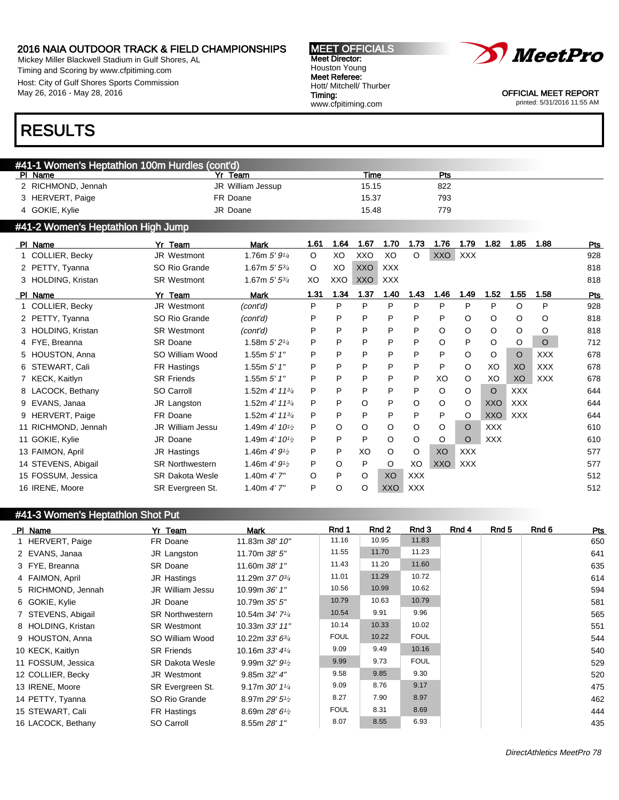Mickey Miller Blackwell Stadium in Gulf Shores, AL Timing and Scoring by www.cfpitiming.com Host: City of Gulf Shores Sports Commission May 26, 2016 - May 28, 2016

#### MEET OFFICIALS Meet Director: Houston Young Meet Referee: Hott/ Mitchell/ Thurber Timing: www.cfpitiming.com



OFFICIAL MEET REPORT printed: 5/31/2016 11:55 AM

## RESULTS

| #41-1 Women's Heptathlon 100m Hurdles (cont'd) |                   |       |     |  |  |  |  |  |  |  |
|------------------------------------------------|-------------------|-------|-----|--|--|--|--|--|--|--|
| PI Name                                        | Yr Team           | Time  | Pts |  |  |  |  |  |  |  |
| 2 RICHMOND, Jennah                             | JR William Jessup | 15.15 | 822 |  |  |  |  |  |  |  |
| 3 HERVERT, Paige                               | FR Doane          | 15.37 | 793 |  |  |  |  |  |  |  |
| 4 GOKIE, Kylie                                 | JR Doane          | 15.48 | 779 |  |  |  |  |  |  |  |

## #41-2 Women's Heptathlon High Jump

| PI Name             | Yr Team                 | Mark                                      | 1.61    | 1.64 | 1.67       | 1.70       | 1.73       | 1.76       | 1.79       | 1.82       | 1.85       | 1.88       | Pts        |
|---------------------|-------------------------|-------------------------------------------|---------|------|------------|------------|------------|------------|------------|------------|------------|------------|------------|
| 1 COLLIER, Becky    | JR Westmont             | 1.76m $5'9'4$                             | $\circ$ | XO   | XXO        | XO         | O          | XXO        | <b>XXX</b> |            |            |            | 928        |
| 2 PETTY, Tyanna     | SO Rio Grande           | 1.67m $5'5^{3/4}$                         | $\circ$ | XO   | <b>XXO</b> | <b>XXX</b> |            |            |            |            |            |            | 818        |
| 3 HOLDING, Kristan  | <b>SR Westmont</b>      | 1.67m $5'$ $5^{3/4}$                      | XO      | XXO  | <b>XXO</b> | <b>XXX</b> |            |            |            |            |            |            | 818        |
| PI Name             | Yr Team                 | <b>Mark</b>                               | 1.31    | 1.34 | 1.37       | 1.40       | 1.43       | 1.46       | 1.49       | 1.52       | 1.55       | 1.58       | <b>Pts</b> |
| 1 COLLIER, Becky    | <b>JR Westmont</b>      | (cont'd)                                  | P       | P    | P          | P          | P          | P          | P          | P          | O          | P          | 928        |
| 2 PETTY, Tyanna     | SO Rio Grande           | (cont'd)                                  | P       | P    | P          | P          | P          | P          | O          | $\circ$    | O          | $\circ$    | 818        |
| 3 HOLDING, Kristan  | <b>SR Westmont</b>      | (cont'd)                                  | P       | P    | P          | P          | P          | O          | O          | $\circ$    | O          | O          | 818        |
| 4 FYE, Breanna      | <b>SR Doane</b>         | 1.58m $5'2\frac{1}{4}$                    | P       | P    | P          | P          | P          | O          | P          | $\circ$    | O          | $\circ$    | 712        |
| 5 HOUSTON, Anna     | SO William Wood         | 1.55m $5'$ 1"                             | P       | P    | P          | P          | P          | P          | $\circ$    | O          | O          | <b>XXX</b> | 678        |
| 6 STEWART, Cali     | FR Hastings             | 1.55m $5'$ 1"                             | P       | P    | P          | P          | P          | P          | $\circ$    | XO         | XO         | <b>XXX</b> | 678        |
| 7 KECK, Kaitlyn     | <b>SR Friends</b>       | 1.55m $5'$ 1"                             | P       | P    | P          | P          | P          | XO         | $\circ$    | XO         | XO         | <b>XXX</b> | 678        |
| 8 LACOCK, Bethany   | SO Carroll              | 1.52m $4'$ 11 $\frac{3}{4}$               | P       | P    | P          | P          | P          | O          | $\circ$    | $\circ$    | <b>XXX</b> |            | 644        |
| 9 EVANS, Janaa      | JR Langston             | 1.52m $4'$ 11 $\frac{3}{4}$               | P       | P    | O          | P          | O          | O          | $\circ$    | <b>XXO</b> | <b>XXX</b> |            | 644        |
| 9 HERVERT, Paige    | FR Doane                | 1.52m $4'$ 11 $\frac{3}{4}$               | P       | P    | P          | P          | P          | P          | $\circ$    | <b>XXO</b> | <b>XXX</b> |            | 644        |
| 11 RICHMOND, Jennah | <b>JR William Jessu</b> | 1.49m $4'$ 10 <sup>1/2</sup>              | P       | O    | O          | O          | O          | O          | $\circ$    | <b>XXX</b> |            |            | 610        |
| 11 GOKIE, Kylie     | JR Doane                | 1.49m $4'$ 10 <sup>1</sup> / <sub>2</sub> | P       | P    | P          | $\circ$    | O          | O          | $\circ$    | <b>XXX</b> |            |            | 610        |
| 13 FAIMON, April    | JR Hastings             | 1.46m $4'9_{1/2}$                         | P       | P    | XO         | $\circ$    | O          | XO         | <b>XXX</b> |            |            |            | 577        |
| 14 STEVENS, Abigail | <b>SR Northwestern</b>  | 1.46m $4'9^{1/2}$                         | P       | O    | P          | $\circ$    | XO         | <b>XXO</b> | <b>XXX</b> |            |            |            | 577        |
| 15 FOSSUM, Jessica  | <b>SR Dakota Wesle</b>  | 1.40m $4'$ 7"                             | O       | P    | O          | XO         | <b>XXX</b> |            |            |            |            |            | 512        |
| 16 IRENE, Moore     | SR Evergreen St.        | 1.40m $4'$ 7"                             | P       | O    | O          | <b>XXO</b> | <b>XXX</b> |            |            |            |            |            | 512        |

| #41-3 Women's Heptathlon Shot Put |                        |                                           |             |       |             |       |       |       |            |
|-----------------------------------|------------------------|-------------------------------------------|-------------|-------|-------------|-------|-------|-------|------------|
| PI Name                           | Yr Team                | Mark                                      | Rnd 1       | Rnd 2 | Rnd 3       | Rnd 4 | Rnd 5 | Rnd 6 | <u>Pts</u> |
| 1 HERVERT, Paige                  | FR Doane               | 11.83m 38' 10"                            | 11.16       | 10.95 | 11.83       |       |       |       | 650        |
| 2 EVANS, Janaa                    | JR Langston            | 11.70m 38' 5"                             | 11.55       | 11.70 | 11.23       |       |       |       | 641        |
| 3 FYE, Breanna                    | <b>SR Doane</b>        | 11.60m 38' 1"                             | 11.43       | 11.20 | 11.60       |       |       |       | 635        |
| 4 FAIMON, April                   | JR Hastings            | 11.29m 37' 03/4                           | 11.01       | 11.29 | 10.72       |       |       |       | 614        |
| 5 RICHMOND, Jennah                | JR William Jessu       | 10.99m 36' 1"                             | 10.56       | 10.99 | 10.62       |       |       |       | 594        |
| 6 GOKIE, Kylie                    | JR Doane               | 10.79m 35' 5"                             | 10.79       | 10.63 | 10.79       |       |       |       | 581        |
| 7 STEVENS, Abigail                | <b>SR Northwestern</b> | 10.54m 34' 71/4                           | 10.54       | 9.91  | 9.96        |       |       |       | 565        |
| 8 HOLDING, Kristan                | <b>SR Westmont</b>     | 10.33m 33' 11"                            | 10.14       | 10.33 | 10.02       |       |       |       | 551        |
| 9 HOUSTON, Anna                   | SO William Wood        | 10.22m 33' 63/4                           | <b>FOUL</b> | 10.22 | <b>FOUL</b> |       |       |       | 544        |
| 10 KECK, Kaitlyn                  | <b>SR Friends</b>      | 10.16m 33' 41/4                           | 9.09        | 9.49  | 10.16       |       |       |       | 540        |
| 11 FOSSUM, Jessica                | <b>SR Dakota Wesle</b> | 9.99m $32'$ $9\frac{1}{2}$                | 9.99        | 9.73  | <b>FOUL</b> |       |       |       | 529        |
| 12 COLLIER, Becky                 | JR Westmont            | 9.85m 32' 4''                             | 9.58        | 9.85  | 9.30        |       |       |       | 520        |
| 13 IRENE, Moore                   | SR Evergreen St.       | 9.17m $30'$ 1 <sup><math>1/4</math></sup> | 9.09        | 8.76  | 9.17        |       |       |       | 475        |
| 14 PETTY, Tyanna                  | SO Rio Grande          | 8.97m 29' 51/2                            | 8.27        | 7.90  | 8.97        |       |       |       | 462        |
| 15 STEWART, Cali                  | FR Hastings            | 8.69m $28'6\frac{1}{2}$                   | <b>FOUL</b> | 8.31  | 8.69        |       |       |       | 444        |
| 16 LACOCK, Bethany                | SO Carroll             | 8.55m 28' 1"                              | 8.07        | 8.55  | 6.93        |       |       |       | 435        |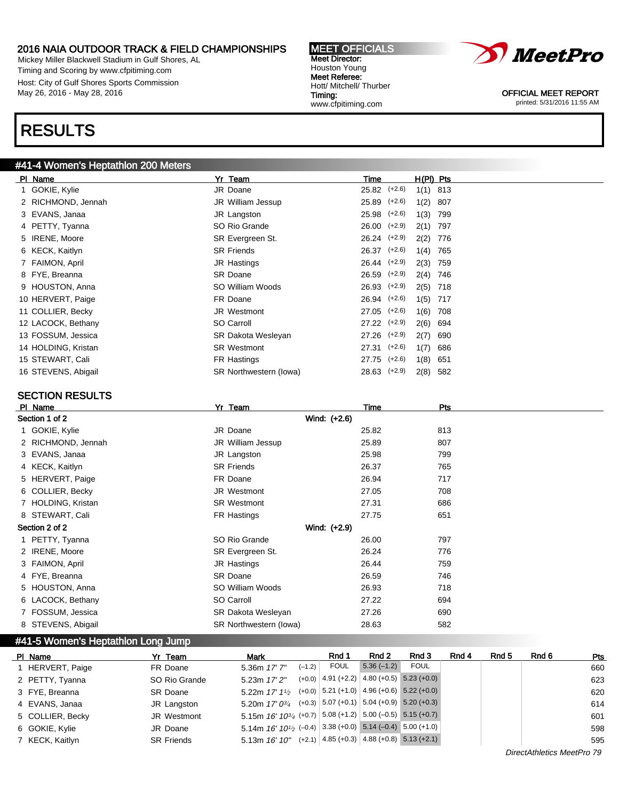Mickey Miller Blackwell Stadium in Gulf Shores, AL Timing and Scoring by www.cfpitiming.com Host: City of Gulf Shores Sports Commission May 26, 2016 - May 28, 2016

# RESULTS

## #41-4 Women's Heptathlon 200 Meters

| PI Name             | Yr Team                | Time             |          | $H(PI)$ Pts |     |
|---------------------|------------------------|------------------|----------|-------------|-----|
| 1 GOKIE, Kylie      | JR Doane               | $25.82$ $(+2.6)$ |          | $1(1)$ 813  |     |
| 2 RICHMOND, Jennah  | JR William Jessup      | 25.89            | $(+2.6)$ | 1(2)        | 807 |
| 3 EVANS, Janaa      | JR Langston            | $25.98$ $(+2.6)$ |          | 1(3)        | 799 |
| 4 PETTY, Tyanna     | SO Rio Grande          | $26.00$ $(+2.9)$ |          | 2(1)        | 797 |
| 5 IRENE, Moore      | SR Evergreen St.       | $26.24$ $(+2.9)$ |          | 2(2)        | 776 |
| 6 KECK, Kaitlyn     | <b>SR Friends</b>      | $26.37$ $(+2.6)$ |          | 1(4)        | 765 |
| 7 FAIMON, April     | JR Hastings            | $26.44$ $(+2.9)$ |          | 2(3)        | 759 |
| 8 FYE, Breanna      | SR Doane               | $26.59$ $(+2.9)$ |          | 2(4)        | 746 |
| 9 HOUSTON, Anna     | SO William Woods       | $26.93$ $(+2.9)$ |          | $2(5)$ 718  |     |
| 10 HERVERT, Paige   | FR Doane               | 26.94 (+2.6)     |          | 1(5)        | 717 |
| 11 COLLIER, Becky   | <b>JR Westmont</b>     | $27.05$ (+2.6)   |          | 1(6)        | 708 |
| 12 LACOCK, Bethany  | SO Carroll             | $27.22$ $(+2.9)$ |          | 2(6)        | 694 |
| 13 FOSSUM, Jessica  | SR Dakota Wesleyan     | $27.26$ $(+2.9)$ |          | 2(7)        | 690 |
| 14 HOLDING, Kristan | <b>SR Westmont</b>     | 27.31            | $(+2.6)$ | 1(7)        | 686 |
| 15 STEWART, Cali    | FR Hastings            | 27.75            | $(+2.6)$ | 1(8)        | 651 |
| 16 STEVENS, Abigail | SR Northwestern (lowa) | 28.63 (+2.9)     |          | 2(8)        | 582 |

## SECTION RESULTS

| PI Name            | Yr Team                | Time  | <b>Pts</b> |
|--------------------|------------------------|-------|------------|
| Section 1 of 2     | Wind: (+2.6)           |       |            |
| 1 GOKIE, Kylie     | JR Doane               | 25.82 | 813        |
| 2 RICHMOND, Jennah | JR William Jessup      | 25.89 | 807        |
| 3 EVANS, Janaa     | JR Langston            | 25.98 | 799        |
| 4 KECK, Kaitlyn    | <b>SR Friends</b>      | 26.37 | 765        |
| 5 HERVERT, Paige   | FR Doane               | 26.94 | 717        |
| 6 COLLIER, Becky   | JR Westmont            | 27.05 | 708        |
| 7 HOLDING, Kristan | <b>SR Westmont</b>     | 27.31 | 686        |
| 8 STEWART, Cali    | FR Hastings            | 27.75 | 651        |
| Section 2 of 2     | Wind: (+2.9)           |       |            |
| 1 PETTY, Tyanna    | SO Rio Grande          | 26.00 | 797        |
| 2 IRENE, Moore     | SR Evergreen St.       | 26.24 | 776        |
| 3 FAIMON, April    | JR Hastings            | 26.44 | 759        |
| 4 FYE, Breanna     | <b>SR Doane</b>        | 26.59 | 746        |
| 5 HOUSTON, Anna    | SO William Woods       | 26.93 | 718        |
| 6 LACOCK, Bethany  | SO Carroll             | 27.22 | 694        |
| 7 FOSSUM, Jessica  | SR Dakota Wesleyan     | 27.26 | 690        |
| 8 STEVENS, Abigail | SR Northwestern (lowa) | 28.63 | 582        |
|                    |                        |       |            |

### #41-5 Women's Heptathlon Long Jump

| PI Name          | Yr Team           | <b>Mark</b>                                                                               |          | Rnd 1       | Rnd 2        | Rnd 3                                        | Rnd 4 | Rnd 5 | Rnd 6 | Pts |
|------------------|-------------------|-------------------------------------------------------------------------------------------|----------|-------------|--------------|----------------------------------------------|-------|-------|-------|-----|
| 1 HERVERT, Paige | FR Doane          | 5.36m 17' 7"                                                                              | $(-1.2)$ | <b>FOUL</b> | $5.36(-1.2)$ | <b>FOUL</b>                                  |       |       |       | 660 |
| 2 PETTY, Tyanna  | SO Rio Grande     | 5.23m 17' 2"                                                                              |          |             |              | $(+0.0)$ 4.91 (+2.2) 4.80 (+0.5) 5.23 (+0.0) |       |       |       | 623 |
| 3 FYE, Breanna   | <b>SR Doane</b>   | 5.22m $17'$ $1\frac{1}{2}$                                                                |          |             |              | $(+0.0)$ 5.21 (+1.0) 4.96 (+0.6) 5.22 (+0.0) |       |       |       | 620 |
| 4 EVANS, Janaa   | JR Langston       | 5.20m $17'0^{3/4}$                                                                        |          |             |              | $(+0.3)$ 5.07 (+0.1) 5.04 (+0.9) 5.20 (+0.3) |       |       |       | 614 |
| 5 COLLIER, Becky | JR Westmont       | 5.15m 16' 10 <sup>3</sup> / <sub>4</sub> (+0.7)   5.08 (+1.2)   5.00 (-0.5)   5.15 (+0.7) |          |             |              |                                              |       |       |       | 601 |
| 6 GOKIE, Kylie   | JR Doane          | 5.14m $16'$ $10^{1/2}$ (-0.4) 3.38 (+0.0) 5.14 (-0.4) 5.00 (+1.0)                         |          |             |              |                                              |       |       |       | 598 |
| 7 KECK, Kaitlyn  | <b>SR Friends</b> | $5.13m$ 16' 10"                                                                           |          |             |              | $(+2.1)$ 4.85 (+0.3) 4.88 (+0.8) 5.13 (+2.1) |       |       |       | 595 |



OFFICIAL MEET REPORT printed: 5/31/2016 11:55 AM

MEET OFFICIALS Meet Director: Houston Young Meet Referee: Hott/ Mitchell/ Thurber Timing: www.cfpitiming.com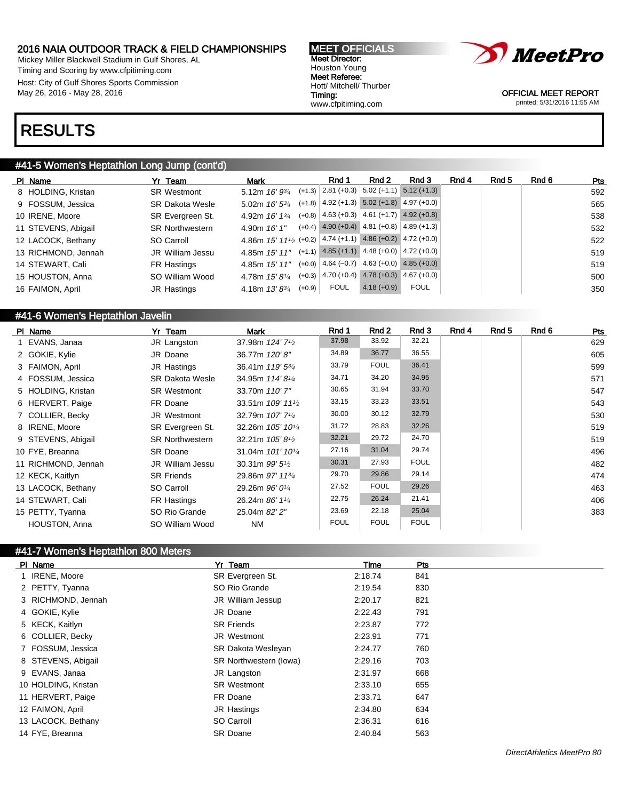Mickey Miller Blackwell Stadium in Gulf Shores, AL Timing and Scoring by www.cfpitiming.com Host: City of Gulf Shores Sports Commission May 26, 2016 - May 28, 2016

#### MEET OFFICIALS Meet Director: Houston Young Meet Referee: Hott/ Mitchell/ Thurber Timing: www.cfpitiming.com



OFFICIAL MEET REPORT printed: 5/31/2016 11:55 AM

## RESULTS

## #41-5 Women's Heptathlon Long Jump (cont'd)

| PI Name |                     | Yr Team                | Mark                                                           | Rnd 1 | Rnd 2                                              | Rnd 3                                              | Rnd 4 | Rnd 5 | Rnd 6 | Pts |
|---------|---------------------|------------------------|----------------------------------------------------------------|-------|----------------------------------------------------|----------------------------------------------------|-------|-------|-------|-----|
|         | 8 HOLDING, Kristan  | <b>SR Westmont</b>     | 5.12m $16' 9^{3/4}$ (+1.3) 2.81 (+0.3) 5.02 (+1.1) 5.12 (+1.3) |       |                                                    |                                                    |       |       |       | 592 |
|         | 9 FOSSUM, Jessica   | <b>SR Dakota Wesle</b> | 5.02m $16'$ 5 $\frac{3}{4}$                                    |       | $(+1.8)$ 4.92 (+1.3) 5.02 (+1.8) 4.97 (+0.0)       |                                                    |       |       |       | 565 |
|         | 10 IRENE, Moore     | SR Evergreen St.       | 4.92m $16'$ $13'$                                              |       |                                                    | $(+0.8)$ 4.63 $(+0.3)$ 4.61 $(+1.7)$ 4.92 $(+0.8)$ |       |       |       | 538 |
|         | 11 STEVENS, Abigail | <b>SR Northwestern</b> | 4.90m $16'1''$                                                 |       | $(+0.4)$ 4.90 (+0.4) 4.81 (+0.8) 4.89 (+1.3)       |                                                    |       |       |       | 532 |
|         | 12 LACOCK, Bethany  | SO Carroll             | 4.86m 15' 111/2 (+0.2) 4.74 (+1.1) 4.86 (+0.2) 4.72 (+0.0)     |       |                                                    |                                                    |       |       |       | 522 |
|         | 13 RICHMOND, Jennah | JR William Jessu       | 4.85m $15'$ $11"$                                              |       | $(+1.1)$ 4.85 $(+1.1)$ 4.48 $(+0.0)$ 4.72 $(+0.0)$ |                                                    |       |       |       | 519 |
|         | 14 STEWART, Cali    | FR Hastings            | 4.85m 15' 11"                                                  |       |                                                    | $(+0.0)$ 4.64 $(-0.7)$ 4.63 $(+0.0)$ 4.85 $(+0.0)$ |       |       |       | 519 |
|         | 15 HOUSTON, Anna    | SO William Wood        | 4.78m $15'8''$                                                 |       | $(+0.3)$ 4.70 $(+0.4)$ 4.78 $(+0.3)$ 4.67 $(+0.0)$ |                                                    |       |       |       | 500 |
|         | 16 FAIMON, April    | JR Hastings            | 4.18m $13'8^{3/4}$ (+0.9)                                      | FOUL  | $4.18(+0.9)$                                       | <b>FOUL</b>                                        |       |       |       | 350 |

#### #41-6 Women's Heptathlon Javelin

| PI Name              | Yr Team                | <b>Mark</b>                                | Rnd 1       | Rnd 2       | Rnd 3       | Rnd 4 | Rnd 5 | Rnd 6 | Pts |
|----------------------|------------------------|--------------------------------------------|-------------|-------------|-------------|-------|-------|-------|-----|
| 1 EVANS, Janaa       | JR Langston            | 37.98m 124' 7 <sup>1</sup> / <sub>2</sub>  | 37.98       | 33.92       | 32.21       |       |       |       | 629 |
| 2 GOKIE, Kylie       | JR Doane               | 36.77m 120'8"                              | 34.89       | 36.77       | 36.55       |       |       |       | 605 |
| 3 FAIMON, April      | JR Hastings            | 36.41m 119' 53/4                           | 33.79       | <b>FOUL</b> | 36.41       |       |       |       | 599 |
| 4 FOSSUM, Jessica    | <b>SR Dakota Wesle</b> | 34.95m 114'8 <sup>1/4</sup>                | 34.71       | 34.20       | 34.95       |       |       |       | 571 |
| 5 HOLDING, Kristan   | <b>SR Westmont</b>     | 33.70m 110' 7"                             | 30.65       | 31.94       | 33.70       |       |       |       | 547 |
| 6 HERVERT, Paige     | FR Doane               | 33.51m 109' 11 <sup>1</sup> / <sub>2</sub> | 33.15       | 33.23       | 33.51       |       |       |       | 543 |
| 7 COLLIER, Becky     | JR Westmont            | 32.79m 107' 7 <sup>1/4</sup>               | 30.00       | 30.12       | 32.79       |       |       |       | 530 |
| 8 IRENE, Moore       | SR Evergreen St.       | 32.26m 105' 10 <sup>1/4</sup>              | 31.72       | 28.83       | 32.26       |       |       |       | 519 |
| 9 STEVENS, Abigail   | <b>SR Northwestern</b> | 32.21m $105'8\frac{1}{2}$                  | 32.21       | 29.72       | 24.70       |       |       |       | 519 |
| 10 FYE, Breanna      | <b>SR Doane</b>        | 31.04m 101' 10 <sup>1/4</sup>              | 27.16       | 31.04       | 29.74       |       |       |       | 496 |
| 11 RICHMOND, Jennah  | JR William Jessu       | 30.31m $99'5\frac{1}{2}$                   | 30.31       | 27.93       | <b>FOUL</b> |       |       |       | 482 |
| 12 KECK, Kaitlyn     | <b>SR Friends</b>      | 29.86m 97' 1134                            | 29.70       | 29.86       | 29.14       |       |       |       | 474 |
| 13 LACOCK, Bethany   | SO Carroll             | 29.26m 96' 01/4                            | 27.52       | <b>FOUL</b> | 29.26       |       |       |       | 463 |
| 14 STEWART, Cali     | FR Hastings            | 26.24m 86' 11/4                            | 22.75       | 26.24       | 21.41       |       |       |       | 406 |
| 15 PETTY, Tyanna     | SO Rio Grande          | 25.04m 82' 2"                              | 23.69       | 22.18       | 25.04       |       |       |       | 383 |
| <b>HOUSTON, Anna</b> | SO William Wood        | <b>NM</b>                                  | <b>FOUL</b> | <b>FOUL</b> | <b>FOUL</b> |       |       |       |     |

## #41-7 Women's Heptathlon 800 Meters

| PI Name             | Yr Team                | <b>Time</b> | Pts |
|---------------------|------------------------|-------------|-----|
| 1 IRENE, Moore      | SR Evergreen St.       | 2:18.74     | 841 |
| 2 PETTY, Tyanna     | SO Rio Grande          | 2:19.54     | 830 |
| 3 RICHMOND, Jennah  | JR William Jessup      | 2:20.17     | 821 |
| 4 GOKIE, Kylie      | JR Doane               | 2:22.43     | 791 |
| 5 KECK, Kaitlyn     | <b>SR Friends</b>      | 2:23.87     | 772 |
| 6 COLLIER, Becky    | <b>JR Westmont</b>     | 2:23.91     | 771 |
| 7 FOSSUM, Jessica   | SR Dakota Wesleyan     | 2:24.77     | 760 |
| 8 STEVENS, Abigail  | SR Northwestern (lowa) | 2:29.16     | 703 |
| 9 EVANS, Janaa      | JR Langston            | 2:31.97     | 668 |
| 10 HOLDING, Kristan | <b>SR Westmont</b>     | 2:33.10     | 655 |
| 11 HERVERT, Paige   | FR Doane               | 2:33.71     | 647 |
| 12 FAIMON, April    | JR Hastings            | 2:34.80     | 634 |
| 13 LACOCK, Bethany  | SO Carroll             | 2:36.31     | 616 |
| 14 FYE, Breanna     | <b>SR Doane</b>        | 2:40.84     | 563 |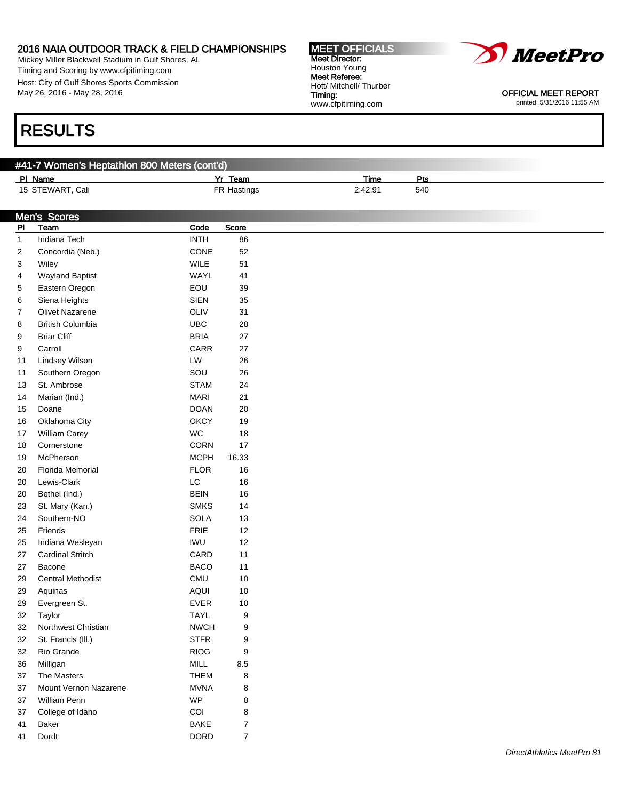Mickey Miller Blackwell Stadium in Gulf Shores, AL Timing and Scoring by www.cfpitiming.com Host: City of Gulf Shores Sports Commission May 26, 2016 - May 28, 2016

# RESULTS

## #41-7 Women's Heptathlon 800 Meters (cont'd)

| <u>PI Name</u>   | Yr Team     | Time    | Pts |
|------------------|-------------|---------|-----|
| 15 STEWART, Cali | FR Hastings | 2:42.91 | 540 |
|                  |             |         |     |

|                | <b>Men's Scores</b>      |               |                |
|----------------|--------------------------|---------------|----------------|
| P1             | Team                     | Code          | Score          |
| $\mathbf{1}$   | Indiana Tech             | <b>INTH</b>   | 86             |
| $\overline{2}$ | Concordia (Neb.)         | CONE          | 52             |
| 3              | Wiley                    | WILE          | 51             |
| 4              | <b>Wayland Baptist</b>   | WAYL          | 41             |
| 5              | Eastern Oregon           | EOU           | 39             |
| 6              | Siena Heights            | <b>SIEN</b>   | 35             |
| 7              | Olivet Nazarene          | OLIV          | 31             |
| 8              | <b>British Columbia</b>  | <b>UBC</b>    | 28             |
| 9              | <b>Briar Cliff</b>       | <b>BRIA</b>   | 27             |
| 9              | Carroll                  | CARR          | 27             |
| 11             | Lindsey Wilson           | LW            | 26             |
| 11             | Southern Oregon          | SOU           | 26             |
| 13             | St. Ambrose              | <b>STAM</b>   | 24             |
| 14             | Marian (Ind.)            | <b>MARI</b>   | 21             |
| 15             | Doane                    | <b>DOAN</b>   | 20             |
| $16\,$         | Oklahoma City            | <b>OKCY</b>   | 19             |
| 17             | William Carey            | WC            | 18             |
| 18             | Cornerstone              | <b>CORN</b>   | 17             |
| 19             | McPherson                | <b>MCPH</b>   | 16.33          |
| $20\,$         | Florida Memorial         | <b>FLOR</b>   | $16\,$         |
| $20\,$         | Lewis-Clark              | $\mathsf{LC}$ | $16\,$         |
| $20\,$         | Bethel (Ind.)            | <b>BEIN</b>   | 16             |
| 23             | St. Mary (Kan.)          | <b>SMKS</b>   | 14             |
| 24             | Southern-NO              | <b>SOLA</b>   | 13             |
|                |                          |               | 12             |
| 25             | Friends                  | <b>FRIE</b>   |                |
| 25             | Indiana Wesleyan         | IWU           | 12             |
| 27             | <b>Cardinal Stritch</b>  | CARD          | 11             |
| 27             | Bacone                   | <b>BACO</b>   | 11             |
| 29             | <b>Central Methodist</b> | CMU           | $10$           |
| 29             | Aquinas                  | <b>AQUI</b>   | $10$           |
| 29             | Evergreen St.            | <b>EVER</b>   | $10$           |
| 32             | Taylor                   | <b>TAYL</b>   | 9              |
| 32             | Northwest Christian      | <b>NWCH</b>   | 9              |
| 32             | St. Francis (III.)       | <b>STFR</b>   | 9              |
| 32             | Rio Grande               | <b>RIOG</b>   | 9              |
| 36             | Milligan                 | <b>MILL</b>   | 8.5            |
| 37             | The Masters              | <b>THEM</b>   | 8              |
| 37             | Mount Vernon Nazarene    | <b>MVNA</b>   | 8              |
| 37             | William Penn             | <b>WP</b>     | 8              |
| 37             | College of Idaho         | COI           | 8              |
| 41             | Baker                    | <b>BAKE</b>   | 7              |
| 41             | Dordt                    | <b>DORD</b>   | $\overline{7}$ |
|                |                          |               |                |



OFFICIAL MEET REPORT printed: 5/31/2016 11:55 AM

Meet Director: Houston Young Meet Referee: Hott/ Mitchell/ Thurber Timing: www.cfpitiming.com

MEET OFFICIALS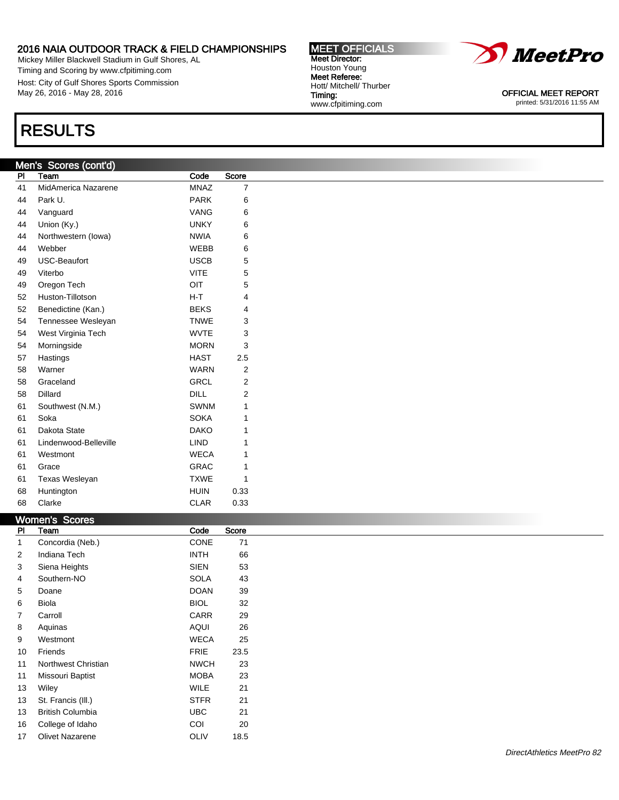Mickey Miller Blackwell Stadium in Gulf Shores, AL Timing and Scoring by www.cfpitiming.com Host: City of Gulf Shores Sports Commission May 26, 2016 - May 28, 2016

# RESULTS

## Men's Scores (cont'd)

| PI | Team                  | Code        | Score |
|----|-----------------------|-------------|-------|
| 41 | MidAmerica Nazarene   | <b>MNAZ</b> | 7     |
| 44 | Park U.               | <b>PARK</b> | 6     |
| 44 | Vanguard              | VANG        | 6     |
| 44 | Union (Ky.)           | <b>UNKY</b> | 6     |
| 44 | Northwestern (lowa)   | <b>NWIA</b> | 6     |
| 44 | Webber                | <b>WEBB</b> | 6     |
| 49 | <b>USC-Beaufort</b>   | <b>USCB</b> | 5     |
| 49 | Viterbo               | <b>VITE</b> | 5     |
| 49 | Oregon Tech           | OIT         | 5     |
| 52 | Huston-Tillotson      | $H-T$       | 4     |
| 52 | Benedictine (Kan.)    | <b>BEKS</b> | 4     |
| 54 | Tennessee Wesleyan    | <b>TNWE</b> | 3     |
| 54 | West Virginia Tech    | <b>WVTE</b> | 3     |
| 54 | Morningside           | <b>MORN</b> | 3     |
| 57 | Hastings              | <b>HAST</b> | 2.5   |
| 58 | Warner                | <b>WARN</b> | 2     |
| 58 | Graceland             | <b>GRCL</b> | 2     |
| 58 | Dillard               | <b>DILL</b> | 2     |
| 61 | Southwest (N.M.)      | <b>SWNM</b> | 1     |
| 61 | Soka                  | <b>SOKA</b> | 1     |
| 61 | Dakota State          | <b>DAKO</b> | 1     |
| 61 | Lindenwood-Belleville | <b>LIND</b> | 1     |
| 61 | Westmont              | <b>WECA</b> | 1     |
| 61 | Grace                 | GRAC        | 1     |
| 61 | Texas Wesleyan        | <b>TXWE</b> | 1     |
| 68 | Huntington            | <b>HUIN</b> | 0.33  |
| 68 | Clarke                | <b>CLAR</b> | 0.33  |

### Women's Scores

| <b>OUNTED ON A</b>      |             |       |
|-------------------------|-------------|-------|
| Team                    | Code        | Score |
| Concordia (Neb.)        | CONE        | 71    |
| Indiana Tech            | <b>INTH</b> | 66    |
| Siena Heights           | SIEN        | 53    |
| Southern-NO             | <b>SOLA</b> | 43    |
| Doane                   | <b>DOAN</b> | 39    |
| Biola                   | <b>BIOL</b> | 32    |
| Carroll                 | <b>CARR</b> | 29    |
| Aquinas                 | AQUI        | 26    |
| Westmont                | <b>WECA</b> | 25    |
| Friends                 | <b>FRIE</b> | 23.5  |
| Northwest Christian     | <b>NWCH</b> | 23    |
| Missouri Baptist        | <b>MOBA</b> | 23    |
| Wiley                   | WILE        | 21    |
| St. Francis (III.)      | <b>STFR</b> | 21    |
| <b>British Columbia</b> | <b>UBC</b>  | 21    |
| College of Idaho        | COI         | 20    |
| <b>Olivet Nazarene</b>  | <b>OLIV</b> | 18.5  |
|                         |             |       |



OFFICIAL MEET REPORT printed: 5/31/2016 11:55 AM

#### MEET OFFICIALS Meet Director: Houston Young Meet Referee: Hott/ Mitchell/ Thurber Timing: www.cfpitiming.com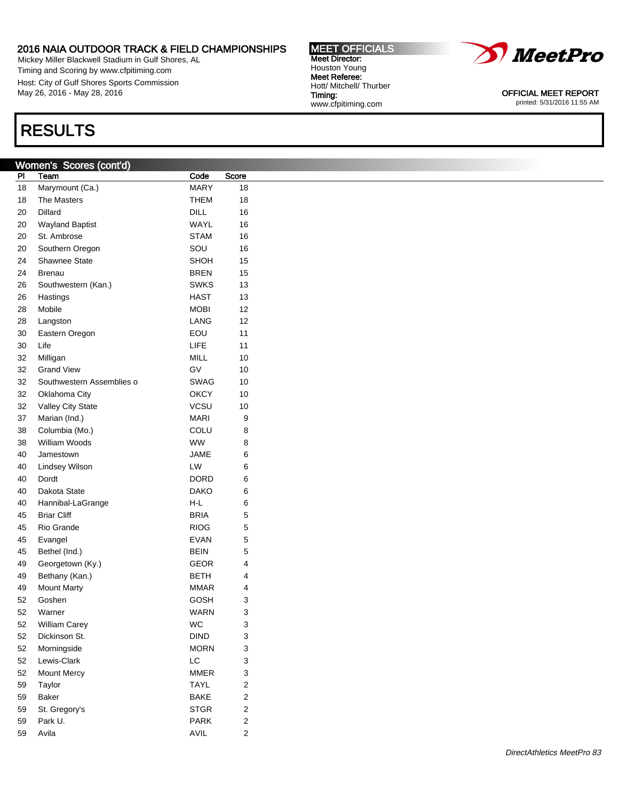Mickey Miller Blackwell Stadium in Gulf Shores, AL Timing and Scoring by www.cfpitiming.com Host: City of Gulf Shores Sports Commission May 26, 2016 - May 28, 2016

# RESULTS

## Women's Scores (cont'd)

| PI | Team                      | Code        | Score |
|----|---------------------------|-------------|-------|
| 18 | Marymount (Ca.)           | <b>MARY</b> | 18    |
| 18 | <b>The Masters</b>        | THEM        | 18    |
| 20 | <b>Dillard</b>            | DILL        | 16    |
| 20 | <b>Wayland Baptist</b>    | WAYL        | 16    |
| 20 | St. Ambrose               | <b>STAM</b> | 16    |
| 20 | Southern Oregon           | SOU         | 16    |
| 24 | <b>Shawnee State</b>      | SHOH        | 15    |
| 24 | Brenau                    | <b>BREN</b> | 15    |
| 26 | Southwestern (Kan.)       | <b>SWKS</b> | 13    |
| 26 | Hastings                  | HAST        | 13    |
| 28 | Mobile                    | <b>MOBI</b> | 12    |
| 28 | Langston                  | LANG        | 12    |
| 30 | Eastern Oregon            | EOU         | 11    |
| 30 | Life                      | LIFE        | 11    |
| 32 | Milligan                  | MILL        | 10    |
| 32 | <b>Grand View</b>         | GV          | 10    |
| 32 | Southwestern Assemblies o | SWAG        | 10    |
| 32 | Oklahoma City             | ОКСҮ        | 10    |
| 32 | <b>Valley City State</b>  | VCSU        | 10    |
| 37 | Marian (Ind.)             | <b>MARI</b> | 9     |
| 38 | Columbia (Mo.)            | COLU        | 8     |
| 38 | William Woods             | <b>WW</b>   | 8     |
| 40 | Jamestown                 | JAME        | 6     |
| 40 | Lindsey Wilson            | LW          | 6     |
| 40 | Dordt                     | DORD        | 6     |
| 40 | Dakota State              | <b>DAKO</b> | 6     |
| 40 | Hannibal-LaGrange         | H-L         | 6     |
| 45 | <b>Briar Cliff</b>        | <b>BRIA</b> | 5     |
| 45 | Rio Grande                | <b>RIOG</b> | 5     |
| 45 | Evangel                   | <b>EVAN</b> | 5     |
| 45 | Bethel (Ind.)             | <b>BEIN</b> | 5     |
| 49 | Georgetown (Ky.)          | GEOR        | 4     |
| 49 | Bethany (Kan.)            | <b>BETH</b> | 4     |
| 49 | <b>Mount Marty</b>        | <b>MMAR</b> | 4     |
| 52 | Goshen                    | GOSH        | 3     |
| 52 | Warner                    | WARN        | 3     |
| 52 | William Carey             | WC          | 3     |
| 52 | Dickinson St.             | DIND        | 3     |
| 52 | Morningside               | <b>MORN</b> | 3     |
| 52 | Lewis-Clark               | LC          | 3     |
| 52 | <b>Mount Mercy</b>        | <b>MMER</b> | 3     |
| 59 | Taylor                    | TAYL        | 2     |
| 59 | Baker                     | <b>BAKE</b> | 2     |
| 59 | St. Gregory's             | <b>STGR</b> | 2     |
| 59 | Park U.                   | <b>PARK</b> | 2     |
| 59 | Avila                     | <b>AVIL</b> | 2     |



OFFICIAL MEET REPORT printed: 5/31/2016 11:55 AM

MEET OFFICIALS Meet Director: Houston Young Meet Referee: Hott/ Mitchell/ Thurber Timing: www.cfpitiming.com